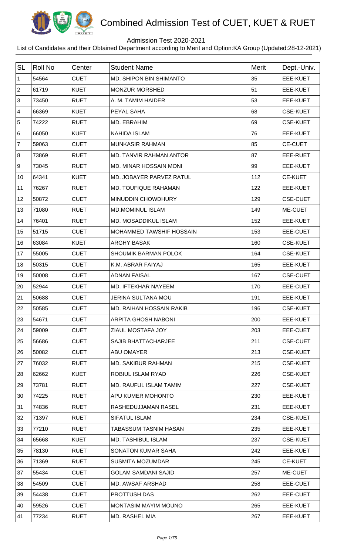

## Admission Test 2020-2021

| <b>SL</b>      | <b>Roll No</b> | Center      | <b>Student Name</b>             | Merit | Dept.-Univ.     |
|----------------|----------------|-------------|---------------------------------|-------|-----------------|
| $\mathbf{1}$   | 54564          | <b>CUET</b> | <b>MD. SHIPON BIN SHIMANTO</b>  | 35    | EEE-KUET        |
| $\overline{2}$ | 61719          | <b>KUET</b> | MONZUR MORSHED                  | 51    | EEE-KUET        |
| $\mathfrak{S}$ | 73450          | <b>RUET</b> | A. M. TAMIM HAIDER              | 53    | <b>EEE-KUET</b> |
| $\overline{4}$ | 66369          | <b>KUET</b> | PEYAL SAHA                      | 68    | <b>CSE-KUET</b> |
| 5              | 74222          | <b>RUET</b> | MD. EBRAHIM                     | 69    | <b>CSE-KUET</b> |
| $\,6\,$        | 66050          | <b>KUET</b> | <b>NAHIDA ISLAM</b>             | 76    | <b>EEE-KUET</b> |
| $\overline{7}$ | 59063          | <b>CUET</b> | <b>MUNKASIR RAHMAN</b>          | 85    | <b>CE-CUET</b>  |
| 8              | 73869          | <b>RUET</b> | MD. TANVIR RAHMAN ANTOR         | 87    | EEE-RUET        |
| 9              | 73045          | <b>RUET</b> | MD. MINAR HOSSAIN MONI          | 99    | <b>EEE-KUET</b> |
| 10             | 64341          | <b>KUET</b> | MD. JOBAYER PARVEZ RATUL        | 112   | <b>CE-KUET</b>  |
| 11             | 76267          | <b>RUET</b> | MD. TOUFIQUE RAHAMAN            | 122   | <b>EEE-KUET</b> |
| 12             | 50872          | <b>CUET</b> | <b>MINUDDIN CHOWDHURY</b>       | 129   | <b>CSE-CUET</b> |
| 13             | 71080          | <b>RUET</b> | <b>MD.MOMINUL ISLAM</b>         | 149   | ME-CUET         |
| 14             | 76401          | <b>RUET</b> | MD. MOSADDIKUL ISLAM            | 152   | <b>EEE-KUET</b> |
| 15             | 51715          | <b>CUET</b> | MOHAMMED TAWSHIF HOSSAIN        | 153   | <b>EEE-CUET</b> |
| 16             | 63084          | <b>KUET</b> | <b>ARGHY BASAK</b>              | 160   | <b>CSE-KUET</b> |
| 17             | 55005          | <b>CUET</b> | <b>SHOUMIK BARMAN POLOK</b>     | 164   | <b>CSE-KUET</b> |
| 18             | 50315          | <b>CUET</b> | K.M. ABRAR FAIYAJ               | 165   | <b>EEE-KUET</b> |
| 19             | 50008          | <b>CUET</b> | <b>ADNAN FAISAL</b>             | 167   | <b>CSE-CUET</b> |
| 20             | 52944          | <b>CUET</b> | MD. IFTEKHAR NAYEEM             | 170   | EEE-CUET        |
| 21             | 50688          | <b>CUET</b> | <b>JERINA SULTANA MOU</b>       | 191   | <b>EEE-KUET</b> |
| 22             | 50585          | <b>CUET</b> | <b>MD. RAIHAN HOSSAIN RAKIB</b> | 196   | <b>CSE-KUET</b> |
| 23             | 54671          | <b>CUET</b> | <b>ARPITA GHOSH NABONI</b>      | 200   | EEE-KUET        |
| 24             | 59009          | <b>CUET</b> | ZIAUL MOSTAFA JOY               | 203   | EEE-CUET        |
| 25             | 56686          | <b>CUET</b> | <b>SAJIB BHATTACHARJEE</b>      | 211   | <b>CSE-CUET</b> |
| 26             | 50082          | <b>CUET</b> | ABU OMAYER                      | 213   | <b>CSE-KUET</b> |
| 27             | 76032          | <b>RUET</b> | <b>MD. SAKIBUR RAHMAN</b>       | 215   | <b>CSE-KUET</b> |
| 28             | 62662          | <b>KUET</b> | ROBIUL ISLAM RYAD               | 226   | <b>CSE-KUET</b> |
| 29             | 73781          | <b>RUET</b> | MD. RAUFUL ISLAM TAMIM          | 227   | <b>CSE-KUET</b> |
| 30             | 74225          | <b>RUET</b> | APU KUMER MOHONTO               | 230   | EEE-KUET        |
| 31             | 74836          | <b>RUET</b> | RASHEDUJJAMAN RASEL             | 231   | EEE-KUET        |
| 32             | 71397          | <b>RUET</b> | <b>SIFATUL ISLAM</b>            | 234   | <b>CSE-KUET</b> |
| 33             | 77210          | <b>RUET</b> | <b>TABASSUM TASNIM HASAN</b>    | 235   | EEE-KUET        |
| 34             | 65668          | <b>KUET</b> | <b>MD. TASHIBUL ISLAM</b>       | 237   | <b>CSE-KUET</b> |
| 35             | 78130          | <b>RUET</b> | SONATON KUMAR SAHA              | 242   | EEE-KUET        |
| 36             | 71369          | <b>RUET</b> | <b>SUSMITA MOZUMDAR</b>         | 245   | <b>CE-KUET</b>  |
| 37             | 55434          | <b>CUET</b> | <b>GOLAM SAMDANI SAJID</b>      | 257   | ME-CUET         |
| 38             | 54509          | <b>CUET</b> | <b>MD. AWSAF ARSHAD</b>         | 258   | EEE-CUET        |
| 39             | 54438          | <b>CUET</b> | PROTTUSH DAS                    | 262   | EEE-CUET        |
| 40             | 59526          | <b>CUET</b> | MONTASIM MAYIM MOUNO            | 265   | EEE-KUET        |
| 41             | 77234          | <b>RUET</b> | MD. RASHEL MIA                  | 267   | EEE-KUET        |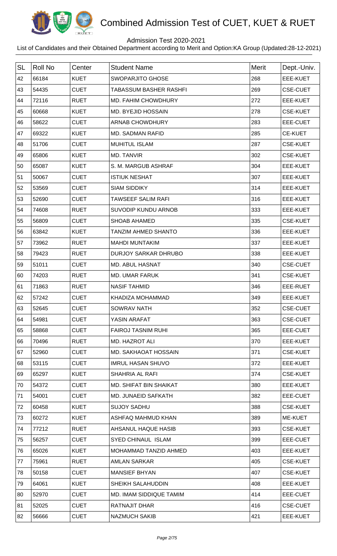

## Admission Test 2020-2021

| <b>SL</b> | <b>Roll No</b> | Center      | <b>Student Name</b>           | <b>Merit</b> | Dept.-Univ.     |
|-----------|----------------|-------------|-------------------------------|--------------|-----------------|
| 42        | 66184          | <b>KUET</b> | <b>SWOPARJITO GHOSE</b>       | 268          | EEE-KUET        |
| 43        | 54435          | <b>CUET</b> | <b>TABASSUM BASHER RASHFI</b> | 269          | <b>CSE-CUET</b> |
| 44        | 72116          | <b>RUET</b> | MD. FAHIM CHOWDHURY           | 272          | EEE-KUET        |
| 45        | 60668          | <b>KUET</b> | <b>MD. BYEJID HOSSAIN</b>     | 278          | <b>CSE-KUET</b> |
| 46        | 58622          | <b>CUET</b> | <b>ARNAB CHOWDHURY</b>        | 283          | EEE-CUET        |
| 47        | 69322          | <b>KUET</b> | <b>MD. SADMAN RAFID</b>       | 285          | <b>CE-KUET</b>  |
| 48        | 51706          | <b>CUET</b> | <b>MUHITUL ISLAM</b>          | 287          | <b>CSE-KUET</b> |
| 49        | 65806          | <b>KUET</b> | MD. TANVIR                    | 302          | <b>CSE-KUET</b> |
| 50        | 65087          | <b>KUET</b> | S. M. MARGUB ASHRAF           | 304          | EEE-KUET        |
| 51        | 50067          | <b>CUET</b> | <b>ISTIUK NESHAT</b>          | 307          | EEE-KUET        |
| 52        | 53569          | <b>CUET</b> | <b>SIAM SIDDIKY</b>           | 314          | EEE-KUET        |
| 53        | 52690          | <b>CUET</b> | <b>TAWSEEF SALIM RAFI</b>     | 316          | EEE-KUET        |
| 54        | 74608          | <b>RUET</b> | SUVODIP KUNDU ARNOB           | 333          | EEE-KUET        |
| 55        | 56809          | <b>CUET</b> | <b>SHOAB AHAMED</b>           | 335          | <b>CSE-KUET</b> |
| 56        | 63842          | <b>KUET</b> | <b>TANZIM AHMED SHANTO</b>    | 336          | EEE-KUET        |
| 57        | 73962          | <b>RUET</b> | <b>MAHDI MUNTAKIM</b>         | 337          | EEE-KUET        |
| 58        | 79423          | <b>RUET</b> | <b>DURJOY SARKAR DHRUBO</b>   | 338          | EEE-KUET        |
| 59        | 51011          | <b>CUET</b> | <b>MD. ABUL HASNAT</b>        | 340          | <b>CSE-CUET</b> |
| 60        | 74203          | <b>RUET</b> | MD. UMAR FARUK                | 341          | <b>CSE-KUET</b> |
| 61        | 71863          | <b>RUET</b> | <b>NASIF TAHMID</b>           | 346          | EEE-RUET        |
| 62        | 57242          | <b>CUET</b> | KHADIZA MOHAMMAD              | 349          | EEE-KUET        |
| 63        | 52645          | <b>CUET</b> | <b>SOWRAV NATH</b>            | 352          | <b>CSE-CUET</b> |
| 64        | 54981          | <b>CUET</b> | YASIN ARAFAT                  | 363          | <b>CSE-CUET</b> |
| 65        | 58868          | <b>CUET</b> | <b>FAIROJ TASNIM RUHI</b>     | 365          | EEE-CUET        |
| 66        | 70496          | <b>RUET</b> | MD. HAZROT ALI                | 370          | EEE-KUET        |
| 67        | 52960          | <b>CUET</b> | <b>MD. SAKHAOAT HOSSAIN</b>   | 371          | <b>CSE-KUET</b> |
| 68        | 53115          | <b>CUET</b> | <b>IMRUL HASAN SHUVO</b>      | 372          | EEE-KUET        |
| 69        | 65297          | <b>KUET</b> | <b>SHAHRIA AL RAFI</b>        | 374          | <b>CSE-KUET</b> |
| 70        | 54372          | <b>CUET</b> | MD. SHIFAT BIN SHAIKAT        | 380          | EEE-KUET        |
| 71        | 54001          | <b>CUET</b> | MD. JUNAEID SAFKATH           | 382          | EEE-CUET        |
| 72        | 60458          | <b>KUET</b> | <b>SUJOY SADHU</b>            | 388          | <b>CSE-KUET</b> |
| 73        | 60272          | <b>KUET</b> | ASHFAQ MAHMUD KHAN            | 389          | ME-KUET         |
| 74        | 77212          | <b>RUET</b> | AHSANUL HAQUE HASIB           | 393          | <b>CSE-KUET</b> |
| 75        | 56257          | <b>CUET</b> | <b>SYED CHINAUL ISLAM</b>     | 399          | EEE-CUET        |
| 76        | 65026          | <b>KUET</b> | MOHAMMAD TANZID AHMED         | 403          | EEE-KUET        |
| 77        | 75961          | <b>RUET</b> | <b>AMLAN SARKAR</b>           | 405          | <b>CSE-KUET</b> |
| 78        | 50158          | <b>CUET</b> | <b>MANSIEF BHYAN</b>          | 407          | <b>CSE-KUET</b> |
| 79        | 64061          | <b>KUET</b> | SHEIKH SALAHUDDIN             | 408          | EEE-KUET        |
| 80        | 52970          | <b>CUET</b> | MD. IMAM SIDDIQUE TAMIM       | 414          | EEE-CUET        |
| 81        | 52025          | <b>CUET</b> | RATNAJIT DHAR                 | 416          | <b>CSE-CUET</b> |
| 82        | 56666          | <b>CUET</b> | <b>NAZMUCH SAKIB</b>          | 421          | EEE-KUET        |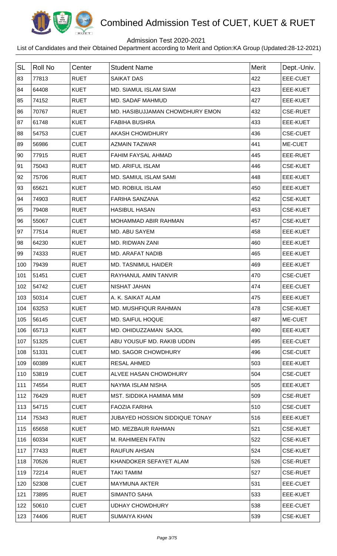

## Admission Test 2020-2021

| <b>SL</b> | Roll No | Center      | <b>Student Name</b>             | <b>Merit</b> | Dept.-Univ.     |
|-----------|---------|-------------|---------------------------------|--------------|-----------------|
| 83        | 77813   | <b>RUET</b> | <b>SAIKAT DAS</b>               | 422          | EEE-CUET        |
| 84        | 64408   | <b>KUET</b> | <b>MD. SIAMUL ISLAM SIAM</b>    | 423          | EEE-KUET        |
| 85        | 74152   | <b>RUET</b> | MD. SADAF MAHMUD                | 427          | EEE-KUET        |
| 86        | 70767   | <b>RUET</b> | MD. HASIBUJJAMAN CHOWDHURY EMON | 432          | <b>CSE-RUET</b> |
| 87        | 61748   | <b>KUET</b> | <b>FABIHA BUSHRA</b>            | 433          | EEE-KUET        |
| 88        | 54753   | <b>CUET</b> | <b>AKASH CHOWDHURY</b>          | 436          | <b>CSE-CUET</b> |
| 89        | 56986   | <b>CUET</b> | <b>AZMAIN TAZWAR</b>            | 441          | ME-CUET         |
| 90        | 77915   | <b>RUET</b> | FAHIM FAYSAL AHMAD              | 445          | EEE-RUET        |
| 91        | 75043   | <b>RUET</b> | <b>MD. ARIFUL ISLAM</b>         | 446          | <b>CSE-KUET</b> |
| 92        | 75706   | <b>RUET</b> | <b>MD. SAMIUL ISLAM SAMI</b>    | 448          | EEE-KUET        |
| 93        | 65621   | <b>KUET</b> | <b>MD. ROBIUL ISLAM</b>         | 450          | <b>EEE-KUET</b> |
| 94        | 74903   | <b>RUET</b> | <b>FARIHA SANZANA</b>           | 452          | <b>CSE-KUET</b> |
| 95        | 79408   | <b>RUET</b> | <b>HASIBUL HASAN</b>            | 453          | <b>CSE-KUET</b> |
| 96        | 55067   | <b>CUET</b> | MOHAMMAD ABIR RAHMAN            | 457          | <b>CSE-KUET</b> |
| 97        | 77514   | <b>RUET</b> | MD. ABU SAYEM                   | 458          | EEE-KUET        |
| 98        | 64230   | <b>KUET</b> | MD. RIDWAN ZANI                 | 460          | EEE-KUET        |
| 99        | 74333   | <b>RUET</b> | <b>MD. ARAFAT NADIB</b>         | 465          | EEE-KUET        |
| 100       | 79439   | <b>RUET</b> | <b>MD. TASNIMUL HAIDER</b>      | 469          | <b>EEE-KUET</b> |
| 101       | 51451   | <b>CUET</b> | <b>RAYHANUL AMIN TANVIR</b>     | 470          | <b>CSE-CUET</b> |
| 102       | 54742   | <b>CUET</b> | <b>NISHAT JAHAN</b>             | 474          | EEE-CUET        |
| 103       | 50314   | <b>CUET</b> | A. K. SAIKAT ALAM               | 475          | <b>EEE-KUET</b> |
| 104       | 63253   | <b>KUET</b> | MD. MUSHFIQUR RAHMAN            | 478          | <b>CSE-KUET</b> |
| 105       | 56145   | <b>CUET</b> | <b>MD. SAIFUL HOQUE</b>         | 487          | ME-CUET         |
| 106       | 65713   | <b>KUET</b> | MD. OHIDUZZAMAN SAJOL           | 490          | EEE-KUET        |
| 107       | 51325   | <b>CUET</b> | ABU YOUSUF MD. RAKIB UDDIN      | 495          | EEE-CUET        |
| 108       | 51331   | <b>CUET</b> | <b>MD. SAGOR CHOWDHURY</b>      | 496          | <b>CSE-CUET</b> |
| 109       | 60389   | <b>KUET</b> | <b>RESAL AHMED</b>              | 503          | EEE-KUET        |
| 110       | 53819   | <b>CUET</b> | ALVEE HASAN CHOWDHURY           | 504          | <b>CSE-CUET</b> |
| 111       | 74554   | <b>RUET</b> | NAYMA ISLAM NISHA               | 505          | EEE-KUET        |
| 112       | 76429   | <b>RUET</b> | MST. SIDDIKA HAMIMA MIM         | 509          | <b>CSE-RUET</b> |
| 113       | 54715   | <b>CUET</b> | <b>FAOZIA FARIHA</b>            | 510          | <b>CSE-CUET</b> |
| 114       | 75343   | <b>RUET</b> | JUBAYED HOSSION SIDDIQUE TONAY  | 516          | EEE-KUET        |
| 115       | 65658   | <b>KUET</b> | MD. MEZBAUR RAHMAN              | 521          | <b>CSE-KUET</b> |
| 116       | 60334   | <b>KUET</b> | M. RAHIMEEN FATIN               | 522          | <b>CSE-KUET</b> |
| 117       | 77433   | <b>RUET</b> | <b>RAUFUN AHSAN</b>             | 524          | <b>CSE-KUET</b> |
| 118       | 70526   | <b>RUET</b> | KHANDOKER SEFAYET ALAM          | 526          | <b>CSE-RUET</b> |
| 119       | 72214   | <b>RUET</b> | <b>TAKI TAMIM</b>               | 527          | <b>CSE-RUET</b> |
| 120       | 52308   | <b>CUET</b> | <b>MAYMUNA AKTER</b>            | 531          | EEE-CUET        |
| 121       | 73895   | <b>RUET</b> | <b>SIMANTO SAHA</b>             | 533          | EEE-KUET        |
| 122       | 50610   | <b>CUET</b> | <b>UDHAY CHOWDHURY</b>          | 538          | EEE-CUET        |
| 123       | 74406   | <b>RUET</b> | <b>SUMAIYA KHAN</b>             | 539          | <b>CSE-KUET</b> |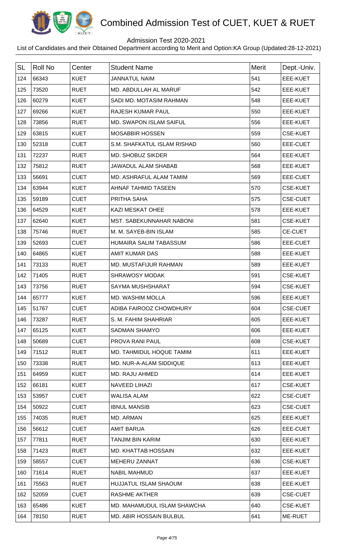

## Admission Test 2020-2021

| <b>SL</b> | <b>Roll No</b> | Center      | <b>Student Name</b>             | Merit | Dept.-Univ.     |
|-----------|----------------|-------------|---------------------------------|-------|-----------------|
| 124       | 66343          | <b>KUET</b> | <b>JANNATUL NAIM</b>            | 541   | <b>EEE-KUET</b> |
| 125       | 73520          | <b>RUET</b> | MD. ABDULLAH AL MARUF           | 542   | EEE-KUET        |
| 126       | 60279          | <b>KUET</b> | SADI MD. MOTASIM RAHMAN         | 548   | EEE-KUET        |
| 127       | 69266          | <b>KUET</b> | RAJESH KUMAR PAUL               | 550   | <b>EEE-KUET</b> |
| 128       | 73856          | <b>RUET</b> | <b>MD. SWAPON ISLAM SAIFUL</b>  | 556   | <b>EEE-KUET</b> |
| 129       | 63815          | <b>KUET</b> | <b>MOSABBIR HOSSEN</b>          | 559   | <b>CSE-KUET</b> |
| 130       | 52318          | <b>CUET</b> | S.M. SHAFKATUL ISLAM RISHAD     | 560   | EEE-CUET        |
| 131       | 72237          | <b>RUET</b> | MD. SHOBUZ SIKDER               | 564   | <b>EEE-KUET</b> |
| 132       | 75812          | <b>RUET</b> | <b>JAWADUL ALAM SHABAB</b>      | 568   | EEE-KUET        |
| 133       | 56691          | <b>CUET</b> | MD. ASHRAFUL ALAM TAMIM         | 569   | EEE-CUET        |
| 134       | 63944          | <b>KUET</b> | <b>AHNAF TAHMID TASEEN</b>      | 570   | <b>CSE-KUET</b> |
| 135       | 59189          | <b>CUET</b> | PRITHA SAHA                     | 575   | <b>CSE-CUET</b> |
| 136       | 64529          | <b>KUET</b> | <b>KAZI MESKAT OHEE</b>         | 578   | <b>EEE-KUET</b> |
| 137       | 62640          | <b>KUET</b> | <b>MST. SABEKUNNAHAR NABONI</b> | 581   | <b>CSE-KUET</b> |
| 138       | 75746          | <b>RUET</b> | M. M. SAYEB-BIN ISLAM           | 585   | <b>CE-CUET</b>  |
| 139       | 52693          | <b>CUET</b> | HUMAIRA SALIM TABASSUM          | 586   | EEE-CUET        |
| 140       | 64865          | <b>KUET</b> | <b>AMIT KUMAR DAS</b>           | 588   | EEE-KUET        |
| 141       | 73133          | <b>RUET</b> | MD. MUSTAFIJUR RAHMAN           | 589   | <b>EEE-KUET</b> |
| 142       | 71405          | <b>RUET</b> | <b>SHRAWOSY MODAK</b>           | 591   | <b>CSE-KUET</b> |
| 143       | 73756          | <b>RUET</b> | <b>SAYMA MUSHSHARAT</b>         | 594   | <b>CSE-KUET</b> |
| 144       | 65777          | <b>KUET</b> | MD. WASHIM MOLLA                | 596   | <b>EEE-KUET</b> |
| 145       | 51767          | <b>CUET</b> | ADIBA FAIROOZ CHOWDHURY         | 604   | <b>CSE-CUET</b> |
| 146       | 73287          | <b>RUET</b> | S. M. FAHIM SHAHRIAR            | 605   | EEE-KUET        |
| 147       | 65125          | <b>KUET</b> | <b>SADMAN SHAMYO</b>            | 606   | EEE-KUET        |
| 148       | 50689          | <b>CUET</b> | PROVA RANI PAUL                 | 608   | <b>CSE-KUET</b> |
| 149       | 71512          | <b>RUET</b> | MD. TAHMIDUL HOQUE TAMIM        | 611   | EEE-KUET        |
| 150       | 73338          | <b>RUET</b> | MD. NUR-A-ALAM SIDDIQUE         | 613   | EEE-KUET        |
| 151       | 64959          | <b>KUET</b> | <b>MD. RAJU AHMED</b>           | 614   | EEE-KUET        |
| 152       | 66181          | <b>KUET</b> | <b>NAVEED LIHAZI</b>            | 617   | <b>CSE-KUET</b> |
| 153       | 53957          | <b>CUET</b> | <b>WALISA ALAM</b>              | 622   | <b>CSE-CUET</b> |
| 154       | 50922          | <b>CUET</b> | <b>IBNUL MANSIB</b>             | 623   | <b>CSE-CUET</b> |
| 155       | 74035          | <b>RUET</b> | MD. ARMAN                       | 625   | EEE-KUET        |
| 156       | 56612          | <b>CUET</b> | <b>AMIT BARUA</b>               | 626   | EEE-CUET        |
| 157       | 77811          | <b>RUET</b> | TANJIM BIN KARIM                | 630   | EEE-KUET        |
| 158       | 71423          | <b>RUET</b> | <b>MD. KHATTAB HOSSAIN</b>      | 632   | EEE-KUET        |
| 159       | 58557          | <b>CUET</b> | MEHERU ZANNAT                   | 636   | <b>CSE-KUET</b> |
| 160       | 71614          | <b>RUET</b> | <b>NABIL MAHMUD</b>             | 637   | EEE-KUET        |
| 161       | 75563          | <b>RUET</b> | HUJJATUL ISLAM SHAOUM           | 638   | EEE-KUET        |
| 162       | 52059          | <b>CUET</b> | <b>RASHME AKTHER</b>            | 639   | <b>CSE-CUET</b> |
| 163       | 65486          | <b>KUET</b> | MD. MAHAMUDUL ISLAM SHAWCHA     | 640   | <b>CSE-KUET</b> |
| 164       | 78150          | <b>RUET</b> | MD. ABIR HOSSAIN BULBUL         | 641   | ME-RUET         |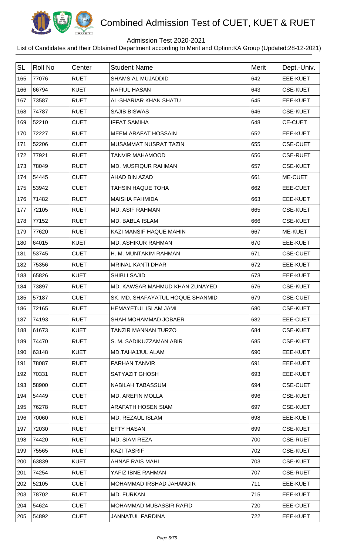

## Admission Test 2020-2021

| <b>SL</b> | <b>Roll No</b> | Center      | <b>Student Name</b>              | <b>Merit</b> | Dept.-Univ.     |
|-----------|----------------|-------------|----------------------------------|--------------|-----------------|
| 165       | 77076          | <b>RUET</b> | <b>SHAMS AL MUJADDID</b>         | 642          | EEE-KUET        |
| 166       | 66794          | <b>KUET</b> | <b>NAFIUL HASAN</b>              | 643          | <b>CSE-KUET</b> |
| 167       | 73587          | <b>RUET</b> | AL-SHARIAR KHAN SHATU            | 645          | EEE-KUET        |
| 168       | 74787          | <b>RUET</b> | <b>SAJIB BISWAS</b>              | 646          | <b>CSE-KUET</b> |
| 169       | 52210          | <b>CUET</b> | <b>IFFAT SAMIHA</b>              | 648          | <b>CE-CUET</b>  |
| 170       | 72227          | <b>RUET</b> | <b>MEEM ARAFAT HOSSAIN</b>       | 652          | EEE-KUET        |
| 171       | 52206          | <b>CUET</b> | MUSAMMAT NUSRAT TAZIN            | 655          | <b>CSE-CUET</b> |
| 172       | 77921          | <b>RUET</b> | <b>TANVIR MAHAMOOD</b>           | 656          | <b>CSE-RUET</b> |
| 173       | 78049          | <b>RUET</b> | <b>MD. MUSFIQUR RAHMAN</b>       | 657          | <b>CSE-KUET</b> |
| 174       | 54445          | <b>CUET</b> | AHAD BIN AZAD                    | 661          | ME-CUET         |
| 175       | 53942          | <b>CUET</b> | <b>TAHSIN HAQUE TOHA</b>         | 662          | EEE-CUET        |
| 176       | 71482          | <b>RUET</b> | <b>MAISHA FAHMIDA</b>            | 663          | EEE-KUET        |
| 177       | 72105          | <b>RUET</b> | <b>MD. ASIF RAHMAN</b>           | 665          | <b>CSE-KUET</b> |
| 178       | 77152          | <b>RUET</b> | MD. BABLA ISLAM                  | 666          | <b>CSE-KUET</b> |
| 179       | 77620          | <b>RUET</b> | KAZI MANSIF HAQUE MAHIN          | 667          | ME-KUET         |
| 180       | 64015          | <b>KUET</b> | MD. ASHIKUR RAHMAN               | 670          | EEE-KUET        |
| 181       | 53745          | <b>CUET</b> | H. M. MUNTAKIM RAHMAN            | 671          | <b>CSE-CUET</b> |
| 182       | 75356          | <b>RUET</b> | <b>MRINAL KANTI DHAR</b>         | 672          | EEE-KUET        |
| 183       | 65826          | <b>KUET</b> | <b>SHIBLI SAJID</b>              | 673          | EEE-KUET        |
| 184       | 73897          | <b>RUET</b> | MD. KAWSAR MAHMUD KHAN ZUNAYED   | 676          | <b>CSE-KUET</b> |
| 185       | 57187          | <b>CUET</b> | SK. MD. SHAFAYATUL HOQUE SHANMID | 679          | <b>CSE-CUET</b> |
| 186       | 72165          | <b>RUET</b> | <b>HEMAYETUL ISLAM JAMI</b>      | 680          | <b>CSE-KUET</b> |
| 187       | 74193          | <b>RUET</b> | SHAH MOHAMMAD JOBAER             | 682          | EEE-CUET        |
| 188       | 61673          | <b>KUET</b> | TANZIR MANNAN TURZO              | 684          | <b>CSE-KUET</b> |
| 189       | 74470          | <b>RUET</b> | S. M. SADIKUZZAMAN ABIR          | 685          | <b>CSE-KUET</b> |
| 190       | 63148          | <b>KUET</b> | <b>MD.TAHAJJUL ALAM</b>          | 690          | EEE-KUET        |
| 191       | 78087          | <b>RUET</b> | <b>FARHAN TANVIR</b>             | 691          | EEE-KUET        |
| 192       | 70331          | <b>RUET</b> | <b>SATYAZIT GHOSH</b>            | 693          | EEE-KUET        |
| 193       | 58900          | <b>CUET</b> | NABILAH TABASSUM                 | 694          | <b>CSE-CUET</b> |
| 194       | 54449          | <b>CUET</b> | <b>MD. AREFIN MOLLA</b>          | 696          | <b>CSE-KUET</b> |
| 195       | 76278          | <b>RUET</b> | ARAFATH HOSEN SIAM               | 697          | <b>CSE-KUET</b> |
| 196       | 70060          | <b>RUET</b> | MD. REZAUL ISLAM                 | 698          | EEE-KUET        |
| 197       | 72030          | <b>RUET</b> | <b>EFTY HASAN</b>                | 699          | <b>CSE-KUET</b> |
| 198       | 74420          | <b>RUET</b> | MD. SIAM REZA                    | 700          | <b>CSE-RUET</b> |
| 199       | 75565          | <b>RUET</b> | <b>KAZI TASRIF</b>               | 702          | <b>CSE-KUET</b> |
| 200       | 63839          | <b>KUET</b> | <b>AHNAF RAIS MAHI</b>           | 703          | <b>CSE-KUET</b> |
| 201       | 74254          | <b>RUET</b> | YAFIZ IBNE RAHMAN                | 707          | <b>CSE-RUET</b> |
| 202       | 52105          | <b>CUET</b> | MOHAMMAD IRSHAD JAHANGIR         | 711          | EEE-KUET        |
| 203       | 78702          | <b>RUET</b> | MD. FURKAN                       | 715          | EEE-KUET        |
| 204       | 54624          | <b>CUET</b> | <b>MOHAMMAD MUBASSIR RAFID</b>   | 720          | EEE-CUET        |
| 205       | 54892          | <b>CUET</b> | JANNATUL FARDINA                 | 722          | EEE-KUET        |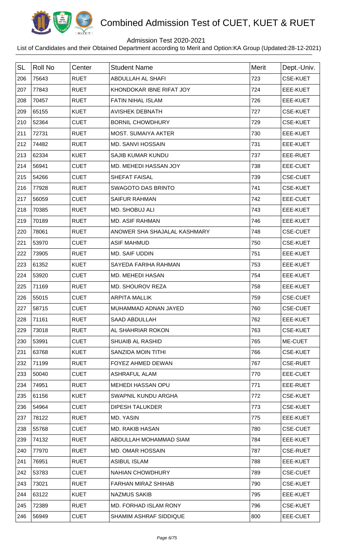

## Admission Test 2020-2021

| <b>SL</b> | <b>Roll No</b> | Center      | <b>Student Name</b>          | Merit | Dept.-Univ.     |
|-----------|----------------|-------------|------------------------------|-------|-----------------|
| 206       | 75643          | <b>RUET</b> | <b>ABDULLAH AL SHAFI</b>     | 723   | <b>CSE-KUET</b> |
| 207       | 77843          | <b>RUET</b> | KHONDOKAR IBNE RIFAT JOY     | 724   | <b>EEE-KUET</b> |
| 208       | 70457          | <b>RUET</b> | <b>FATIN NIHAL ISLAM</b>     | 726   | EEE-KUET        |
| 209       | 65155          | <b>KUET</b> | <b>AVISHEK DEBNATH</b>       | 727   | <b>CSE-KUET</b> |
| 210       | 52364          | <b>CUET</b> | <b>BORNIL CHOWDHURY</b>      | 729   | <b>CSE-KUET</b> |
| 211       | 72731          | <b>RUET</b> | <b>MOST. SUMAIYA AKTER</b>   | 730   | EEE-KUET        |
| 212       | 74482          | <b>RUET</b> | <b>MD. SANVI HOSSAIN</b>     | 731   | EEE-KUET        |
| 213       | 62334          | <b>KUET</b> | <b>SAJIB KUMAR KUNDU</b>     | 737   | EEE-RUET        |
| 214       | 56941          | <b>CUET</b> | MD. MEHEDI HASSAN JOY        | 738   | EEE-CUET        |
| 215       | 54266          | <b>CUET</b> | SHEFAT FAISAL                | 739   | <b>CSE-CUET</b> |
| 216       | 77928          | <b>RUET</b> | <b>SWAGOTO DAS BRINTO</b>    | 741   | <b>CSE-KUET</b> |
| 217       | 56059          | <b>CUET</b> | <b>SAIFUR RAHMAN</b>         | 742   | EEE-CUET        |
| 218       | 70385          | <b>RUET</b> | <b>MD. SHOBUJ ALI</b>        | 743   | <b>EEE-KUET</b> |
| 219       | 70189          | <b>RUET</b> | <b>MD. ASIF RAHMAN</b>       | 746   | EEE-KUET        |
| 220       | 78061          | <b>RUET</b> | ANOWER SHA SHAJALAL KASHMARY | 748   | <b>CSE-CUET</b> |
| 221       | 53970          | <b>CUET</b> | <b>ASIF MAHMUD</b>           | 750   | <b>CSE-KUET</b> |
| 222       | 73905          | <b>RUET</b> | MD. SAIF UDDIN               | 751   | EEE-KUET        |
| 223       | 61352          | <b>KUET</b> | SAYEDA FARIHA RAHMAN         | 753   | <b>EEE-KUET</b> |
| 224       | 53920          | <b>CUET</b> | MD. MEHEDI HASAN             | 754   | EEE-KUET        |
| 225       | 71169          | <b>RUET</b> | MD. SHOUROV REZA             | 758   | EEE-KUET        |
| 226       | 55015          | <b>CUET</b> | <b>ARPITA MALLIK</b>         | 759   | <b>CSE-CUET</b> |
| 227       | 58715          | <b>CUET</b> | MUHAMMAD ADNAN JAYED         | 760   | <b>CSE-CUET</b> |
| 228       | 71161          | <b>RUET</b> | SAAD ABDULLAH                | 762   | EEE-KUET        |
| 229       | 73018          | <b>RUET</b> | AL SHAHRIAR ROKON            | 763   | <b>CSE-KUET</b> |
| 230       | 53991          | <b>CUET</b> | <b>SHUAIB AL RASHID</b>      | 765   | ME-CUET         |
| 231       | 63768          | <b>KUET</b> | SANZIDA MOIN TITHI           | 766   | <b>CSE-KUET</b> |
| 232       | 71199          | <b>RUET</b> | FOYEZ AHMED DEWAN            | 767   | <b>CSE-RUET</b> |
| 233       | 50040          | <b>CUET</b> | ASHRAFUL ALAM                | 770   | EEE-CUET        |
| 234       | 74951          | <b>RUET</b> | <b>MEHEDI HASSAN OPU</b>     | 771   | EEE-RUET        |
| 235       | 61156          | <b>KUET</b> | SWAPNIL KUNDU ARGHA          | 772   | <b>CSE-KUET</b> |
| 236       | 54964          | <b>CUET</b> | DIPESH TALUKDER              | 773   | <b>CSE-KUET</b> |
| 237       | 78122          | <b>RUET</b> | MD. YASIN                    | 775   | EEE-KUET        |
| 238       | 55768          | <b>CUET</b> | <b>MD. RAKIB HASAN</b>       | 780   | <b>CSE-CUET</b> |
| 239       | 74132          | <b>RUET</b> | ABDULLAH MOHAMMAD SIAM       | 784   | EEE-KUET        |
| 240       | 77970          | <b>RUET</b> | <b>MD. OMAR HOSSAIN</b>      | 787   | <b>CSE-RUET</b> |
| 241       | 76951          | <b>RUET</b> | <b>ASIBUL ISLAM</b>          | 788   | EEE-KUET        |
| 242       | 53783          | <b>CUET</b> | <b>NAHIAN CHOWDHURY</b>      | 789   | <b>CSE-CUET</b> |
| 243       | 73021          | <b>RUET</b> | <b>FARHAN MIRAZ SHIHAB</b>   | 790   | <b>CSE-KUET</b> |
| 244       | 63122          | <b>KUET</b> | <b>NAZMUS SAKIB</b>          | 795   | EEE-KUET        |
| 245       | 72389          | <b>RUET</b> | MD. FORHAD ISLAM RONY        | 796   | <b>CSE-KUET</b> |
| 246       | 56949          | <b>CUET</b> | SHAMIM ASHRAF SIDDIQUE       | 800   | EEE-CUET        |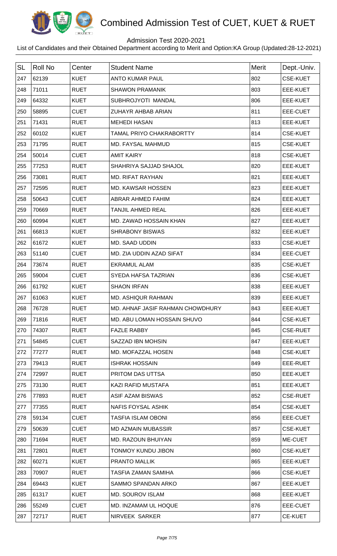

## Admission Test 2020-2021

| <b>SL</b> | Roll No | Center      | <b>Student Name</b>              | Merit | Dept.-Univ.     |
|-----------|---------|-------------|----------------------------------|-------|-----------------|
| 247       | 62139   | <b>KUET</b> | <b>ANTO KUMAR PAUL</b>           | 802   | <b>CSE-KUET</b> |
| 248       | 71011   | <b>RUET</b> | <b>SHAWON PRAMANIK</b>           | 803   | EEE-KUET        |
| 249       | 64332   | <b>KUET</b> | SUBHROJYOTI MANDAL               | 806   | EEE-KUET        |
| 250       | 58895   | <b>CUET</b> | ZUHAYR AHBAB ARIAN               | 811   | EEE-CUET        |
| 251       | 71431   | <b>RUET</b> | <b>MEHEDI HASAN</b>              | 813   | <b>EEE-KUET</b> |
| 252       | 60102   | <b>KUET</b> | <b>TAMAL PRIYO CHAKRABORTTY</b>  | 814   | <b>CSE-KUET</b> |
| 253       | 71795   | <b>RUET</b> | MD. FAYSAL MAHMUD                | 815   | <b>CSE-KUET</b> |
| 254       | 50014   | <b>CUET</b> | <b>AMIT KAIRY</b>                | 818   | <b>CSE-KUET</b> |
| 255       | 77253   | <b>RUET</b> | SHAHRIYA SAJJAD SHAJOL           | 820   | <b>EEE-KUET</b> |
| 256       | 73081   | <b>RUET</b> | <b>MD. RIFAT RAYHAN</b>          | 821   | EEE-KUET        |
| 257       | 72595   | <b>RUET</b> | <b>MD. KAWSAR HOSSEN</b>         | 823   | <b>EEE-KUET</b> |
| 258       | 50643   | <b>CUET</b> | <b>ABRAR AHMED FAHIM</b>         | 824   | EEE-KUET        |
| 259       | 70669   | <b>RUET</b> | TANJIL AHMED REAL                | 826   | <b>EEE-KUET</b> |
| 260       | 60994   | <b>KUET</b> | MD. ZAWAD HOSSAIN KHAN           | 827   | <b>EEE-KUET</b> |
| 261       | 66813   | <b>KUET</b> | <b>SHRABONY BISWAS</b>           | 832   | EEE-KUET        |
| 262       | 61672   | <b>KUET</b> | MD. SAAD UDDIN                   | 833   | <b>CSE-KUET</b> |
| 263       | 51140   | <b>CUET</b> | MD. ZIA UDDIN AZAD SIFAT         | 834   | EEE-CUET        |
| 264       | 73674   | <b>RUET</b> | <b>EKRAMUL ALAM</b>              | 835   | <b>CSE-KUET</b> |
| 265       | 59004   | <b>CUET</b> | SYEDA HAFSA TAZRIAN              | 836   | <b>CSE-KUET</b> |
| 266       | 61792   | <b>KUET</b> | <b>SHAON IRFAN</b>               | 838   | EEE-KUET        |
| 267       | 61063   | <b>KUET</b> | <b>MD. ASHIQUR RAHMAN</b>        | 839   | <b>EEE-KUET</b> |
| 268       | 76728   | <b>RUET</b> | MD. AHNAF JASIF RAHMAN CHOWDHURY | 843   | <b>EEE-KUET</b> |
| 269       | 71816   | <b>RUET</b> | MD. ABU LOMAN HOSSAIN SHUVO      | 844   | <b>CSE-KUET</b> |
| 270       | 74307   | <b>RUET</b> | <b>FAZLE RABBY</b>               | 845   | <b>CSE-RUET</b> |
| 271       | 54845   | <b>CUET</b> | SAZZAD IBN MOHSIN                | 847   | EEE-KUET        |
| 272       | 77277   | <b>RUET</b> | MD. MOFAZZAL HOSEN               | 848   | <b>CSE-KUET</b> |
| 273       | 79413   | <b>RUET</b> | <b>ISHRAK HOSSAIN</b>            | 849   | EEE-RUET        |
| 274       | 72997   | <b>RUET</b> | PRITOM DAS UTTSA                 | 850   | EEE-KUET        |
| 275       | 73130   | <b>RUET</b> | KAZI RAFID MUSTAFA               | 851   | EEE-KUET        |
| 276       | 77893   | <b>RUET</b> | ASIF AZAM BISWAS                 | 852   | <b>CSE-RUET</b> |
| 277       | 77355   | <b>RUET</b> | <b>NAFIS FOYSAL ASHIK</b>        | 854   | <b>CSE-KUET</b> |
| 278       | 59134   | <b>CUET</b> | <b>TASFIA ISLAM OBONI</b>        | 856   | EEE-CUET        |
| 279       | 50639   | <b>CUET</b> | <b>MD AZMAIN MUBASSIR</b>        | 857   | <b>CSE-KUET</b> |
| 280       | 71694   | <b>RUET</b> | MD. RAZOUN BHUIYAN               | 859   | ME-CUET         |
| 281       | 72801   | <b>RUET</b> | TONMOY KUNDU JIBON               | 860   | <b>CSE-KUET</b> |
| 282       | 60271   | <b>KUET</b> | PRANTO MALLIK                    | 865   | EEE-KUET        |
| 283       | 70907   | <b>RUET</b> | TASFIA ZAMAN SAMIHA              | 866   | <b>CSE-KUET</b> |
| 284       | 69443   | <b>KUET</b> | SAMMO SPANDAN ARKO               | 867   | EEE-KUET        |
| 285       | 61317   | <b>KUET</b> | <b>MD. SOUROV ISLAM</b>          | 868   | EEE-KUET        |
| 286       | 55249   | <b>CUET</b> | MD. INZAMAM UL HOQUE             | 876   | EEE-CUET        |
| 287       | 72717   | <b>RUET</b> | NIRVEEK SARKER                   | 877   | <b>CE-KUET</b>  |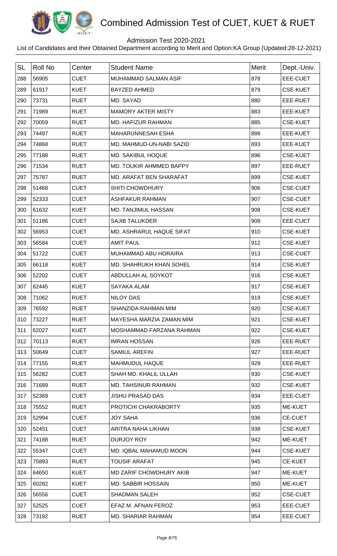

## Admission Test 2020-2021

| <b>SL</b> | Roll No | Center      | <b>Student Name</b>         | Merit | Dept.-Univ.     |
|-----------|---------|-------------|-----------------------------|-------|-----------------|
| 288       | 56905   | <b>CUET</b> | <b>MUHAMMAD SALMAN ASIF</b> | 878   | EEE-CUET        |
| 289       | 61917   | <b>KUET</b> | <b>BAYZED AHMED</b>         | 879   | <b>CSE-KUET</b> |
| 290       | 73731   | <b>RUET</b> | MD. SAYAD                   | 880   | EEE-RUET        |
| 291       | 71989   | <b>RUET</b> | <b>MAMORY AKTER MISTY</b>   | 883   | <b>EEE-KUET</b> |
| 292       | 70059   | <b>RUET</b> | MD. HAFIZUR RAHMAN          | 885   | <b>CSE-KUET</b> |
| 293       | 74497   | <b>RUET</b> | <b>MAHARUNNESAH ESHA</b>    | 888   | EEE-KUET        |
| 294       | 74868   | <b>RUET</b> | MD. MAHMUD-UN-NABI SAZID    | 893   | EEE-KUET        |
| 295       | 77188   | <b>RUET</b> | MD. SAKIBUL HOQUE           | 896   | <b>CSE-KUET</b> |
| 296       | 71534   | <b>RUET</b> | MD. TOUKIR AHMMED BAPPY     | 897   | EEE-RUET        |
| 297       | 75787   | <b>RUET</b> | MD. ARAFAT BEN SHARAFAT     | 899   | <b>CSE-KUET</b> |
| 298       | 51468   | <b>CUET</b> | <b>SHITI CHOWDHURY</b>      | 906   | <b>CSE-CUET</b> |
| 299       | 52333   | <b>CUET</b> | <b>ASHFAKUR RAHMAN</b>      | 907   | <b>CSE-CUET</b> |
| 300       | 61632   | <b>KUET</b> | MD. TANJIMUL HASSAN         | 908   | <b>CSE-KUET</b> |
| 301       | 51186   | <b>CUET</b> | <b>SAJIB TALUKDER</b>       | 909   | EEE-CUET        |
| 302       | 56953   | <b>CUET</b> | MD. ASHRARUL HAQUE SIFAT    | 910   | <b>CSE-KUET</b> |
| 303       | 56584   | <b>CUET</b> | <b>AMIT PAUL</b>            | 912   | <b>CSE-KUET</b> |
| 304       | 51722   | <b>CUET</b> | MUHAMMAD ABU HORAIRA        | 913   | <b>CSE-CUET</b> |
| 305       | 66118   | <b>KUET</b> | MD. SHAHRUKH KHAN SOHEL     | 914   | <b>CSE-KUET</b> |
| 306       | 52202   | <b>CUET</b> | ABDULLAH AL SOYKOT          | 916   | <b>CSE-KUET</b> |
| 307       | 62445   | <b>KUET</b> | SAYAKA ALAM                 | 917   | <b>CSE-KUET</b> |
| 308       | 71062   | <b>RUET</b> | <b>NILOY DAS</b>            | 919   | <b>CSE-KUET</b> |
| 309       | 76592   | <b>RUET</b> | <b>SHANZIDA RAHMAN MIM</b>  | 920   | <b>CSE-KUET</b> |
| 310       | 73227   | <b>RUET</b> | MAYESHA MARZIA ZAMAN MIM    | 921   | <b>CSE-KUET</b> |
| 311       | 62027   | <b>KUET</b> | MOSHAMMAD FARZANA RAHMAN    | 922   | <b>CSE-KUET</b> |
| 312       | 70113   | <b>RUET</b> | <b>IMRAN HOSSAN</b>         | 926   | EEE-RUET        |
| 313       | 50649   | <b>CUET</b> | <b>SAMIUL AREFIN</b>        | 927   | EEE-RUET        |
| 314       | 77155   | <b>RUET</b> | <b>MAHMUDUL HAQUE</b>       | 929   | EEE-RUET        |
| 315       | 56282   | <b>CUET</b> | SHAH MD, KHALIL ULLAH       | 930   | <b>CSE-KUET</b> |
| 316       | 71689   | <b>RUET</b> | <b>MD. TAHSINUR RAHMAN</b>  | 932   | <b>CSE-KUET</b> |
| 317       | 52369   | <b>CUET</b> | <b>JISHU PRASAD DAS</b>     | 934   | EEE-CUET        |
| 318       | 75552   | <b>RUET</b> | PROTICHI CHAKRABORTY        | 935   | ME-KUET         |
| 319       | 52994   | <b>CUET</b> | <b>JOY SAHA</b>             | 936   | <b>CE-CUET</b>  |
| 320       | 52451   | <b>CUET</b> | ARITRA NAHA LIKHAN          | 938   | <b>CSE-KUET</b> |
| 321       | 74188   | <b>RUET</b> | DURJOY ROY                  | 942   | ME-KUET         |
| 322       | 55347   | <b>CUET</b> | MD. IQBAL MAHAMUD MOON      | 944   | <b>CSE-KUET</b> |
| 323       | 75893   | <b>RUET</b> | <b>TOUSIF ARAFAT</b>        | 945   | <b>CE-KUET</b>  |
| 324       | 64650   | <b>KUET</b> | MD ZARIF CHOWDHURY AKIB     | 947   | <b>ME-KUET</b>  |
| 325       | 60282   | <b>KUET</b> | <b>MD. SABBIR HOSSAIN</b>   | 950   | ME-KUET         |
| 326       | 56556   | <b>CUET</b> | <b>SHADMAN SALEH</b>        | 952   | <b>CSE-CUET</b> |
| 327       | 52525   | <b>CUET</b> | EFAZ M. AFNAN FEROZ         | 953   | EEE-CUET        |
| 328       | 73192   | <b>RUET</b> | MD. SHARIAR RAHMAN          | 954   | EEE-CUET        |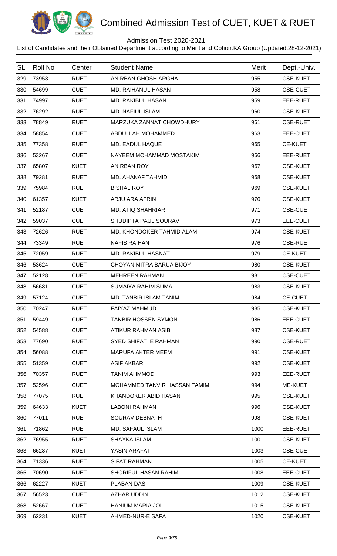

## Admission Test 2020-2021

| <b>SL</b> | <b>Roll No</b> | Center      | <b>Student Name</b>           | Merit | Dept.-Univ.     |
|-----------|----------------|-------------|-------------------------------|-------|-----------------|
| 329       | 73953          | <b>RUET</b> | ANIRBAN GHOSH ARGHA           | 955   | <b>CSE-KUET</b> |
| 330       | 54699          | <b>CUET</b> | <b>MD. RAIHANUL HASAN</b>     | 958   | <b>CSE-CUET</b> |
| 331       | 74997          | <b>RUET</b> | <b>MD. RAKIBUL HASAN</b>      | 959   | EEE-RUET        |
| 332       | 76292          | <b>RUET</b> | <b>MD. NAFIUL ISLAM</b>       | 960   | <b>CSE-KUET</b> |
| 333       | 78849          | <b>RUET</b> | MARZUKA ZANNAT CHOWDHURY      | 961   | <b>CSE-RUET</b> |
| 334       | 58854          | <b>CUET</b> | ABDULLAH MOHAMMED             | 963   | EEE-CUET        |
| 335       | 77358          | <b>RUET</b> | MD. EADUL HAQUE               | 965   | <b>CE-KUET</b>  |
| 336       | 53267          | <b>CUET</b> | NAYEEM MOHAMMAD MOSTAKIM      | 966   | EEE-RUET        |
| 337       | 65807          | <b>KUET</b> | <b>ANIRBAN ROY</b>            | 967   | <b>CSE-KUET</b> |
| 338       | 79281          | <b>RUET</b> | MD. AHANAF TAHMID             | 968   | <b>CSE-KUET</b> |
| 339       | 75984          | <b>RUET</b> | <b>BISHAL ROY</b>             | 969   | <b>CSE-KUET</b> |
| 340       | 61357          | <b>KUET</b> | <b>ARJU ARA AFRIN</b>         | 970   | <b>CSE-KUET</b> |
| 341       | 52187          | <b>CUET</b> | <b>MD. ATIQ SHAHRIAR</b>      | 971   | <b>CSE-CUET</b> |
| 342       | 59037          | <b>CUET</b> | SHUDIPTA PAUL SOURAV          | 973   | EEE-CUET        |
| 343       | 72626          | <b>RUET</b> | MD. KHONDOKER TAHMID ALAM     | 974   | <b>CSE-KUET</b> |
| 344       | 73349          | <b>RUET</b> | <b>NAFIS RAIHAN</b>           | 976   | <b>CSE-RUET</b> |
| 345       | 72059          | <b>RUET</b> | <b>MD. RAKIBUL HASNAT</b>     | 979   | <b>CE-KUET</b>  |
| 346       | 53624          | <b>CUET</b> | CHOYAN MITRA BARUA BIJOY      | 980   | <b>CSE-KUET</b> |
| 347       | 52128          | <b>CUET</b> | <b>MEHREEN RAHMAN</b>         | 981   | <b>CSE-CUET</b> |
| 348       | 56681          | <b>CUET</b> | SUMAIYA RAHIM SUMA            | 983   | <b>CSE-KUET</b> |
| 349       | 57124          | <b>CUET</b> | <b>MD. TANBIR ISLAM TANIM</b> | 984   | <b>CE-CUET</b>  |
| 350       | 70247          | <b>RUET</b> | <b>FAIYAZ MAHMUD</b>          | 985   | <b>CSE-KUET</b> |
| 351       | 59449          | <b>CUET</b> | <b>TANBIR HOSSEN SYMON</b>    | 986   | EEE-CUET        |
| 352       | 54588          | <b>CUET</b> | ATIKUR RAHMAN ASIB            | 987   | <b>CSE-KUET</b> |
| 353       | 77690          | <b>RUET</b> | SYED SHIFAT E RAHMAN          | 990   | <b>CSE-RUET</b> |
| 354       | 56088          | <b>CUET</b> | <b>MARUFA AKTER MEEM</b>      | 991   | <b>CSE-KUET</b> |
| 355       | 51359          | <b>CUET</b> | <b>ASIF AKBAR</b>             | 992   | <b>CSE-KUET</b> |
| 356       | 70357          | <b>RUET</b> | TANIM AHMMOD                  | 993   | EEE-RUET        |
| 357       | 52596          | <b>CUET</b> | MOHAMMED TANVIR HASSAN TAMIM  | 994   | ME-KUET         |
| 358       | 77075          | <b>RUET</b> | KHANDOKER ABID HASAN          | 995   | <b>CSE-KUET</b> |
| 359       | 64633          | <b>KUET</b> | <b>LABONI RAHMAN</b>          | 996   | <b>CSE-KUET</b> |
| 360       | 77011          | <b>RUET</b> | SOURAV DEBNATH                | 998   | <b>CSE-KUET</b> |
| 361       | 71862          | <b>RUET</b> | <b>MD. SAFAUL ISLAM</b>       | 1000  | EEE-RUET        |
| 362       | 76955          | <b>RUET</b> | <b>SHAYKA ISLAM</b>           | 1001  | <b>CSE-KUET</b> |
| 363       | 66287          | <b>KUET</b> | YASIN ARAFAT                  | 1003  | <b>CSE-CUET</b> |
| 364       | 71336          | <b>RUET</b> | <b>SIFAT RAHMAN</b>           | 1005  | <b>CE-KUET</b>  |
| 365       | 70690          | <b>RUET</b> | SHORIFUL HASAN RAHIM          | 1008  | EEE-CUET        |
| 366       | 62227          | <b>KUET</b> | PLABAN DAS                    | 1009  | <b>CSE-KUET</b> |
| 367       | 56523          | <b>CUET</b> | <b>AZHAR UDDIN</b>            | 1012  | <b>CSE-KUET</b> |
| 368       | 52667          | <b>CUET</b> | HANIUM MARIA JOLI             | 1015  | <b>CSE-KUET</b> |
| 369       | 62231          | <b>KUET</b> | AHMED-NUR-E SAFA              | 1020  | <b>CSE-KUET</b> |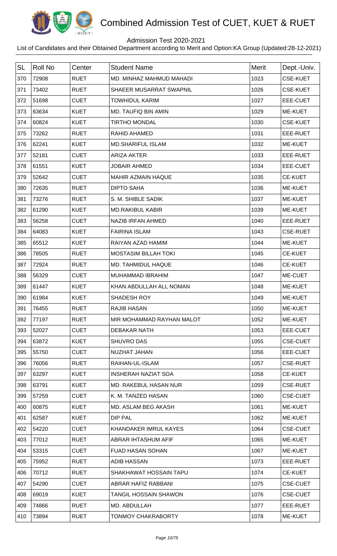

## Admission Test 2020-2021

| <b>SL</b> | <b>Roll No</b> | Center      | <b>Student Name</b>          | <b>Merit</b> | Dept.-Univ.     |
|-----------|----------------|-------------|------------------------------|--------------|-----------------|
| 370       | 72908          | <b>RUET</b> | MD. MINHAZ MAHMUD MAHADI     | 1023         | <b>CSE-KUET</b> |
| 371       | 73402          | <b>RUET</b> | SHAEER MUSARRAT SWAPNIL      | 1026         | <b>CSE-KUET</b> |
| 372       | 51698          | <b>CUET</b> | <b>TOWHIDUL KARIM</b>        | 1027         | EEE-CUET        |
| 373       | 63634          | <b>KUET</b> | MD. TAUFIQ BIN AMIN          | 1029         | ME-KUET         |
| 374       | 60824          | <b>KUET</b> | <b>TIRTHO MONDAL</b>         | 1030         | <b>CSE-KUET</b> |
| 375       | 73262          | <b>RUET</b> | RAHID AHAMED                 | 1031         | EEE-RUET        |
| 376       | 62241          | <b>KUET</b> | <b>MD.SHARIFUL ISLAM</b>     | 1032         | ME-KUET         |
| 377       | 52181          | <b>CUET</b> | <b>ARIZA AKTER</b>           | 1033         | EEE-RUET        |
| 378       | 61551          | <b>KUET</b> | <b>JOBAIR AHMED</b>          | 1034         | EEE-CUET        |
| 379       | 52642          | <b>CUET</b> | <b>MAHIR AZMAIN HAQUE</b>    | 1035         | <b>CE-KUET</b>  |
| 380       | 72635          | <b>RUET</b> | <b>DIPTO SAHA</b>            | 1036         | ME-KUET         |
| 381       | 73276          | <b>RUET</b> | S. M. SHIBLE SADIK           | 1037         | ME-KUET         |
| 382       | 61290          | <b>KUET</b> | <b>MD.RAKIBUL KABIR</b>      | 1039         | ME-KUET         |
| 383       | 56258          | <b>CUET</b> | NAZIB IRFAN AHMED            | 1040         | EEE-RUET        |
| 384       | 64083          | <b>KUET</b> | <b>FAIRINA ISLAM</b>         | 1043         | <b>CSE-RUET</b> |
| 385       | 65512          | <b>KUET</b> | RAIYAN AZAD HAMIM            | 1044         | ME-KUET         |
| 386       | 78505          | <b>RUET</b> | <b>MOSTASIM BILLAH TOKI</b>  | 1045         | <b>CE-KUET</b>  |
| 387       | 72924          | <b>RUET</b> | MD. TAHMIDUL HAQUE           | 1046         | <b>CE-KUET</b>  |
| 388       | 56329          | <b>CUET</b> | MUHAMMAD IBRAHIM             | 1047         | ME-CUET         |
| 389       | 61447          | <b>KUET</b> | KHAN ABDULLAH ALL NOMAN      | 1048         | ME-KUET         |
| 390       | 61984          | <b>KUET</b> | SHADESH ROY                  | 1049         | ME-KUET         |
| 391       | 76455          | <b>RUET</b> | <b>RAJIB HASAN</b>           | 1050         | <b>ME-KUET</b>  |
| 392       | 77197          | <b>RUET</b> | MIR MOHAMMAD RAYHAN MALOT    | 1052         | ME-KUET         |
| 393       | 52027          | <b>CUET</b> | <b>DEBAKAR NATH</b>          | 1053         | EEE-CUET        |
| 394       | 63872          | <b>KUET</b> | <b>SHUVRO DAS</b>            | 1055         | <b>CSE-CUET</b> |
| 395       | 55750          | <b>CUET</b> | NUZHAT JAHAN                 | 1056         | EEE-CUET        |
| 396       | 76056          | <b>RUET</b> | RAIHAN-UL-ISLAM              | 1057         | <b>CSE-RUET</b> |
| 397       | 63297          | <b>KUET</b> | INSHERAH NAZIAT SOA          | 1058         | <b>CE-KUET</b>  |
| 398       | 63791          | <b>KUET</b> | MD. RAKEBUL HASAN NUR        | 1059         | <b>CSE-RUET</b> |
| 399       | 57259          | <b>CUET</b> | K. M. TANZED HASAN           | 1060         | <b>CSE-CUET</b> |
| 400       | 60875          | <b>KUET</b> | MD. ASLAM BEG AKASH          | 1061         | ME-KUET         |
| 401       | 62587          | <b>KUET</b> | DIP PAL                      | 1062         | ME-KUET         |
| 402       | 54220          | <b>CUET</b> | KHANDAKER IMRUL KAYES        | 1064         | <b>CSE-CUET</b> |
| 403       | 77012          | <b>RUET</b> | ABRAR IHTASHUM AFIF          | 1065         | ME-KUET         |
| 404       | 53315          | <b>CUET</b> | <b>FUAD HASAN SOHAN</b>      | 1067         | ME-KUET         |
| 405       | 75952          | <b>RUET</b> | <b>ADIB HASSAN</b>           | 1073         | EEE-RUET        |
| 406       | 70712          | <b>RUET</b> | SHAKHAWAT HOSSAIN TAPU       | 1074         | <b>CE-KUET</b>  |
| 407       | 54290          | <b>CUET</b> | ABRAR HAFIZ RABBANI          | 1075         | <b>CSE-CUET</b> |
| 408       | 69019          | <b>KUET</b> | <b>TANGIL HOSSAIN SHAWON</b> | 1076         | <b>CSE-CUET</b> |
| 409       | 74866          | <b>RUET</b> | MD. ABDULLAH                 | 1077         | EEE-RUET        |
| 410       | 73894          | <b>RUET</b> | <b>TONMOY CHAKRABORTY</b>    | 1078         | ME-KUET         |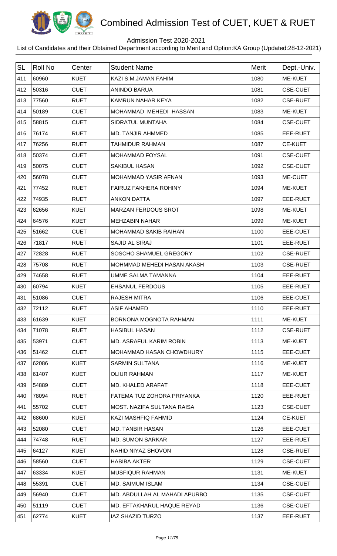

## Admission Test 2020-2021

| <b>SL</b> | <b>Roll No</b> | Center      | <b>Student Name</b>           | <b>Merit</b> | Dept.-Univ.     |
|-----------|----------------|-------------|-------------------------------|--------------|-----------------|
| 411       | 60960          | <b>KUET</b> | KAZI S.M.JAMAN FAHIM          | 1080         | ME-KUET         |
| 412       | 50316          | <b>CUET</b> | <b>ANINDO BARUA</b>           | 1081         | <b>CSE-CUET</b> |
| 413       | 77560          | <b>RUET</b> | KAMRUN NAHAR KEYA             | 1082         | <b>CSE-RUET</b> |
| 414       | 50189          | <b>CUET</b> | MOHAMMAD MEHEDI HASSAN        | 1083         | ME-KUET         |
| 415       | 58815          | <b>CUET</b> | SIDRATUL MUNTAHA              | 1084         | <b>CSE-CUET</b> |
| 416       | 76174          | <b>RUET</b> | MD. TANJIR AHMMED             | 1085         | EEE-RUET        |
| 417       | 76256          | <b>RUET</b> | <b>TAHMIDUR RAHMAN</b>        | 1087         | <b>CE-KUET</b>  |
| 418       | 50374          | <b>CUET</b> | MOHAMMAD FOYSAL               | 1091         | <b>CSE-CUET</b> |
| 419       | 50075          | <b>CUET</b> | <b>SAKIBUL HASAN</b>          | 1092         | <b>CSE-CUET</b> |
| 420       | 56078          | <b>CUET</b> | MOHAMMAD YASIR AFNAN          | 1093         | ME-CUET         |
| 421       | 77452          | <b>RUET</b> | <b>FAIRUZ FAKHERA ROHINY</b>  | 1094         | ME-KUET         |
| 422       | 74935          | <b>RUET</b> | <b>ANKON DATTA</b>            | 1097         | EEE-RUET        |
| 423       | 62656          | <b>KUET</b> | <b>MARZAN FERDOUS SROT</b>    | 1098         | ME-KUET         |
| 424       | 64576          | <b>KUET</b> | <b>MEHZABIN NAHAR</b>         | 1099         | ME-KUET         |
| 425       | 51662          | <b>CUET</b> | <b>MOHAMMAD SAKIB RAIHAN</b>  | 1100         | EEE-CUET        |
| 426       | 71817          | <b>RUET</b> | SAJID AL SIRAJ                | 1101         | EEE-RUET        |
| 427       | 72828          | <b>RUET</b> | SOSCHO SHAMUEL GREGORY        | 1102         | <b>CSE-RUET</b> |
| 428       | 75708          | <b>RUET</b> | MOHMMAD MEHEDI HASAN AKASH    | 1103         | <b>CSE-RUET</b> |
| 429       | 74658          | <b>RUET</b> | <b>UMME SALMA TAMANNA</b>     | 1104         | EEE-RUET        |
| 430       | 60794          | <b>KUET</b> | <b>EHSANUL FERDOUS</b>        | 1105         | EEE-RUET        |
| 431       | 51086          | <b>CUET</b> | <b>RAJESH MITRA</b>           | 1106         | EEE-CUET        |
| 432       | 72112          | <b>RUET</b> | <b>ASIF AHAMED</b>            | 1110         | <b>EEE-RUET</b> |
| 433       | 61639          | <b>KUET</b> | BORNONA MOGNOTA RAHMAN        | 1111         | ME-KUET         |
| 434       | 71078          | <b>RUET</b> | <b>HASIBUL HASAN</b>          | 1112         | <b>CSE-RUET</b> |
| 435       | 53971          | <b>CUET</b> | MD. ASRAFUL KARIM ROBIN       | 1113         | ME-KUET         |
| 436       | 51462          | <b>CUET</b> | MOHAMMAD HASAN CHOWDHURY      | 1115         | EEE-CUET        |
| 437       | 62086          | <b>KUET</b> | <b>SARMIN SULTANA</b>         | 1116         | ME-KUET         |
| 438       | 61407          | <b>KUET</b> | <b>OLIUR RAHMAN</b>           | 1117         | ME-KUET         |
| 439       | 54889          | <b>CUET</b> | MD. KHALED ARAFAT             | 1118         | EEE-CUET        |
| 440       | 78094          | <b>RUET</b> | FATEMA TUZ ZOHORA PRIYANKA    | 1120         | EEE-RUET        |
| 441       | 55702          | <b>CUET</b> | MOST. NAZIFA SULTANA RAISA    | 1123         | <b>CSE-CUET</b> |
| 442       | 68600          | <b>KUET</b> | KAZI MASHFIQ FAHMID           | 1124         | <b>CE-KUET</b>  |
| 443       | 52080          | <b>CUET</b> | <b>MD. TANBIR HASAN</b>       | 1126         | EEE-CUET        |
| 444       | 74748          | <b>RUET</b> | <b>MD. SUMON SARKAR</b>       | 1127         | EEE-RUET        |
| 445       | 64127          | <b>KUET</b> | NAHID NIYAZ SHOVON            | 1128         | <b>CSE-RUET</b> |
| 446       | 58560          | <b>CUET</b> | <b>HABIBA AKTER</b>           | 1129         | <b>CSE-CUET</b> |
| 447       | 63334          | <b>KUET</b> | <b>MUSFIQUR RAHMAN</b>        | 1131         | ME-KUET         |
| 448       | 55391          | <b>CUET</b> | <b>MD. SAIMUM ISLAM</b>       | 1134         | <b>CSE-CUET</b> |
| 449       | 56940          | <b>CUET</b> | MD. ABDULLAH AL MAHADI APURBO | 1135         | <b>CSE-CUET</b> |
| 450       | 51119          | <b>CUET</b> | MD. EFTAKHARUL HAQUE REYAD    | 1136         | <b>CSE-CUET</b> |
| 451       | 62774          | <b>KUET</b> | <b>IAZ SHAZID TURZO</b>       | 1137         | EEE-RUET        |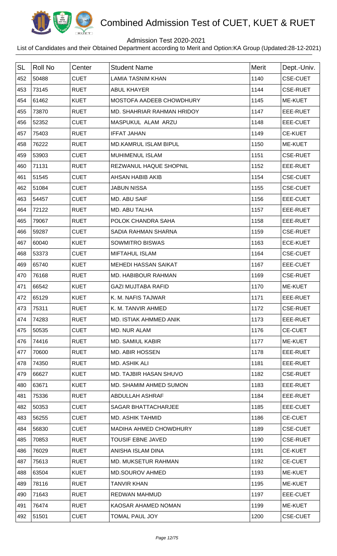

## Admission Test 2020-2021

| <b>SL</b> | <b>Roll No</b> | Center      | <b>Student Name</b>          | <b>Merit</b> | Dept.-Univ.     |
|-----------|----------------|-------------|------------------------------|--------------|-----------------|
| 452       | 50488          | <b>CUET</b> | <b>LAMIA TASNIM KHAN</b>     | 1140         | <b>CSE-CUET</b> |
| 453       | 73145          | <b>RUET</b> | <b>ABUL KHAYER</b>           | 1144         | <b>CSE-RUET</b> |
| 454       | 61462          | <b>KUET</b> | MOSTOFA AADEEB CHOWDHURY     | 1145         | ME-KUET         |
| 455       | 73870          | <b>RUET</b> | MD. SHAHRIAR RAHMAN HRIDOY   | 1147         | EEE-RUET        |
| 456       | 52352          | <b>CUET</b> | MASPUKUL ALAM ARZU           | 1148         | EEE-CUET        |
| 457       | 75403          | <b>RUET</b> | <b>IFFAT JAHAN</b>           | 1149         | <b>CE-KUET</b>  |
| 458       | 76222          | <b>RUET</b> | <b>MD.KAMRUL ISLAM BIPUL</b> | 1150         | ME-KUET         |
| 459       | 53903          | <b>CUET</b> | <b>MUHIMENUL ISLAM</b>       | 1151         | <b>CSE-RUET</b> |
| 460       | 71131          | <b>RUET</b> | REZWANUL HAQUE SHOPNIL       | 1152         | EEE-RUET        |
| 461       | 51545          | <b>CUET</b> | <b>AHSAN HABIB AKIB</b>      | 1154         | <b>CSE-CUET</b> |
| 462       | 51084          | <b>CUET</b> | <b>JABUN NISSA</b>           | 1155         | <b>CSE-CUET</b> |
| 463       | 54457          | <b>CUET</b> | MD. ABU SAIF                 | 1156         | EEE-CUET        |
| 464       | 72122          | <b>RUET</b> | MD. ABU TALHA                | 1157         | EEE-RUET        |
| 465       | 79067          | <b>RUET</b> | POLOK CHANDRA SAHA           | 1158         | EEE-RUET        |
| 466       | 59287          | <b>CUET</b> | SADIA RAHMAN SHARNA          | 1159         | <b>CSE-RUET</b> |
| 467       | 60040          | <b>KUET</b> | SOWMITRO BISWAS              | 1163         | <b>ECE-KUET</b> |
| 468       | 53373          | <b>CUET</b> | <b>MIFTAHUL ISLAM</b>        | 1164         | <b>CSE-CUET</b> |
| 469       | 65740          | <b>KUET</b> | <b>MEHEDI HASSAN SAIKAT</b>  | 1167         | EEE-CUET        |
| 470       | 76168          | <b>RUET</b> | MD. HABIBOUR RAHMAN          | 1169         | <b>CSE-RUET</b> |
| 471       | 66542          | <b>KUET</b> | <b>GAZI MUJTABA RAFID</b>    | 1170         | ME-KUET         |
| 472       | 65129          | <b>KUET</b> | K. M. NAFIS TAJWAR           | 1171         | EEE-RUET        |
| 473       | 75311          | <b>RUET</b> | K. M. TANVIR AHMED           | 1172         | <b>CSE-RUET</b> |
| 474       | 74283          | <b>RUET</b> | MD. ISTIAK AHMMED ANIK       | 1173         | EEE-RUET        |
| 475       | 50535          | <b>CUET</b> | MD. NUR ALAM                 | 1176         | <b>CE-CUET</b>  |
| 476       | 74416          | <b>RUET</b> | <b>MD. SAMIUL KABIR</b>      | 1177         | ME-KUET         |
| 477       | 70600          | <b>RUET</b> | <b>MD. ABIR HOSSEN</b>       | 1178         | EEE-RUET        |
| 478       | 74350          | <b>RUET</b> | MD. ASHIK ALI                | 1181         | EEE-RUET        |
| 479       | 66627          | <b>KUET</b> | MD. TAJBIR HASAN SHUVO       | 1182         | <b>CSE-RUET</b> |
| 480       | 63671          | <b>KUET</b> | MD. SHAMIM AHMED SUMON       | 1183         | EEE-RUET        |
| 481       | 75336          | <b>RUET</b> | ABDULLAH ASHRAF              | 1184         | EEE-RUET        |
| 482       | 50353          | <b>CUET</b> | SAGAR BHATTACHARJEE          | 1185         | EEE-CUET        |
| 483       | 56255          | <b>CUET</b> | <b>MD. ASHIK TAHMID</b>      | 1186         | <b>CE-CUET</b>  |
| 484       | 56830          | <b>CUET</b> | MADIHA AHMED CHOWDHURY       | 1189         | <b>CSE-CUET</b> |
| 485       | 70853          | <b>RUET</b> | <b>TOUSIF EBNE JAVED</b>     | 1190         | <b>CSE-RUET</b> |
| 486       | 76029          | <b>RUET</b> | ANISHA ISLAM DINA            | 1191         | <b>CE-KUET</b>  |
| 487       | 75613          | <b>RUET</b> | MD. MUKSETUR RAHMAN          | 1192         | <b>CE-CUET</b>  |
| 488       | 63504          | <b>KUET</b> | <b>MD.SOUROV AHMED</b>       | 1193         | ME-KUET         |
| 489       | 78116          | <b>RUET</b> | <b>TANVIR KHAN</b>           | 1195         | ME-KUET         |
| 490       | 71643          | <b>RUET</b> | <b>REDWAN MAHMUD</b>         | 1197         | EEE-CUET        |
| 491       | 76474          | <b>RUET</b> | KAOSAR AHAMED NOMAN          | 1199         | ME-KUET         |
| 492       | 51501          | <b>CUET</b> | <b>TOMAL PAUL JOY</b>        | 1200         | <b>CSE-CUET</b> |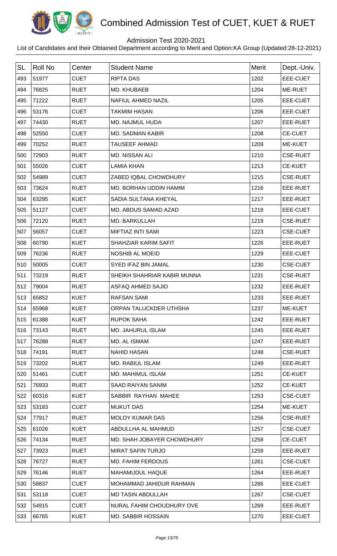

## Admission Test 2020-2021

| <b>SL</b> | <b>Roll No</b> | Center      | <b>Student Name</b>         | <b>Merit</b> | Dept.-Univ.     |
|-----------|----------------|-------------|-----------------------------|--------------|-----------------|
| 493       | 51977          | <b>CUET</b> | <b>RIPTA DAS</b>            | 1202         | EEE-CUET        |
| 494       | 76825          | <b>RUET</b> | MD. KHUBAEB                 | 1204         | ME-RUET         |
| 495       | 71222          | <b>RUET</b> | NAFIUL AHMED NAZIL          | 1205         | EEE-CUET        |
| 496       | 53176          | <b>CUET</b> | <b>TAKMIM HASAN</b>         | 1206         | EEE-CUET        |
| 497       | 74430          | <b>RUET</b> | MD. NAJMUL HUDA             | 1207         | EEE-RUET        |
| 498       | 52550          | <b>CUET</b> | <b>MD. SADMAN KABIR</b>     | 1208         | <b>CE-CUET</b>  |
| 499       | 70252          | <b>RUET</b> | <b>TAUSEEF AHMAD</b>        | 1209         | ME-KUET         |
| 500       | 72903          | <b>RUET</b> | MD. NISSAN ALI              | 1210         | <b>CSE-RUET</b> |
| 501       | 55026          | <b>CUET</b> | <b>LAMIA KHAN</b>           | 1213         | <b>CE-KUET</b>  |
| 502       | 54989          | <b>CUET</b> | ZABED IQBAL CHOWDHURY       | 1215         | <b>CSE-RUET</b> |
| 503       | 73624          | <b>RUET</b> | MD. BORHAN UDDIN HAMIM      | 1216         | EEE-RUET        |
| 504       | 63295          | <b>KUET</b> | SADIA SULTANA KHEYAL        | 1217         | EEE-RUET        |
| 505       | 51127          | <b>CUET</b> | MD. ABDUS SAMAD AZAD        | 1218         | EEE-CUET        |
| 506       | 72120          | <b>RUET</b> | MD. BARKULLAH               | 1219         | <b>CSE-RUET</b> |
| 507       | 56057          | <b>CUET</b> | <b>MIFTIAZ INTI SAMI</b>    | 1223         | <b>CSE-CUET</b> |
| 508       | 60790          | <b>KUET</b> | SHAHZIAR KARIM SAFIT        | 1226         | EEE-RUET        |
| 509       | 76236          | <b>RUET</b> | <b>NOSHIB AL MOEID</b>      | 1229         | EEE-CUET        |
| 510       | 50005          | <b>CUET</b> | SYED IFAZ BIN JAMAL         | 1230         | <b>CSE-CUET</b> |
| 511       | 73219          | <b>RUET</b> | SHEIKH SHAHRIAR KABIR MUNNA | 1231         | <b>CSE-RUET</b> |
| 512       | 79004          | <b>RUET</b> | ASFAQ AHMED SAJID           | 1232         | EEE-RUET        |
| 513       | 65852          | <b>KUET</b> | <b>RAFSAN SAMI</b>          | 1233         | EEE-RUET        |
| 514       | 65968          | KUET        | ORPAN TALUCKDER UTHSHA      | 1237         | ME-KUET         |
| 515       | 61388          | <b>KUET</b> | <b>RUPOK SAHA</b>           | 1242         | EEE-RUET        |
| 516       | 73143          | <b>RUET</b> | <b>MD. JAHURUL ISLAM</b>    | 1245         | EEE-RUET        |
| 517       | 76288          | <b>RUET</b> | MD. AL ISMAM                | 1247         | EEE-RUET        |
| 518       | 74191          | <b>RUET</b> | <b>NAHID HASAN</b>          | 1248         | <b>CSE-RUET</b> |
| 519       | 73202          | <b>RUET</b> | <b>MD. RABIUL ISLAM</b>     | 1249         | EEE-RUET        |
| 520       | 51461          | <b>CUET</b> | <b>MD. MAHIMUL ISLAM</b>    | 1251         | <b>CE-KUET</b>  |
| 521       | 76933          | <b>RUET</b> | <b>SAAD RAIYAN SANIM</b>    | 1252         | <b>CE-KUET</b>  |
| 522       | 60316          | <b>KUET</b> | SABBIR RAYHAN MAHEE         | 1253         | <b>CSE-CUET</b> |
| 523       | 53183          | <b>CUET</b> | <b>MUKUT DAS</b>            | 1254         | ME-KUET         |
| 524       | 77917          | <b>RUET</b> | <b>MOLOY KUMAR DAS</b>      | 1256         | <b>CSE-RUET</b> |
| 525       | 61026          | <b>KUET</b> | ABDULLHA AL MAHMUD          | 1257         | <b>CSE-CUET</b> |
| 526       | 74134          | <b>RUET</b> | MD. SHAH JOBAYER CHOWDHURY  | 1258         | <b>CE-CUET</b>  |
| 527       | 73923          | <b>RUET</b> | <b>MIRAT SAFIN TURJO</b>    | 1259         | EEE-RUET        |
| 528       | 76727          | <b>RUET</b> | <b>MD. FAHIM FERDOUS</b>    | 1261         | <b>CSE-CUET</b> |
| 529       | 76146          | <b>RUET</b> | <b>MAHAMUDUL HAQUE</b>      | 1264         | EEE-RUET        |
| 530       | 58837          | <b>CUET</b> | MOHAMMAD JAHIDUR RAHMAN     | 1266         | EEE-CUET        |
| 531       | 53118          | <b>CUET</b> | <b>MD TASIN ABDULLAH</b>    | 1267         | <b>CSE-CUET</b> |
| 532       | 54915          | <b>CUET</b> | NURAL FAHIM CHOUDHURY OVE   | 1269         | EEE-RUET        |
| 533       | 66765          | <b>KUET</b> | <b>MD. SABBIR HOSSAIN</b>   | 1270         | EEE-CUET        |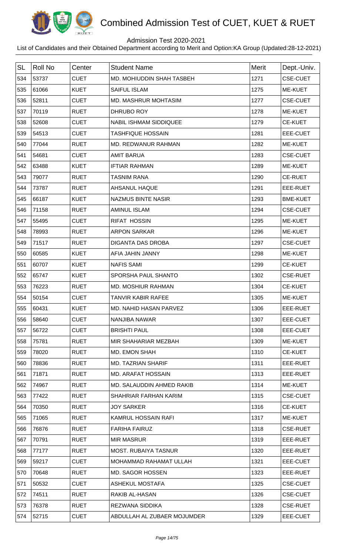

## Admission Test 2020-2021

| <b>SL</b> | <b>Roll No</b> | Center      | <b>Student Name</b>           | <b>Merit</b> | Dept.-Univ.     |
|-----------|----------------|-------------|-------------------------------|--------------|-----------------|
| 534       | 53737          | <b>CUET</b> | MD. MOHIUDDIN SHAH TASBEH     | 1271         | <b>CSE-CUET</b> |
| 535       | 61066          | <b>KUET</b> | <b>SAIFUL ISLAM</b>           | 1275         | ME-KUET         |
| 536       | 52811          | <b>CUET</b> | <b>MD. MASHRUR MOHTASIM</b>   | 1277         | <b>CSE-CUET</b> |
| 537       | 70119          | <b>RUET</b> | DHRUBO ROY                    | 1278         | ME-KUET         |
| 538       | 52608          | <b>CUET</b> | <b>NABIL ISHMAM SIDDIQUEE</b> | 1279         | <b>CE-KUET</b>  |
| 539       | 54513          | <b>CUET</b> | <b>TASHFIQUE HOSSAIN</b>      | 1281         | EEE-CUET        |
| 540       | 77044          | <b>RUET</b> | MD. REDWANUR RAHMAN           | 1282         | ME-KUET         |
| 541       | 54681          | <b>CUET</b> | <b>AMIT BARUA</b>             | 1283         | <b>CSE-CUET</b> |
| 542       | 63488          | <b>KUET</b> | <b>IFTIAR RAHMAN</b>          | 1289         | ME-KUET         |
| 543       | 79077          | <b>RUET</b> | <b>TASNIM RANA</b>            | 1290         | <b>CE-RUET</b>  |
| 544       | 73787          | <b>RUET</b> | AHSANUL HAQUE                 | 1291         | EEE-RUET        |
| 545       | 66187          | <b>KUET</b> | <b>NAZMUS BINTE NASIR</b>     | 1293         | <b>BME-KUET</b> |
| 546       | 71158          | <b>RUET</b> | <b>AMINUL ISLAM</b>           | 1294         | <b>CSE-CUET</b> |
| 547       | 55495          | <b>CUET</b> | <b>RIFAT HOSSIN</b>           | 1295         | ME-KUET         |
| 548       | 78993          | <b>RUET</b> | <b>ARPON SARKAR</b>           | 1296         | ME-KUET         |
| 549       | 71517          | <b>RUET</b> | <b>DIGANTA DAS DROBA</b>      | 1297         | <b>CSE-CUET</b> |
| 550       | 60585          | <b>KUET</b> | AFIA JAHIN JANNY              | 1298         | <b>ME-KUET</b>  |
| 551       | 60707          | <b>KUET</b> | <b>NAFIS SAMI</b>             | 1299         | <b>CE-KUET</b>  |
| 552       | 65747          | <b>KUET</b> | SPORSHA PAUL SHANTO           | 1302         | <b>CSE-RUET</b> |
| 553       | 76223          | <b>RUET</b> | MD. MOSHIUR RAHMAN            | 1304         | <b>CE-KUET</b>  |
| 554       | 50154          | <b>CUET</b> | <b>TANVIR KABIR RAFEE</b>     | 1305         | <b>ME-KUET</b>  |
| 555       | 60431          | <b>KUET</b> | <b>MD. NAHID HASAN PARVEZ</b> | 1306         | EEE-RUET        |
| 556       | 58640          | <b>CUET</b> | NANJIBA NAWAR                 | 1307         | EEE-CUET        |
| 557       | 56722          | <b>CUET</b> | <b>BRISHTI PAUL</b>           | 1308         | EEE-CUET        |
| 558       | 75781          | <b>RUET</b> | MIR SHAHARIAR MEZBAH          | 1309         | ME-KUET         |
| 559       | 78020          | <b>RUET</b> | MD. EMON SHAH                 | 1310         | <b>CE-KUET</b>  |
| 560       | 78836          | <b>RUET</b> | MD. TAZRIAN SHARIF            | 1311         | EEE-RUET        |
| 561       | 71871          | <b>RUET</b> | MD. ARAFAT HOSSAIN            | 1313         | EEE-RUET        |
| 562       | 74967          | <b>RUET</b> | MD. SALAUDDIN AHMED RAKIB     | 1314         | ME-KUET         |
| 563       | 77422          | <b>RUET</b> | SHAHRIAR FARHAN KARIM         | 1315         | <b>CSE-CUET</b> |
| 564       | 70350          | <b>RUET</b> | <b>JOY SARKER</b>             | 1316         | <b>CE-KUET</b>  |
| 565       | 71065          | <b>RUET</b> | KAMRUL HOSSAIN RAFI           | 1317         | ME-KUET         |
| 566       | 76876          | <b>RUET</b> | <b>FARIHA FAIRUZ</b>          | 1318         | <b>CSE-RUET</b> |
| 567       | 70791          | <b>RUET</b> | <b>MIR MASRUR</b>             | 1319         | EEE-RUET        |
| 568       | 77177          | <b>RUET</b> | <b>MOST. RUBAIYA TASNUR</b>   | 1320         | EEE-RUET        |
| 569       | 59217          | <b>CUET</b> | MOHAMMAD RAHAMAT ULLAH        | 1321         | EEE-CUET        |
| 570       | 70648          | <b>RUET</b> | <b>MD. SAGOR HOSSEN</b>       | 1323         | EEE-RUET        |
| 571       | 50532          | <b>CUET</b> | <b>ASHEKUL MOSTAFA</b>        | 1325         | <b>CSE-CUET</b> |
| 572       | 74511          | <b>RUET</b> | RAKIB AL-HASAN                | 1326         | <b>CSE-CUET</b> |
| 573       | 76378          | <b>RUET</b> | <b>REZWANA SIDDIKA</b>        | 1328         | <b>CSE-RUET</b> |
| 574       | 52715          | <b>CUET</b> | ABDULLAH AL ZUBAER MOJUMDER   | 1329         | EEE-CUET        |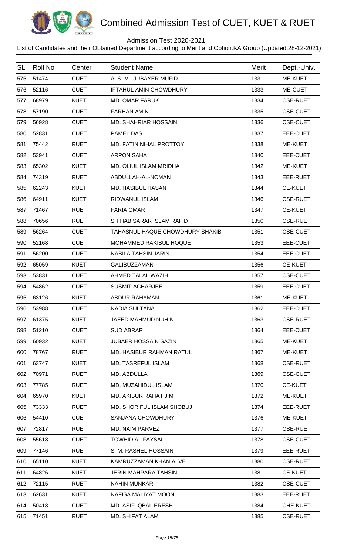

## Admission Test 2020-2021

| <b>SL</b> | <b>Roll No</b> | Center      | <b>Student Name</b>             | <b>Merit</b> | Dept.-Univ.     |
|-----------|----------------|-------------|---------------------------------|--------------|-----------------|
| 575       | 51474          | <b>CUET</b> | A. S. M. JUBAYER MUFID          | 1331         | ME-KUET         |
| 576       | 52116          | <b>CUET</b> | <b>IFTAHUL AMIN CHOWDHURY</b>   | 1333         | ME-CUET         |
| 577       | 68979          | <b>KUET</b> | <b>MD. OMAR FARUK</b>           | 1334         | <b>CSE-RUET</b> |
| 578       | 57190          | <b>CUET</b> | <b>FARHAN AMIN</b>              | 1335         | <b>CSE-CUET</b> |
| 579       | 56928          | <b>CUET</b> | <b>MD. SHAHRIAR HOSSAIN</b>     | 1336         | <b>CSE-CUET</b> |
| 580       | 52831          | <b>CUET</b> | <b>PAMEL DAS</b>                | 1337         | EEE-CUET        |
| 581       | 75442          | <b>RUET</b> | MD. FATIN NIHAL PROTTOY         | 1338         | ME-KUET         |
| 582       | 53941          | <b>CUET</b> | <b>ARPON SAHA</b>               | 1340         | EEE-CUET        |
| 583       | 65302          | <b>KUET</b> | MD. OLIUL ISLAM MRIDHA          | 1342         | ME-KUET         |
| 584       | 74319          | <b>RUET</b> | ABDULLAH-AL-NOMAN               | 1343         | EEE-RUET        |
| 585       | 62243          | <b>KUET</b> | MD. HASIBUL HASAN               | 1344         | <b>CE-KUET</b>  |
| 586       | 64911          | <b>KUET</b> | RIDWANUL ISLAM                  | 1346         | <b>CSE-RUET</b> |
| 587       | 71467          | <b>RUET</b> | <b>FARIA OMAR</b>               | 1347         | <b>CE-KUET</b>  |
| 588       | 70656          | <b>RUET</b> | SHIHAB SARAR ISLAM RAFID        | 1350         | <b>CSE-RUET</b> |
| 589       | 56264          | <b>CUET</b> | TAHASNUL HAQUE CHOWDHURY SHAKIB | 1351         | <b>CSE-CUET</b> |
| 590       | 52168          | <b>CUET</b> | MOHAMMED RAKIBUL HOQUE          | 1353         | EEE-CUET        |
| 591       | 56200          | <b>CUET</b> | <b>NABILA TAHSIN JARIN</b>      | 1354         | EEE-CUET        |
| 592       | 65059          | <b>KUET</b> | GALIBUZZAMAN                    | 1356         | <b>CE-KUET</b>  |
| 593       | 53831          | <b>CUET</b> | AHMED TALAL WAZIH               | 1357         | <b>CSE-CUET</b> |
| 594       | 54862          | <b>CUET</b> | <b>SUSMIT ACHARJEE</b>          | 1359         | EEE-CUET        |
| 595       | 63126          | <b>KUET</b> | ABDUR RAHAMAN                   | 1361         | ME-KUET         |
| 596       | 53988          | CUET        | NADIA SULTANA                   | 1362         | EEE-CUET        |
| 597       | 61375          | <b>KUET</b> | JAEED MAHMUD NUHIN              | 1363         | <b>CSE-RUET</b> |
| 598       | 51210          | <b>CUET</b> | <b>SUD ABRAR</b>                | 1364         | EEE-CUET        |
| 599       | 60932          | <b>KUET</b> | JUBAER HOSSAIN SAZIN            | 1365         | ME-KUET         |
| 600       | 78767          | <b>RUET</b> | MD. HASIBUR RAHMAN RATUL        | 1367         | ME-KUET         |
| 601       | 63747          | <b>KUET</b> | MD. TASREFUL ISLAM              | 1368         | <b>CSE-RUET</b> |
| 602       | 70971          | <b>RUET</b> | MD. ABDULLA                     | 1369         | <b>CSE-CUET</b> |
| 603       | 77785          | <b>RUET</b> | MD. MUZAHIDUL ISLAM             | 1370         | CE-KUET         |
| 604       | 65970          | <b>KUET</b> | MD. AKIBUR RAHAT JIM            | 1372         | ME-KUET         |
| 605       | 73333          | <b>RUET</b> | MD. SHORIFUL ISLAM SHOBUJ       | 1374         | EEE-RUET        |
| 606       | 54410          | <b>CUET</b> | <b>SANJANA CHOWDHURY</b>        | 1376         | ME-KUET         |
| 607       | 72817          | <b>RUET</b> | MD. NAIM PARVEZ                 | 1377         | <b>CSE-RUET</b> |
| 608       | 55618          | <b>CUET</b> | <b>TOWHID AL FAYSAL</b>         | 1378         | <b>CSE-CUET</b> |
| 609       | 77146          | <b>RUET</b> | S. M. RASHEL HOSSAIN            | 1379         | EEE-RUET        |
| 610       | 65110          | <b>KUET</b> | KAMRUZZAMAN KHAN ALVE           | 1380         | <b>CSE-RUET</b> |
| 611       | 64826          | <b>KUET</b> | <b>JERIN MAHPARA TAHSIN</b>     | 1381         | <b>CE-KUET</b>  |
| 612       | 72115          | <b>RUET</b> | <b>NAHIN MUNKAR</b>             | 1382         | <b>CSE-CUET</b> |
| 613       | 62631          | <b>KUET</b> | NAFISA MALIYAT MOON             | 1383         | EEE-RUET        |
| 614       | 50418          | <b>CUET</b> | MD. ASIF IQBAL ERESH            | 1384         | CHE-KUET        |
| 615       | 71451          | <b>RUET</b> | MD. SHIFAT ALAM                 | 1385         | <b>CSE-RUET</b> |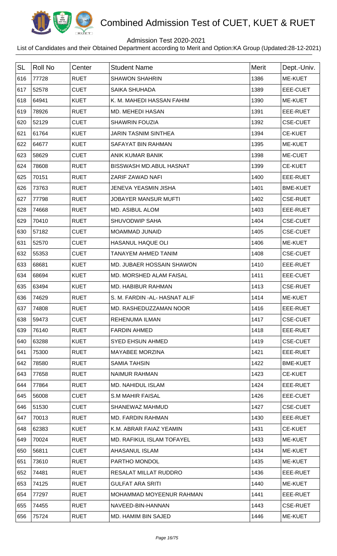

## Admission Test 2020-2021

| <b>SL</b> | <b>Roll No</b> | Center      | <b>Student Name</b>            | <b>Merit</b> | Dept.-Univ.     |
|-----------|----------------|-------------|--------------------------------|--------------|-----------------|
| 616       | 77728          | <b>RUET</b> | <b>SHAWON SHAHRIN</b>          | 1386         | <b>ME-KUET</b>  |
| 617       | 52578          | <b>CUET</b> | <b>SAIKA SHUHADA</b>           | 1389         | EEE-CUET        |
| 618       | 64941          | <b>KUET</b> | K. M. MAHEDI HASSAN FAHIM      | 1390         | ME-KUET         |
| 619       | 78926          | <b>RUET</b> | MD. MEHEDI HASAN               | 1391         | EEE-RUET        |
| 620       | 52129          | <b>CUET</b> | <b>SHAWRIN FOUZIA</b>          | 1392         | <b>CSE-CUET</b> |
| 621       | 61764          | <b>KUET</b> | <b>JARIN TASNIM SINTHEA</b>    | 1394         | <b>CE-KUET</b>  |
| 622       | 64677          | <b>KUET</b> | SAFAYAT BIN RAHMAN             | 1395         | ME-KUET         |
| 623       | 58629          | <b>CUET</b> | ANIK KUMAR BANIK               | 1398         | ME-CUET         |
| 624       | 78608          | <b>RUET</b> | <b>BISSWASH MD.ABUL HASNAT</b> | 1399         | <b>CE-KUET</b>  |
| 625       | 70151          | <b>RUET</b> | ZARIF ZAWAD NAFI               | 1400         | EEE-RUET        |
| 626       | 73763          | <b>RUET</b> | <b>JENEVA YEASMIN JISHA</b>    | 1401         | <b>BME-KUET</b> |
| 627       | 77798          | <b>RUET</b> | JOBAYER MANSUR MUFTI           | 1402         | <b>CSE-RUET</b> |
| 628       | 74668          | <b>RUET</b> | <b>MD. ASIBUL ALOM</b>         | 1403         | EEE-RUET        |
| 629       | 70410          | <b>RUET</b> | SHUVODWIP SAHA                 | 1404         | <b>CSE-CUET</b> |
| 630       | 57182          | <b>CUET</b> | <b>MOAMMAD JUNAID</b>          | 1405         | <b>CSE-CUET</b> |
| 631       | 52570          | <b>CUET</b> | HASANUL HAQUE OLI              | 1406         | ME-KUET         |
| 632       | 55353          | <b>CUET</b> | TANAYEM AHMED TANIM            | 1408         | <b>CSE-CUET</b> |
| 633       | 68681          | <b>KUET</b> | MD. JUBAER HOSSAIN SHAWON      | 1410         | EEE-RUET        |
| 634       | 68694          | <b>KUET</b> | <b>MD. MORSHED ALAM FAISAL</b> | 1411         | <b>EEE-CUET</b> |
| 635       | 63494          | <b>KUET</b> | MD. HABIBUR RAHMAN             | 1413         | <b>CSE-RUET</b> |
| 636       | 74629          | <b>RUET</b> | S. M. FARDIN - AL- HASNAT ALIF | 1414         | <b>ME-KUET</b>  |
| 637       | 74808          | <b>RUET</b> | MD. RASHEDUZZAMAN NOOR         | 1416         | EEE-RUET        |
| 638       | 59473          | <b>CUET</b> | <b>REHENUMA ILMAN</b>          | 1417         | <b>CSE-CUET</b> |
| 639       | 76140          | <b>RUET</b> | <b>FARDIN AHMED</b>            | 1418         | EEE-RUET        |
| 640       | 63288          | <b>KUET</b> | <b>SYED EHSUN AHMED</b>        | 1419         | <b>CSE-CUET</b> |
| 641       | 75300          | <b>RUET</b> | <b>MAYABEE MORZINA</b>         | 1421         | EEE-RUET        |
| 642       | 78580          | <b>RUET</b> | <b>SAMIA TAHSIN</b>            | 1422         | <b>BME-KUET</b> |
| 643       | 77658          | <b>RUET</b> | NAIMUR RAHMAN                  | 1423         | <b>CE-KUET</b>  |
| 644       | 77864          | <b>RUET</b> | MD. NAHIDUL ISLAM              | 1424         | EEE-RUET        |
| 645       | 56008          | <b>CUET</b> | <b>S.M MAHIR FAISAL</b>        | 1426         | EEE-CUET        |
| 646       | 51530          | <b>CUET</b> | SHANEWAZ MAHMUD                | 1427         | <b>CSE-CUET</b> |
| 647       | 70013          | <b>RUET</b> | MD. FARDIN RAHMAN              | 1430         | EEE-RUET        |
| 648       | 62383          | <b>KUET</b> | K.M. ABRAR FAIAZ YEAMIN        | 1431         | <b>CE-KUET</b>  |
| 649       | 70024          | <b>RUET</b> | MD. RAFIKUL ISLAM TOFAYEL      | 1433         | <b>ME-KUET</b>  |
| 650       | 56811          | <b>CUET</b> | AHASANUL ISLAM                 | 1434         | <b>ME-KUET</b>  |
| 651       | 73610          | <b>RUET</b> | PARTHO MONDOL                  | 1435         | ME-KUET         |
| 652       | 74481          | <b>RUET</b> | RESALAT MILLAT RUDDRO          | 1436         | EEE-RUET        |
| 653       | 74125          | <b>RUET</b> | <b>GULFAT ARA SRITI</b>        | 1440         | ME-KUET         |
| 654       | 77297          | <b>RUET</b> | MOHAMMAD MOYEENUR RAHMAN       | 1441         | EEE-RUET        |
| 655       | 74455          | <b>RUET</b> | NAVEED-BIN-HANNAN              | 1443         | <b>CSE-RUET</b> |
| 656       | 75724          | <b>RUET</b> | MD. HAMIM BIN SAJED            | 1446         | ME-KUET         |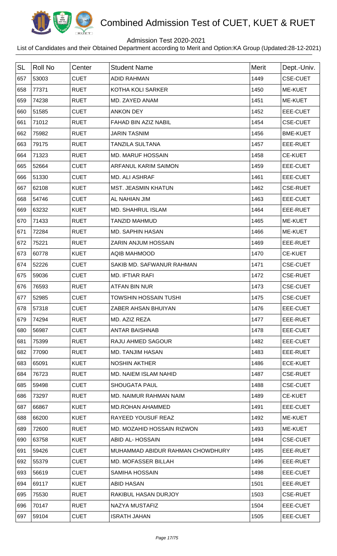

## Admission Test 2020-2021

| <b>SL</b> | <b>Roll No</b> | Center      | <b>Student Name</b>              | <b>Merit</b> | Dept.-Univ.     |
|-----------|----------------|-------------|----------------------------------|--------------|-----------------|
| 657       | 53003          | <b>CUET</b> | <b>ADID RAHMAN</b>               | 1449         | <b>CSE-CUET</b> |
| 658       | 77371          | <b>RUET</b> | KOTHA KOLI SARKER                | 1450         | <b>ME-KUET</b>  |
| 659       | 74238          | <b>RUET</b> | MD. ZAYED ANAM                   | 1451         | ME-KUET         |
| 660       | 51585          | <b>CUET</b> | <b>ANKON DEY</b>                 | 1452         | EEE-CUET        |
| 661       | 71012          | <b>RUET</b> | FAHAD BIN AZIZ NABIL             | 1454         | <b>CSE-CUET</b> |
| 662       | 75982          | <b>RUET</b> | <b>JARIN TASNIM</b>              | 1456         | <b>BME-KUET</b> |
| 663       | 79175          | <b>RUET</b> | <b>TANZILA SULTANA</b>           | 1457         | EEE-RUET        |
| 664       | 71323          | <b>RUET</b> | <b>MD. MARUF HOSSAIN</b>         | 1458         | <b>CE-KUET</b>  |
| 665       | 52664          | <b>CUET</b> | ARFANUL KARIM SAIMON             | 1459         | EEE-CUET        |
| 666       | 51330          | <b>CUET</b> | MD. ALI ASHRAF                   | 1461         | <b>EEE-CUET</b> |
| 667       | 62108          | <b>KUET</b> | <b>MST. JEASMIN KHATUN</b>       | 1462         | <b>CSE-RUET</b> |
| 668       | 54746          | <b>CUET</b> | AL NAHIAN JIM                    | 1463         | EEE-CUET        |
| 669       | 63232          | <b>KUET</b> | <b>MD. SHAHRUL ISLAM</b>         | 1464         | EEE-RUET        |
| 670       | 71433          | <b>RUET</b> | <b>TANZID MAHMUD</b>             | 1465         | <b>ME-KUET</b>  |
| 671       | 72284          | <b>RUET</b> | <b>MD. SAPHIN HASAN</b>          | 1466         | ME-KUET         |
| 672       | 75221          | <b>RUET</b> | ZARIN ANJUM HOSSAIN              | 1469         | EEE-RUET        |
| 673       | 60778          | <b>KUET</b> | <b>AQIB MAHMOOD</b>              | 1470         | <b>CE-KUET</b>  |
| 674       | 52226          | <b>CUET</b> | SAKIB MD. SAFWANUR RAHMAN        | 1471         | <b>CSE-CUET</b> |
| 675       | 59036          | <b>CUET</b> | <b>MD. IFTIAR RAFI</b>           | 1472         | <b>CSE-RUET</b> |
| 676       | 76593          | <b>RUET</b> | ATFAN BIN NUR                    | 1473         | <b>CSE-CUET</b> |
| 677       | 52985          | <b>CUET</b> | <b>TOWSHIN HOSSAIN TUSHI</b>     | 1475         | <b>CSE-CUET</b> |
| 678       | 57318          | <b>CUET</b> | ZABER AHSAN BHUIYAN              | 1476         | EEE-CUET        |
| 679       | 74294          | <b>RUET</b> | MD. AZIZ REZA                    | 1477         | EEE-RUET        |
| 680       | 56987          | <b>CUET</b> | <b>ANTAR BAISHNAB</b>            | 1478         | EEE-CUET        |
| 681       | 75399          | <b>RUET</b> | RAJU AHMED SAGOUR                | 1482         | EEE-CUET        |
| 682       | 77090          | <b>RUET</b> | <b>MD. TANJIM HASAN</b>          | 1483         | EEE-RUET        |
| 683       | 65091          | <b>KUET</b> | <b>NOSHIN AKTHER</b>             | 1486         | <b>ECE-KUET</b> |
| 684       | 76723          | <b>RUET</b> | MD. NAIEM ISLAM NAHID            | 1487         | <b>CSE-RUET</b> |
| 685       | 59498          | <b>CUET</b> | <b>SHOUGATA PAUL</b>             | 1488         | <b>CSE-CUET</b> |
| 686       | 73297          | <b>RUET</b> | MD. NAIMUR RAHMAN NAIM           | 1489         | <b>CE-KUET</b>  |
| 687       | 66867          | <b>KUET</b> | <b>MD.ROHAN AHAMMED</b>          | 1491         | EEE-CUET        |
| 688       | 66200          | <b>KUET</b> | RAYEED YOUSUF REAZ               | 1492         | ME-KUET         |
| 689       | 72600          | <b>RUET</b> | MD. MOZAHID HOSSAIN RIZWON       | 1493         | ME-KUET         |
| 690       | 63758          | <b>KUET</b> | ABID AL-HOSSAIN                  | 1494         | <b>CSE-CUET</b> |
| 691       | 59426          | <b>CUET</b> | MUHAMMAD ABIDUR RAHMAN CHOWDHURY | 1495         | EEE-RUET        |
| 692       | 55379          | <b>CUET</b> | <b>MD. MOFASSER BILLAH</b>       | 1496         | EEE-RUET        |
| 693       | 56619          | <b>CUET</b> | <b>SAMIHA HOSSAIN</b>            | 1498         | EEE-CUET        |
| 694       | 69117          | <b>KUET</b> | <b>ABID HASAN</b>                | 1501         | EEE-RUET        |
| 695       | 75530          | <b>RUET</b> | <b>RAKIBUL HASAN DURJOY</b>      | 1503         | <b>CSE-RUET</b> |
| 696       | 70147          | <b>RUET</b> | NAZYA MUSTAFIZ                   | 1504         | EEE-CUET        |
| 697       | 59104          | <b>CUET</b> | <b>ISRATH JAHAN</b>              | 1505         | EEE-CUET        |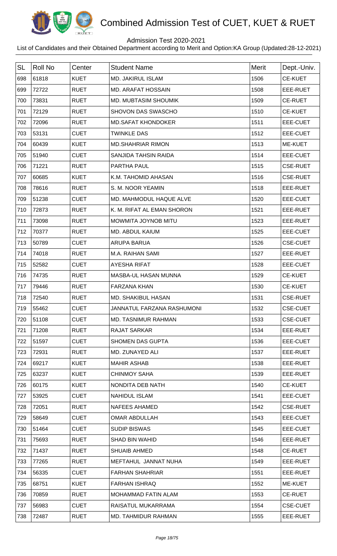

## Admission Test 2020-2021

| <b>SL</b> | <b>Roll No</b> | Center      | <b>Student Name</b>         | <b>Merit</b> | Dept.-Univ.     |
|-----------|----------------|-------------|-----------------------------|--------------|-----------------|
| 698       | 61818          | <b>KUET</b> | <b>MD. JAKIRUL ISLAM</b>    | 1506         | <b>CE-KUET</b>  |
| 699       | 72722          | <b>RUET</b> | MD. ARAFAT HOSSAIN          | 1508         | EEE-RUET        |
| 700       | 73831          | <b>RUET</b> | <b>MD. MUBTASIM SHOUMIK</b> | 1509         | <b>CE-RUET</b>  |
| 701       | 72129          | <b>RUET</b> | SHOVON DAS SWASCHO          | 1510         | <b>CE-KUET</b>  |
| 702       | 72096          | <b>RUET</b> | <b>MD.SAFAT KHONDOKER</b>   | 1511         | EEE-CUET        |
| 703       | 53131          | <b>CUET</b> | <b>TWINKLE DAS</b>          | 1512         | EEE-CUET        |
| 704       | 60439          | <b>KUET</b> | <b>MD.SHAHRIAR RIMON</b>    | 1513         | ME-KUET         |
| 705       | 51940          | <b>CUET</b> | SANJIDA TAHSIN RAIDA        | 1514         | EEE-CUET        |
| 706       | 71221          | <b>RUET</b> | PARTHA PAUL                 | 1515         | <b>CSE-RUET</b> |
| 707       | 60685          | <b>KUET</b> | K.M. TAHOMID AHASAN         | 1516         | <b>CSE-RUET</b> |
| 708       | 78616          | <b>RUET</b> | S. M. NOOR YEAMIN           | 1518         | EEE-RUET        |
| 709       | 51238          | <b>CUET</b> | MD. MAHMODUL HAQUE ALVE     | 1520         | EEE-CUET        |
| 710       | 72873          | <b>RUET</b> | K. M. RIFAT AL EMAN SHORON  | 1521         | EEE-RUET        |
| 711       | 73098          | <b>RUET</b> | MOWMITA JOYNOB MITU         | 1523         | EEE-RUET        |
| 712       | 70377          | <b>RUET</b> | MD. ABDUL KAIUM             | 1525         | EEE-CUET        |
| 713       | 50789          | <b>CUET</b> | <b>ARUPA BARUA</b>          | 1526         | <b>CSE-CUET</b> |
| 714       | 74018          | <b>RUET</b> | M.A. RAIHAN SAMI            | 1527         | EEE-RUET        |
| 715       | 52582          | <b>CUET</b> | <b>AYESHA RIFAT</b>         | 1528         | EEE-CUET        |
| 716       | 74735          | <b>RUET</b> | MASBA-UL HASAN MUNNA        | 1529         | <b>CE-KUET</b>  |
| 717       | 79446          | <b>RUET</b> | <b>FARZANA KHAN</b>         | 1530         | <b>CE-KUET</b>  |
| 718       | 72540          | <b>RUET</b> | MD. SHAKIBUL HASAN          | 1531         | <b>CSE-RUET</b> |
| 719       | 55462          | <b>CUET</b> | JANNATUL FARZANA RASHUMONI  | 1532         | <b>CSE-CUET</b> |
| 720       | 51108          | <b>CUET</b> | MD. TASNIMUR RAHMAN         | 1533         | <b>CSE-CUET</b> |
| 721       | 71208          | <b>RUET</b> | <b>RAJAT SARKAR</b>         | 1534         | EEE-RUET        |
| 722       | 51597          | <b>CUET</b> | <b>SHOMEN DAS GUPTA</b>     | 1536         | EEE-CUET        |
| 723       | 72931          | <b>RUET</b> | MD. ZUNAYED ALI             | 1537         | EEE-RUET        |
| 724       | 69217          | <b>KUET</b> | <b>MAHIR ASHAB</b>          | 1538         | EEE-RUET        |
| 725       | 63237          | <b>KUET</b> | <b>CHINMOY SAHA</b>         | 1539         | EEE-RUET        |
| 726       | 60175          | <b>KUET</b> | NONDITA DEB NATH            | 1540         | <b>CE-KUET</b>  |
| 727       | 53925          | <b>CUET</b> | <b>NAHIDUL ISLAM</b>        | 1541         | EEE-CUET        |
| 728       | 72051          | <b>RUET</b> | <b>NAFEES AHAMED</b>        | 1542         | <b>CSE-RUET</b> |
| 729       | 58649          | <b>CUET</b> | <b>OMAR ABDULLAH</b>        | 1543         | EEE-CUET        |
| 730       | 51464          | <b>CUET</b> | <b>SUDIP BISWAS</b>         | 1545         | EEE-CUET        |
| 731       | 75693          | <b>RUET</b> | <b>SHAD BIN WAHID</b>       | 1546         | EEE-RUET        |
| 732       | 71437          | <b>RUET</b> | <b>SHUAIB AHMED</b>         | 1548         | <b>CE-RUET</b>  |
| 733       | 77265          | <b>RUET</b> | MEFTAHUL JANNAT NUHA        | 1549         | EEE-RUET        |
| 734       | 56335          | <b>CUET</b> | <b>FARHAN SHAHRIAR</b>      | 1551         | EEE-RUET        |
| 735       | 68751          | <b>KUET</b> | <b>FARHAN ISHRAQ</b>        | 1552         | <b>ME-KUET</b>  |
| 736       | 70859          | <b>RUET</b> | MOHAMMAD FATIN ALAM         | 1553         | <b>CE-RUET</b>  |
| 737       | 56983          | <b>CUET</b> | RAISATUL MUKARRAMA          | 1554         | <b>CSE-CUET</b> |
| 738       | 72487          | <b>RUET</b> | MD. TAHMIDUR RAHMAN         | 1555         | EEE-RUET        |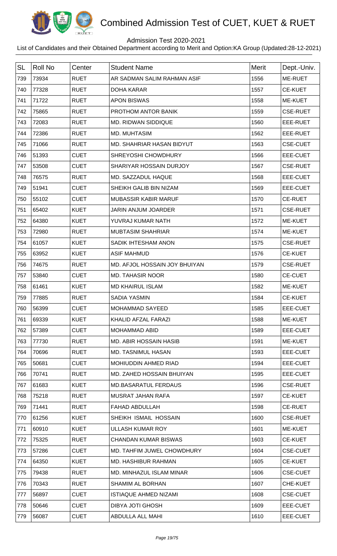

## Admission Test 2020-2021

| <b>SL</b> | <b>Roll No</b> | Center      | <b>Student Name</b>           | Merit | Dept.-Univ.     |
|-----------|----------------|-------------|-------------------------------|-------|-----------------|
| 739       | 73934          | <b>RUET</b> | AR SADMAN SALIM RAHMAN ASIF   | 1556  | ME-RUET         |
| 740       | 77328          | <b>RUET</b> | <b>DOHA KARAR</b>             | 1557  | <b>CE-KUET</b>  |
| 741       | 71722          | <b>RUET</b> | <b>APON BISWAS</b>            | 1558  | ME-KUET         |
| 742       | 75865          | <b>RUET</b> | PROTHOM ANTOR BANIK           | 1559  | <b>CSE-RUET</b> |
| 743       | 72083          | <b>RUET</b> | <b>MD. RIDWAN SIDDIQUE</b>    | 1560  | EEE-RUET        |
| 744       | 72386          | <b>RUET</b> | <b>MD. MUHTASIM</b>           | 1562  | EEE-RUET        |
| 745       | 71066          | <b>RUET</b> | MD. SHAHRIAR HASAN BIDYUT     | 1563  | <b>CSE-CUET</b> |
| 746       | 51393          | <b>CUET</b> | SHREYOSHI CHOWDHURY           | 1566  | EEE-CUET        |
| 747       | 53508          | <b>CUET</b> | SHARIYAR HOSSAIN DURJOY       | 1567  | <b>CSE-RUET</b> |
| 748       | 76575          | <b>RUET</b> | MD. SAZZADUL HAQUE            | 1568  | EEE-CUET        |
| 749       | 51941          | <b>CUET</b> | SHEIKH GALIB BIN NIZAM        | 1569  | EEE-CUET        |
| 750       | 55102          | <b>CUET</b> | <b>MUBASSIR KABIR MARUF</b>   | 1570  | <b>CE-RUET</b>  |
| 751       | 65402          | <b>KUET</b> | JARIN ANJUM JOARDER           | 1571  | <b>CSE-RUET</b> |
| 752       | 64380          | <b>KUET</b> | YUVRAJ KUMAR NATH             | 1572  | <b>ME-KUET</b>  |
| 753       | 72980          | <b>RUET</b> | <b>MUBTASIM SHAHRIAR</b>      | 1574  | ME-KUET         |
| 754       | 61057          | <b>KUET</b> | SADIK IHTESHAM ANON           | 1575  | <b>CSE-RUET</b> |
| 755       | 63952          | <b>KUET</b> | <b>ASIF MAHMUD</b>            | 1576  | <b>CE-KUET</b>  |
| 756       | 74675          | <b>RUET</b> | MD. AFJOL HOSSAIN JOY BHUIYAN | 1579  | <b>CSE-RUET</b> |
| 757       | 53840          | <b>CUET</b> | <b>MD. TAHASIR NOOR</b>       | 1580  | <b>CE-CUET</b>  |
| 758       | 61461          | <b>KUET</b> | <b>MD KHAIRUL ISLAM</b>       | 1582  | ME-KUET         |
| 759       | 77885          | <b>RUET</b> | <b>SADIA YASMIN</b>           | 1584  | <b>CE-KUET</b>  |
| 760       | 56399          | <b>CUET</b> | <b>MOHAMMAD SAYEED</b>        | 1585  | EEE-CUET        |
| 761       | 69339          | <b>KUET</b> | KHALID AFZAL FARAZI           | 1588  | ME-KUET         |
| 762       | 57389          | <b>CUET</b> | <b>MOHAMMAD ABID</b>          | 1589  | EEE-CUET        |
| 763       | 77730          | <b>RUET</b> | MD. ABIR HOSSAIN HASIB        | 1591  | ME-KUET         |
| 764       | 70696          | <b>RUET</b> | <b>MD. TASNIMUL HASAN</b>     | 1593  | EEE-CUET        |
| 765       | 50681          | <b>CUET</b> | <b>MOHIUDDIN AHMED RIAD</b>   | 1594  | EEE-CUET        |
| 766       | 70741          | <b>RUET</b> | MD. ZAHED HOSSAIN BHUIYAN     | 1595  | EEE-CUET        |
| 767       | 61683          | <b>KUET</b> | <b>MD.BASARATUL FERDAUS</b>   | 1596  | <b>CSE-RUET</b> |
| 768       | 75218          | <b>RUET</b> | MUSRAT JAHAN RAFA             | 1597  | <b>CE-KUET</b>  |
| 769       | 71441          | <b>RUET</b> | <b>FAHAD ABDULLAH</b>         | 1598  | <b>CE-RUET</b>  |
| 770       | 61256          | <b>KUET</b> | SHEIKH ISMAIL HOSSAIN         | 1600  | <b>CSE-RUET</b> |
| 771       | 60910          | <b>KUET</b> | <b>ULLASH KUMAR ROY</b>       | 1601  | ME-KUET         |
| 772       | 75325          | <b>RUET</b> | <b>CHANDAN KUMAR BISWAS</b>   | 1603  | <b>CE-KUET</b>  |
| 773       | 57286          | <b>CUET</b> | MD. TAHFIM JUWEL CHOWDHURY    | 1604  | <b>CSE-CUET</b> |
| 774       | 64350          | <b>KUET</b> | MD. HASHIBUR RAHMAN           | 1605  | <b>CE-KUET</b>  |
| 775       | 79438          | <b>RUET</b> | MD. MINHAZUL ISLAM MINAR      | 1606  | <b>CSE-CUET</b> |
| 776       | 70343          | <b>RUET</b> | <b>SHAMIM AL BORHAN</b>       | 1607  | CHE-KUET        |
| 777       | 56897          | <b>CUET</b> | <b>ISTIAQUE AHMED NIZAMI</b>  | 1608  | <b>CSE-CUET</b> |
| 778       | 50646          | <b>CUET</b> | <b>DIBYA JOTI GHOSH</b>       | 1609  | EEE-CUET        |
| 779       | 56087          | <b>CUET</b> | ABDULLA ALL MAHI              | 1610  | EEE-CUET        |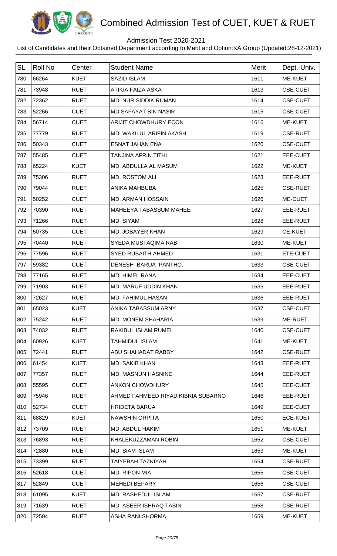

## Admission Test 2020-2021

| <b>SL</b> | <b>Roll No</b> | Center      | <b>Student Name</b>                | Merit | Dept.-Univ.     |
|-----------|----------------|-------------|------------------------------------|-------|-----------------|
| 780       | 66264          | <b>KUET</b> | <b>SAZID ISLAM</b>                 | 1611  | ME-KUET         |
| 781       | 73948          | <b>RUET</b> | ATIKIA FAIZA ASKA                  | 1613  | <b>CSE-CUET</b> |
| 782       | 72362          | <b>RUET</b> | <b>MD. NUR SIDDIK RUMAN</b>        | 1614  | <b>CSE-CUET</b> |
| 783       | 52266          | <b>CUET</b> | <b>MD.SAFAYAT BIN NASIR</b>        | 1615  | <b>CSE-CUET</b> |
| 784       | 56714          | <b>CUET</b> | <b>ARIJIT CHOWDHURY ECON</b>       | 1616  | <b>ME-KUET</b>  |
| 785       | 77779          | <b>RUET</b> | MD. WAKILUL ARIFIN AKASH           | 1619  | <b>CSE-RUET</b> |
| 786       | 50343          | <b>CUET</b> | <b>ESNAT JAHAN ENA</b>             | 1620  | <b>CSE-CUET</b> |
| 787       | 55485          | <b>CUET</b> | <b>TANJINA AFRIN TITHI</b>         | 1621  | EEE-CUET        |
| 788       | 65224          | <b>KUET</b> | MD. ABDULLA AL MASUM               | 1622  | ME-KUET         |
| 789       | 75306          | <b>RUET</b> | MD. ROSTOM ALI                     | 1623  | EEE-RUET        |
| 790       | 79044          | <b>RUET</b> | <b>ANIKA MAHBUBA</b>               | 1625  | <b>CSE-RUET</b> |
| 791       | 50252          | <b>CUET</b> | <b>MD. ARMAN HOSSAIN</b>           | 1626  | ME-CUET         |
| 792       | 70390          | <b>RUET</b> | MAHEEYA TABASSUM MAHEE             | 1627  | EEE-RUET        |
| 793       | 71266          | <b>RUET</b> | MD. SIYAM                          | 1628  | EEE-RUET        |
| 794       | 50735          | <b>CUET</b> | MD. JOBAYER KHAN                   | 1629  | <b>CE-KUET</b>  |
| 795       | 70440          | <b>RUET</b> | SYEDA MUSTAQIMA RAB                | 1630  | ME-KUET         |
| 796       | 77596          | <b>RUET</b> | <b>SYED RUBAITH AHMED</b>          | 1631  | ETE-CUET        |
| 797       | 59382          | <b>CUET</b> | DENESH BARUA PANTHO.               | 1633  | <b>CSE-CUET</b> |
| 798       | 77165          | <b>RUET</b> | MD. HIMEL RANA                     | 1634  | EEE-CUET        |
| 799       | 71903          | <b>RUET</b> | MD. MARUF UDDIN KHAN               | 1635  | EEE-RUET        |
| 800       | 72627          | <b>RUET</b> | <b>MD. FAHIMUL HASAN</b>           | 1636  | EEE-RUET        |
| 801       | 65023          | <b>KUET</b> | ANIKA TABASSUM ARNY                | 1637  | <b>CSE-CUET</b> |
| 802       | 75242          | <b>RUET</b> | <b>MD. MONEM SHAHARIA</b>          | 1639  | ME-RUET         |
| 803       | 74032          | <b>RUET</b> | RAKIBUL ISLAM RUMEL                | 1640  | <b>CSE-CUET</b> |
| 804       | 60926          | <b>KUET</b> | TAHMIDUL ISLAM                     | 1641  | ME-KUET         |
| 805       | 72441          | <b>RUET</b> | ABU SHAHADAT RABBY                 | 1642  | <b>CSE-RUET</b> |
| 806       | 61454          | <b>KUET</b> | <b>MD. SAKIB KHAN</b>              | 1643  | EEE-RUET        |
| 807       | 77357          | <b>RUET</b> | <b>MD. MASNUN HASNINE</b>          | 1644  | EEE-RUET        |
| 808       | 55595          | <b>CUET</b> | <b>ANKON CHOWDHURY</b>             | 1645  | EEE-CUET        |
| 809       | 75946          | <b>RUET</b> | AHMED FAHMEED RIYAD KIBRIA SUBARNO | 1646  | EEE-RUET        |
| 810       | 52734          | <b>CUET</b> | <b>HRIDETA BARUA</b>               | 1649  | EEE-CUET        |
| 811       | 68829          | <b>KUET</b> | <b>NAWSHIN ORPITA</b>              | 1650  | <b>ECE-KUET</b> |
| 812       | 73709          | <b>RUET</b> | MD. ABDUL HAKIM                    | 1651  | ME-KUET         |
| 813       | 76893          | <b>RUET</b> | KHALEKUZZAMAN ROBIN                | 1652  | <b>CSE-CUET</b> |
| 814       | 72880          | <b>RUET</b> | MD. SIAM ISLAM                     | 1653  | ME-KUET         |
| 815       | 73399          | <b>RUET</b> | TAIYEBAH TAZKIYAH                  | 1654  | <b>CSE-RUET</b> |
| 816       | 52618          | <b>CUET</b> | <b>MD. RIPON MIA</b>               | 1655  | <b>CSE-CUET</b> |
| 817       | 52849          | <b>CUET</b> | <b>MEHEDI BEPARY</b>               | 1656  | <b>CSE-CUET</b> |
| 818       | 61095          | <b>KUET</b> | MD. RASHEDUL ISLAM                 | 1657  | <b>CSE-RUET</b> |
| 819       | 71639          | <b>RUET</b> | MD. ASEER ISHRAQ TASIN             | 1658  | <b>CSE-RUET</b> |
| 820       | 72504          | <b>RUET</b> | ASHA RANI SHORMA                   | 1659  | <b>ME-KUET</b>  |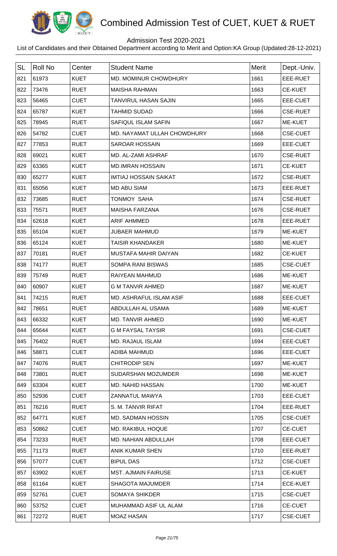

## Admission Test 2020-2021

| <b>SL</b> | <b>Roll No</b> | Center      | <b>Student Name</b>            | <b>Merit</b> | Dept.-Univ.     |
|-----------|----------------|-------------|--------------------------------|--------------|-----------------|
| 821       | 61973          | <b>KUET</b> | MD. MOMINUR CHOWDHURY          | 1661         | EEE-RUET        |
| 822       | 73476          | <b>RUET</b> | <b>MAISHA RAHMAN</b>           | 1663         | <b>CE-KUET</b>  |
| 823       | 56465          | <b>CUET</b> | <b>TANVIRUL HASAN SAJIN</b>    | 1665         | EEE-CUET        |
| 824       | 65787          | <b>KUET</b> | <b>TAHMID SUDAD</b>            | 1666         | <b>CSE-RUET</b> |
| 825       | 78945          | <b>RUET</b> | <b>SAFIQUL ISLAM SAFIN</b>     | 1667         | ME-KUET         |
| 826       | 54782          | <b>CUET</b> | MD. NAYAMAT ULLAH CHOWDHURY    | 1668         | <b>CSE-CUET</b> |
| 827       | 77853          | <b>RUET</b> | <b>SAROAR HOSSAIN</b>          | 1669         | EEE-CUET        |
| 828       | 69021          | <b>KUET</b> | MD. AL-ZAMI ASHRAF             | 1670         | <b>CSE-RUET</b> |
| 829       | 63365          | <b>KUET</b> | <b>MD.IMRAN HOSSAIN</b>        | 1671         | <b>CE-KUET</b>  |
| 830       | 65277          | <b>KUET</b> | <b>IMTIAJ HOSSAIN SAIKAT</b>   | 1672         | <b>CSE-RUET</b> |
| 831       | 65056          | <b>KUET</b> | <b>MD ABU SIAM</b>             | 1673         | EEE-RUET        |
| 832       | 73685          | <b>RUET</b> | <b>TONMOY SAHA</b>             | 1674         | <b>CSE-RUET</b> |
| 833       | 75571          | <b>RUET</b> | <b>MAISHA FARZANA</b>          | 1676         | <b>CSE-RUET</b> |
| 834       | 62618          | <b>KUET</b> | <b>ARIF AHMMED</b>             | 1678         | EEE-RUET        |
| 835       | 65104          | <b>KUET</b> | <b>JUBAER MAHMUD</b>           | 1679         | ME-KUET         |
| 836       | 65124          | <b>KUET</b> | <b>TAISIR KHANDAKER</b>        | 1680         | <b>ME-KUET</b>  |
| 837       | 70181          | <b>RUET</b> | MUSTAFA MAHIR DAIYAN           | 1682         | <b>CE-KUET</b>  |
| 838       | 74177          | <b>RUET</b> | <b>SOMPA RANI BISWAS</b>       | 1685         | <b>CSE-CUET</b> |
| 839       | 75749          | <b>RUET</b> | RAIYEAN MAHMUD                 | 1686         | ME-KUET         |
| 840       | 60907          | <b>KUET</b> | <b>G M TANVIR AHMED</b>        | 1687         | ME-KUET         |
| 841       | 74215          | <b>RUET</b> | <b>MD. ASHRAFUL ISLAM ASIF</b> | 1688         | EEE-CUET        |
| 842       | 78651          | <b>RUET</b> | ABDULLAH AL USAMA              | 1689         | <b>ME-KUET</b>  |
| 843       | 66332          | <b>KUET</b> | MD. TANVIR AHMED               | 1690         | ME-KUET         |
| 844       | 65644          | <b>KUET</b> | <b>G M FAYSAL TAYSIR</b>       | 1691         | <b>CSE-CUET</b> |
| 845       | 76402          | <b>RUET</b> | <b>MD. RAJAUL ISLAM</b>        | 1694         | EEE-CUET        |
| 846       | 58871          | <b>CUET</b> | <b>ADIBA MAHMUD</b>            | 1696         | EEE-CUET        |
| 847       | 74076          | <b>RUET</b> | <b>CHITRODIP SEN</b>           | 1697         | ME-KUET         |
| 848       | 73801          | <b>RUET</b> | SUDARSHAN MOZUMDER             | 1698         | <b>ME-KUET</b>  |
| 849       | 63304          | <b>KUET</b> | <b>MD. NAHID HASSAN</b>        | 1700         | <b>ME-KUET</b>  |
| 850       | 52936          | <b>CUET</b> | ZANNATUL MAWYA                 | 1703         | EEE-CUET        |
| 851       | 76216          | <b>RUET</b> | S. M. TANVIR RIFAT             | 1704         | EEE-RUET        |
| 852       | 64771          | <b>KUET</b> | <b>MD. SADMAN HOSSIN</b>       | 1705         | <b>CSE-CUET</b> |
| 853       | 50862          | <b>CUET</b> | MD. RAKIBUL HOQUE              | 1707         | <b>CE-CUET</b>  |
| 854       | 73233          | <b>RUET</b> | MD. NAHIAN ABDULLAH            | 1708         | EEE-CUET        |
| 855       | 71173          | <b>RUET</b> | <b>ANIK KUMAR SHEN</b>         | 1710         | EEE-RUET        |
| 856       | 57077          | <b>CUET</b> | <b>BIPUL DAS</b>               | 1712         | <b>CSE-CUET</b> |
| 857       | 63902          | <b>KUET</b> | <b>MST. AJMAIN FAIRUSE</b>     | 1713         | <b>CE-KUET</b>  |
| 858       | 61164          | <b>KUET</b> | <b>SHAGOTA MAJUMDER</b>        | 1714         | <b>ECE-KUET</b> |
| 859       | 52761          | <b>CUET</b> | <b>SOMAYA SHIKDER</b>          | 1715         | <b>CSE-CUET</b> |
| 860       | 53752          | <b>CUET</b> | MUHAMMAD ASIF UL ALAM          | 1716         | <b>CE-CUET</b>  |
| 861       | 72272          | <b>RUET</b> | <b>MOAZ HASAN</b>              | 1717         | <b>CSE-CUET</b> |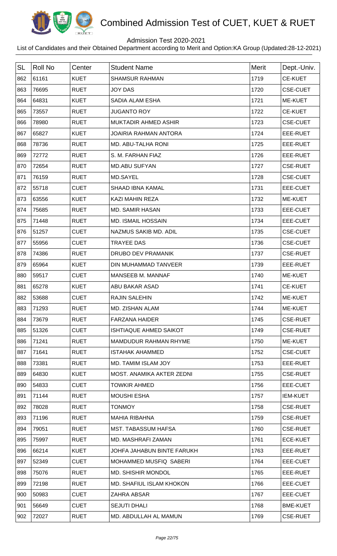

## Admission Test 2020-2021

| <b>SL</b> | <b>Roll No</b> | Center      | <b>Student Name</b>           | <b>Merit</b> | Dept.-Univ.     |
|-----------|----------------|-------------|-------------------------------|--------------|-----------------|
| 862       | 61161          | <b>KUET</b> | <b>SHAMSUR RAHMAN</b>         | 1719         | <b>CE-KUET</b>  |
| 863       | 76695          | <b>RUET</b> | <b>JOY DAS</b>                | 1720         | <b>CSE-CUET</b> |
| 864       | 64831          | <b>KUET</b> | SADIA ALAM ESHA               | 1721         | ME-KUET         |
| 865       | 73557          | <b>RUET</b> | <b>JUGANTO ROY</b>            | 1722         | <b>CE-KUET</b>  |
| 866       | 78980          | <b>RUET</b> | <b>MUKTADIR AHMED ASHIR</b>   | 1723         | <b>CSE-CUET</b> |
| 867       | 65827          | <b>KUET</b> | <b>JOAIRIA RAHMAN ANTORA</b>  | 1724         | EEE-RUET        |
| 868       | 78736          | <b>RUET</b> | <b>MD. ABU-TALHA RONI</b>     | 1725         | EEE-RUET        |
| 869       | 72772          | <b>RUET</b> | S. M. FARHAN FIAZ             | 1726         | EEE-RUET        |
| 870       | 72654          | <b>RUET</b> | <b>MD.ABU SUFYAN</b>          | 1727         | <b>CSE-RUET</b> |
| 871       | 76159          | <b>RUET</b> | <b>MD.SAYEL</b>               | 1728         | <b>CSE-CUET</b> |
| 872       | 55718          | <b>CUET</b> | <b>SHAAD IBNA KAMAL</b>       | 1731         | EEE-CUET        |
| 873       | 63556          | <b>KUET</b> | <b>KAZI MAHIN REZA</b>        | 1732         | ME-KUET         |
| 874       | 75685          | <b>RUET</b> | MD. SAMIR HASAN               | 1733         | EEE-CUET        |
| 875       | 71448          | <b>RUET</b> | <b>MD. ISMAIL HOSSAIN</b>     | 1734         | EEE-CUET        |
| 876       | 51257          | <b>CUET</b> | NAZMUS SAKIB MD. ADIL         | 1735         | <b>CSE-CUET</b> |
| 877       | 55956          | <b>CUET</b> | <b>TRAYEE DAS</b>             | 1736         | <b>CSE-CUET</b> |
| 878       | 74386          | <b>RUET</b> | DRUBO DEV PRAMANIK            | 1737         | <b>CSE-RUET</b> |
| 879       | 65964          | <b>KUET</b> | DIN MUHAMMAD TANVEER          | 1739         | EEE-RUET        |
| 880       | 59517          | <b>CUET</b> | <b>MANSEEB M. MANNAF</b>      | 1740         | ME-KUET         |
| 881       | 65278          | <b>KUET</b> | ABU BAKAR ASAD                | 1741         | <b>CE-KUET</b>  |
| 882       | 53688          | <b>CUET</b> | <b>RAJIN SALEHIN</b>          | 1742         | ME-KUET         |
| 883       | 71293          | <b>RUET</b> | MD. ZISHAN ALAM               | 1744         | <b>ME-KUET</b>  |
| 884       | 73679          | <b>RUET</b> | <b>FARZANA HAIDER</b>         | 1745         | <b>CSE-RUET</b> |
| 885       | 51326          | <b>CUET</b> | <b>ISHTIAQUE AHMED SAIKOT</b> | 1749         | <b>CSE-RUET</b> |
| 886       | 71241          | <b>RUET</b> | MAMDUDUR RAHMAN RHYME         | 1750         | ME-KUET         |
| 887       | 71641          | <b>RUET</b> | <b>ISTAHAK AHAMMED</b>        | 1752         | <b>CSE-CUET</b> |
| 888       | 73381          | <b>RUET</b> | MD. TAMIM ISLAM JOY           | 1753         | EEE-RUET        |
| 889       | 64830          | <b>KUET</b> | MOST. ANAMIKA AKTER ZEDNI     | 1755         | <b>CSE-RUET</b> |
| 890       | 54833          | <b>CUET</b> | <b>TOWKIR AHMED</b>           | 1756         | EEE-CUET        |
| 891       | 71144          | <b>RUET</b> | <b>MOUSHI ESHA</b>            | 1757         | <b>IEM-KUET</b> |
| 892       | 78028          | <b>RUET</b> | <b>TONMOY</b>                 | 1758         | <b>CSE-RUET</b> |
| 893       | 71196          | <b>RUET</b> | <b>MAHIA RIBAHNA</b>          | 1759         | <b>CSE-RUET</b> |
| 894       | 79051          | <b>RUET</b> | <b>MST. TABASSUM HAFSA</b>    | 1760         | <b>CSE-RUET</b> |
| 895       | 75997          | <b>RUET</b> | MD. MASHRAFI ZAMAN            | 1761         | <b>ECE-KUET</b> |
| 896       | 66214          | <b>KUET</b> | JOHFA JAHABUN BINTE FARUKH    | 1763         | EEE-RUET        |
| 897       | 52349          | <b>CUET</b> | MOHAMMED MUSFIQ SABERI        | 1764         | EEE-CUET        |
| 898       | 75076          | <b>RUET</b> | <b>MD. SHISHIR MONDOL</b>     | 1765         | EEE-RUET        |
| 899       | 72198          | <b>RUET</b> | MD. SHAFIUL ISLAM KHOKON      | 1766         | EEE-CUET        |
| 900       | 50983          | <b>CUET</b> | ZAHRA ABSAR                   | 1767         | EEE-CUET        |
| 901       | 56649          | <b>CUET</b> | <b>SEJUTI DHALI</b>           | 1768         | <b>BME-KUET</b> |
| 902       | 72027          | <b>RUET</b> | MD. ABDULLAH AL MAMUN         | 1769         | <b>CSE-RUET</b> |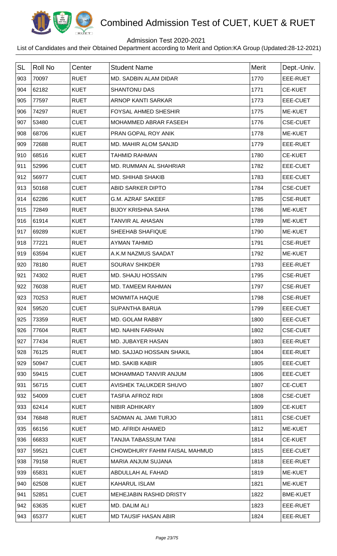

## Admission Test 2020-2021

| <b>SL</b> | <b>Roll No</b> | Center      | <b>Student Name</b>            | Merit | Dept.-Univ.     |
|-----------|----------------|-------------|--------------------------------|-------|-----------------|
| 903       | 70097          | <b>RUET</b> | MD. SADBIN ALAM DIDAR          | 1770  | EEE-RUET        |
| 904       | 62182          | <b>KUET</b> | <b>SHANTONU DAS</b>            | 1771  | <b>CE-KUET</b>  |
| 905       | 77597          | <b>RUET</b> | <b>ARNOP KANTI SARKAR</b>      | 1773  | EEE-CUET        |
| 906       | 74297          | <b>RUET</b> | <b>FOYSAL AHMED SHESHIR</b>    | 1775  | ME-KUET         |
| 907       | 53480          | <b>CUET</b> | <b>MOHAMMED ABRAR FASEEH</b>   | 1776  | <b>CSE-CUET</b> |
| 908       | 68706          | <b>KUET</b> | PRAN GOPAL ROY ANIK            | 1778  | ME-KUET         |
| 909       | 72688          | <b>RUET</b> | <b>MD. MAHIR ALOM SANJID</b>   | 1779  | EEE-RUET        |
| 910       | 68516          | <b>KUET</b> | <b>TAHMID RAHMAN</b>           | 1780  | <b>CE-KUET</b>  |
| 911       | 52996          | <b>CUET</b> | MD. RUMMAN AL SHAHRIAR         | 1782  | EEE-CUET        |
| 912       | 56977          | <b>CUET</b> | <b>MD. SHIHAB SHAKIB</b>       | 1783  | EEE-CUET        |
| 913       | 50168          | <b>CUET</b> | ABID SARKER DIPTO              | 1784  | <b>CSE-CUET</b> |
| 914       | 62286          | <b>KUET</b> | <b>G.M. AZRAF SAKEEF</b>       | 1785  | <b>CSE-RUET</b> |
| 915       | 72849          | <b>RUET</b> | <b>BIJOY KRISHNA SAHA</b>      | 1786  | ME-KUET         |
| 916       | 61914          | <b>KUET</b> | TANVIR AL AHASAN               | 1789  | <b>ME-KUET</b>  |
| 917       | 69289          | <b>KUET</b> | SHEEHAB SHAFIQUE               | 1790  | ME-KUET         |
| 918       | 77221          | <b>RUET</b> | <b>AYMAN TAHMID</b>            | 1791  | <b>CSE-RUET</b> |
| 919       | 63594          | <b>KUET</b> | A.K.M NAZMUS SAADAT            | 1792  | <b>ME-KUET</b>  |
| 920       | 78180          | <b>RUET</b> | <b>SOURAV SHIKDER</b>          | 1793  | EEE-RUET        |
| 921       | 74302          | <b>RUET</b> | MD. SHAJU HOSSAIN              | 1795  | <b>CSE-RUET</b> |
| 922       | 76038          | <b>RUET</b> | MD. TAMEEM RAHMAN              | 1797  | <b>CSE-RUET</b> |
| 923       | 70253          | <b>RUET</b> | <b>MOWMITA HAQUE</b>           | 1798  | <b>CSE-RUET</b> |
| 924       | 59520          | <b>CUET</b> | <b>SUPANTHA BARUA</b>          | 1799  | EEE-CUET        |
| 925       | 73359          | <b>RUET</b> | MD. GOLAM RABBY                | 1800  | EEE-CUET        |
| 926       | 77604          | <b>RUET</b> | MD. NAHIN FARHAN               | 1802  | <b>CSE-CUET</b> |
| 927       | 77434          | <b>RUET</b> | <b>MD. JUBAYER HASAN</b>       | 1803  | EEE-RUET        |
| 928       | 76125          | <b>RUET</b> | MD. SAJJAD HOSSAIN SHAKIL      | 1804  | EEE-RUET        |
| 929       | 50947          | <b>CUET</b> | <b>MD. SAKIB KABIR</b>         | 1805  | EEE-CUET        |
| 930       | 59415          | <b>CUET</b> | MOHAMMAD TANVIR ANJUM          | 1806  | EEE-CUET        |
| 931       | 56715          | <b>CUET</b> | AVISHEK TALUKDER SHUVO         | 1807  | <b>CE-CUET</b>  |
| 932       | 54009          | <b>CUET</b> | <b>TASFIA AFROZ RIDI</b>       | 1808  | <b>CSE-CUET</b> |
| 933       | 62414          | <b>KUET</b> | NIBIR ADHIKARY                 | 1809  | CE-KUET         |
| 934       | 76848          | <b>RUET</b> | SADMAN AL JAMI TURJO           | 1811  | <b>CSE-CUET</b> |
| 935       | 66156          | <b>KUET</b> | MD. AFRIDI AHAMED              | 1812  | <b>ME-KUET</b>  |
| 936       | 66833          | <b>KUET</b> | TANJIA TABASSUM TANI           | 1814  | <b>CE-KUET</b>  |
| 937       | 59521          | <b>CUET</b> | CHOWDHURY FAHIM FAISAL MAHMUD  | 1815  | EEE-CUET        |
| 938       | 79158          | <b>RUET</b> | MARIA ANJUM SUJANA             | 1818  | EEE-RUET        |
| 939       | 65831          | <b>KUET</b> | ABDULLAH AL FAHAD              | 1819  | <b>ME-KUET</b>  |
| 940       | 62508          | <b>KUET</b> | <b>KAHARUL ISLAM</b>           | 1821  | ME-KUET         |
| 941       | 52851          | <b>CUET</b> | <b>MEHEJABIN RASHID DRISTY</b> | 1822  | <b>BME-KUET</b> |
| 942       | 63635          | <b>KUET</b> | MD. DALIM ALI                  | 1823  | EEE-RUET        |
| 943       | 65377          | <b>KUET</b> | <b>MD TAUSIF HASAN ABIR</b>    | 1824  | EEE-RUET        |
|           |                |             |                                |       |                 |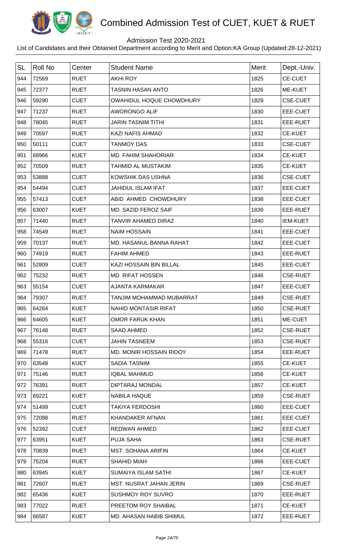

## Admission Test 2020-2021

| <b>SL</b> | <b>Roll No</b> | Center      | <b>Student Name</b>             | <b>Merit</b> | Dept.-Univ.     |
|-----------|----------------|-------------|---------------------------------|--------------|-----------------|
| 944       | 72569          | <b>RUET</b> | <b>AKHI ROY</b>                 | 1825         | <b>CE-CUET</b>  |
| 945       | 72377          | <b>RUET</b> | <b>TASNIN HASAN ANTO</b>        | 1826         | ME-KUET         |
| 946       | 59290          | <b>CUET</b> | <b>OWAHIDUL HOQUE CHOWDHURY</b> | 1829         | <b>CSE-CUET</b> |
| 947       | 71237          | <b>RUET</b> | AWORONGO ALIF                   | 1830         | EEE-CUET        |
| 948       | 78045          | <b>RUET</b> | JARIN TASNIM TITHI              | 1831         | EEE-RUET        |
| 949       | 70597          | <b>RUET</b> | <b>KAZI NAFIS AHMAD</b>         | 1832         | <b>CE-KUET</b>  |
| 950       | 50111          | <b>CUET</b> | <b>TANMOY DAS</b>               | 1833         | <b>CSE-CUET</b> |
| 951       | 68966          | <b>KUET</b> | <b>MD. FAHIM SHAHORIAR</b>      | 1834         | <b>CE-KUET</b>  |
| 952       | 70509          | <b>RUET</b> | TAHMID AL MUSTAKIM              | 1835         | <b>CE-KUET</b>  |
| 953       | 53888          | <b>CUET</b> | KOWSHIK DAS USHNA               | 1836         | <b>CSE-CUET</b> |
| 954       | 54494          | <b>CUET</b> | <b>JAHIDUL ISLAM IFAT</b>       | 1837         | EEE-CUET        |
| 955       | 57413          | <b>CUET</b> | ABID AHMED CHOWDHURY            | 1838         | EEE-CUET        |
| 956       | 63007          | <b>KUET</b> | MD. SAZID FEROZ SAIF            | 1839         | EEE-RUET        |
| 957       | 71440          | <b>RUET</b> | <b>TANVIR AHAMED DIRAZ</b>      | 1840         | <b>IEM-KUET</b> |
| 958       | 74549          | <b>RUET</b> | <b>NAIM HOSSAIN</b>             | 1841         | EEE-CUET        |
| 959       | 70137          | <b>RUET</b> | MD. HASANUL BANNA RAHAT         | 1842         | EEE-CUET        |
| 960       | 74919          | <b>RUET</b> | <b>FAHIM AHMED</b>              | 1843         | EEE-RUET        |
| 961       | 52809          | <b>CUET</b> | KAZI HOSSAIN BIN BILLAL         | 1845         | EEE-CUET        |
| 962       | 75232          | <b>RUET</b> | <b>MD. RIFAT HOSSEN</b>         | 1846         | <b>CSE-RUET</b> |
| 963       | 55154          | <b>CUET</b> | AJANTA KARMAKAR                 | 1847         | EEE-CUET        |
| 964       | 79307          | <b>RUET</b> | TANJIM MOHAMMAD MUBARRAT        | 1849         | <b>CSE-RUET</b> |
| 965       | 64264          | <b>KUET</b> | <b>NAHID MONTASIR RIFAT</b>     | 1850         | <b>CSE-RUET</b> |
| 966       | 64605          | <b>KUET</b> | <b>OMOR FARUK KHAN</b>          | 1851         | ME-CUET         |
| 967       | 76148          | <b>RUET</b> | SAAD AHMED                      | 1852         | <b>CSE-RUET</b> |
| 968       | 55316          | <b>CUET</b> | <b>JAHIN TASNEEM</b>            | 1853         | <b>CSE-RUET</b> |
| 969       | 71478          | <b>RUET</b> | MD. MONIR HOSSAIN RIDOY         | 1854         | EEE-RUET        |
| 970       | 63548          | <b>KUET</b> | <b>SADIA TASNIM</b>             | 1855         | <b>CE-KUET</b>  |
| 971       | 75146          | <b>RUET</b> | <b>IQBAL MAHMUD</b>             | 1856         | CE-KUET         |
| 972       | 76391          | <b>RUET</b> | DIPTARAJ MONDAL                 | 1857         | <b>CE-KUET</b>  |
| 973       | 69221          | <b>KUET</b> | <b>NABILA HAQUE</b>             | 1859         | <b>CSE-RUET</b> |
| 974       | 51499          | <b>CUET</b> | <b>TAKIYA FERDOSHI</b>          | 1860         | EEE-CUET        |
| 975       | 72088          | <b>RUET</b> | <b>KHANDAKER AFNAN</b>          | 1861         | EEE-CUET        |
| 976       | 52392          | <b>CUET</b> | <b>REDWAN AHMED</b>             | 1862         | EEE-CUET        |
| 977       | 63951          | <b>KUET</b> | <b>PUJA SAHA</b>                | 1863         | <b>CSE-RUET</b> |
| 978       | 70839          | <b>RUET</b> | <b>MST. SOHANA ARIFIN</b>       | 1864         | <b>CE-KUET</b>  |
| 979       | 75204          | <b>RUET</b> | <b>SHAHID MIAH</b>              | 1866         | EEE-CUET        |
| 980       | 63945          | <b>KUET</b> | SUMAIYA ISLAM SATHI             | 1867         | <b>CE-KUET</b>  |
| 981       | 72607          | <b>RUET</b> | MST. NUSRAT JAHAN JERIN         | 1869         | <b>CSE-RUET</b> |
| 982       | 65436          | <b>KUET</b> | <b>SUSHMOY ROY SUVRO</b>        | 1870         | EEE-RUET        |
| 983       | 77022          | <b>RUET</b> | PREETOM ROY SHAIBAL             | 1871         | <b>CE-KUET</b>  |
| 984       | 66587          | <b>KUET</b> | MD. AHASAN HABIB SHIMUL         | 1872         | EEE-RUET        |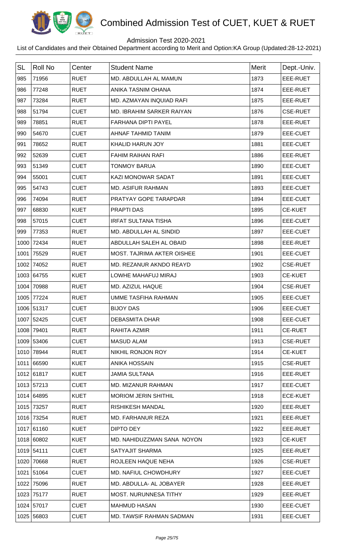

## Admission Test 2020-2021

| <b>SL</b> | Roll No    | Center      | <b>Student Name</b>               | Merit | Dept.-Univ.     |
|-----------|------------|-------------|-----------------------------------|-------|-----------------|
| 985       | 71956      | <b>RUET</b> | MD. ABDULLAH AL MAMUN             | 1873  | EEE-RUET        |
| 986       | 77248      | <b>RUET</b> | ANIKA TASNIM OHANA                | 1874  | EEE-RUET        |
| 987       | 73284      | <b>RUET</b> | MD. AZMAYAN INQUIAD RAFI          | 1875  | EEE-RUET        |
| 988       | 51794      | <b>CUET</b> | MD. IBRAHIM SARKER RAIYAN         | 1876  | <b>CSE-RUET</b> |
| 989       | 78851      | <b>RUET</b> | <b>FARHANA DIPTI PAYEL</b>        | 1878  | EEE-RUET        |
| 990       | 54670      | <b>CUET</b> | AHNAF TAHMID TANIM                | 1879  | EEE-CUET        |
| 991       | 78652      | <b>RUET</b> | <b>KHALID HARUN JOY</b>           | 1881  | EEE-CUET        |
| 992       | 52639      | <b>CUET</b> | <b>FAHIM RAIHAN RAFI</b>          | 1886  | EEE-RUET        |
| 993       | 51349      | <b>CUET</b> | <b>TONMOY BARUA</b>               | 1890  | EEE-CUET        |
| 994       | 55001      | <b>CUET</b> | KAZI MONOWAR SADAT                | 1891  | <b>EEE-CUET</b> |
| 995       | 54743      | <b>CUET</b> | <b>MD. ASIFUR RAHMAN</b>          | 1893  | EEE-CUET        |
| 996       | 74094      | <b>RUET</b> | PRATYAY GOPE TARAPDAR             | 1894  | <b>EEE-CUET</b> |
| 997       | 68830      | <b>KUET</b> | PRAPTI DAS                        | 1895  | <b>CE-KUET</b>  |
| 998       | 57015      | <b>CUET</b> | <b>IRFAT SULTANA TISHA</b>        | 1896  | EEE-CUET        |
| 999       | 77353      | <b>RUET</b> | MD. ABDULLAH AL SINDID            | 1897  | EEE-CUET        |
| 1000      | 72434      | <b>RUET</b> | ABDULLAH SALEH AL OBAID           | 1898  | EEE-RUET        |
| 1001      | 75529      | <b>RUET</b> | <b>MOST. TAJRIMA AKTER OISHEE</b> | 1901  | EEE-CUET        |
| 1002      | 74052      | <b>RUET</b> | MD. REZANUR AKNDO REAYD           | 1902  | <b>CSE-RUET</b> |
|           | 1003 64755 | <b>KUET</b> | LOWHE MAHAFUJ MIRAJ               | 1903  | <b>CE-KUET</b>  |
| 1004      | 70988      | <b>RUET</b> | MD. AZIZUL HAQUE                  | 1904  | <b>CSE-RUET</b> |
| 1005      | 77224      | <b>RUET</b> | <b>UMME TASFIHA RAHMAN</b>        | 1905  | EEE-CUET        |
|           | 1006 51317 | <b>CUET</b> | <b>BIJOY DAS</b>                  | 1906  | EEE-CUET        |
|           | 1007 52425 | <b>CUET</b> | <b>DEBASMITA DHAR</b>             | 1908  | EEE-CUET        |
|           | 1008 79401 | <b>RUET</b> | RAHITA AZMIR                      | 1911  | <b>CE-RUET</b>  |
|           | 1009 53406 | <b>CUET</b> | <b>MASUD ALAM</b>                 | 1913  | <b>CSE-RUET</b> |
|           | 1010 78944 | <b>RUET</b> | NIKHIL RONJON ROY                 | 1914  | <b>CE-KUET</b>  |
|           | 1011 66590 | <b>KUET</b> | <b>ANIKA HOSSAIN</b>              | 1915  | <b>CSE-RUET</b> |
|           | 1012 61817 | <b>KUET</b> | <b>JAMIA SULTANA</b>              | 1916  | EEE-RUET        |
|           | 1013 57213 | <b>CUET</b> | MD. MIZANUR RAHMAN                | 1917  | EEE-CUET        |
|           | 1014 64895 | <b>KUET</b> | <b>MORIOM JERIN SHITHIL</b>       | 1918  | <b>ECE-KUET</b> |
|           | 1015 73257 | <b>RUET</b> | <b>RISHIKESH MANDAL</b>           | 1920  | EEE-RUET        |
|           | 1016 73254 | <b>RUET</b> | MD. FARHANUR REZA                 | 1921  | EEE-RUET        |
|           | 1017 61160 | <b>KUET</b> | DIPTO DEY                         | 1922  | EEE-RUET        |
|           | 1018 60802 | <b>KUET</b> | MD. NAHIDUZZMAN SANA NOYON        | 1923  | <b>CE-KUET</b>  |
|           | 1019 54111 | <b>CUET</b> | SATYAJIT SHARMA                   | 1925  | EEE-RUET        |
|           | 1020 70668 | <b>RUET</b> | ROJLEEN HAQUE NEHA                | 1926  | <b>CSE-RUET</b> |
|           | 1021 51064 | <b>CUET</b> | MD. NAFIUL CHOWDHURY              | 1927  | EEE-CUET        |
|           | 1022 75096 | <b>RUET</b> | MD. ABDULLA- AL JOBAYER           | 1928  | EEE-RUET        |
|           | 1023 75177 | <b>RUET</b> | MOST. NURUNNESA TITHY             | 1929  | EEE-RUET        |
|           | 1024 57017 | <b>CUET</b> | <b>MAHMUD HASAN</b>               | 1930  | EEE-CUET        |
|           | 1025 56803 | <b>CUET</b> | MD. TAWSIF RAHMAN SADMAN          | 1931  | EEE-CUET        |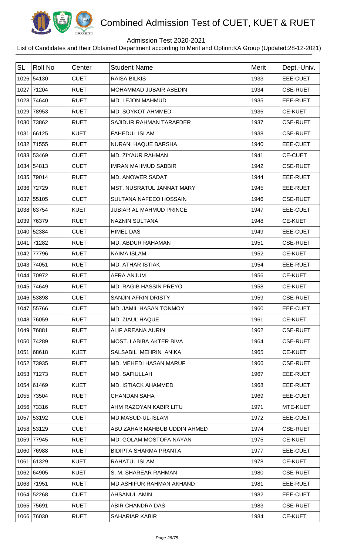

## Admission Test 2020-2021

| <b>SL</b> | <b>Roll No</b> | Center      | <b>Student Name</b>           | <b>Merit</b> | Dept.-Univ.     |
|-----------|----------------|-------------|-------------------------------|--------------|-----------------|
|           | 1026 54130     | <b>CUET</b> | <b>RAISA BILKIS</b>           | 1933         | <b>EEE-CUET</b> |
|           | 1027 71204     | <b>RUET</b> | MOHAMMAD JUBAIR ABEDIN        | 1934         | <b>CSE-RUET</b> |
| 1028      | 74640          | <b>RUET</b> | <b>MD. LEJON MAHMUD</b>       | 1935         | EEE-RUET        |
| 1029      | 78953          | <b>RUET</b> | MD. SOYKOT AHMMED             | 1936         | <b>CE-KUET</b>  |
|           | 1030 73862     | <b>RUET</b> | SAJIDUR RAHMAN TARAFDER       | 1937         | <b>CSE-RUET</b> |
|           | 1031 66125     | <b>KUET</b> | <b>FAHEDUL ISLAM</b>          | 1938         | <b>CSE-RUET</b> |
|           | 1032 71555     | <b>RUET</b> | NURANI HAQUE BARSHA           | 1940         | EEE-CUET        |
|           | 1033 53469     | <b>CUET</b> | MD. ZIYAUR RAHMAN             | 1941         | <b>CE-CUET</b>  |
|           | 1034 54813     | <b>CUET</b> | <b>IMRAN MAHMUD SABBIR</b>    | 1942         | <b>CSE-RUET</b> |
| 1035      | 79014          | <b>RUET</b> | MD. ANOWER SADAT              | 1944         | EEE-RUET        |
|           | 1036 72729     | <b>RUET</b> | MST. NUSRATUL JANNAT MARY     | 1945         | EEE-RUET        |
|           | 1037 55105     | <b>CUET</b> | <b>SULTANA NAFEEO HOSSAIN</b> | 1946         | <b>CSE-RUET</b> |
|           | 1038 63754     | <b>KUET</b> | JUBIAR AL MAHMUD PRINCE       | 1947         | EEE-CUET        |
|           | 1039 76379     | <b>RUET</b> | <b>NAZNIN SULTANA</b>         | 1948         | <b>CE-KUET</b>  |
|           | 1040 52384     | <b>CUET</b> | <b>HIMEL DAS</b>              | 1949         | EEE-CUET        |
|           | 1041 71282     | <b>RUET</b> | MD. ABDUR RAHAMAN             | 1951         | <b>CSE-RUET</b> |
| 1042      | 77796          | <b>RUET</b> | <b>NAIMA ISLAM</b>            | 1952         | <b>CE-KUET</b>  |
|           | 1043 74051     | <b>RUET</b> | <b>MD. ATHAR ISTIAK</b>       | 1954         | EEE-RUET        |
|           | 1044 70972     | <b>RUET</b> | <b>AFRA ANJUM</b>             | 1956         | <b>CE-KUET</b>  |
|           | 1045 74649     | <b>RUET</b> | MD. RAGIB HASSIN PREYO        | 1958         | <b>CE-KUET</b>  |
|           | 1046 53898     | <b>CUET</b> | <b>SANJIN AFRIN DRISTY</b>    | 1959         | <b>CSE-RUET</b> |
|           | 1047 55766     | <b>CUET</b> | MD. JAMIL HASAN TONMOY        | 1960         | <b>EEE-CUET</b> |
|           | 1048 76059     | <b>RUET</b> | MD. ZIAUL HAQUE               | 1961         | <b>CE-KUET</b>  |
|           | 1049 76881     | <b>RUET</b> | ALIF AREANA AURIN             | 1962         | <b>CSE-RUET</b> |
|           | 1050 74289     | <b>RUET</b> | MOST. LABIBA AKTER BIVA       | 1964         | <b>CSE-RUET</b> |
|           | 1051 68618     | <b>KUET</b> | SALSABIL MEHRIN ANIKA         | 1965         | <b>CE-KUET</b>  |
|           | 1052 73935     | <b>RUET</b> | MD. MEHEDI HASAN MARUF        | 1966         | <b>CSE-RUET</b> |
|           | 1053 71273     | <b>RUET</b> | MD. SAFIULLAH                 | 1967         | EEE-RUET        |
|           | 1054 61469     | <b>KUET</b> | MD. ISTIACK AHAMMED           | 1968         | EEE-RUET        |
|           | 1055 73504     | <b>RUET</b> | <b>CHANDAN SAHA</b>           | 1969         | EEE-CUET        |
|           | 1056 73316     | <b>RUET</b> | AHM RAZOYAN KABIR LITU        | 1971         | MTE-KUET        |
|           | 1057 53192     | <b>CUET</b> | MD.MASUD-UL-ISLAM             | 1972         | EEE-CUET        |
|           | 1058 53129     | <b>CUET</b> | ABU ZAHAR MAHBUB UDDIN AHMED  | 1974         | <b>CSE-RUET</b> |
|           | 1059 77945     | <b>RUET</b> | MD. GOLAM MOSTOFA NAYAN       | 1975         | <b>CE-KUET</b>  |
|           | 1060 76988     | <b>RUET</b> | <b>BIDIPTA SHARMA PRANTA</b>  | 1977         | EEE-CUET        |
|           | 1061 61329     | <b>KUET</b> | <b>RAHATUL ISLAM</b>          | 1978         | <b>CE-KUET</b>  |
|           | 1062 64905     | <b>KUET</b> | S. M. SHAREAR RAHMAN          | 1980         | <b>CSE-RUET</b> |
|           | 1063 71951     | <b>RUET</b> | MD.ASHIFUR RAHMAN AKHAND      | 1981         | EEE-RUET        |
|           | 1064 52268     | <b>CUET</b> | AHSANUL AMIN                  | 1982         | EEE-CUET        |
|           | 1065 75691     | <b>RUET</b> | ABIR CHANDRA DAS              | 1983         | <b>CSE-RUET</b> |
|           | 1066 76030     | <b>RUET</b> | SAHARIAR KABIR                | 1984         | <b>CE-KUET</b>  |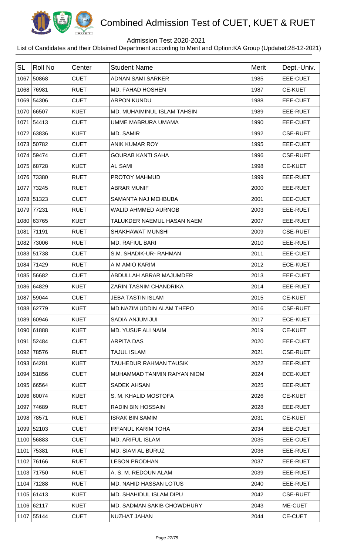

## Admission Test 2020-2021

| <b>SL</b> | <b>Roll No</b> | Center      | <b>Student Name</b>           | <b>Merit</b> | Dept.-Univ.     |
|-----------|----------------|-------------|-------------------------------|--------------|-----------------|
|           | 1067 50868     | <b>CUET</b> | <b>ADNAN SAMI SARKER</b>      | 1985         | EEE-CUET        |
|           | 1068 76981     | <b>RUET</b> | MD. FAHAD HOSHEN              | 1987         | <b>CE-KUET</b>  |
|           | 1069 54306     | <b>CUET</b> | <b>ARPON KUNDU</b>            | 1988         | EEE-CUET        |
|           | 1070 66507     | <b>KUET</b> | MD. MUHAIMINUL ISLAM TAHSIN   | 1989         | EEE-RUET        |
|           | 1071 54413     | <b>CUET</b> | UMME MABRURA UMAMA            | 1990         | EEE-CUET        |
|           | 1072 63836     | <b>KUET</b> | <b>MD. SAMIR</b>              | 1992         | <b>CSE-RUET</b> |
|           | 1073 50782     | <b>CUET</b> | <b>ANIK KUMAR ROY</b>         | 1995         | EEE-CUET        |
|           | 1074 59474     | <b>CUET</b> | <b>GOURAB KANTI SAHA</b>      | 1996         | <b>CSE-RUET</b> |
|           | 1075 68728     | <b>KUET</b> | <b>AL SAMI</b>                | 1998         | <b>CE-KUET</b>  |
|           | 1076 73380     | <b>RUET</b> | PROTOY MAHMUD                 | 1999         | EEE-RUET        |
|           | 1077 73245     | <b>RUET</b> | <b>ABRAR MUNIF</b>            | 2000         | EEE-RUET        |
|           | 1078 51323     | <b>CUET</b> | SAMANTA NAJ MEHBUBA           | 2001         | EEE-CUET        |
|           | 1079 77231     | <b>RUET</b> | <b>WALID AHMMED AURNOB</b>    | 2003         | EEE-RUET        |
|           | 1080 63765     | <b>KUET</b> | TALUKDER NAEMUL HASAN NAEM    | 2007         | EEE-RUET        |
|           | 1081 71191     | <b>RUET</b> | <b>SHAKHAWAT MUNSHI</b>       | 2009         | <b>CSE-RUET</b> |
|           | 1082 73006     | <b>RUET</b> | <b>MD. RAFIUL BARI</b>        | 2010         | EEE-RUET        |
|           | 1083 51738     | <b>CUET</b> | S.M. SHADIK-UR-RAHMAN         | 2011         | EEE-CUET        |
|           | 1084 71429     | <b>RUET</b> | A M AMIO KARIM                | 2012         | <b>ECE-KUET</b> |
|           | 1085 56682     | <b>CUET</b> | ABDULLAH ABRAR MAJUMDER       | 2013         | EEE-CUET        |
|           | 1086 64829     | <b>KUET</b> | ZARIN TASNIM CHANDRIKA        | 2014         | EEE-RUET        |
|           | 1087 59044     | <b>CUET</b> | <b>JEBA TASTIN ISLAM</b>      | 2015         | <b>CE-KUET</b>  |
|           | 1088 62779     | <b>KUET</b> | MD.NAZIM UDDIN ALAM THEPO     | 2016         | <b>CSE-RUET</b> |
|           | 1089 60946     | <b>KUET</b> | SADIA ANJUM JUI               | 2017         | <b>ECE-KUET</b> |
|           | 1090 61888     | <b>KUET</b> | <b>MD. YUSUF ALI NAIM</b>     | 2019         | <b>CE-KUET</b>  |
|           | 1091 52484     | <b>CUET</b> | <b>ARPITA DAS</b>             | 2020         | EEE-CUET        |
| 1092      | 78576          | <b>RUET</b> | <b>TAJUL ISLAM</b>            | 2021         | <b>CSE-RUET</b> |
|           | 1093 64281     | <b>KUET</b> | <b>TAUHEDUR RAHMAN TAUSIK</b> | 2022         | EEE-RUET        |
|           | 1094 51856     | <b>CUET</b> | MUHAMMAD TANMIN RAIYAN NIOM   | 2024         | <b>ECE-KUET</b> |
|           | 1095 66564     | <b>KUET</b> | <b>SADEK AHSAN</b>            | 2025         | EEE-RUET        |
|           | 1096 60074     | <b>KUET</b> | S. M. KHALID MOSTOFA          | 2026         | <b>CE-KUET</b>  |
|           | 1097 74689     | <b>RUET</b> | <b>RADIN BIN HOSSAIN</b>      | 2028         | EEE-RUET        |
|           | 1098 78571     | <b>RUET</b> | <b>ISRAK BIN SAMIM</b>        | 2031         | <b>CE-KUET</b>  |
|           | 1099 52103     | <b>CUET</b> | <b>IRFANUL KARIM TOHA</b>     | 2034         | EEE-CUET        |
|           | 1100 56883     | <b>CUET</b> | <b>MD. ARIFUL ISLAM</b>       | 2035         | EEE-CUET        |
|           | 1101 75381     | <b>RUET</b> | MD. SIAM AL BURUZ             | 2036         | EEE-RUET        |
|           | 1102 76166     | <b>RUET</b> | <b>LESON PRODHAN</b>          | 2037         | EEE-RUET        |
|           | 1103 71750     | <b>RUET</b> | A. S. M. REDOUN ALAM          | 2039         | EEE-RUET        |
|           | 1104 71288     | <b>RUET</b> | <b>MD. NAHID HASSAN LOTUS</b> | 2040         | EEE-RUET        |
|           | 1105 61413     | <b>KUET</b> | MD. SHAHIDUL ISLAM DIPU       | 2042         | <b>CSE-RUET</b> |
|           | 1106 62117     | <b>KUET</b> | MD. SADMAN SAKIB CHOWDHURY    | 2043         | ME-CUET         |
|           | 1107 55144     | <b>CUET</b> | NUZHAT JAHAN                  | 2044         | <b>CE-CUET</b>  |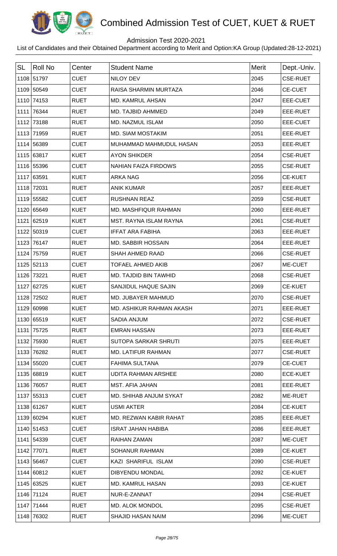

## Admission Test 2020-2021

| <b>SL</b> | Roll No    | Center      | <b>Student Name</b>         | <b>Merit</b> | Dept.-Univ.     |
|-----------|------------|-------------|-----------------------------|--------------|-----------------|
|           | 1108 51797 | <b>CUET</b> | NILOY DEV                   | 2045         | <b>CSE-RUET</b> |
|           | 1109 50549 | <b>CUET</b> | RAISA SHARMIN MURTAZA       | 2046         | <b>CE-CUET</b>  |
|           | 1110 74153 | <b>RUET</b> | <b>MD. KAMRUL AHSAN</b>     | 2047         | EEE-CUET        |
|           | 1111 76344 | <b>RUET</b> | MD. TAJBID AHMMED           | 2049         | EEE-RUET        |
|           | 1112 73188 | <b>RUET</b> | MD. NAZMUL ISLAM            | 2050         | EEE-CUET        |
|           | 1113 71959 | <b>RUET</b> | <b>MD. SIAM MOSTAKIM</b>    | 2051         | EEE-RUET        |
|           | 1114 56389 | <b>CUET</b> | MUHAMMAD MAHMUDUL HASAN     | 2053         | EEE-RUET        |
|           | 1115 63817 | <b>KUET</b> | <b>AYON SHIKDER</b>         | 2054         | <b>CSE-RUET</b> |
|           | 1116 55396 | <b>CUET</b> | <b>NAHIAN FAIZA FIRDOWS</b> | 2055         | <b>CSE-RUET</b> |
|           | 1117 63591 | <b>KUET</b> | <b>ARKA NAG</b>             | 2056         | <b>CE-KUET</b>  |
|           | 1118 72031 | <b>RUET</b> | <b>ANIK KUMAR</b>           | 2057         | EEE-RUET        |
|           | 1119 55582 | <b>CUET</b> | <b>RUSHNAN REAZ</b>         | 2059         | <b>CSE-RUET</b> |
|           | 1120 65649 | <b>KUET</b> | MD. MASHFIQUR RAHMAN        | 2060         | EEE-RUET        |
|           | 1121 62519 | <b>KUET</b> | MST. RAYNA ISLAM RAYNA      | 2061         | <b>CSE-RUET</b> |
|           | 1122 50319 | <b>CUET</b> | <b>IFFAT ARA FABIHA</b>     | 2063         | EEE-RUET        |
|           | 1123 76147 | <b>RUET</b> | MD. SABBIR HOSSAIN          | 2064         | EEE-RUET        |
|           | 1124 75759 | <b>RUET</b> | SHAH AHMED RAAD             | 2066         | <b>CSE-RUET</b> |
|           | 1125 52113 | <b>CUET</b> | <b>TOFAEL AHMED AKIB</b>    | 2067         | ME-CUET         |
|           | 1126 73221 | <b>RUET</b> | MD. TAJDID BIN TAWHID       | 2068         | <b>CSE-RUET</b> |
|           | 1127 62725 | <b>KUET</b> | SANJIDUL HAQUE SAJIN        | 2069         | <b>CE-KUET</b>  |
|           | 1128 72502 | <b>RUET</b> | MD. JUBAYER MAHMUD          | 2070         | <b>CSE-RUET</b> |
|           | 1129 60998 | <b>KUET</b> | MD. ASHIKUR RAHMAN AKASH    | 2071         | EEE-RUET        |
|           | 1130 65519 | <b>KUET</b> | SADIA ANJUM                 | 2072         | <b>CSE-RUET</b> |
|           | 1131 75725 | <b>RUET</b> | <b>EMRAN HASSAN</b>         | 2073         | EEE-RUET        |
|           | 1132 75930 | <b>RUET</b> | SUTOPA SARKAR SHRUTI        | 2075         | EEE-RUET        |
|           | 1133 76282 | <b>RUET</b> | <b>MD. LATIFUR RAHMAN</b>   | 2077         | <b>CSE-RUET</b> |
|           | 1134 55020 | <b>CUET</b> | <b>FAHIMA SULTANA</b>       | 2079         | <b>CE-CUET</b>  |
|           | 1135 68819 | <b>KUET</b> | UDITA RAHMAN ARSHEE         | 2080         | <b>ECE-KUET</b> |
|           | 1136 76057 | <b>RUET</b> | MST. AFIA JAHAN             | 2081         | EEE-RUET        |
|           | 1137 55313 | <b>CUET</b> | MD. SHIHAB ANJUM SYKAT      | 2082         | ME-RUET         |
|           | 1138 61267 | <b>KUET</b> | <b>USMI AKTER</b>           | 2084         | <b>CE-KUET</b>  |
|           | 1139 60294 | <b>KUET</b> | MD. REZWAN KABIR RAHAT      | 2085         | EEE-RUET        |
|           | 1140 51453 | <b>CUET</b> | <b>ISRAT JAHAN HABIBA</b>   | 2086         | EEE-RUET        |
|           | 1141 54339 | <b>CUET</b> | <b>RAIHAN ZAMAN</b>         | 2087         | ME-CUET         |
|           | 1142 77071 | <b>RUET</b> | <b>SOHANUR RAHMAN</b>       | 2089         | <b>CE-KUET</b>  |
|           | 1143 56467 | <b>CUET</b> | KAZI SHARIFUL ISLAM         | 2090         | <b>CSE-RUET</b> |
|           | 1144 60812 | <b>KUET</b> | <b>DIBYENDU MONDAL</b>      | 2092         | <b>CE-KUET</b>  |
|           | 1145 63525 | <b>KUET</b> | MD. KAMRUL HASAN            | 2093         | <b>CE-KUET</b>  |
|           | 1146 71124 | <b>RUET</b> | NUR-E-ZANNAT                | 2094         | <b>CSE-RUET</b> |
|           | 1147 71444 | <b>RUET</b> | <b>MD. ALOK MONDOL</b>      | 2095         | <b>CSE-RUET</b> |
|           | 1148 76302 | <b>RUET</b> | SHAJID HASAN NAIM           | 2096         | ME-CUET         |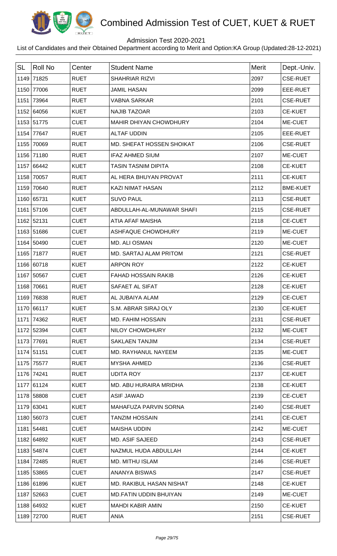

## Admission Test 2020-2021

| <b>SL</b> | <b>Roll No</b> | Center      | <b>Student Name</b>           | <b>Merit</b> | Dept.-Univ.     |
|-----------|----------------|-------------|-------------------------------|--------------|-----------------|
|           | 1149 71825     | <b>RUET</b> | <b>SHAHRIAR RIZVI</b>         | 2097         | <b>CSE-RUET</b> |
|           | 1150 77006     | <b>RUET</b> | <b>JAMIL HASAN</b>            | 2099         | EEE-RUET        |
| 1151      | 73964          | <b>RUET</b> | <b>VABNA SARKAR</b>           | 2101         | <b>CSE-RUET</b> |
|           | 1152 64056     | <b>KUET</b> | <b>NAJIB TAZOAR</b>           | 2103         | <b>CE-KUET</b>  |
|           | 1153 51775     | <b>CUET</b> | MAHIR DHIYAN CHOWDHURY        | 2104         | ME-CUET         |
|           | 1154 77647     | <b>RUET</b> | <b>ALTAF UDDIN</b>            | 2105         | EEE-RUET        |
|           | 1155 70069     | <b>RUET</b> | MD. SHEFAT HOSSEN SHOIKAT     | 2106         | <b>CSE-RUET</b> |
|           | 1156 71180     | <b>RUET</b> | <b>IFAZ AHMED SIUM</b>        | 2107         | ME-CUET         |
|           | 1157 66442     | <b>KUET</b> | <b>TASIN TASNIM DIPITA</b>    | 2108         | <b>CE-KUET</b>  |
|           | 1158 70057     | <b>RUET</b> | AL HERA BHUYAN PROVAT         | 2111         | <b>CE-KUET</b>  |
|           | 1159 70640     | <b>RUET</b> | <b>KAZI NIMAT HASAN</b>       | 2112         | <b>BME-KUET</b> |
|           | 1160 65731     | <b>KUET</b> | <b>SUVO PAUL</b>              | 2113         | <b>CSE-RUET</b> |
|           | 1161 57106     | <b>CUET</b> | ABDULLAH-AL-MUNAWAR SHAFI     | 2115         | <b>CSE-RUET</b> |
|           | 1162 52131     | <b>CUET</b> | ATIA AFAF MAISHA              | 2118         | <b>CE-CUET</b>  |
|           | 1163 51686     | <b>CUET</b> | ASHFAQUE CHOWDHURY            | 2119         | ME-CUET         |
|           | 1164 50490     | <b>CUET</b> | MD. ALI OSMAN                 | 2120         | ME-CUET         |
|           | 1165 71877     | <b>RUET</b> | MD. SARTAJ ALAM PRITOM        | 2121         | <b>CSE-RUET</b> |
|           | 1166 60718     | <b>KUET</b> | <b>ARPON ROY</b>              | 2122         | <b>CE-KUET</b>  |
|           | 1167 50567     | <b>CUET</b> | <b>FAHAD HOSSAIN RAKIB</b>    | 2126         | <b>CE-KUET</b>  |
|           | 1168 70661     | <b>RUET</b> | SAFAET AL SIFAT               | 2128         | <b>CE-KUET</b>  |
|           | 1169 76838     | <b>RUET</b> | AL JUBAIYA ALAM               | 2129         | <b>CE-CUET</b>  |
|           | 1170 66117     | KUET        | S.M. ABRAR SIRAJ OLY          | 2130         | <b>CE-KUET</b>  |
|           | 1171 74362     | <b>RUET</b> | MD. FAHIM HOSSAIN             | 2131         | <b>CSE-RUET</b> |
|           | 1172 52394     | <b>CUET</b> | NILOY CHOWDHURY               | 2132         | ME-CUET         |
|           | 1173 77691     | <b>RUET</b> | <b>SAKLAEN TANJIM</b>         | 2134         | <b>CSE-RUET</b> |
|           | 1174 51151     | <b>CUET</b> | MD. RAYHANUL NAYEEM           | 2135         | ME-CUET         |
|           | 1175 75577     | <b>RUET</b> | <b>MYSHA AHMED</b>            | 2136         | <b>CSE-RUET</b> |
|           | 1176 74241     | <b>RUET</b> | <b>UDITA ROY</b>              | 2137         | <b>CE-KUET</b>  |
|           | 1177 61124     | <b>KUET</b> | MD. ABU HURAIRA MRIDHA        | 2138         | <b>CE-KUET</b>  |
|           | 1178 58808     | <b>CUET</b> | <b>ASIF JAWAD</b>             | 2139         | <b>CE-CUET</b>  |
|           | 1179 63041     | <b>KUET</b> | MAHAFUZA PARVIN SORNA         | 2140         | <b>CSE-RUET</b> |
|           | 1180 56073     | <b>CUET</b> | <b>TANZIM HOSSAIN</b>         | 2141         | <b>CE-CUET</b>  |
|           | 1181 54481     | <b>CUET</b> | <b>MAISHA UDDIN</b>           | 2142         | ME-CUET         |
|           | 1182 64892     | <b>KUET</b> | <b>MD. ASIF SAJEED</b>        | 2143         | <b>CSE-RUET</b> |
|           | 1183 54874     | <b>CUET</b> | NAZMUL HUDA ABDULLAH          | 2144         | <b>CE-KUET</b>  |
|           | 1184 72485     | <b>RUET</b> | MD. MITHU ISLAM               | 2146         | <b>CSE-RUET</b> |
|           | 1185 53865     | <b>CUET</b> | ANANYA BISWAS                 | 2147         | <b>CSE-RUET</b> |
|           | 1186 61896     | <b>KUET</b> | MD. RAKIBUL HASAN NISHAT      | 2148         | <b>CE-KUET</b>  |
|           | 1187 52663     | <b>CUET</b> | <b>MD.FATIN UDDIN BHUIYAN</b> | 2149         | ME-CUET         |
|           | 1188 64932     | <b>KUET</b> | <b>MAHDI KABIR AMIN</b>       | 2150         | <b>CE-KUET</b>  |
|           | 1189 72700     | <b>RUET</b> | <b>ANIA</b>                   | 2151         | <b>CSE-RUET</b> |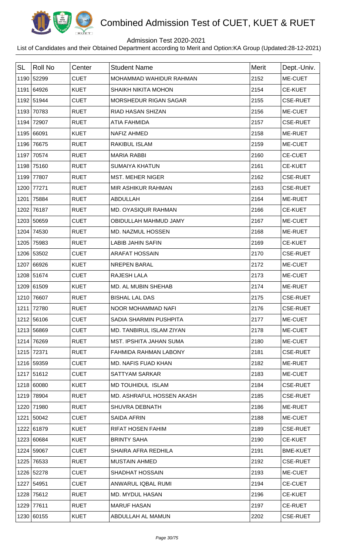

## Admission Test 2020-2021

| <b>SL</b> | <b>Roll No</b> | Center      | <b>Student Name</b>          | <b>Merit</b> | Dept.-Univ.     |
|-----------|----------------|-------------|------------------------------|--------------|-----------------|
|           | 1190 52299     | <b>CUET</b> | MOHAMMAD WAHIDUR RAHMAN      | 2152         | ME-CUET         |
|           | 1191 64926     | <b>KUET</b> | SHAIKH NIKITA MOHON          | 2154         | <b>CE-KUET</b>  |
|           | 1192 51944     | <b>CUET</b> | <b>MORSHEDUR RIGAN SAGAR</b> | 2155         | <b>CSE-RUET</b> |
|           | 1193 70783     | <b>RUET</b> | <b>RIAD HASAN SHIZAN</b>     | 2156         | ME-CUET         |
| 1194      | 72907          | <b>RUET</b> | <b>ATIA FAHMIDA</b>          | 2157         | <b>CSE-RUET</b> |
|           | 1195 66091     | <b>KUET</b> | <b>NAFIZ AHMED</b>           | 2158         | ME-RUET         |
| 1196      | 76675          | <b>RUET</b> | <b>RAKIBUL ISLAM</b>         | 2159         | ME-CUET         |
| 1197      | 70574          | <b>RUET</b> | <b>MARIA RABBI</b>           | 2160         | <b>CE-CUET</b>  |
| 1198      | 75160          | <b>RUET</b> | <b>SUMAIYA KHATUN</b>        | 2161         | <b>CE-KUET</b>  |
| 1199      | 77807          | <b>RUET</b> | <b>MST. MEHER NIGER</b>      | 2162         | <b>CSE-RUET</b> |
| 1200      | 77271          | <b>RUET</b> | MIR ASHIKUR RAHMAN           | 2163         | <b>CSE-RUET</b> |
| 1201      | 75884          | <b>RUET</b> | <b>ABDULLAH</b>              | 2164         | ME-RUET         |
| 1202      | 76187          | <b>RUET</b> | MD. OYASIQUR RAHMAN          | 2166         | <b>CE-KUET</b>  |
|           | 1203 50659     | <b>CUET</b> | OBIDULLAH MAHMUD JAMY        | 2167         | ME-CUET         |
| 1204      | 74530          | <b>RUET</b> | MD. NAZMUL HOSSEN            | 2168         | ME-RUET         |
| 1205      | 75983          | <b>RUET</b> | <b>LABIB JAHIN SAFIN</b>     | 2169         | <b>CE-KUET</b>  |
|           | 1206 53502     | <b>CUET</b> | <b>ARAFAT HOSSAIN</b>        | 2170         | <b>CSE-RUET</b> |
|           | 1207 66926     | <b>KUET</b> | <b>NREPEN BARAL</b>          | 2172         | ME-CUET         |
|           | 1208 51674     | <b>CUET</b> | RAJESH LALA                  | 2173         | ME-CUET         |
|           | 1209 61509     | <b>KUET</b> | MD. AL MUBIN SHEHAB          | 2174         | ME-RUET         |
| 1210      | 76607          | <b>RUET</b> | <b>BISHAL LAL DAS</b>        | 2175         | <b>CSE-RUET</b> |
|           | 1211 72780     | <b>RUET</b> | NOOR MOHAMMAD NAFI           | 2176         | <b>CSE-RUET</b> |
|           | 1212 56106     | <b>CUET</b> | SADIA SHARMIN PUSHPITA       | 2177         | ME-CUET         |
|           | 1213 56869     | <b>CUET</b> | MD. TANBIRUL ISLAM ZIYAN     | 2178         | ME-CUET         |
|           | 1214 76269     | <b>RUET</b> | MST. IPSHITA JAHAN SUMA      | 2180         | ME-CUET         |
|           | 1215 72371     | <b>RUET</b> | FAHMIDA RAHMAN LABONY        | 2181         | <b>CSE-RUET</b> |
|           | 1216 59359     | <b>CUET</b> | MD. NAFIS FUAD KHAN          | 2182         | ME-RUET         |
|           | 1217 51612     | <b>CUET</b> | SATTYAM SARKAR               | 2183         | ME-CUET         |
|           | 1218 60080     | <b>KUET</b> | MD TOUHIDUL ISLAM            | 2184         | <b>CSE-RUET</b> |
|           | 1219 78904     | <b>RUET</b> | MD. ASHRAFUL HOSSEN AKASH    | 2185         | <b>CSE-RUET</b> |
|           | 1220 71980     | <b>RUET</b> | <b>SHUVRA DEBNATH</b>        | 2186         | <b>ME-RUET</b>  |
|           | 1221 50042     | <b>CUET</b> | <b>SAIDA AFRIN</b>           | 2188         | ME-CUET         |
|           | 1222 61879     | <b>KUET</b> | <b>RIFAT HOSEN FAHIM</b>     | 2189         | <b>CSE-RUET</b> |
|           | 1223 60684     | <b>KUET</b> | <b>BRINTY SAHA</b>           | 2190         | <b>CE-KUET</b>  |
|           | 1224 59067     | <b>CUET</b> | SHAIRA AFRA REDHILA          | 2191         | <b>BME-KUET</b> |
|           | 1225 76533     | <b>RUET</b> | <b>MUSTAIN AHMED</b>         | 2192         | <b>CSE-RUET</b> |
|           | 1226 52278     | <b>CUET</b> | <b>SHADHAT HOSSAIN</b>       | 2193         | ME-CUET         |
|           | 1227 54951     | <b>CUET</b> | ANWARUL IQBAL RUMI           | 2194         | <b>CE-CUET</b>  |
| 1228      | 75612          | <b>RUET</b> | <b>MD. MYDUL HASAN</b>       | 2196         | <b>CE-KUET</b>  |
|           | 1229 77611     | <b>RUET</b> | <b>MARUF HASAN</b>           | 2197         | <b>CE-RUET</b>  |
|           | 1230 60155     | <b>KUET</b> | ABDULLAH AL MAMUN            | 2202         | <b>CSE-RUET</b> |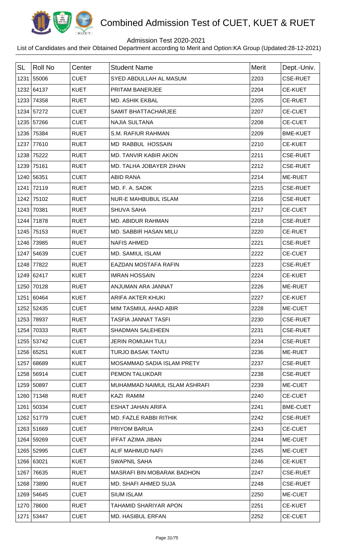

## Admission Test 2020-2021

| <b>SL</b> | <b>Roll No</b> | Center      | <b>Student Name</b>               | <b>Merit</b> | Dept.-Univ.     |
|-----------|----------------|-------------|-----------------------------------|--------------|-----------------|
|           | 1231 55006     | <b>CUET</b> | SYED ABDULLAH AL MASUM            | 2203         | <b>CSE-RUET</b> |
|           | 1232 64137     | <b>KUET</b> | PRITAM BANERJEE                   | 2204         | <b>CE-KUET</b>  |
|           | 1233 74358     | <b>RUET</b> | <b>MD. ASHIK EKBAL</b>            | 2205         | <b>CE-RUET</b>  |
|           | 1234 57272     | <b>CUET</b> | SAMIT BHATTACHARJEE               | 2207         | <b>CE-CUET</b>  |
|           | 1235 57266     | <b>CUET</b> | <b>NAJIA SULTANA</b>              | 2208         | <b>CE-CUET</b>  |
|           | 1236 75384     | <b>RUET</b> | S.M. RAFIUR RAHMAN                | 2209         | <b>BME-KUET</b> |
|           | 1237 77610     | <b>RUET</b> | <b>MD RABBUL HOSSAIN</b>          | 2210         | <b>CE-KUET</b>  |
|           | 1238 75222     | <b>RUET</b> | MD. TANVIR KABIR AKON             | 2211         | <b>CSE-RUET</b> |
|           | 1239 75161     | <b>RUET</b> | MD. TALHA JOBAYER ZIHAN           | 2212         | <b>CSE-RUET</b> |
|           | 1240 56351     | <b>CUET</b> | <b>ABID RANA</b>                  | 2214         | ME-RUET         |
|           | 1241 72119     | <b>RUET</b> | MD. F. A. SADIK                   | 2215         | <b>CSE-RUET</b> |
|           | 1242 75102     | <b>RUET</b> | <b>NUR-E MAHBUBUL ISLAM</b>       | 2216         | <b>CSE-RUET</b> |
|           | 1243 70381     | <b>RUET</b> | SHUVA SAHA                        | 2217         | <b>CE-CUET</b>  |
|           | 1244 71878     | <b>RUET</b> | MD. ABIDUR RAHMAN                 | 2218         | <b>CSE-RUET</b> |
|           | 1245 75153     | <b>RUET</b> | MD. SABBIR HASAN MILU             | 2220         | <b>CE-RUET</b>  |
|           | 1246 73985     | <b>RUET</b> | <b>NAFIS AHMED</b>                | 2221         | <b>CSE-RUET</b> |
|           | 1247 54639     | <b>CUET</b> | MD. SAMIUL ISLAM                  | 2222         | <b>CE-CUET</b>  |
| 1248      | 77822          | <b>RUET</b> | <b>EAZDAN MOSTAFA RAFIN</b>       | 2223         | <b>CSE-RUET</b> |
|           | 1249 62417     | <b>KUET</b> | <b>IMRAN HOSSAIN</b>              | 2224         | <b>CE-KUET</b>  |
|           | 1250 70128     | <b>RUET</b> | ANJUMAN ARA JANNAT                | 2226         | ME-RUET         |
|           | 1251 60464     | <b>KUET</b> | <b>ARIFA AKTER KHUKI</b>          | 2227         | <b>CE-KUET</b>  |
|           | 1252 52435     | <b>CUET</b> | MIM TASMIUL AHAD ABIR             | 2228         | <b>ME-CUET</b>  |
|           | 1253 78937     | <b>RUET</b> | <b>TASFIA JANNAT TASFI</b>        | 2230         | <b>CSE-RUET</b> |
|           | 1254 70333     | <b>RUET</b> | <b>SHADMAN SALEHEEN</b>           | 2231         | <b>CSE-RUET</b> |
|           | 1255 53742     | <b>CUET</b> | <b>JERIN ROMIJAH TULI</b>         | 2234         | <b>CSE-RUET</b> |
|           | 1256 65251     | <b>KUET</b> | <b>TURJO BASAK TANTU</b>          | 2236         | ME-RUET         |
|           | 1257 68689     | <b>KUET</b> | MOSAMMAD SADIA ISLAM PRETY        | 2237         | <b>CSE-RUET</b> |
|           | 1258 56914     | <b>CUET</b> | PEMON TALUKDAR                    | 2238         | <b>CSE-RUET</b> |
|           | 1259 50897     | <b>CUET</b> | MUHAMMAD NAIMUL ISLAM ASHRAFI     | 2239         | ME-CUET         |
|           | 1260 71348     | <b>RUET</b> | <b>KAZI RAMIM</b>                 | 2240         | <b>CE-CUET</b>  |
|           | 1261 50334     | <b>CUET</b> | ESHAT JAHAN ARIFA                 | 2241         | <b>BME-CUET</b> |
|           | 1262 51779     | <b>CUET</b> | MD. FAZLE RABBI RITHIK            | 2242         | <b>CSE-RUET</b> |
|           | 1263 51669     | <b>CUET</b> | PRIYOM BARUA                      | 2243         | <b>CE-CUET</b>  |
|           | 1264 59269     | <b>CUET</b> | <b>IFFAT AZIMA JIBAN</b>          | 2244         | ME-CUET         |
|           | 1265 52995     | <b>CUET</b> | ALIF MAHMUD NAFI                  | 2245         | ME-CUET         |
|           | 1266 63021     | <b>KUET</b> | <b>SWAPNIL SAHA</b>               | 2246         | <b>CE-KUET</b>  |
|           | 1267 76635     | <b>RUET</b> | <b>MASRAFI BIN MOBARAK BADHON</b> | 2247         | <b>CSE-RUET</b> |
|           | 1268 73890     | <b>RUET</b> | MD. SHAFI AHMED SUJA              | 2248         | <b>CSE-RUET</b> |
|           | 1269 54645     | <b>CUET</b> | <b>SIUM ISLAM</b>                 | 2250         | ME-CUET         |
|           | 1270 78600     | <b>RUET</b> | <b>TAHAMID SHARIYAR APON</b>      | 2251         | <b>CE-KUET</b>  |
|           | 1271 53447     | <b>CUET</b> | <b>MD. HASIBUL ERFAN</b>          | 2252         | <b>CE-CUET</b>  |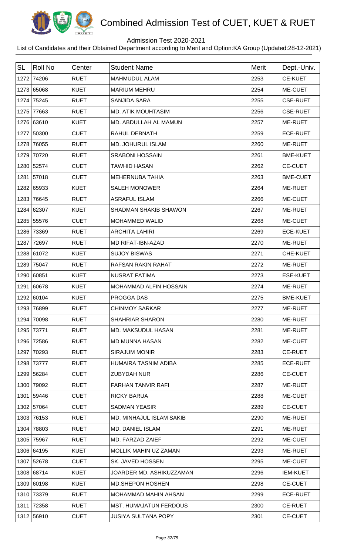

## Admission Test 2020-2021

| <b>SL</b> | Roll No    | Center      | <b>Student Name</b>           | <b>Merit</b> | Dept.-Univ.     |
|-----------|------------|-------------|-------------------------------|--------------|-----------------|
|           | 1272 74206 | <b>RUET</b> | <b>MAHMUDUL ALAM</b>          | 2253         | <b>CE-KUET</b>  |
|           | 1273 65068 | <b>KUET</b> | <b>MARIUM MEHRU</b>           | 2254         | ME-CUET         |
|           | 1274 75245 | <b>RUET</b> | <b>SANJIDA SARA</b>           | 2255         | <b>CSE-RUET</b> |
|           | 1275 77663 | <b>RUET</b> | <b>MD. ATIK MOUHTASIM</b>     | 2256         | <b>CSE-RUET</b> |
|           | 1276 63610 | <b>KUET</b> | MD. ABDULLAH AL MAMUN         | 2257         | ME-RUET         |
|           | 1277 50300 | <b>CUET</b> | RAHUL DEBNATH                 | 2259         | <b>ECE-RUET</b> |
|           | 1278 76055 | <b>RUET</b> | MD. JOHURUL ISLAM             | 2260         | ME-RUET         |
|           | 1279 70720 | <b>RUET</b> | <b>SRABONI HOSSAIN</b>        | 2261         | <b>BME-KUET</b> |
|           | 1280 52574 | <b>CUET</b> | <b>TAWHID HASAN</b>           | 2262         | <b>CE-CUET</b>  |
|           | 1281 57018 | <b>CUET</b> | <b>MEHERNUBA TAHIA</b>        | 2263         | <b>BME-CUET</b> |
|           | 1282 65933 | <b>KUET</b> | <b>SALEH MONOWER</b>          | 2264         | ME-RUET         |
|           | 1283 76645 | <b>RUET</b> | <b>ASRAFUL ISLAM</b>          | 2266         | ME-CUET         |
|           | 1284 62307 | <b>KUET</b> | <b>SHADMAN SHAKIB SHAWON</b>  | 2267         | ME-RUET         |
|           | 1285 55576 | <b>CUET</b> | <b>MOHAMMED WALID</b>         | 2268         | ME-CUET         |
|           | 1286 73369 | <b>RUET</b> | <b>ARCHITA LAHIRI</b>         | 2269         | <b>ECE-KUET</b> |
|           | 1287 72697 | <b>RUET</b> | MD RIFAT-IBN-AZAD             | 2270         | ME-RUET         |
|           | 1288 61072 | <b>KUET</b> | <b>SUJOY BISWAS</b>           | 2271         | CHE-KUET        |
|           | 1289 75047 | <b>RUET</b> | <b>RAFSAN RAKIN RAHAT</b>     | 2272         | ME-RUET         |
|           | 1290 60851 | <b>KUET</b> | <b>NUSRAT FATIMA</b>          | 2273         | <b>ESE-KUET</b> |
|           | 1291 60678 | <b>KUET</b> | MOHAMMAD ALFIN HOSSAIN        | 2274         | ME-RUET         |
|           | 1292 60104 | <b>KUET</b> | PROGGA DAS                    | 2275         | <b>BME-KUET</b> |
|           | 1293 76899 | <b>RUET</b> | <b>CHINMOY SARKAR</b>         | 2277         | <b>ME-RUET</b>  |
|           | 1294 70098 | <b>RUET</b> | <b>SHAHRIAR SHARON</b>        | 2280         | ME-RUET         |
|           | 1295 73771 | <b>RUET</b> | <b>MD. MAKSUDUL HASAN</b>     | 2281         | ME-RUET         |
|           | 1296 72586 | <b>RUET</b> | <b>MD MUNNA HASAN</b>         | 2282         | ME-CUET         |
|           | 1297 70293 | <b>RUET</b> | <b>SIRAJUM MONIR</b>          | 2283         | <b>CE-RUET</b>  |
|           | 1298 73777 | <b>RUET</b> | HUMAIRA TASNIM ADIBA          | 2285         | <b>ECE-RUET</b> |
|           | 1299 56284 | <b>CUET</b> | <b>ZUBYDAH NUR</b>            | 2286         | <b>CE-CUET</b>  |
|           | 1300 79092 | <b>RUET</b> | <b>FARHAN TANVIR RAFI</b>     | 2287         | ME-RUET         |
|           | 1301 59446 | <b>CUET</b> | <b>RICKY BARUA</b>            | 2288         | ME-CUET         |
|           | 1302 57064 | <b>CUET</b> | <b>SADMAN YEASIR</b>          | 2289         | <b>CE-CUET</b>  |
|           | 1303 76153 | <b>RUET</b> | MD. MINHAJUL ISLAM SAKIB      | 2290         | ME-RUET         |
|           | 1304 78803 | <b>RUET</b> | <b>MD. DANIEL ISLAM</b>       | 2291         | ME-RUET         |
|           | 1305 75967 | <b>RUET</b> | MD. FARZAD ZAIEF              | 2292         | ME-CUET         |
|           | 1306 64195 | <b>KUET</b> | <b>MOLLIK MAHIN UZ ZAMAN</b>  | 2293         | <b>ME-RUET</b>  |
|           | 1307 52678 | <b>CUET</b> | SK. JAVED HOSSEN              | 2295         | ME-CUET         |
|           | 1308 68714 | <b>KUET</b> | JOARDER MD. ASHIKUZZAMAN      | 2296         | <b>IEM-KUET</b> |
|           | 1309 60198 | <b>KUET</b> | <b>MD.SHEPON HOSHEN</b>       | 2298         | <b>CE-CUET</b>  |
|           | 1310 73379 | <b>RUET</b> | <b>MOHAMMAD MAHIN AHSAN</b>   | 2299         | <b>ECE-RUET</b> |
|           | 1311 72358 | <b>RUET</b> | <b>MST. HUMAJATUN FERDOUS</b> | 2300         | <b>CE-RUET</b>  |
|           | 1312 56910 | <b>CUET</b> | <b>JUSIYA SULTANA POPY</b>    | 2301         | <b>CE-CUET</b>  |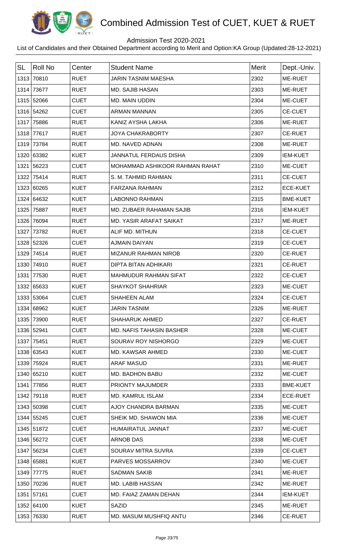

## Admission Test 2020-2021

| <b>SL</b> | <b>Roll No</b> | Center      | <b>Student Name</b>             | <b>Merit</b> | Dept.-Univ.     |
|-----------|----------------|-------------|---------------------------------|--------------|-----------------|
|           | 1313 70810     | <b>RUET</b> | <b>JARIN TASNIM MAESHA</b>      | 2302         | ME-RUET         |
|           | 1314 73677     | <b>RUET</b> | <b>MD. SAJIB HASAN</b>          | 2303         | ME-RUET         |
|           | 1315 52066     | <b>CUET</b> | MD. MAIN UDDIN                  | 2304         | ME-CUET         |
|           | 1316 54262     | <b>CUET</b> | <b>ARMAN MANNAN</b>             | 2305         | <b>CE-CUET</b>  |
| 1317      | 75886          | <b>RUET</b> | KANIZ AYSHA LAKHA               | 2306         | ME-RUET         |
|           | 1318 77617     | <b>RUET</b> | <b>JOYA CHAKRABORTY</b>         | 2307         | <b>CE-RUET</b>  |
|           | 1319 73784     | <b>RUET</b> | MD. NAVED ADNAN                 | 2308         | ME-RUET         |
|           | 1320 63382     | <b>KUET</b> | <b>JANNATUL FERDAUS DISHA</b>   | 2309         | <b>IEM-KUET</b> |
| 1321      | 56223          | <b>CUET</b> | MOHAMMAD ASHIKOOR RAHMAN RAHAT  | 2310         | ME-CUET         |
| 1322      | 75414          | <b>RUET</b> | S. M. TAHMID RAHMAN             | 2311         | <b>CE-CUET</b>  |
|           | 1323 60265     | <b>KUET</b> | <b>FARZANA RAHMAN</b>           | 2312         | <b>ECE-KUET</b> |
|           | 1324 64632     | <b>KUET</b> | <b>LABONNO RAHMAN</b>           | 2315         | <b>BME-KUET</b> |
| 1325      | 75887          | <b>RUET</b> | MD. ZUBAER RAHAMAN SAJIB        | 2316         | <b>IEM-KUET</b> |
|           | 1326 76094     | <b>RUET</b> | <b>MD. YASIR ARAFAT SAIKAT</b>  | 2317         | ME-RUET         |
| 1327      | 73782          | <b>RUET</b> | ALIF MD. MITHUN                 | 2318         | <b>CE-CUET</b>  |
|           | 1328 52326     | <b>CUET</b> | <b>AJMAIN DAIYAN</b>            | 2319         | <b>CE-CUET</b>  |
| 1329      | 74514          | <b>RUET</b> | MIZANUR RAHMAN NIROB            | 2320         | <b>CE-RUET</b>  |
|           | 1330 74910     | <b>RUET</b> | <b>DIPTA BITAN ADHIKARI</b>     | 2321         | <b>CE-RUET</b>  |
| 1331      | 77530          | <b>RUET</b> | <b>MAHMUDUR RAHMAN SIFAT</b>    | 2322         | <b>CE-CUET</b>  |
|           | 1332 65633     | <b>KUET</b> | <b>SHAYKOT SHAHRIAR</b>         | 2323         | ME-CUET         |
|           | 1333 53064     | <b>CUET</b> | <b>SHAHEEN ALAM</b>             | 2324         | <b>CE-CUET</b>  |
|           | 1334 68962     | <b>KUET</b> | JARIN TASNIM                    | 2326         | <b>ME-RUET</b>  |
|           | 1335 73900     | <b>RUET</b> | <b>SHAHARUK AHMED</b>           | 2327         | <b>CE-RUET</b>  |
|           | 1336 52941     | <b>CUET</b> | <b>MD. NAFIS TAHASIN BASHER</b> | 2328         | ME-CUET         |
|           | 1337 75451     | <b>RUET</b> | SOURAV ROY NISHORGO             | 2329         | ME-CUET         |
|           | 1338 63543     | <b>KUET</b> | MD. KAWSAR AHMED                | 2330         | ME-CUET         |
|           | 1339 75924     | <b>RUET</b> | <b>ARAF MASUD</b>               | 2331         | ME-RUET         |
|           | 1340 65210     | <b>KUET</b> | <b>MD. BADHON BABU</b>          | 2332         | ME-CUET         |
| 1341      | 77856          | <b>RUET</b> | PRIONTY MAJUMDER                | 2333         | <b>BME-KUET</b> |
|           | 1342 79118     | <b>RUET</b> | <b>MD. KAMRUL ISLAM</b>         | 2334         | <b>ECE-RUET</b> |
|           | 1343 50398     | <b>CUET</b> | AJOY CHANDRA BARMAN             | 2335         | ME-CUET         |
|           | 1344 55245     | <b>CUET</b> | SHEIK MD. SHAWON MIA            | 2336         | ME-CUET         |
|           | 1345 51872     | <b>CUET</b> | HUMAIRATUL JANNAT               | 2337         | ME-CUET         |
|           | 1346 56272     | <b>CUET</b> | ARNOB DAS                       | 2338         | ME-CUET         |
|           | 1347 56234     | <b>CUET</b> | SOURAV MITRA SUVRA              | 2339         | <b>CE-CUET</b>  |
|           | 1348 65881     | <b>KUET</b> | PARVES MOSSARROV                | 2340         | ME-CUET         |
|           | 1349 77775     | <b>RUET</b> | <b>SADMAN SAKIB</b>             | 2341         | ME-RUET         |
|           | 1350 70236     | <b>RUET</b> | MD. LABIB HASSAN                | 2342         | ME-RUET         |
|           | 1351 57161     | <b>CUET</b> | MD. FAIAZ ZAMAN DEHAN           | 2344         | <b>IEM-KUET</b> |
|           | 1352 64100     | <b>KUET</b> | <b>SAZID</b>                    | 2345         | ME-RUET         |
|           | 1353 76330     | <b>RUET</b> | MD. MASUM MUSHFIQ ANTU          | 2346         | <b>CE-RUET</b>  |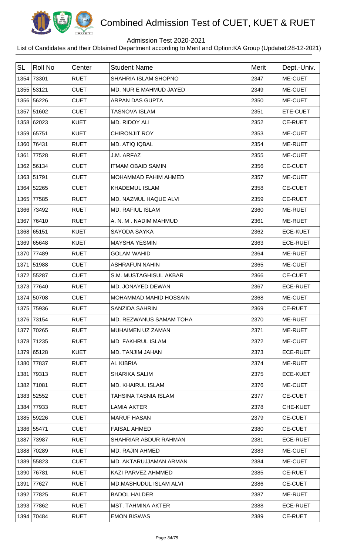

## Admission Test 2020-2021

| <b>SL</b> | Roll No    | Center      | <b>Student Name</b>       | <b>Merit</b> | Dept.-Univ.     |
|-----------|------------|-------------|---------------------------|--------------|-----------------|
|           | 1354 73301 | <b>RUET</b> | SHAHRIA ISLAM SHOPNO      | 2347         | ME-CUET         |
|           | 1355 53121 | <b>CUET</b> | MD. NUR E MAHMUD JAYED    | 2349         | ME-CUET         |
|           | 1356 56226 | <b>CUET</b> | <b>ARPAN DAS GUPTA</b>    | 2350         | ME-CUET         |
|           | 1357 51602 | <b>CUET</b> | <b>TASNOVA ISLAM</b>      | 2351         | ETE-CUET        |
|           | 1358 62023 | <b>KUET</b> | MD. RIDOY ALI             | 2352         | <b>CE-RUET</b>  |
|           | 1359 65751 | <b>KUET</b> | <b>CHIRONJIT ROY</b>      | 2353         | ME-CUET         |
|           | 1360 76431 | <b>RUET</b> | MD. ATIQ IQBAL            | 2354         | ME-RUET         |
|           | 1361 77528 | <b>RUET</b> | J.M. ARFAZ                | 2355         | ME-CUET         |
|           | 1362 56134 | <b>CUET</b> | <b>ITMAM OBAID SAMIN</b>  | 2356         | <b>CE-CUET</b>  |
|           | 1363 51791 | <b>CUET</b> | MOHAMMAD FAHIM AHMED      | 2357         | ME-CUET         |
|           | 1364 52265 | <b>CUET</b> | <b>KHADEMUL ISLAM</b>     | 2358         | <b>CE-CUET</b>  |
|           | 1365 77585 | <b>RUET</b> | MD. NAZMUL HAQUE ALVI     | 2359         | <b>CE-RUET</b>  |
|           | 1366 73492 | <b>RUET</b> | <b>MD. RAFIUL ISLAM</b>   | 2360         | ME-RUET         |
|           | 1367 76410 | <b>RUET</b> | A. N. M. NADIM MAHMUD     | 2361         | ME-RUET         |
|           | 1368 65151 | <b>KUET</b> | SAYODA SAYKA              | 2362         | <b>ECE-KUET</b> |
|           | 1369 65648 | <b>KUET</b> | <b>MAYSHA YESMIN</b>      | 2363         | <b>ECE-RUET</b> |
|           | 1370 77489 | <b>RUET</b> | <b>GOLAM WAHID</b>        | 2364         | ME-RUET         |
|           | 1371 51988 | <b>CUET</b> | <b>ASHRAFUN NAHIN</b>     | 2365         | ME-CUET         |
|           | 1372 55287 | <b>CUET</b> | S.M. MUSTAGHISUL AKBAR    | 2366         | <b>CE-CUET</b>  |
|           | 1373 77640 | <b>RUET</b> | MD. JONAYED DEWAN         | 2367         | <b>ECE-RUET</b> |
|           | 1374 50708 | <b>CUET</b> | MOHAMMAD MAHID HOSSAIN    | 2368         | ME-CUET         |
|           | 1375 75936 | <b>RUET</b> | <b>SANZIDA SAHRIN</b>     | 2369         | <b>CE-RUET</b>  |
|           | 1376 73154 | <b>RUET</b> | MD. REZWANUS SAMAM TOHA   | 2370         | ME-RUET         |
|           | 1377 70265 | <b>RUET</b> | MUHAIMEN UZ ZAMAN         | 2371         | ME-RUET         |
|           | 1378 71235 | <b>RUET</b> | <b>MD FAKHRUL ISLAM</b>   | 2372         | ME-CUET         |
|           | 1379 65128 | <b>KUET</b> | MD. TANJIM JAHAN          | 2373         | <b>ECE-RUET</b> |
|           | 1380 77837 | <b>RUET</b> | <b>AL KIBRIA</b>          | 2374         | ME-RUET         |
|           | 1381 79313 | <b>RUET</b> | <b>SHARIKA SALIM</b>      | 2375         | <b>ECE-KUET</b> |
|           | 1382 71081 | <b>RUET</b> | <b>MD. KHAIRUL ISLAM</b>  | 2376         | ME-CUET         |
|           | 1383 52552 | <b>CUET</b> | TAHSINA TASNIA ISLAM      | 2377         | <b>CE-CUET</b>  |
|           | 1384 77933 | <b>RUET</b> | <b>LAMIA AKTER</b>        | 2378         | <b>CHE-KUET</b> |
|           | 1385 59226 | <b>CUET</b> | <b>MARUF HASAN</b>        | 2379         | <b>CE-CUET</b>  |
|           | 1386 55471 | <b>CUET</b> | <b>FAISAL AHMED</b>       | 2380         | <b>CE-CUET</b>  |
|           | 1387 73987 | <b>RUET</b> | SHAHRIAR ABDUR RAHMAN     | 2381         | <b>ECE-RUET</b> |
|           | 1388 70289 | <b>RUET</b> | MD. RAJIN AHMED           | 2383         | ME-CUET         |
|           | 1389 55823 | <b>CUET</b> | MD. AKTARUJJAMAN ARMAN    | 2384         | ME-CUET         |
|           | 1390 76781 | <b>RUET</b> | KAZI PARVEZ AHMMED        | 2385         | <b>CE-RUET</b>  |
|           | 1391 77627 | <b>RUET</b> | MD.MASHUDUL ISLAM ALVI    | 2386         | <b>CE-CUET</b>  |
|           | 1392 77825 | <b>RUET</b> | <b>BADOL HALDER</b>       | 2387         | ME-RUET         |
|           | 1393 77862 | <b>RUET</b> | <b>MST. TAHMINA AKTER</b> | 2388         | <b>ECE-RUET</b> |
|           | 1394 70484 | <b>RUET</b> | <b>EMON BISWAS</b>        | 2389         | <b>CE-RUET</b>  |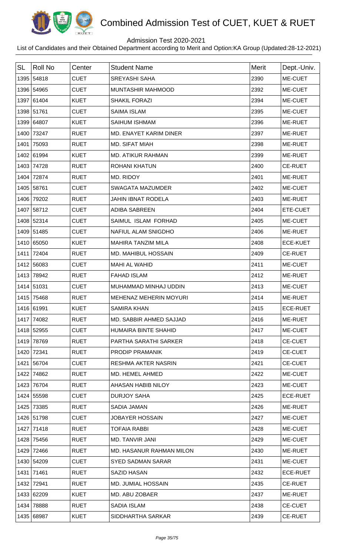

## Admission Test 2020-2021

| <b>SL</b> | <b>Roll No</b> | Center      | <b>Student Name</b>         | <b>Merit</b> | Dept.-Univ.     |
|-----------|----------------|-------------|-----------------------------|--------------|-----------------|
|           | 1395 54818     | <b>CUET</b> | <b>SREYASHI SAHA</b>        | 2390         | ME-CUET         |
|           | 1396 54965     | <b>CUET</b> | MUNTASHIR MAHMOOD           | 2392         | ME-CUET         |
|           | 1397 61404     | <b>KUET</b> | <b>SHAKIL FORAZI</b>        | 2394         | ME-CUET         |
|           | 1398 51761     | <b>CUET</b> | <b>SAIMA ISLAM</b>          | 2395         | ME-CUET         |
|           | 1399 64807     | <b>KUET</b> | SAIHUM ISHMAM               | 2396         | ME-RUET         |
|           | 1400 73247     | <b>RUET</b> | MD. ENAYET KARIM DINER      | 2397         | ME-RUET         |
| 1401      | 75093          | <b>RUET</b> | MD. SIFAT MIAH              | 2398         | ME-RUET         |
|           | 1402 61994     | <b>KUET</b> | <b>MD. ATIKUR RAHMAN</b>    | 2399         | ME-RUET         |
|           | 1403 74728     | <b>RUET</b> | <b>ROHANI KHATUN</b>        | 2400         | <b>CE-RUET</b>  |
|           | 1404 72874     | <b>RUET</b> | MD. RIDOY                   | 2401         | ME-RUET         |
|           | 1405 58761     | <b>CUET</b> | <b>SWAGATA MAZUMDER</b>     | 2402         | ME-CUET         |
|           | 1406 79202     | <b>RUET</b> | <b>JAHIN IBNAT RODELA</b>   | 2403         | ME-RUET         |
|           | 1407 58712     | <b>CUET</b> | <b>ADIBA SABREEN</b>        | 2404         | ETE-CUET        |
|           | 1408 52314     | <b>CUET</b> | SAIMUL ISLAM FORHAD         | 2405         | ME-CUET         |
|           | 1409 51485     | <b>CUET</b> | NAFIUL ALAM SNIGDHO         | 2406         | ME-RUET         |
|           | 1410 65050     | <b>KUET</b> | MAHIRA TANZIM MILA          | 2408         | <b>ECE-KUET</b> |
|           | 1411 72404     | <b>RUET</b> | MD. MAHIBUL HOSSAIN         | 2409         | <b>CE-RUET</b>  |
|           | 1412 56083     | <b>CUET</b> | MAHI AL WAHID               | 2411         | ME-CUET         |
|           | 1413 78942     | <b>RUET</b> | <b>FAHAD ISLAM</b>          | 2412         | ME-RUET         |
|           | 1414 51031     | <b>CUET</b> | MUHAMMAD MINHAJ UDDIN       | 2413         | ME-CUET         |
|           | 1415 75468     | <b>RUET</b> | MEHENAZ MEHERIN MOYURI      | 2414         | ME-RUET         |
|           | 1416 61991     | KUET        | SAMIRA KHAN                 | 2415         | <b>ECE-RUET</b> |
|           | 1417 74082     | <b>RUET</b> | MD. SABBIR AHMED SAJJAD     | 2416         | ME-RUET         |
|           | 1418 52955     | <b>CUET</b> | <b>HUMAIRA BINTE SHAHID</b> | 2417         | ME-CUET         |
|           | 1419 78769     | <b>RUET</b> | PARTHA SARATHI SARKER       | 2418         | <b>CE-CUET</b>  |
|           | 1420 72341     | <b>RUET</b> | PRODIP PRAMANIK             | 2419         | <b>CE-CUET</b>  |
| 1421      | 56704          | <b>CUET</b> | <b>RESHMA AKTER NASRIN</b>  | 2421         | <b>CE-CUET</b>  |
| 1422      | 74862          | <b>RUET</b> | MD. HEMEL AHMED             | 2422         | ME-CUET         |
|           | 1423 76704     | <b>RUET</b> | AHASAN HABIB NILOY          | 2423         | ME-CUET         |
|           | 1424 55598     | <b>CUET</b> | <b>DURJOY SAHA</b>          | 2425         | <b>ECE-RUET</b> |
|           | 1425 73385     | <b>RUET</b> | SADIA JAMAN                 | 2426         | ME-RUET         |
|           | 1426 51798     | <b>CUET</b> | <b>JOBAYER HOSSAIN</b>      | 2427         | ME-CUET         |
|           | 1427 71418     | <b>RUET</b> | <b>TOFAIA RABBI</b>         | 2428         | ME-CUET         |
|           | 1428 75456     | <b>RUET</b> | MD. TANVIR JANI             | 2429         | ME-CUET         |
|           | 1429 72466     | <b>RUET</b> | MD. HASANUR RAHMAN MILON    | 2430         | ME-RUET         |
|           | 1430 54209     | <b>CUET</b> | <b>SYED SADMAN SARAR</b>    | 2431         | ME-CUET         |
|           | 1431 71461     | <b>RUET</b> | <b>SAZID HASAN</b>          | 2432         | <b>ECE-RUET</b> |
|           | 1432 72941     | <b>RUET</b> | MD. JUMIAL HOSSAIN          | 2435         | <b>CE-RUET</b>  |
|           | 1433 62209     | <b>KUET</b> | MD. ABU ZOBAER              | 2437         | ME-RUET         |
| 1434      | 78888          | <b>RUET</b> | <b>SADIA ISLAM</b>          | 2438         | <b>CE-CUET</b>  |
|           | 1435 68987     | <b>KUET</b> | SIDDHARTHA SARKAR           | 2439         | <b>CE-RUET</b>  |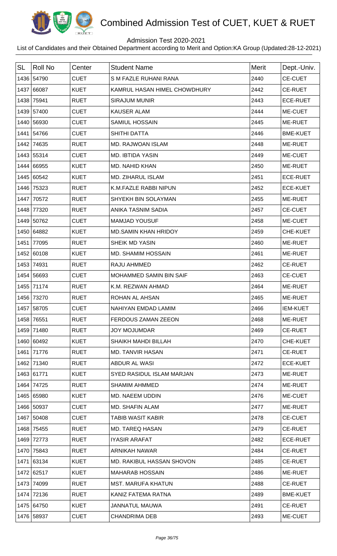

## Admission Test 2020-2021

| <b>SL</b> | <b>Roll No</b> | Center      | <b>Student Name</b>          | <b>Merit</b> | Dept.-Univ.     |
|-----------|----------------|-------------|------------------------------|--------------|-----------------|
|           | 1436 54790     | <b>CUET</b> | S M FAZLE RUHANI RANA        | 2440         | <b>CE-CUET</b>  |
|           | 1437 66087     | <b>KUET</b> | KAMRUL HASAN HIMEL CHOWDHURY | 2442         | <b>CE-RUET</b>  |
| 1438      | 75941          | <b>RUET</b> | <b>SIRAJUM MUNIR</b>         | 2443         | <b>ECE-RUET</b> |
|           | 1439 57400     | <b>CUET</b> | <b>KAUSER ALAM</b>           | 2444         | ME-CUET         |
|           | 1440 56930     | <b>CUET</b> | SAMIUL HOSSAIN               | 2445         | ME-RUET         |
| 1441      | 54766          | <b>CUET</b> | <b>SHITHI DATTA</b>          | 2446         | <b>BME-KUET</b> |
| 1442      | 74635          | <b>RUET</b> | MD. RAJWOAN ISLAM            | 2448         | ME-RUET         |
|           | 1443 55314     | <b>CUET</b> | <b>MD. IBTIDA YASIN</b>      | 2449         | ME-CUET         |
|           | 1444 66955     | <b>KUET</b> | MD. NAHID KHAN               | 2450         | <b>ME-RUET</b>  |
|           | 1445 60542     | <b>KUET</b> | MD. ZIHARUL ISLAM            | 2451         | <b>ECE-RUET</b> |
|           | 1446 75323     | <b>RUET</b> | K.M.FAZLE RABBI NIPUN        | 2452         | <b>ECE-KUET</b> |
| 1447      | 70572          | <b>RUET</b> | <b>SHYEKH BIN SOLAYMAN</b>   | 2455         | ME-RUET         |
| 1448      | 77320          | <b>RUET</b> | ANIKA TASNIM SADIA           | 2457         | <b>CE-CUET</b>  |
|           | 1449 50762     | <b>CUET</b> | <b>MAMJAD YOUSUF</b>         | 2458         | ME-CUET         |
|           | 1450 64882     | <b>KUET</b> | <b>MD.SAMIN KHAN HRIDOY</b>  | 2459         | CHE-KUET        |
| 1451      | 77095          | <b>RUET</b> | SHEIK MD YASIN               | 2460         | ME-RUET         |
|           | 1452 60108     | <b>KUET</b> | MD. SHAMIM HOSSAIN           | 2461         | ME-RUET         |
| 1453      | 74931          | <b>RUET</b> | RAJU AHMMED                  | 2462         | <b>CE-RUET</b>  |
|           | 1454 56693     | <b>CUET</b> | MOHAMMED SAMIN BIN SAIF      | 2463         | <b>CE-CUET</b>  |
|           | 1455 71174     | <b>RUET</b> | K.M. REZWAN AHMAD            | 2464         | ME-RUET         |
| 1456      | 73270          | <b>RUET</b> | ROHAN AL AHSAN               | 2465         | ME-RUET         |
|           | 1457 58705     | <b>CUET</b> | NAHIYAN EMDAD LAMIM          | 2466         | <b>IEM-KUET</b> |
|           | 1458 76551     | <b>RUET</b> | FERDOUS ZAMAN ZEEON          | 2468         | ME-RUET         |
|           | 1459 71480     | <b>RUET</b> | <b>JOY MOJUMDAR</b>          | 2469         | <b>CE-RUET</b>  |
|           | 1460 60492     | <b>KUET</b> | SHAIKH MAHDI BILLAH          | 2470         | CHE-KUET        |
|           | 1461 71776     | <b>RUET</b> | <b>MD. TANVIR HASAN</b>      | 2471         | <b>CE-RUET</b>  |
|           | 1462 71340     | <b>RUET</b> | ABDUR AL WASI                | 2472         | <b>ECE-KUET</b> |
|           | 1463 61771     | <b>KUET</b> | SYED RASIDUL ISLAM MARJAN    | 2473         | ME-RUET         |
|           | 1464 74725     | <b>RUET</b> | <b>SHAMIM AHMMED</b>         | 2474         | ME-RUET         |
|           | 1465 65980     | <b>KUET</b> | <b>MD. NAEEM UDDIN</b>       | 2476         | ME-CUET         |
|           | 1466 50937     | <b>CUET</b> | <b>MD. SHAFIN ALAM</b>       | 2477         | ME-RUET         |
|           | 1467 50408     | <b>CUET</b> | <b>TABIB WASIT KABIR</b>     | 2478         | <b>CE-CUET</b>  |
| 1468      | 75455          | <b>RUET</b> | <b>MD. TAREQ HASAN</b>       | 2479         | <b>CE-RUET</b>  |
|           | 1469 72773     | <b>RUET</b> | <b>IYASIR ARAFAT</b>         | 2482         | <b>ECE-RUET</b> |
|           | 1470 75843     | <b>RUET</b> | ARNIKAH NAWAR                | 2484         | <b>CE-RUET</b>  |
|           | 1471 63134     | <b>KUET</b> | MD. RAKIBUL HASSAN SHOVON    | 2485         | <b>CE-RUET</b>  |
|           | 1472 62517     | <b>KUET</b> | <b>MAHARAB HOSSAIN</b>       | 2486         | ME-RUET         |
|           | 1473 74099     | <b>RUET</b> | <b>MST. MARUFA KHATUN</b>    | 2488         | <b>CE-RUET</b>  |
|           | 1474 72136     | <b>RUET</b> | KANIZ FATEMA RATNA           | 2489         | <b>BME-KUET</b> |
|           | 1475 64750     | <b>KUET</b> | <b>JANNATUL MAUWA</b>        | 2491         | <b>CE-RUET</b>  |
|           | 1476 58937     | <b>CUET</b> | <b>CHANDRIMA DEB</b>         | 2493         | ME-CUET         |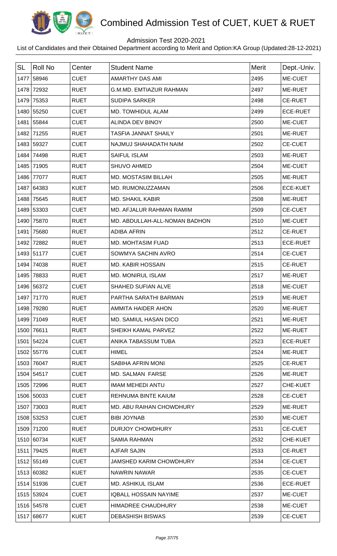

## Admission Test 2020-2021

| <b>SL</b> | Roll No    | Center      | <b>Student Name</b>            | <b>Merit</b> | Dept.-Univ.     |
|-----------|------------|-------------|--------------------------------|--------------|-----------------|
|           | 1477 58946 | <b>CUET</b> | AMARTHY DAS AMI                | 2495         | ME-CUET         |
|           | 1478 72932 | <b>RUET</b> | <b>G.M.MD. EMTIAZUR RAHMAN</b> | 2497         | ME-RUET         |
|           | 1479 75353 | <b>RUET</b> | <b>SUDIPA SARKER</b>           | 2498         | <b>CE-RUET</b>  |
|           | 1480 55250 | <b>CUET</b> | MD. TOWHIDUL ALAM              | 2499         | <b>ECE-RUET</b> |
|           | 1481 55844 | <b>CUET</b> | <b>ALINDA DEV BINOY</b>        | 2500         | ME-CUET         |
|           | 1482 71255 | <b>RUET</b> | <b>TASFIA JANNAT SHAILY</b>    | 2501         | ME-RUET         |
|           | 1483 59327 | <b>CUET</b> | NAJMUJ SHAHADATH NAIM          | 2502         | <b>CE-CUET</b>  |
|           | 1484 74498 | <b>RUET</b> | <b>SAIFUL ISLAM</b>            | 2503         | ME-RUET         |
|           | 1485 71905 | <b>RUET</b> | <b>SHUVO AHMED</b>             | 2504         | ME-CUET         |
|           | 1486 77077 | <b>RUET</b> | <b>MD. MOSTASIM BILLAH</b>     | 2505         | ME-RUET         |
|           | 1487 64383 | <b>KUET</b> | MD. RUMONUZZAMAN               | 2506         | <b>ECE-KUET</b> |
|           | 1488 75645 | <b>RUET</b> | <b>MD. SHAKIL KABIR</b>        | 2508         | ME-RUET         |
|           | 1489 53303 | <b>CUET</b> | MD. AFJALUR RAHMAN RAMIM       | 2509         | <b>CE-CUET</b>  |
|           | 1490 75870 | <b>RUET</b> | MD. ABDULLAH-ALL-NOMAN BADHON  | 2510         | ME-CUET         |
|           | 1491 75680 | <b>RUET</b> | <b>ADIBA AFRIN</b>             | 2512         | <b>CE-RUET</b>  |
|           | 1492 72882 | <b>RUET</b> | MD. MOHTASIM FUAD              | 2513         | <b>ECE-RUET</b> |
|           | 1493 51177 | <b>CUET</b> | SOWMYA SACHIN AVRO             | 2514         | CE-CUET         |
|           | 1494 74038 | <b>RUET</b> | <b>MD. KABIR HOSSAIN</b>       | 2515         | <b>CE-RUET</b>  |
|           | 1495 78833 | <b>RUET</b> | <b>MD. MONIRUL ISLAM</b>       | 2517         | ME-RUET         |
|           | 1496 56372 | <b>CUET</b> | SHAHED SUFIAN ALVE             | 2518         | ME-CUET         |
|           | 1497 71770 | <b>RUET</b> | PARTHA SARATHI BARMAN          | 2519         | ME-RUET         |
|           | 1498 79280 | <b>RUET</b> | AMMITA HAIDER AHON             | 2520         | ME-RUET         |
|           | 1499 71049 | <b>RUET</b> | MD. SAMIUL HASAN DICO          | 2521         | ME-RUET         |
|           | 1500 76611 | <b>RUET</b> | SHEIKH KAMAL PARVEZ            | 2522         | <b>ME-RUET</b>  |
|           | 1501 54224 | <b>CUET</b> | ANIKA TABASSUM TUBA            | 2523         | <b>ECE-RUET</b> |
|           | 1502 55776 | <b>CUET</b> | <b>HIMEL</b>                   | 2524         | ME-RUET         |
|           | 1503 76047 | <b>RUET</b> | SABIHA AFRIN MONI              | 2525         | <b>CE-RUET</b>  |
|           | 1504 54517 | <b>CUET</b> | <b>MD. SALMAN FARSE</b>        | 2526         | ME-RUET         |
|           | 1505 72996 | <b>RUET</b> | <b>IMAM MEHEDI ANTU</b>        | 2527         | CHE-KUET        |
|           | 1506 50033 | <b>CUET</b> | REHNUMA BINTE KAIUM            | 2528         | <b>CE-CUET</b>  |
|           | 1507 73003 | <b>RUET</b> | MD. ABU RAIHAN CHOWDHURY       | 2529         | ME-RUET         |
|           | 1508 53253 | <b>CUET</b> | <b>BIBI JOYNAB</b>             | 2530         | ME-CUET         |
|           | 1509 71200 | <b>RUET</b> | <b>DURJOY CHOWDHURY</b>        | 2531         | <b>CE-CUET</b>  |
|           | 1510 60734 | <b>KUET</b> | <b>SAMIA RAHMAN</b>            | 2532         | CHE-KUET        |
|           | 1511 79425 | <b>RUET</b> | <b>AJFAR SAJIN</b>             | 2533         | <b>CE-RUET</b>  |
|           | 1512 55149 | <b>CUET</b> | <b>JAMSHED KARIM CHOWDHURY</b> | 2534         | <b>CE-CUET</b>  |
|           | 1513 60382 | <b>KUET</b> | <b>NAWRIN NAWAR</b>            | 2535         | <b>CE-CUET</b>  |
|           | 1514 51936 | <b>CUET</b> | <b>MD. ASHIKUL ISLAM</b>       | 2536         | <b>ECE-RUET</b> |
|           | 1515 53924 | <b>CUET</b> | <b>IQBALL HOSSAIN NAYIME</b>   | 2537         | ME-CUET         |
|           | 1516 54578 | <b>CUET</b> | HIMADREE CHAUDHURY             | 2538         | ME-CUET         |
|           | 1517 68677 | <b>KUET</b> | <b>DEBASHISH BISWAS</b>        | 2539         | <b>CE-CUET</b>  |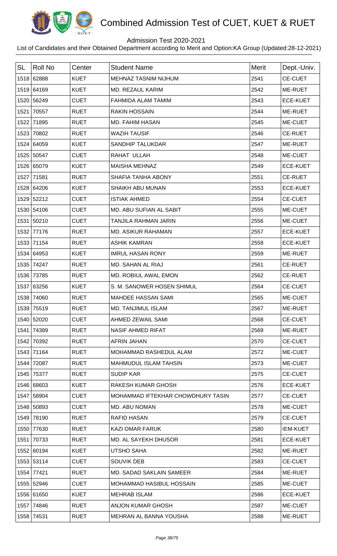

## Admission Test 2020-2021

| <b>SL</b> | <b>Roll No</b> | Center      | <b>Student Name</b>               | <b>Merit</b> | Dept.-Univ.     |
|-----------|----------------|-------------|-----------------------------------|--------------|-----------------|
|           | 1518 62888     | <b>KUET</b> | <b>MEHNAZ TASNIM NIJHUM</b>       | 2541         | <b>CE-CUET</b>  |
|           | 1519 64169     | <b>KUET</b> | MD. REZAUL KARIM                  | 2542         | ME-RUET         |
|           | 1520 56249     | <b>CUET</b> | FAHMIDA ALAM TAMIM                | 2543         | <b>ECE-KUET</b> |
|           | 1521 70557     | <b>RUET</b> | <b>RAKIN HOSSAIN</b>              | 2544         | ME-RUET         |
|           | 1522 71895     | <b>RUET</b> | <b>MD. FAHIM HASAN</b>            | 2545         | ME-CUET         |
|           | 1523 70802     | <b>RUET</b> | <b>WAZIH TAUSIF</b>               | 2546         | <b>CE-RUET</b>  |
|           | 1524 64059     | <b>KUET</b> | <b>SANDHIP TALUKDAR</b>           | 2547         | ME-RUET         |
|           | 1525 50547     | <b>CUET</b> | RAHAT ULLAH                       | 2548         | ME-CUET         |
|           | 1526 65079     | <b>KUET</b> | <b>MAISHA MEHNAZ</b>              | 2549         | <b>ECE-KUET</b> |
|           | 1527 71581     | <b>RUET</b> | SHAFIA TANHA ABONY                | 2551         | <b>CE-RUET</b>  |
|           | 1528 64206     | <b>KUET</b> | <b>SHAIKH ABU MUNAN</b>           | 2553         | <b>ECE-KUET</b> |
|           | 1529 52212     | <b>CUET</b> | <b>ISTIAK AHMED</b>               | 2554         | <b>CE-CUET</b>  |
|           | 1530 54106     | <b>CUET</b> | MD. ABU SUFIAN AL SABIT           | 2555         | ME-CUET         |
|           | 1531 50210     | <b>CUET</b> | <b>TANJILA RAHMAN JARIN</b>       | 2556         | ME-CUET         |
|           | 1532 77176     | <b>RUET</b> | <b>MD. ASIKUR RAHAMAN</b>         | 2557         | <b>ECE-KUET</b> |
|           | 1533 71154     | <b>RUET</b> | <b>ASHIK KAMRAN</b>               | 2558         | <b>ECE-KUET</b> |
|           | 1534 64953     | <b>KUET</b> | <b>IMRUL HASAN RONY</b>           | 2559         | ME-RUET         |
|           | 1535 74247     | <b>RUET</b> | MD. SAHAN AL RIAJ                 | 2561         | <b>CE-RUET</b>  |
|           | 1536 73785     | <b>RUET</b> | MD. ROBIUL AWAL EMON              | 2562         | <b>CE-RUET</b>  |
|           | 1537 63256     | <b>KUET</b> | S. M. SANOWER HOSEN SHIMUL        | 2564         | <b>CE-CUET</b>  |
|           | 1538 74060     | <b>RUET</b> | <b>MAHDEE HASSAN SAMI</b>         | 2565         | ME-CUET         |
|           | 1539 75519     | <b>RUET</b> | <b>MD. TANJIMUL ISLAM</b>         | 2567         | <b>ME-RUET</b>  |
|           | 1540 52020     | <b>CUET</b> | AHMED ZEWAIL SAMI                 | 2568         | <b>CE-CUET</b>  |
|           | 1541 74389     | <b>RUET</b> | <b>NASIF AHMED RIFAT</b>          | 2569         | ME-RUET         |
|           | 1542 70392     | <b>RUET</b> | AFRIN JAHAN                       | 2570         | <b>CE-CUET</b>  |
|           | 1543 71164     | <b>RUET</b> | MOHAMMAD RASHEDUL ALAM            | 2572         | ME-CUET         |
|           | 1544 72087     | <b>RUET</b> | <b>MAHMUDUL ISLAM TAHSIN</b>      | 2573         | ME-CUET         |
|           | 1545 75377     | <b>RUET</b> | <b>SUDIP KAR</b>                  | 2575         | <b>CE-CUET</b>  |
|           | 1546 68603     | <b>KUET</b> | RAKESH KUMAR GHOSH                | 2576         | <b>ECE-KUET</b> |
|           | 1547 58904     | <b>CUET</b> | MOHAMMAD IFTEKHAR CHOWDHURY TASIN | 2577         | <b>CE-CUET</b>  |
|           | 1548 50893     | <b>CUET</b> | MD. ABU NOMAN                     | 2578         | ME-CUET         |
|           | 1549 78190     | <b>RUET</b> | <b>RAFID HASAN</b>                | 2579         | <b>CE-CUET</b>  |
|           | 1550 77630     | <b>RUET</b> | <b>KAZI OMAR FARUK</b>            | 2580         | <b>IEM-KUET</b> |
|           | 1551 70733     | <b>RUET</b> | MD. AL SAYEKH DHUSOR              | 2581         | <b>ECE-KUET</b> |
|           | 1552 60194     | <b>KUET</b> | <b>UTSHO SAHA</b>                 | 2582         | ME-RUET         |
|           | 1553 53114     | <b>CUET</b> | <b>SOUVIK DEB</b>                 | 2583         | <b>CE-CUET</b>  |
|           | 1554 77421     | <b>RUET</b> | <b>MD. SADAD SAKLAIN SAMEER</b>   | 2584         | ME-RUET         |
|           | 1555 52946     | <b>CUET</b> | MOHAMMAD HASIBUL HOSSAIN          | 2585         | ME-CUET         |
|           | 1556 61650     | <b>KUET</b> | <b>MEHRAB ISLAM</b>               | 2586         | <b>ECE-KUET</b> |
|           | 1557 74846     | <b>RUET</b> | <b>ANJON KUMAR GHOSH</b>          | 2587         | ME-CUET         |
|           | 1558 74531     | <b>RUET</b> | MEHRAN AL BANNA YOUSHA            | 2588         | ME-RUET         |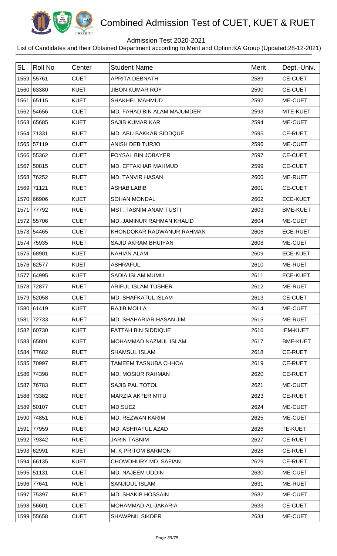

## Admission Test 2020-2021

| <b>SL</b> | <b>Roll No</b> | Center      | <b>Student Name</b>           | <b>Merit</b> | Dept.-Univ.     |
|-----------|----------------|-------------|-------------------------------|--------------|-----------------|
|           | 1559 55761     | <b>CUET</b> | <b>APRITA DEBNATH</b>         | 2589         | <b>CE-CUET</b>  |
|           | 1560 63380     | <b>KUET</b> | <b>JIBON KUMAR ROY</b>        | 2590         | <b>CE-CUET</b>  |
|           | 1561 65115     | <b>KUET</b> | <b>SHAKHEL MAHMUD</b>         | 2592         | ME-CUET         |
|           | 1562 54656     | <b>CUET</b> | MD. FAHAD BIN ALAM MAJUMDER   | 2593         | MTE-KUET        |
|           | 1563 65685     | <b>KUET</b> | <b>SAJIB KUMAR KAR</b>        | 2594         | ME-CUET         |
| 1564      | 71331          | <b>RUET</b> | MD. ABU BAKKAR SIDDQUE        | 2595         | <b>CE-RUET</b>  |
|           | 1565 57119     | <b>CUET</b> | ANISH DEB TURJO               | 2596         | ME-CUET         |
|           | 1566 55362     | <b>CUET</b> | FOYSAL BIN JOBAYER            | 2597         | <b>CE-CUET</b>  |
|           | 1567 50815     | <b>CUET</b> | MD. EFTAKHAR MAHMUD           | 2599         | <b>CE-CUET</b>  |
| 1568      | 76252          | <b>RUET</b> | <b>MD. TANVIR HASAN</b>       | 2600         | ME-RUET         |
|           | 1569 71121     | <b>RUET</b> | <b>ASHAB LABIB</b>            | 2601         | <b>CE-CUET</b>  |
|           | 1570 66906     | <b>KUET</b> | <b>SOHAN MONDAL</b>           | 2602         | <b>ECE-KUET</b> |
| 1571      | 77792          | <b>RUET</b> | <b>MST. TASNIM ANAM TUSTI</b> | 2603         | <b>BME-KUET</b> |
|           | 1572 55706     | <b>CUET</b> | MD. JAMINUR RAHMAN KHALID     | 2604         | ME-CUET         |
|           | 1573 54465     | <b>CUET</b> | KHONDOKAR RADWANUR RAHMAN     | 2606         | <b>ECE-RUET</b> |
|           | 1574 75935     | <b>RUET</b> | SAJID AKRAM BHUIYAN           | 2608         | ME-CUET         |
|           | 1575 68901     | <b>KUET</b> | <b>NAHIAN ALAM</b>            | 2609         | <b>ECE-KUET</b> |
|           | 1576 62577     | <b>KUET</b> | <b>ASHRAFUL</b>               | 2610         | ME-RUET         |
|           | 1577 64995     | <b>KUET</b> | SADIA ISLAM MUMU              | 2611         | <b>ECE-KUET</b> |
|           | 1578 72877     | <b>RUET</b> | ARIFUL ISLAM TUSHER           | 2612         | ME-RUET         |
|           | 1579 52058     | <b>CUET</b> | <b>MD. SHAFKATUL ISLAM</b>    | 2613         | <b>CE-CUET</b>  |
|           | 1580 61419     | <b>KUET</b> | <b>RAJIB MOLLA</b>            | 2614         | ME-CUET         |
| 1581      | 72733          | <b>RUET</b> | MD. SHAHARIAR HASAN JIM       | 2615         | ME-RUET         |
|           | 1582 60730     | <b>KUET</b> | FATTAH BIN SIDDIQUE           | 2616         | <b>IEM-KUET</b> |
|           | 1583 65801     | <b>KUET</b> | MOHAMMAD NAZMUL ISLAM         | 2617         | <b>BME-KUET</b> |
| 1584      | 77682          | <b>RUET</b> | <b>SHAMSUL ISLAM</b>          | 2618         | <b>CE-RUET</b>  |
|           | 1585 70997     | <b>RUET</b> | <b>TAMEEM TASNUBA CHHOA</b>   | 2619         | <b>CE-RUET</b>  |
|           | 1586 74398     | <b>RUET</b> | <b>MD. MOSIUR RAHMAN</b>      | 2620         | <b>CE-RUET</b>  |
| 1587      | 76783          | <b>RUET</b> | SAJIB PAL TOTOL               | 2621         | ME-CUET         |
| 1588      | 73382          | <b>RUET</b> | MARZIA AKTER MITU             | 2623         | <b>CE-RUET</b>  |
|           | 1589 50107     | <b>CUET</b> | MD.SUEZ                       | 2624         | ME-CUET         |
|           | 1590 74851     | <b>RUET</b> | MD. REZWAN KARIM              | 2625         | ME-CUET         |
| 1591      | 77959          | <b>RUET</b> | MD. ASHRAFUL AZAD             | 2626         | <b>TE-KUET</b>  |
|           | 1592 79342     | <b>RUET</b> | <b>JARIN TASNIM</b>           | 2627         | <b>CE-RUET</b>  |
|           | 1593 62991     | <b>KUET</b> | M. K PRITOM BARMON            | 2628         | <b>CE-RUET</b>  |
|           | 1594 66135     | <b>KUET</b> | CHOWDHURY MD. SAFIAN          | 2629         | <b>CE-RUET</b>  |
|           | 1595 51131     | <b>CUET</b> | MD. NAJEEM UDDIN              | 2630         | ME-CUET         |
|           | 1596 77641     | <b>RUET</b> | SANJIDUL ISLAM                | 2631         | ME-RUET         |
| 1597      | 75397          | <b>RUET</b> | <b>MD. SHAKIB HOSSAIN</b>     | 2632         | ME-CUET         |
|           | 1598 56601     | <b>CUET</b> | MOHAMMAD-AL-JAKARIA           | 2633         | <b>CE-CUET</b>  |
|           | 1599 55658     | <b>CUET</b> | <b>SHAWPNIL SIKDER</b>        | 2634         | ME-CUET         |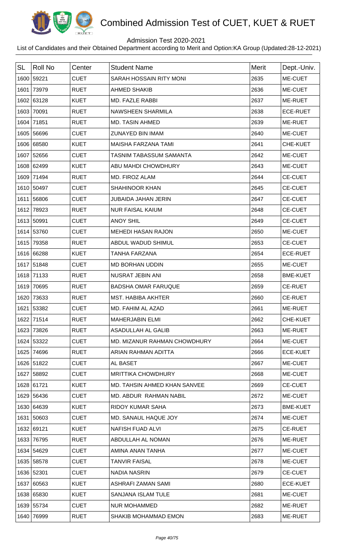

## Admission Test 2020-2021

| <b>SL</b> | <b>Roll No</b> | Center      | <b>Student Name</b>            | <b>Merit</b> | Dept.-Univ.     |
|-----------|----------------|-------------|--------------------------------|--------------|-----------------|
|           | 1600 59221     | <b>CUET</b> | SARAH HOSSAIN RITY MONI        | 2635         | ME-CUET         |
| 1601      | 73979          | <b>RUET</b> | <b>AHMED SHAKIB</b>            | 2636         | ME-CUET         |
|           | 1602 63128     | <b>KUET</b> | <b>MD. FAZLE RABBI</b>         | 2637         | <b>ME-RUET</b>  |
| 1603      | 70091          | <b>RUET</b> | NAWSHEEN SHARMILA              | 2638         | <b>ECE-RUET</b> |
|           | 1604 71851     | <b>RUET</b> | <b>MD. TASIN AHMED</b>         | 2639         | ME-RUET         |
|           | 1605 56696     | <b>CUET</b> | <b>ZUNAYED BIN IMAM</b>        | 2640         | ME-CUET         |
|           | 1606 68580     | <b>KUET</b> | MAISHA FARZANA TAMI            | 2641         | CHE-KUET        |
|           | 1607 52656     | <b>CUET</b> | <b>TASNIM TABASSUM SAMANTA</b> | 2642         | ME-CUET         |
|           | 1608 62499     | <b>KUET</b> | ABU MAHDI CHOWDHURY            | 2643         | ME-CUET         |
| 1609      | 71494          | <b>RUET</b> | MD. FIROZ ALAM                 | 2644         | <b>CE-CUET</b>  |
|           | 1610 50497     | <b>CUET</b> | SHAHINOOR KHAN                 | 2645         | <b>CE-CUET</b>  |
| 1611      | 56806          | <b>CUET</b> | <b>JUBAIDA JAHAN JERIN</b>     | 2647         | <b>CE-CUET</b>  |
| 1612      | 78923          | <b>RUET</b> | <b>NUR FAISAL KAIUM</b>        | 2648         | <b>CE-CUET</b>  |
|           | 1613 50991     | <b>CUET</b> | <b>ANOY SHIL</b>               | 2649         | <b>CE-CUET</b>  |
|           | 1614 53760     | <b>CUET</b> | <b>MEHEDI HASAN RAJON</b>      | 2650         | ME-CUET         |
| 1615      | 79358          | <b>RUET</b> | ABDUL WADUD SHIMUL             | 2653         | <b>CE-CUET</b>  |
|           | 1616 66288     | <b>KUET</b> | <b>TANHA FARZANA</b>           | 2654         | <b>ECE-RUET</b> |
|           | 1617 51848     | <b>CUET</b> | <b>MD BORHAN UDDIN</b>         | 2655         | ME-CUET         |
|           | 1618 71133     | <b>RUET</b> | NUSRAT JEBIN ANI               | 2658         | <b>BME-KUET</b> |
| 1619      | 70695          | <b>RUET</b> | <b>BADSHA OMAR FARUQUE</b>     | 2659         | <b>CE-RUET</b>  |
| 1620      | 73633          | <b>RUET</b> | <b>MST. HABIBA AKHTER</b>      | 2660         | <b>CE-RUET</b>  |
|           | 1621 53382     | <b>CUET</b> | MD. FAHIM AL AZAD              | 2661         | ME-RUET         |
|           | 1622 71514     | <b>RUET</b> | <b>MAHERJABIN ELMI</b>         | 2662         | CHE-KUET        |
|           | 1623 73826     | <b>RUET</b> | <b>ASADULLAH AL GALIB</b>      | 2663         | ME-RUET         |
|           | 1624 53322     | <b>CUET</b> | MD. MIZANUR RAHMAN CHOWDHURY   | 2664         | ME-CUET         |
| 1625      | 74696          | <b>RUET</b> | ARIAN RAHMAN ADITTA            | 2666         | <b>ECE-KUET</b> |
|           | 1626 51822     | <b>CUET</b> | AL BASET                       | 2667         | ME-CUET         |
|           | 1627 58892     | <b>CUET</b> | <b>MRITTIKA CHOWDHURY</b>      | 2668         | ME-CUET         |
|           | 1628 61721     | <b>KUET</b> | MD. TAHSIN AHMED KHAN SANVEE   | 2669         | <b>CE-CUET</b>  |
|           | 1629 56436     | <b>CUET</b> | MD. ABDUR RAHMAN NABIL         | 2672         | ME-CUET         |
|           | 1630 64639     | <b>KUET</b> | RIDOY KUMAR SAHA               | 2673         | <b>BME-KUET</b> |
|           | 1631 50603     | <b>CUET</b> | MD. SANAUL HAQUE JOY           | 2674         | ME-CUET         |
|           | 1632 69121     | <b>KUET</b> | <b>NAFISH FUAD ALVI</b>        | 2675         | <b>CE-RUET</b>  |
|           | 1633 76795     | <b>RUET</b> | ABDULLAH AL NOMAN              | 2676         | <b>ME-RUET</b>  |
|           | 1634 54629     | <b>CUET</b> | AMINA ANAN TANHA               | 2677         | ME-CUET         |
|           | 1635 58578     | <b>CUET</b> | <b>TANVIR FAISAL</b>           | 2678         | ME-CUET         |
|           | 1636 52301     | <b>CUET</b> | <b>NADIA NASRIN</b>            | 2679         | <b>CE-CUET</b>  |
|           | 1637 60563     | <b>KUET</b> | ASHRAFI ZAMAN SAMI             | 2680         | <b>ECE-KUET</b> |
|           | 1638 65830     | <b>KUET</b> | SANJANA ISLAM TULE             | 2681         | <b>ME-CUET</b>  |
|           | 1639 55734     | <b>CUET</b> | <b>NUR MOHAMMED</b>            | 2682         | ME-RUET         |
|           | 1640 76999     | <b>RUET</b> | SHAKIB MOHAMMAD EMON           | 2683         | ME-RUET         |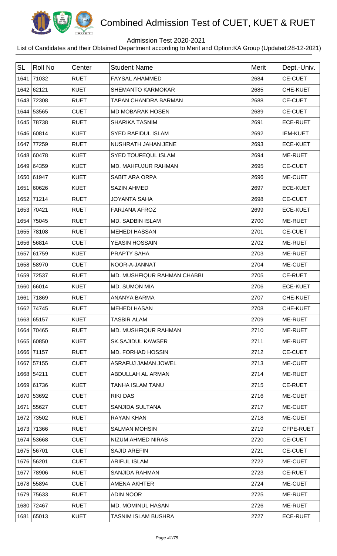

## Admission Test 2020-2021

| <b>SL</b> | <b>Roll No</b> | Center      | <b>Student Name</b>         | <b>Merit</b> | Dept.-Univ.     |
|-----------|----------------|-------------|-----------------------------|--------------|-----------------|
| 1641      | 71032          | <b>RUET</b> | <b>FAYSAL AHAMMED</b>       | 2684         | <b>CE-CUET</b>  |
|           | 1642 62121     | <b>KUET</b> | <b>SHEMANTO KARMOKAR</b>    | 2685         | CHE-KUET        |
|           | 1643 72308     | <b>RUET</b> | <b>TAPAN CHANDRA BARMAN</b> | 2688         | <b>CE-CUET</b>  |
|           | 1644 53565     | <b>CUET</b> | <b>MD MOBARAK HOSEN</b>     | 2689         | <b>CE-CUET</b>  |
|           | 1645 78738     | <b>RUET</b> | <b>SHARIKA TASNIM</b>       | 2691         | <b>ECE-RUET</b> |
|           | 1646 60814     | <b>KUET</b> | <b>SYED RAFIDUL ISLAM</b>   | 2692         | <b>IEM-KUET</b> |
| 1647      | 77259          | <b>RUET</b> | NUSHRATH JAHAN JENE         | 2693         | <b>ECE-KUET</b> |
|           | 1648 60478     | <b>KUET</b> | <b>SYED TOUFEQUL ISLAM</b>  | 2694         | ME-RUET         |
|           | 1649 64359     | <b>KUET</b> | MD. MAHFUJUR RAHMAN         | 2695         | <b>CE-CUET</b>  |
|           | 1650 61947     | <b>KUET</b> | <b>SABIT ARA ORPA</b>       | 2696         | ME-CUET         |
|           | 1651 60626     | <b>KUET</b> | <b>SAZIN AHMED</b>          | 2697         | <b>ECE-KUET</b> |
|           | 1652 71214     | <b>RUET</b> | <b>JOYANTA SAHA</b>         | 2698         | <b>CE-CUET</b>  |
|           | 1653 70421     | <b>RUET</b> | <b>FARJANA AFROZ</b>        | 2699         | <b>ECE-KUET</b> |
|           | 1654 75045     | <b>RUET</b> | MD. SADBIN ISLAM            | 2700         | ME-RUET         |
|           | 1655 78108     | <b>RUET</b> | <b>MEHEDI HASSAN</b>        | 2701         | <b>CE-CUET</b>  |
|           | 1656 56814     | <b>CUET</b> | YEASIN HOSSAIN              | 2702         | ME-RUET         |
|           | 1657 61759     | <b>KUET</b> | PRAPTY SAHA                 | 2703         | ME-RUET         |
|           | 1658 58970     | <b>CUET</b> | NOOR-A-JANNAT               | 2704         | ME-CUET         |
|           | 1659 72537     | <b>RUET</b> | MD. MUSHFIQUR RAHMAN CHABBI | 2705         | <b>CE-RUET</b>  |
|           | 1660 66014     | <b>KUET</b> | MD. SUMON MIA               | 2706         | <b>ECE-KUET</b> |
|           | 1661 71869     | <b>RUET</b> | <b>ANANYA BARMA</b>         | 2707         | <b>CHE-KUET</b> |
|           | 1662 74745     | <b>RUET</b> | <b>MEHEDI HASAN</b>         | 2708         | <b>CHE-KUET</b> |
|           | 1663 65157     | <b>KUET</b> | <b>TASBIR ALAM</b>          | 2709         | ME-RUET         |
|           | 1664 70465     | <b>RUET</b> | MD. MUSHFIQUR RAHMAN        | 2710         | ME-RUET         |
|           | 1665 60850     | <b>KUET</b> | <b>SK.SAJIDUL KAWSER</b>    | 2711         | ME-RUET         |
|           | 1666 71157     | <b>RUET</b> | MD. FORHAD HOSSIN           | 2712         | <b>CE-CUET</b>  |
|           | 1667 57155     | <b>CUET</b> | ASRAFUJ JAMAN JOWEL         | 2713         | ME-CUET         |
|           | 1668 54211     | <b>CUET</b> | ABDULLAH AL ARMAN           | 2714         | ME-RUET         |
|           | 1669 61736     | <b>KUET</b> | <b>TANHA ISLAM TANU</b>     | 2715         | <b>CE-RUET</b>  |
|           | 1670 53692     | <b>CUET</b> | <b>RIKI DAS</b>             | 2716         | ME-CUET         |
|           | 1671 55627     | <b>CUET</b> | <b>SANJIDA SULTANA</b>      | 2717         | ME-CUET         |
|           | 1672 73502     | <b>RUET</b> | <b>RAYAN KHAN</b>           | 2718         | ME-CUET         |
|           | 1673 71366     | <b>RUET</b> | <b>SALMAN MOHSIN</b>        | 2719         | CFPE-RUET       |
|           | 1674 53668     | <b>CUET</b> | NIZUM AHMED NIRAB           | 2720         | <b>CE-CUET</b>  |
|           | 1675 56701     | <b>CUET</b> | <b>SAJID AREFIN</b>         | 2721         | <b>CE-CUET</b>  |
|           | 1676 56201     | <b>CUET</b> | <b>ARIFUL ISLAM</b>         | 2722         | ME-CUET         |
|           | 1677 78906     | <b>RUET</b> | <b>SANJIDA RAHMAN</b>       | 2723         | <b>CE-RUET</b>  |
|           | 1678 55894     | <b>CUET</b> | AMENA AKHTER                | 2724         | ME-CUET         |
| 1679      | 75633          | <b>RUET</b> | <b>ADIN NOOR</b>            | 2725         | ME-RUET         |
|           | 1680 72467     | <b>RUET</b> | MD. MOMINUL HASAN           | 2726         | ME-RUET         |
|           | 1681 65013     | <b>KUET</b> | TASNIM ISLAM BUSHRA         | 2727         | <b>ECE-RUET</b> |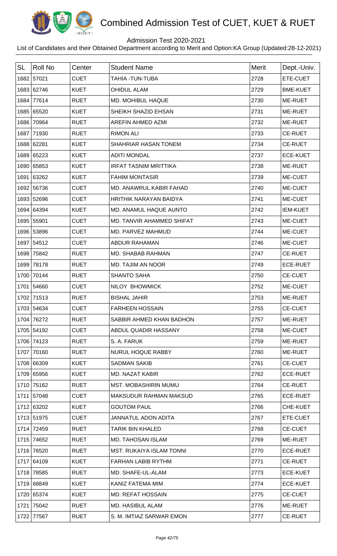

## Admission Test 2020-2021

| <b>SL</b> | Roll No    | Center      | <b>Student Name</b>             | Merit | Dept.-Univ.     |
|-----------|------------|-------------|---------------------------------|-------|-----------------|
|           | 1682 57021 | <b>CUET</b> | <b>TAHIA - TUN-TUBA</b>         | 2728  | ETE-CUET        |
|           | 1683 62746 | <b>KUET</b> | <b>OHIDUL ALAM</b>              | 2729  | <b>BME-KUET</b> |
|           | 1684 77614 | <b>RUET</b> | MD. MOHIBUL HAQUE               | 2730  | ME-RUET         |
|           | 1685 65520 | <b>KUET</b> | SHEIKH SHAZID EHSAN             | 2731  | ME-RUET         |
|           | 1686 70964 | <b>RUET</b> | AREFIN AHMED AZMI               | 2732  | ME-RUET         |
|           | 1687 71930 | <b>RUET</b> | <b>RIMON ALI</b>                | 2733  | <b>CE-RUET</b>  |
|           | 1688 62281 | <b>KUET</b> | SHAHRIAR HASAN TONEM            | 2734  | <b>CE-RUET</b>  |
|           | 1689 65223 | <b>KUET</b> | <b>ADITI MONDAL</b>             | 2737  | <b>ECE-KUET</b> |
|           | 1690 65853 | <b>KUET</b> | <b>IRFAT TASNIM MRITTIKA</b>    | 2738  | ME-RUET         |
|           | 1691 63262 | <b>KUET</b> | <b>FAHIM MONTASIR</b>           | 2739  | ME-CUET         |
|           | 1692 56736 | <b>CUET</b> | MD. ANAWRUL KABIR FAHAD         | 2740  | ME-CUET         |
|           | 1693 52696 | <b>CUET</b> | <b>HRITHIK NARAYAN BAIDYA</b>   | 2741  | ME-CUET         |
|           | 1694 64394 | <b>KUET</b> | MD. ANAMUL HAQUE AUNTO          | 2742  | <b>IEM-KUET</b> |
|           | 1695 55901 | <b>CUET</b> | MD. TANVIR AHAMMED SHIFAT       | 2743  | ME-CUET         |
|           | 1696 53896 | <b>CUET</b> | MD. PARVEZ MAHMUD               | 2744  | ME-CUET         |
|           | 1697 54512 | <b>CUET</b> | <b>ABDUR RAHAMAN</b>            | 2746  | ME-CUET         |
|           | 1698 75842 | <b>RUET</b> | MD. SHABAB RAHMAN               | 2747  | <b>CE-RUET</b>  |
|           | 1699 78178 | <b>RUET</b> | <b>MD. TAJIM AN NOOR</b>        | 2749  | <b>ECE-RUET</b> |
|           | 1700 70144 | <b>RUET</b> | <b>SHANTO SAHA</b>              | 2750  | <b>CE-CUET</b>  |
|           | 1701 54660 | <b>CUET</b> | NILOY BHOWMICK                  | 2752  | ME-CUET         |
|           | 1702 71513 | <b>RUET</b> | <b>BISHAL JAHIR</b>             | 2753  | ME-RUET         |
|           | 1703 54634 | <b>CUET</b> | <b>FARHEEN HOSSAIN</b>          | 2755  | <b>CE-CUET</b>  |
|           | 1704 76272 | <b>RUET</b> | SABBIR AHMED KHAN BADHON        | 2757  | ME-RUET         |
|           | 1705 54192 | <b>CUET</b> | ABDUL QUADIR HASSANY            | 2758  | ME-CUET         |
|           | 1706 74123 | <b>RUET</b> | S. A. FARUK                     | 2759  | <b>ME-RUET</b>  |
|           | 1707 70160 | <b>RUET</b> | <b>NURUL HOQUE RABBY</b>        | 2760  | ME-RUET         |
|           | 1708 66309 | <b>KUET</b> | <b>SADMAN SAKIB</b>             | 2761  | <b>CE-CUET</b>  |
|           | 1709 65956 | <b>KUET</b> | <b>MD. NAZAT KABIR</b>          | 2762  | <b>ECE-RUET</b> |
|           | 1710 75162 | <b>RUET</b> | <b>MST. MOBASHIRIN MUMU</b>     | 2764  | <b>CE-RUET</b>  |
|           | 1711 57048 | <b>CUET</b> | <b>MAKSUDUR RAHMAN MAKSUD</b>   | 2765  | <b>ECE-RUET</b> |
|           | 1712 63202 | <b>KUET</b> | <b>GOUTOM PAUL</b>              | 2766  | CHE-KUET        |
|           | 1713 51975 | <b>CUET</b> | <b>JANNATUL ADON ADITA</b>      | 2767  | ETE-CUET        |
|           | 1714 72459 | <b>RUET</b> | <b>TARIK BIN KHALED</b>         | 2768  | <b>CE-CUET</b>  |
|           | 1715 74652 | <b>RUET</b> | <b>MD. TAHOSAN ISLAM</b>        | 2769  | ME-RUET         |
|           | 1716 76520 | <b>RUET</b> | <b>MST. RUKAIYA ISLAM TONNI</b> | 2770  | <b>ECE-RUET</b> |
|           | 1717 64109 | <b>KUET</b> | <b>FARHAN LABIB RYTHM</b>       | 2771  | <b>CE-RUET</b>  |
|           | 1718 78585 | <b>RUET</b> | MD. SHAFE-UL-ALAM               | 2773  | <b>ECE-KUET</b> |
|           | 1719 68849 | <b>KUET</b> | KANIZ FATEMA MIM                | 2774  | <b>ECE-KUET</b> |
|           | 1720 65374 | <b>KUET</b> | <b>MD. REFAT HOSSAIN</b>        | 2775  | <b>CE-CUET</b>  |
|           | 1721 75042 | <b>RUET</b> | MD. HASIBUL ALAM                | 2776  | ME-RUET         |
|           | 1722 77567 | <b>RUET</b> | S. M. IMTIAZ SARWAR EMON        | 2777  | <b>CE-RUET</b>  |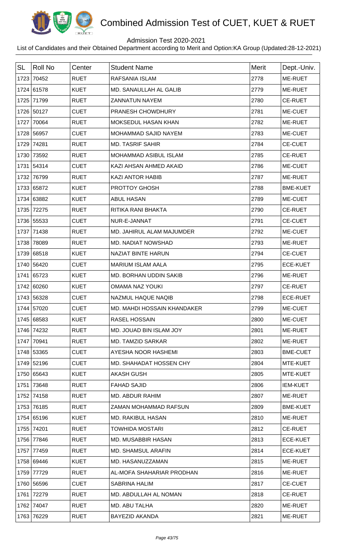

## Admission Test 2020-2021

| <b>SL</b> | <b>Roll No</b> | Center      | <b>Student Name</b>           | <b>Merit</b> | Dept.-Univ.     |
|-----------|----------------|-------------|-------------------------------|--------------|-----------------|
| 1723      | 70452          | <b>RUET</b> | RAFSANIA ISLAM                | 2778         | <b>ME-RUET</b>  |
|           | 1724 61578     | <b>KUET</b> | <b>MD. SANAULLAH AL GALIB</b> | 2779         | ME-RUET         |
|           | 1725 71799     | <b>RUET</b> | <b>ZANNATUN NAYEM</b>         | 2780         | <b>CE-RUET</b>  |
|           | 1726 50127     | <b>CUET</b> | PRANESH CHOWDHURY             | 2781         | ME-CUET         |
| 1727      | 70064          | <b>RUET</b> | <b>MOKSEDUL HASAN KHAN</b>    | 2782         | ME-RUET         |
|           | 1728 56957     | <b>CUET</b> | MOHAMMAD SAJID NAYEM          | 2783         | ME-CUET         |
| 1729      | 74281          | <b>RUET</b> | <b>MD. TASRIF SAHIR</b>       | 2784         | <b>CE-CUET</b>  |
|           | 1730 73592     | <b>RUET</b> | MOHAMMAD ASIBUL ISLAM         | 2785         | <b>CE-RUET</b>  |
| 1731      | 54314          | <b>CUET</b> | KAZI AHSAN AHMED AKAID        | 2786         | ME-CUET         |
| 1732      | 76799          | <b>RUET</b> | <b>KAZI ANTOR HABIB</b>       | 2787         | ME-RUET         |
|           | 1733 65872     | <b>KUET</b> | PROTTOY GHOSH                 | 2788         | <b>BME-KUET</b> |
|           | 1734 63882     | <b>KUET</b> | <b>ABUL HASAN</b>             | 2789         | ME-CUET         |
| 1735      | 72275          | <b>RUET</b> | RITIKA RANI BHAKTA            | 2790         | <b>CE-RUET</b>  |
|           | 1736 55533     | <b>CUET</b> | NUR-E-JANNAT                  | 2791         | <b>CE-CUET</b>  |
|           | 1737 71438     | <b>RUET</b> | MD. JAHIRUL ALAM MAJUMDER     | 2792         | ME-CUET         |
|           | 1738 78089     | <b>RUET</b> | MD. NADIAT NOWSHAD            | 2793         | ME-RUET         |
|           | 1739 68518     | <b>KUET</b> | NAZIAT BINTE HARUN            | 2794         | <b>CE-CUET</b>  |
|           | 1740 56420     | <b>CUET</b> | <b>MARIUM ISLAM AALA</b>      | 2795         | <b>ECE-KUET</b> |
|           | 1741 65723     | <b>KUET</b> | MD. BORHAN UDDIN SAKIB        | 2796         | ME-RUET         |
|           | 1742 60260     | <b>KUET</b> | <b>OMAMA NAZ YOUKI</b>        | 2797         | <b>CE-RUET</b>  |
|           | 1743 56328     | <b>CUET</b> | NAZMUL HAQUE NAQIB            | 2798         | <b>ECE-RUET</b> |
|           | 1744 57020     | <b>CUET</b> | MD. MAHDI HOSSAIN KHANDAKER   | 2799         | <b>ME-CUET</b>  |
|           | 1745 68583     | <b>KUET</b> | <b>RASEL HOSSAIN</b>          | 2800         | ME-CUET         |
|           | 1746 74232     | <b>RUET</b> | MD. JOUAD BIN ISLAM JOY       | 2801         | ME-RUET         |
|           | 1747 70941     | <b>RUET</b> | <b>MD. TAMZID SARKAR</b>      | 2802         | <b>ME-RUET</b>  |
|           | 1748 53365     | <b>CUET</b> | AYESHA NOOR HASHEMI           | 2803         | <b>BME-CUET</b> |
|           | 1749 52196     | <b>CUET</b> | MD. SHAHADAT HOSSEN CHY       | 2804         | MTE-KUET        |
|           | 1750 65643     | <b>KUET</b> | <b>AKASH GUSH</b>             | 2805         | MTE-KUET        |
| 1751      | 73648          | <b>RUET</b> | <b>FAHAD SAJID</b>            | 2806         | <b>IEM-KUET</b> |
|           | 1752 74158     | <b>RUET</b> | MD. ABDUR RAHIM               | 2807         | ME-RUET         |
|           | 1753 76185     | <b>RUET</b> | ZAMAN MOHAMMAD RAFSUN         | 2809         | <b>BME-KUET</b> |
|           | 1754 65196     | <b>KUET</b> | MD. RAKIBUL HASAN             | 2810         | ME-RUET         |
|           | 1755 74201     | <b>RUET</b> | <b>TOWHIDA MOSTARI</b>        | 2812         | <b>CE-RUET</b>  |
|           | 1756 77846     | <b>RUET</b> | MD. MUSABBIR HASAN            | 2813         | <b>ECE-KUET</b> |
|           | 1757 77459     | <b>RUET</b> | <b>MD. SHAMSUL ARAFIN</b>     | 2814         | <b>ECE-KUET</b> |
|           | 1758 69446     | <b>KUET</b> | MD. HASANUZZAMAN              | 2815         | ME-RUET         |
|           | 1759 77729     | <b>RUET</b> | AL-MOFA SHAHARIAR PRODHAN     | 2816         | ME-RUET         |
|           | 1760 56596     | <b>CUET</b> | <b>SABRINA HALIM</b>          | 2817         | <b>CE-CUET</b>  |
| 1761      | 72279          | <b>RUET</b> | MD. ABDULLAH AL NOMAN         | 2818         | <b>CE-RUET</b>  |
|           | 1762 74047     | <b>RUET</b> | MD. ABU TALHA                 | 2820         | ME-RUET         |
|           | 1763 76229     | <b>RUET</b> | <b>BAYEZID AKANDA</b>         | 2821         | ME-RUET         |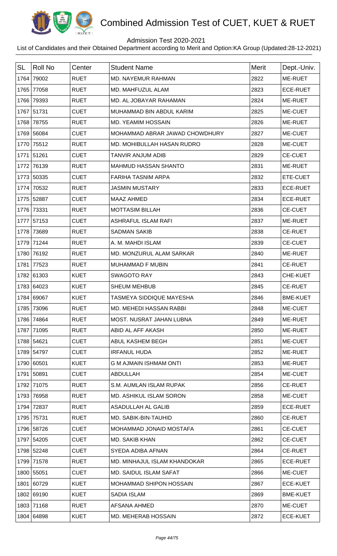

## Admission Test 2020-2021

| <b>SL</b> | Roll No    | Center      | <b>Student Name</b>             | Merit | Dept.-Univ.     |
|-----------|------------|-------------|---------------------------------|-------|-----------------|
| 1764      | 79002      | <b>RUET</b> | MD. NAYEMUR RAHMAN              | 2822  | ME-RUET         |
| 1765      | 77058      | <b>RUET</b> | MD. MAHFUZUL ALAM               | 2823  | <b>ECE-RUET</b> |
| 1766      | 79393      | <b>RUET</b> | MD. AL JOBAYAR RAHAMAN          | 2824  | <b>ME-RUET</b>  |
|           | 1767 51731 | <b>CUET</b> | MUHAMMAD BIN ABDUL KARIM        | 2825  | ME-CUET         |
| 1768      | 78755      | <b>RUET</b> | <b>MD. YEAMIM HOSSAIN</b>       | 2826  | <b>ME-RUET</b>  |
|           | 1769 56084 | <b>CUET</b> | MOHAMMAD ABRAR JAWAD CHOWDHURY  | 2827  | ME-CUET         |
|           | 1770 75512 | <b>RUET</b> | MD. MOHIBULLAH HASAN RUDRO      | 2828  | ME-CUET         |
|           | 1771 51261 | <b>CUET</b> | TANVIR ANJUM ADIB               | 2829  | <b>CE-CUET</b>  |
| 1772      | 76139      | <b>RUET</b> | <b>MAHMUD HASSAN SHANTO</b>     | 2831  | ME-RUET         |
|           | 1773 50335 | <b>CUET</b> | <b>FARIHA TASNIM ARPA</b>       | 2832  | ETE-CUET        |
| 1774      | 70532      | <b>RUET</b> | <b>JASMIN MUSTARY</b>           | 2833  | <b>ECE-RUET</b> |
|           | 1775 52887 | <b>CUET</b> | <b>MAAZ AHMED</b>               | 2834  | <b>ECE-RUET</b> |
|           | 1776 73331 | <b>RUET</b> | <b>MOTTASIM BILLAH</b>          | 2836  | <b>CE-CUET</b>  |
|           | 1777 57153 | <b>CUET</b> | <b>ASHRAFUL ISLAM RAFI</b>      | 2837  | ME-RUET         |
| 1778      | 73689      | <b>RUET</b> | <b>SADMAN SAKIB</b>             | 2838  | <b>CE-RUET</b>  |
|           | 1779 71244 | <b>RUET</b> | A. M. MAHDI ISLAM               | 2839  | <b>CE-CUET</b>  |
|           | 1780 76192 | <b>RUET</b> | MD. MONZURUL ALAM SARKAR        | 2840  | <b>ME-RUET</b>  |
| 1781      | 77523      | <b>RUET</b> | <b>MUHAMMAD F MUBIN</b>         | 2841  | <b>CE-RUET</b>  |
|           | 1782 61303 | <b>KUET</b> | <b>SWAGOTO RAY</b>              | 2843  | CHE-KUET        |
|           | 1783 64023 | <b>KUET</b> | <b>SHEUM MEHBUB</b>             | 2845  | <b>CE-RUET</b>  |
|           | 1784 69067 | <b>KUET</b> | TASMEYA SIDDIQUE MAYESHA        | 2846  | <b>BME-KUET</b> |
|           | 1785 73096 | <b>RUET</b> | <b>MD. MEHEDI HASSAN RABBI</b>  | 2848  | <b>ME-CUET</b>  |
|           | 1786 74864 | <b>RUET</b> | <b>MOST. NUSRAT JAHAN LUBNA</b> | 2849  | ME-RUET         |
|           | 1787 71095 | <b>RUET</b> | ABID AL AFF AKASH               | 2850  | ME-RUET         |
|           | 1788 54621 | <b>CUET</b> | ABUL KASHEM BEGH                | 2851  | ME-CUET         |
|           | 1789 54797 | <b>CUET</b> | <b>IRFANUL HUDA</b>             | 2852  | ME-RUET         |
|           | 1790 60501 | <b>KUET</b> | <b>G M AJMAIN ISHMAM ONTI</b>   | 2853  | ME-RUET         |
|           | 1791 50891 | <b>CUET</b> | ABDULLAH                        | 2854  | ME-CUET         |
|           | 1792 71075 | <b>RUET</b> | S.M. AUMLAN ISLAM RUPAK         | 2856  | <b>CE-RUET</b>  |
|           | 1793 76958 | <b>RUET</b> | <b>MD. ASHIKUL ISLAM SORON</b>  | 2858  | ME-CUET         |
|           | 1794 72837 | <b>RUET</b> | ASADULLAH AL GALIB              | 2859  | <b>ECE-RUET</b> |
|           | 1795 75731 | <b>RUET</b> | MD. SABIK-BIN-TAUHID            | 2860  | <b>CE-RUET</b>  |
|           | 1796 58726 | <b>CUET</b> | MOHAMMAD JONAID MOSTAFA         | 2861  | <b>CE-CUET</b>  |
|           | 1797 54205 | <b>CUET</b> | MD. SAKIB KHAN                  | 2862  | <b>CE-CUET</b>  |
|           | 1798 52248 | <b>CUET</b> | SYEDA ADIBA AFNAN               | 2864  | <b>CE-RUET</b>  |
|           | 1799 71578 | <b>RUET</b> | MD. MINHAJUL ISLAM KHANDOKAR    | 2865  | <b>ECE-RUET</b> |
|           | 1800 55051 | <b>CUET</b> | MD. SAIDUL ISLAM SAFAT          | 2866  | ME-CUET         |
|           | 1801 60729 | <b>KUET</b> | MOHAMMAD SHIPON HOSSAIN         | 2867  | <b>ECE-KUET</b> |
|           | 1802 69190 | <b>KUET</b> | <b>SADIA ISLAM</b>              | 2869  | <b>BME-KUET</b> |
|           | 1803 71168 | <b>RUET</b> | AFSANA AHMED                    | 2870  | ME-CUET         |
|           | 1804 64898 | <b>KUET</b> | MD. MEHERAB HOSSAIN             | 2872  | <b>ECE-KUET</b> |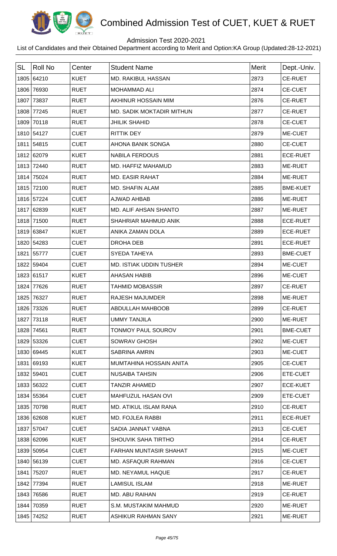

## Admission Test 2020-2021

| <b>SL</b> | <b>Roll No</b> | Center      | <b>Student Name</b>              | <b>Merit</b> | Dept.-Univ.     |
|-----------|----------------|-------------|----------------------------------|--------------|-----------------|
|           | 1805 64210     | <b>KUET</b> | <b>MD. RAKIBUL HASSAN</b>        | 2873         | <b>CE-RUET</b>  |
|           | 1806 76930     | <b>RUET</b> | <b>MOHAMMAD ALI</b>              | 2874         | <b>CE-CUET</b>  |
| 1807      | 73837          | <b>RUET</b> | AKHINUR HOSSAIN MIM              | 2876         | <b>CE-RUET</b>  |
|           | 1808 77245     | <b>RUET</b> | <b>MD. SADIK MOKTADIR MITHUN</b> | 2877         | <b>CE-RUET</b>  |
|           | 1809 70118     | <b>RUET</b> | <b>JHILIK SHAHID</b>             | 2878         | <b>CE-CUET</b>  |
|           | 1810 54127     | <b>CUET</b> | <b>RITTIK DEY</b>                | 2879         | ME-CUET         |
|           | 1811 54815     | <b>CUET</b> | AHONA BANIK SONGA                | 2880         | <b>CE-CUET</b>  |
|           | 1812 62079     | <b>KUET</b> | <b>NABILA FERDOUS</b>            | 2881         | <b>ECE-RUET</b> |
|           | 1813 72440     | <b>RUET</b> | MD. HAFFIZ MAHAMUD               | 2883         | ME-RUET         |
|           | 1814 75024     | <b>RUET</b> | <b>MD. EASIR RAHAT</b>           | 2884         | ME-RUET         |
|           | 1815 72100     | <b>RUET</b> | MD. SHAFIN ALAM                  | 2885         | <b>BME-KUET</b> |
|           | 1816 57224     | <b>CUET</b> | <b>AJWAD AHBAB</b>               | 2886         | ME-RUET         |
|           | 1817 62839     | <b>KUET</b> | MD. ALIF AHSAN SHANTO            | 2887         | ME-RUET         |
|           | 1818 71500     | <b>RUET</b> | SHAHRIAR MAHMUD ANIK             | 2888         | <b>ECE-RUET</b> |
|           | 1819 63847     | <b>KUET</b> | ANIKA ZAMAN DOLA                 | 2889         | <b>ECE-RUET</b> |
|           | 1820 54283     | <b>CUET</b> | DROHA DEB                        | 2891         | <b>ECE-RUET</b> |
|           | 1821 55777     | <b>CUET</b> | SYEDA TAHEYA                     | 2893         | <b>BME-CUET</b> |
|           | 1822 59404     | <b>CUET</b> | <b>MD. ISTIAK UDDIN TUSHER</b>   | 2894         | ME-CUET         |
|           | 1823 61517     | <b>KUET</b> | <b>AHASAN HABIB</b>              | 2896         | ME-CUET         |
|           | 1824 77626     | <b>RUET</b> | <b>TAHMID MOBASSIR</b>           | 2897         | <b>CE-RUET</b>  |
|           | 1825 76327     | <b>RUET</b> | <b>RAJESH MAJUMDER</b>           | 2898         | ME-RUET         |
|           | 1826 73326     | <b>RUET</b> | ABDULLAH MAHBOOB                 | 2899         | <b>CE-RUET</b>  |
| 1827      | 73118          | <b>RUET</b> | <b>UMMY TANJILA</b>              | 2900         | ME-RUET         |
|           | 1828 74561     | <b>RUET</b> | TONMOY PAUL SOUROV               | 2901         | <b>BME-CUET</b> |
|           | 1829 53326     | <b>CUET</b> | <b>SOWRAV GHOSH</b>              | 2902         | ME-CUET         |
|           | 1830 69445     | <b>KUET</b> | <b>SABRINA AMRIN</b>             | 2903         | ME-CUET         |
|           | 1831 69193     | <b>KUET</b> | MUMTAHINA HOSSAIN ANITA          | 2905         | <b>CE-CUET</b>  |
|           | 1832 59401     | <b>CUET</b> | <b>NUSAIBA TAHSIN</b>            | 2906         | ETE-CUET        |
|           | 1833 56322     | <b>CUET</b> | <b>TANZIR AHAMED</b>             | 2907         | <b>ECE-KUET</b> |
|           | 1834 55364     | <b>CUET</b> | MAHFUZUL HASAN OVI               | 2909         | ETE-CUET        |
|           | 1835 70798     | <b>RUET</b> | MD. ATIKUL ISLAM RANA            | 2910         | <b>CE-RUET</b>  |
|           | 1836 62608     | <b>KUET</b> | <b>MD. FOJLEA RABBI</b>          | 2911         | <b>ECE-RUET</b> |
|           | 1837 57047     | <b>CUET</b> | SADIA JANNAT VABNA               | 2913         | <b>CE-CUET</b>  |
|           | 1838 62096     | <b>KUET</b> | <b>SHOUVIK SAHA TIRTHO</b>       | 2914         | <b>CE-RUET</b>  |
|           | 1839 50954     | <b>CUET</b> | FARHAN MUNTASIR SHAHAT           | 2915         | ME-CUET         |
|           | 1840 56139     | <b>CUET</b> | MD. ASFAQUR RAHMAN               | 2916         | <b>CE-CUET</b>  |
| 1841      | 75207          | <b>RUET</b> | MD. NEYAMUL HAQUE                | 2917         | <b>CE-RUET</b>  |
|           | 1842 77394     | <b>RUET</b> | <b>LAMISUL ISLAM</b>             | 2918         | ME-RUET         |
|           | 1843 76586     | <b>RUET</b> | MD. ABU RAIHAN                   | 2919         | <b>CE-RUET</b>  |
| 1844      | 70359          | <b>RUET</b> | S.M. MUSTAKIM MAHMUD             | 2920         | ME-RUET         |
|           | 1845 74252     | <b>RUET</b> | ASHIKUR RAHMAN SANY              | 2921         | ME-RUET         |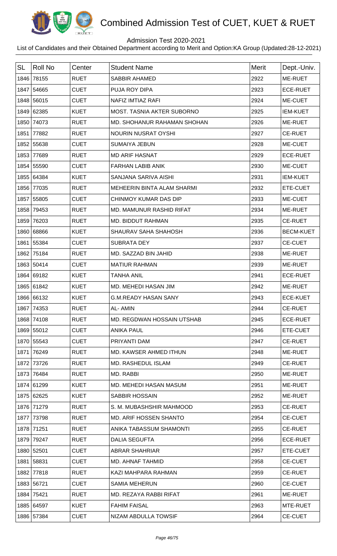

## Admission Test 2020-2021

| <b>SL</b> | <b>Roll No</b> | Center      | <b>Student Name</b>           | Merit | Dept.-Univ.      |
|-----------|----------------|-------------|-------------------------------|-------|------------------|
|           | 1846 78155     | <b>RUET</b> | SABBIR AHAMED                 | 2922  | ME-RUET          |
|           | 1847 54665     | <b>CUET</b> | PUJA ROY DIPA                 | 2923  | <b>ECE-RUET</b>  |
|           | 1848 56015     | <b>CUET</b> | <b>NAFIZ IMTIAZ RAFI</b>      | 2924  | ME-CUET          |
|           | 1849 62385     | <b>KUET</b> | MOST. TASNIA AKTER SUBORNO    | 2925  | <b>IEM-KUET</b>  |
|           | 1850 74073     | <b>RUET</b> | MD. SHOHANUR RAHAMAN SHOHAN   | 2926  | ME-RUET          |
|           | 1851 77882     | <b>RUET</b> | <b>NOURIN NUSRAT OYSHI</b>    | 2927  | <b>CE-RUET</b>   |
|           | 1852 55638     | <b>CUET</b> | <b>SUMAIYA JEBUN</b>          | 2928  | ME-CUET          |
|           | 1853 77689     | <b>RUET</b> | <b>MD ARIF HASNAT</b>         | 2929  | <b>ECE-RUET</b>  |
|           | 1854 55590     | <b>CUET</b> | <b>FARHAN LABIB ANIK</b>      | 2930  | ME-CUET          |
|           | 1855 64384     | <b>KUET</b> | SANJANA SARIVA AISHI          | 2931  | <b>IEM-KUET</b>  |
|           | 1856 77035     | <b>RUET</b> | MEHEERIN BINTA ALAM SHARMI    | 2932  | ETE-CUET         |
|           | 1857 55805     | <b>CUET</b> | CHINMOY KUMAR DAS DIP         | 2933  | ME-CUET          |
|           | 1858 79453     | <b>RUET</b> | MD. MAMUNUR RASHID RIFAT      | 2934  | ME-RUET          |
|           | 1859 76203     | <b>RUET</b> | MD. BIDDUT RAHMAN             | 2935  | <b>CE-RUET</b>   |
|           | 1860 68866     | <b>KUET</b> | SHAURAV SAHA SHAHOSH          | 2936  | <b>BECM-KUET</b> |
|           | 1861 55384     | <b>CUET</b> | <b>SUBRATA DEY</b>            | 2937  | <b>CE-CUET</b>   |
|           | 1862 75184     | <b>RUET</b> | MD. SAZZAD BIN JAHID          | 2938  | ME-RUET          |
|           | 1863 50414     | <b>CUET</b> | <b>MATIUR RAHMAN</b>          | 2939  | ME-RUET          |
|           | 1864 69182     | <b>KUET</b> | <b>TANHA ANIL</b>             | 2941  | <b>ECE-RUET</b>  |
|           | 1865 61842     | <b>KUET</b> | MD. MEHEDI HASAN JIM          | 2942  | ME-RUET          |
|           | 1866 66132     | <b>KUET</b> | <b>G.M.READY HASAN SANY</b>   | 2943  | <b>ECE-KUET</b>  |
|           | 1867   74353   | <b>RUET</b> | AL-AMIN                       | 2944  | <b>CE-RUET</b>   |
|           | 1868 74108     | <b>RUET</b> | MD. REGDWAN HOSSAIN UTSHAB    | 2945  | <b>ECE-RUET</b>  |
|           | 1869 55012     | <b>CUET</b> | <b>ANIKA PAUL</b>             | 2946  | ETE-CUET         |
|           | 1870 55543     | <b>CUET</b> | PRIYANTI DAM                  | 2947  | <b>CE-RUET</b>   |
|           | 1871 76249     | <b>RUET</b> | MD. KAWSER AHMED ITHUN        | 2948  | ME-RUET          |
|           | 1872 73726     | <b>RUET</b> | <b>MD. RASHEDUL ISLAM</b>     | 2949  | <b>CE-RUET</b>   |
|           | 1873 76484     | <b>RUET</b> | MD. RABBI                     | 2950  | ME-RUET          |
|           | 1874 61299     | <b>KUET</b> | MD. MEHEDI HASAN MASUM        | 2951  | <b>ME-RUET</b>   |
|           | 1875 62625     | <b>KUET</b> | <b>SABBIR HOSSAIN</b>         | 2952  | ME-RUET          |
|           | 1876 71279     | <b>RUET</b> | S. M. MUBASHSHIR MAHMOOD      | 2953  | <b>CE-RUET</b>   |
|           | 1877 73798     | <b>RUET</b> | <b>MD. ARIF HOSSEN SHANTO</b> | 2954  | <b>CE-CUET</b>   |
|           | 1878 71251     | <b>RUET</b> | ANIKA TABASSUM SHAMONTI       | 2955  | <b>CE-RUET</b>   |
|           | 1879 79247     | <b>RUET</b> | <b>DALIA SEGUFTA</b>          | 2956  | <b>ECE-RUET</b>  |
|           | 1880 52501     | <b>CUET</b> | ABRAR SHAHRIAR                | 2957  | ETE-CUET         |
|           | 1881 58831     | <b>CUET</b> | MD. AHNAF TAHMID              | 2958  | <b>CE-CUET</b>   |
|           | 1882 77818     | <b>RUET</b> | KAZI MAHPARA RAHMAN           | 2959  | <b>CE-RUET</b>   |
|           | 1883 56721     | <b>CUET</b> | <b>SAMIA MEHERUN</b>          | 2960  | <b>CE-CUET</b>   |
|           | 1884 75421     | <b>RUET</b> | MD. REZAYA RABBI RIFAT        | 2961  | ME-RUET          |
|           | 1885 64597     | <b>KUET</b> | <b>FAHIM FAISAL</b>           | 2963  | MTE-RUET         |
|           | 1886 57384     | <b>CUET</b> | NIZAM ABDULLA TOWSIF          | 2964  | <b>CE-CUET</b>   |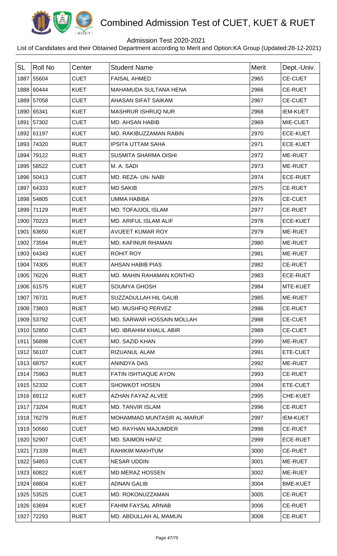

## Admission Test 2020-2021

| <b>SL</b> | <b>Roll No</b> | Center      | <b>Student Name</b>         | <b>Merit</b> | Dept.-Univ.     |
|-----------|----------------|-------------|-----------------------------|--------------|-----------------|
|           | 1887 55604     | <b>CUET</b> | <b>FAISAL AHMED</b>         | 2965         | <b>CE-CUET</b>  |
|           | 1888 60444     | <b>KUET</b> | MAHAMUDA SULTANA HENA       | 2966         | <b>CE-RUET</b>  |
|           | 1889 57058     | <b>CUET</b> | AHASAN SIFAT SAIKAM         | 2967         | <b>CE-CUET</b>  |
|           | 1890 65341     | <b>KUET</b> | <b>MASHRUR ISHRUQ NUR</b>   | 2968         | <b>IEM-KUET</b> |
|           | 1891 57302     | <b>CUET</b> | <b>MD. AHSAN HABIB</b>      | 2969         | MIE-CUET        |
|           | 1892 61197     | <b>KUET</b> | MD. RAKIBUZZAMAN RABIN      | 2970         | <b>ECE-KUET</b> |
|           | 1893 74320     | <b>RUET</b> | <b>IPSITA UTTAM SAHA</b>    | 2971         | <b>ECE-KUET</b> |
|           | 1894 79122     | <b>RUET</b> | <b>SUSMITA SHARMA OISHI</b> | 2972         | ME-RUET         |
|           | 1895 58522     | <b>CUET</b> | M. A. SADI                  | 2973         | ME-RUET         |
|           | 1896 50413     | <b>CUET</b> | MD. REZA- UN- NABI          | 2974         | <b>ECE-RUET</b> |
|           | 1897 64333     | <b>KUET</b> | <b>MD SAKIB</b>             | 2975         | <b>CE-RUET</b>  |
|           | 1898 54805     | <b>CUET</b> | <b>UMMA HABIBA</b>          | 2976         | <b>CE-CUET</b>  |
|           | 1899 71129     | <b>RUET</b> | MD. TOFAJJOL ISLAM          | 2977         | <b>CE-RUET</b>  |
|           | 1900 70223     | <b>RUET</b> | MD. ARIFUL ISLAM ALIF       | 2978         | <b>ECE-KUET</b> |
|           | 1901 63650     | <b>KUET</b> | <b>AVIJEET KUMAR ROY</b>    | 2979         | ME-RUET         |
|           | 1902 73594     | <b>RUET</b> | MD. KAFINUR RHAMAN          | 2980         | ME-RUET         |
|           | 1903 64343     | <b>KUET</b> | <b>ROHIT ROY</b>            | 2981         | ME-RUET         |
|           | 1904 74305     | <b>RUET</b> | <b>AHSAN HABIB PIAS</b>     | 2982         | <b>CE-RUET</b>  |
|           | 1905 76226     | <b>RUET</b> | MD. MAHIN RAHAMAN KONTHO    | 2983         | <b>ECE-RUET</b> |
|           | 1906 61575     | <b>KUET</b> | <b>SOUMYA GHOSH</b>         | 2984         | MTE-KUET        |
|           | 1907 76731     | <b>RUET</b> | SUZZADULLAH HIL GALIB       | 2985         | ME-RUET         |
|           | 1908 73803     | <b>RUET</b> | MD. MUSHFIQ PERVEZ          | 2986         | <b>CE-RUET</b>  |
|           | 1909 53792     | <b>CUET</b> | MD. SARWAR HOSSAIN MOLLAH   | 2988         | <b>CE-CUET</b>  |
|           | 1910 52850     | <b>CUET</b> | MD. IBRAHIM KHALIL ABIR     | 2989         | <b>CE-CUET</b>  |
|           | 1911 56898     | <b>CUET</b> | MD. SAZID KHAN              | 2990         | ME-RUET         |
|           | 1912 56107     | <b>CUET</b> | RIZUANUL ALAM               | 2991         | ETE-CUET        |
|           | 1913 68757     | <b>KUET</b> | <b>ANINDYA DAS</b>          | 2992         | ME-RUET         |
|           | 1914 75963     | <b>RUET</b> | <b>FATIN ISHTIAQUE AYON</b> | 2993         | <b>CE-RUET</b>  |
|           | 1915 52332     | <b>CUET</b> | <b>SHOWKOT HOSEN</b>        | 2994         | ETE-CUET        |
|           | 1916 69112     | <b>KUET</b> | AZHAN FAYAZ ALVEE           | 2995         | CHE-KUET        |
|           | 1917 73204     | <b>RUET</b> | <b>MD. TANVIR ISLAM</b>     | 2996         | <b>CE-RUET</b>  |
|           | 1918 76279     | <b>RUET</b> | MOHAMMAD MUNTASIR AL-MARUF  | 2997         | <b>IEM-KUET</b> |
|           | 1919 50560     | <b>CUET</b> | MD. RAYHAN MAJUMDER         | 2998         | <b>CE-RUET</b>  |
|           | 1920 52907     | <b>CUET</b> | <b>MD. SAIMON HAFIZ</b>     | 2999         | <b>ECE-RUET</b> |
|           | 1921 71339     | <b>RUET</b> | RAHIKIM MAKHTUM             | 3000         | <b>CE-RUET</b>  |
|           | 1922 54853     | <b>CUET</b> | <b>NESAR UDDIN</b>          | 3001         | ME-RUET         |
|           | 1923 60822     | <b>KUET</b> | <b>MD.MERAZ HOSSEN</b>      | 3002         | ME-RUET         |
|           | 1924 68804     | <b>KUET</b> | <b>ADNAN GALIB</b>          | 3004         | <b>BME-KUET</b> |
|           | 1925 53525     | <b>CUET</b> | MD. ROKONUZZAMAN            | 3005         | <b>CE-RUET</b>  |
|           | 1926 63694     | <b>KUET</b> | <b>FAHIM FAYSAL ARNAB</b>   | 3006         | <b>CE-RUET</b>  |
| 1927      | 72293          | <b>RUET</b> | MD. ABDULLAH AL MAMUN       | 3008         | <b>CE-RUET</b>  |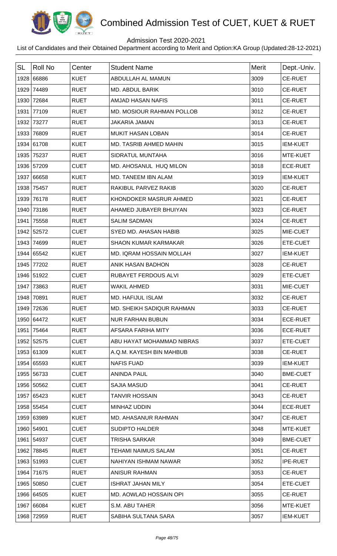

## Admission Test 2020-2021

| <b>SL</b> | <b>Roll No</b> | Center      | <b>Student Name</b>              | Merit | Dept.-Univ.     |
|-----------|----------------|-------------|----------------------------------|-------|-----------------|
|           | 1928 66886     | <b>KUET</b> | ABDULLAH AL MAMUN                | 3009  | <b>CE-RUET</b>  |
| 1929      | 74489          | <b>RUET</b> | MD. ABDUL BARIK                  | 3010  | <b>CE-RUET</b>  |
| 1930      | 72684          | <b>RUET</b> | <b>AMJAD HASAN NAFIS</b>         | 3011  | <b>CE-RUET</b>  |
| 1931      | 77109          | <b>RUET</b> | <b>MD. MOSIOUR RAHMAN POLLOB</b> | 3012  | <b>CE-RUET</b>  |
|           | 1932 73277     | <b>RUET</b> | <b>JAKARIA JAMAN</b>             | 3013  | <b>CE-RUET</b>  |
| 1933      | 76809          | <b>RUET</b> | <b>MUKIT HASAN LOBAN</b>         | 3014  | <b>CE-RUET</b>  |
|           | 1934 61708     | <b>KUET</b> | <b>MD. TASRIB AHMED MAHIN</b>    | 3015  | <b>IEM-KUET</b> |
|           | 1935 75237     | <b>RUET</b> | SIDRATUL MUNTAHA                 | 3016  | MTE-KUET        |
|           | 1936 57209     | <b>CUET</b> | MD. AHOSANUL HUQ MILON           | 3018  | <b>ECE-RUET</b> |
|           | 1937 66658     | <b>KUET</b> | MD. TANEEM IBN ALAM              | 3019  | <b>IEM-KUET</b> |
|           | 1938 75457     | <b>RUET</b> | RAKIBUL PARVEZ RAKIB             | 3020  | <b>CE-RUET</b>  |
| 1939      | 76178          | <b>RUET</b> | KHONDOKER MASRUR AHMED           | 3021  | <b>CE-RUET</b>  |
|           | 1940 73186     | <b>RUET</b> | AHAMED JUBAYER BHUIYAN           | 3023  | <b>CE-RUET</b>  |
| 1941      | 75558          | <b>RUET</b> | <b>SALIM SADMAN</b>              | 3024  | <b>CE-RUET</b>  |
|           | 1942 52572     | <b>CUET</b> | SYED MD, AHASAN HABIB            | 3025  | MIE-CUET        |
|           | 1943 74699     | <b>RUET</b> | <b>SHAON KUMAR KARMAKAR</b>      | 3026  | ETE-CUET        |
|           | 1944 65542     | <b>KUET</b> | MD. IQRAM HOSSAIN MOLLAH         | 3027  | <b>IEM-KUET</b> |
| 1945      | 77202          | <b>RUET</b> | ANIK HASAN BADHON                | 3028  | <b>CE-RUET</b>  |
|           | 1946 51922     | <b>CUET</b> | RUBAYET FERDOUS ALVI             | 3029  | ETE-CUET        |
| 1947      | 73863          | <b>RUET</b> | <b>WAKIL AHMED</b>               | 3031  | MIE-CUET        |
| 1948      | 70891          | <b>RUET</b> | <b>MD. HAFIJUL ISLAM</b>         | 3032  | <b>CE-RUET</b>  |
|           | 1949 72636     | <b>RUET</b> | MD. SHEIKH SADIQUR RAHMAN        | 3033  | <b>CE-RUET</b>  |
|           | 1950 64472     | <b>KUET</b> | <b>NUR FARHAN BUBUN</b>          | 3034  | <b>ECE-RUET</b> |
|           | 1951 75464     | <b>RUET</b> | AFSARA FARIHA MITY               | 3036  | <b>ECE-RUET</b> |
|           | 1952 52575     | <b>CUET</b> | ABU HAYAT MOHAMMAD NIBRAS        | 3037  | ETE-CUET        |
|           | 1953 61309     | <b>KUET</b> | A.Q.M. KAYESH BIN MAHBUB         | 3038  | <b>CE-RUET</b>  |
|           | 1954 65593     | <b>KUET</b> | <b>NAFIS FUAD</b>                | 3039  | <b>IEM-KUET</b> |
|           | 1955 56733     | <b>CUET</b> | <b>ANINDA PAUL</b>               | 3040  | <b>BME-CUET</b> |
|           | 1956 50562     | <b>CUET</b> | <b>SAJIA MASUD</b>               | 3041  | <b>CE-RUET</b>  |
|           | 1957 65423     | <b>KUET</b> | <b>TANVIR HOSSAIN</b>            | 3043  | <b>CE-RUET</b>  |
|           | 1958 55454     | <b>CUET</b> | <b>MINHAZ UDDIN</b>              | 3044  | <b>ECE-RUET</b> |
|           | 1959 63989     | <b>KUET</b> | MD. AHASANUR RAHMAN              | 3047  | <b>CE-RUET</b>  |
|           | 1960 54901     | <b>CUET</b> | <b>SUDIPTO HALDER</b>            | 3048  | MTE-KUET        |
|           | 1961 54937     | <b>CUET</b> | TRISHA SARKAR                    | 3049  | <b>BME-CUET</b> |
|           | 1962 78845     | <b>RUET</b> | TEHAMI NAIMUS SALAM              | 3051  | <b>CE-RUET</b>  |
|           | 1963 51993     | <b>CUET</b> | NAHIYAN ISHMAM NAWAR             | 3052  | <b>IPE-RUET</b> |
|           | 1964 71675     | <b>RUET</b> | <b>ANISUR RAHMAN</b>             | 3053  | <b>CE-RUET</b>  |
|           | 1965 50850     | <b>CUET</b> | <b>ISHRAT JAHAN MILY</b>         | 3054  | ETE-CUET        |
|           | 1966 64505     | <b>KUET</b> | MD. AOWLAD HOSSAIN OPI           | 3055  | <b>CE-RUET</b>  |
|           | 1967 66084     | <b>KUET</b> | S.M. ABU TAHER                   | 3056  | MTE-KUET        |
|           | 1968 72959     | <b>RUET</b> | SABIHA SULTANA SARA              | 3057  | <b>IEM-KUET</b> |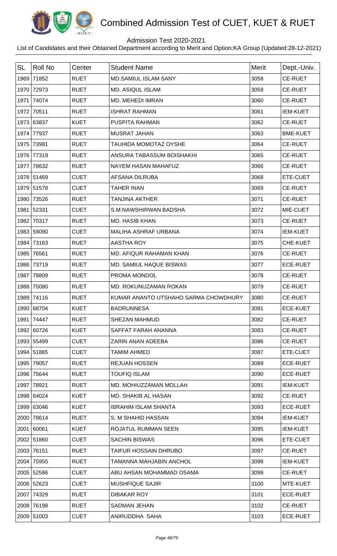

## Admission Test 2020-2021

| <b>SL</b> | <b>Roll No</b> | Center      | <b>Student Name</b>                  | Merit | Dept.-Univ.     |
|-----------|----------------|-------------|--------------------------------------|-------|-----------------|
|           | 1969 71852     | <b>RUET</b> | <b>MD.SAMIUL ISLAM SANY</b>          | 3058  | <b>CE-RUET</b>  |
|           | 1970 72973     | <b>RUET</b> | <b>MD. ASIQUL ISLAM</b>              | 3059  | <b>CE-RUET</b>  |
|           | 1971 74074     | <b>RUET</b> | MD. MEHEDI IMRAN                     | 3060  | <b>CE-RUET</b>  |
|           | 1972 70511     | <b>RUET</b> | <b>ISHRAT RAHMAN</b>                 | 3061  | <b>IEM-KUET</b> |
|           | 1973 63837     | <b>KUET</b> | PUSPITA RAHMAN                       | 3062  | <b>CE-RUET</b>  |
|           | 1974 77937     | <b>RUET</b> | <b>MUSRAT JAHAN</b>                  | 3063  | <b>BME-KUET</b> |
|           | 1975 73981     | <b>RUET</b> | TAUHIDA MOMOTAZ OYSHE                | 3064  | <b>CE-RUET</b>  |
|           | 1976 77319     | <b>RUET</b> | ANSURA TABASSUM BOISHAKHI            | 3065  | <b>CE-RUET</b>  |
|           | 1977 78632     | <b>RUET</b> | NAYEM HASAN MAHAFUZ                  | 3066  | <b>CE-RUET</b>  |
|           | 1978 51469     | <b>CUET</b> | <b>AFSANA DILRUBA</b>                | 3068  | ETE-CUET        |
|           | 1979 51578     | <b>CUET</b> | <b>TAHER INAN</b>                    | 3069  | <b>CE-RUET</b>  |
|           | 1980 73526     | <b>RUET</b> | <b>TANJINA AKTHER</b>                | 3071  | <b>CE-RUET</b>  |
|           | 1981 52331     | <b>CUET</b> | S.M.NAWSHIRWAN BADSHA                | 3072  | MIE-CUET        |
|           | 1982 70317     | <b>RUET</b> | <b>MD. HASIB KHAN</b>                | 3073  | <b>CE-RUET</b>  |
|           | 1983 59090     | <b>CUET</b> | MALIHA ASHRAF URBANA                 | 3074  | <b>IEM-KUET</b> |
| 1984      | 73163          | <b>RUET</b> | <b>AASTHA ROY</b>                    | 3075  | CHE-KUET        |
|           | 1985 76561     | <b>RUET</b> | MD. AFIQUR RAHAMAN KHAN              | 3076  | <b>CE-RUET</b>  |
|           | 1986 73719     | <b>RUET</b> | MD. SAMIUL HAQUE BISWAS              | 3077  | <b>ECE-RUET</b> |
|           | 1987 78809     | <b>RUET</b> | PROMA MONDOL                         | 3078  | <b>CE-RUET</b>  |
| 1988      | 75080          | <b>RUET</b> | MD. ROKUNUZAMAN ROKAN                | 3079  | <b>CE-RUET</b>  |
| 1989      | 74116          | <b>RUET</b> | KUMAR ANANTO UTSHAHO SARMA CHOWDHURY | 3080  | <b>CE-RUET</b>  |
|           | 1990 68704     | <b>KUET</b> | <b>BADRUNNESA</b>                    | 3081  | <b>ECE-KUET</b> |
|           | 1991 74447     | <b>RUET</b> | <b>SHEZAN MAHMUD</b>                 | 3082  | <b>CE-RUET</b>  |
|           | 1992 60726     | <b>KUET</b> | SAFFAT FARAH ANANNA                  | 3083  | <b>CE-RUET</b>  |
|           | 1993 55499     | <b>CUET</b> | ZARIN ANAN ADEEBA                    | 3086  | <b>CE-RUET</b>  |
|           | 1994 51865     | <b>CUET</b> | <b>TAMIM AHMED</b>                   | 3087  | ETE-CUET        |
|           | 1995 79057     | <b>RUET</b> | <b>REJUAN HOSSEN</b>                 | 3089  | <b>ECE-RUET</b> |
|           | 1996 75644     | <b>RUET</b> | <b>TOUFIQ ISLAM</b>                  | 3090  | ECE-RUET        |
|           | 1997 78921     | <b>RUET</b> | MD. MOHIUZZAMAN MOLLAH               | 3091  | <b>IEM-KUET</b> |
|           | 1998 64024     | <b>KUET</b> | MD. SHAKIB AL HASAN                  | 3092  | <b>CE-RUET</b>  |
|           | 1999 63046     | <b>KUET</b> | <b>IBRAHIM ISLAM SHANTA</b>          | 3093  | <b>ECE-RUET</b> |
|           | 2000 78614     | <b>RUET</b> | S. M SHAHID HASSAN                   | 3094  | <b>IEM-KUET</b> |
|           | 2001 60061     | <b>KUET</b> | ROJATUL RUMMAN SEEN                  | 3095  | <b>IEM-KUET</b> |
|           | 2002 51860     | <b>CUET</b> | <b>SACHIN BISWAS</b>                 | 3096  | ETE-CUET        |
|           | 2003 76151     | <b>RUET</b> | <b>TAIFUR HOSSAIN DHRUBO</b>         | 3097  | <b>CE-RUET</b>  |
|           | 2004 75955     | <b>RUET</b> | TAMANNA MAHJABIN ANCHOL              | 3098  | <b>IEM-KUET</b> |
|           | 2005 52586     | <b>CUET</b> | ABU AHSAN MOHAMMAD OSAMA             | 3099  | <b>CE-RUET</b>  |
|           | 2006 52623     | <b>CUET</b> | <b>MUSHFIQUE SAJIR</b>               | 3100  | MTE-KUET        |
|           | 2007 74329     | <b>RUET</b> | <b>DIBAKAR ROY</b>                   | 3101  | <b>ECE-RUET</b> |
|           | 2008 76198     | <b>RUET</b> | <b>SADMAN JEHAN</b>                  | 3102  | <b>CE-RUET</b>  |
|           | 2009 51003     | <b>CUET</b> | ANIRUDDHA SAHA                       | 3103  | <b>ECE-RUET</b> |
|           |                |             |                                      |       |                 |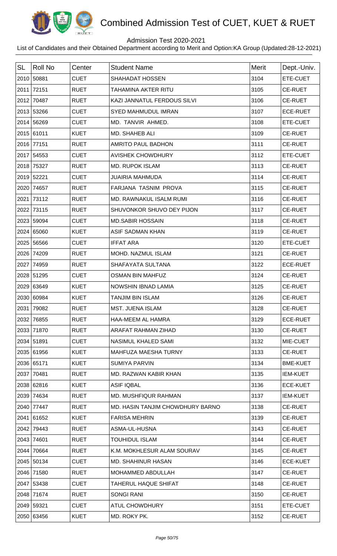

## Admission Test 2020-2021

| <b>SL</b> | <b>Roll No</b> | Center      | <b>Student Name</b>              | <b>Merit</b> | Dept.-Univ.     |
|-----------|----------------|-------------|----------------------------------|--------------|-----------------|
|           | 2010 50881     | <b>CUET</b> | <b>SHAHADAT HOSSEN</b>           | 3104         | ETE-CUET        |
|           | 2011 72151     | <b>RUET</b> | TAHAMINA AKTER RITU              | 3105         | <b>CE-RUET</b>  |
|           | 2012 70487     | <b>RUET</b> | KAZI JANNATUL FERDOUS SILVI      | 3106         | <b>CE-RUET</b>  |
|           | 2013 53266     | <b>CUET</b> | SYED MAHMUDUL IMRAN              | 3107         | <b>ECE-RUET</b> |
|           | 2014 56269     | <b>CUET</b> | MD. TANVIR AHMED.                | 3108         | ETE-CUET        |
|           | 2015 61011     | <b>KUET</b> | <b>MD. SHAHEB ALI</b>            | 3109         | <b>CE-RUET</b>  |
|           | 2016 77151     | <b>RUET</b> | AMRITO PAUL BADHON               | 3111         | <b>CE-RUET</b>  |
|           | 2017 54553     | <b>CUET</b> | <b>AVISHEK CHOWDHURY</b>         | 3112         | ETE-CUET        |
|           | 2018 75327     | <b>RUET</b> | <b>MD. RUPOK ISLAM</b>           | 3113         | <b>CE-RUET</b>  |
|           | 2019 52221     | <b>CUET</b> | <b>JUAIRIA MAHMUDA</b>           | 3114         | <b>CE-RUET</b>  |
|           | 2020 74657     | <b>RUET</b> | FARJANA TASNIM PROVA             | 3115         | <b>CE-RUET</b>  |
|           | 2021 73112     | <b>RUET</b> | MD. RAWNAKUL ISALM RUMI          | 3116         | <b>CE-RUET</b>  |
|           | 2022 73115     | <b>RUET</b> | SHUVONKOR SHUVO DEY PIJON        | 3117         | <b>CE-RUET</b>  |
|           | 2023 59094     | <b>CUET</b> | <b>MD.SABIR HOSSAIN</b>          | 3118         | <b>CE-RUET</b>  |
|           | 2024 65060     | <b>KUET</b> | <b>ASIF SADMAN KHAN</b>          | 3119         | <b>CE-RUET</b>  |
|           | 2025 56566     | <b>CUET</b> | <b>IFFAT ARA</b>                 | 3120         | ETE-CUET        |
|           | 2026 74209     | <b>RUET</b> | MOHD. NAZMUL ISLAM               | 3121         | <b>CE-RUET</b>  |
| 2027      | 74959          | <b>RUET</b> | SHAFAYATA SULTANA                | 3122         | <b>ECE-RUET</b> |
|           | 2028 51295     | <b>CUET</b> | <b>OSMAN BIN MAHFUZ</b>          | 3124         | <b>CE-RUET</b>  |
|           | 2029 63649     | <b>KUET</b> | NOWSHIN IBNAD LAMIA              | 3125         | <b>CE-RUET</b>  |
|           | 2030 60984     | <b>KUET</b> | <b>TANJIM BIN ISLAM</b>          | 3126         | <b>CE-RUET</b>  |
|           | 2031 79082     | <b>RUET</b> | MST. JUENA ISLAM                 | 3128         | <b>CE-RUET</b>  |
| 2032      | 76855          | <b>RUET</b> | <b>HAA-MEEM AL HAMRA</b>         | 3129         | <b>ECE-RUET</b> |
|           | 2033 71870     | <b>RUET</b> | ARAFAT RAHMAN ZIHAD              | 3130         | <b>CE-RUET</b>  |
|           | 2034 51891     | <b>CUET</b> | NASIMUL KHALED SAMI              | 3132         | MIE-CUET        |
|           | 2035 61956     | <b>KUET</b> | MAHFUZA MAESHA TURNY             | 3133         | <b>CE-RUET</b>  |
|           | 2036 65171     | <b>KUET</b> | <b>SUMIYA PARVIN</b>             | 3134         | <b>BME-KUET</b> |
|           | 2037 70481     | <b>RUET</b> | MD. RAZWAN KABIR KHAN            | 3135         | <b>IEM-KUET</b> |
|           | 2038 62816     | <b>KUET</b> | <b>ASIF IQBAL</b>                | 3136         | <b>ECE-KUET</b> |
|           | 2039 74634     | <b>RUET</b> | <b>MD. MUSHFIQUR RAHMAN</b>      | 3137         | <b>IEM-KUET</b> |
|           | 2040 77447     | <b>RUET</b> | MD. HASIN TANJIM CHOWDHURY BARNO | 3138         | <b>CE-RUET</b>  |
|           | 2041 61652     | <b>KUET</b> | <b>FARISA MEHRIN</b>             | 3139         | <b>CE-RUET</b>  |
| 2042      | 79443          | <b>RUET</b> | ASMA-UL-HUSNA                    | 3143         | <b>CE-RUET</b>  |
|           | 2043 74601     | <b>RUET</b> | <b>TOUHIDUL ISLAM</b>            | 3144         | <b>CE-RUET</b>  |
| 2044      | 70664          | <b>RUET</b> | K.M. MOKHLESUR ALAM SOURAV       | 3145         | <b>CE-RUET</b>  |
|           | 2045 50134     | <b>CUET</b> | <b>MD. SHAHINUR HASAN</b>        | 3146         | <b>ECE-KUET</b> |
|           | 2046 71580     | <b>RUET</b> | <b>MOHAMMED ABDULLAH</b>         | 3147         | <b>CE-RUET</b>  |
|           | 2047 53438     | <b>CUET</b> | TAHERUL HAQUE SHIFAT             | 3148         | <b>CE-RUET</b>  |
|           | 2048 71674     | <b>RUET</b> | <b>SONGI RANI</b>                | 3150         | <b>CE-RUET</b>  |
|           | 2049 59321     | <b>CUET</b> | <b>ATUL CHOWDHURY</b>            | 3151         | ETE-CUET        |
|           | 2050 63456     | <b>KUET</b> | MD. ROKY PK.                     | 3152         | <b>CE-RUET</b>  |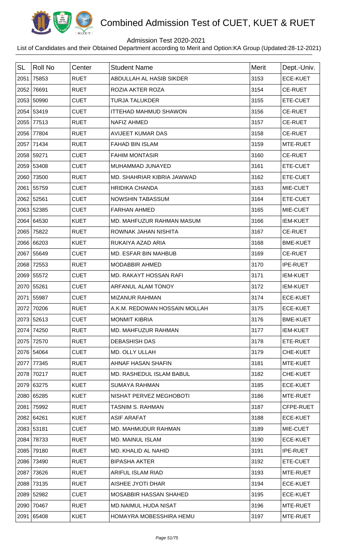

## Admission Test 2020-2021

| <b>SL</b> | <b>Roll No</b> | Center      | <b>Student Name</b>           | <b>Merit</b> | Dept.-Univ.     |
|-----------|----------------|-------------|-------------------------------|--------------|-----------------|
|           | 2051 75853     | <b>RUET</b> | ABDULLAH AL HASIB SIKDER      | 3153         | <b>ECE-KUET</b> |
|           | 2052 76691     | <b>RUET</b> | ROZIA AKTER ROZA              | 3154         | <b>CE-RUET</b>  |
|           | 2053 50990     | <b>CUET</b> | <b>TURJA TALUKDER</b>         | 3155         | ETE-CUET        |
|           | 2054 53419     | <b>CUET</b> | <b>ITTEHAD MAHMUD SHAWON</b>  | 3156         | <b>CE-RUET</b>  |
|           | 2055 77513     | <b>RUET</b> | <b>NAFIZ AHMED</b>            | 3157         | <b>CE-RUET</b>  |
|           | 2056 77804     | <b>RUET</b> | <b>AVIJEET KUMAR DAS</b>      | 3158         | <b>CE-RUET</b>  |
|           | 2057 71434     | <b>RUET</b> | <b>FAHAD BIN ISLAM</b>        | 3159         | MTE-RUET        |
|           | 2058 59271     | <b>CUET</b> | <b>FAHIM MONTASIR</b>         | 3160         | <b>CE-RUET</b>  |
|           | 2059 53408     | <b>CUET</b> | MUHAMMAD JUNAYED              | 3161         | ETE-CUET        |
|           | 2060 73500     | <b>RUET</b> | MD. SHAHRIAR KIBRIA JAWWAD    | 3162         | ETE-CUET        |
|           | 2061 55759     | <b>CUET</b> | <b>HRIDIKA CHANDA</b>         | 3163         | MIE-CUET        |
|           | 2062 52561     | <b>CUET</b> | NOWSHIN TABASSUM              | 3164         | ETE-CUET        |
|           | 2063 52385     | <b>CUET</b> | <b>FARHAN AHMED</b>           | 3165         | MIE-CUET        |
|           | 2064 64530     | <b>KUET</b> | MD. MAHFUZUR RAHMAN MASUM     | 3166         | <b>IEM-KUET</b> |
|           | 2065 75822     | <b>RUET</b> | ROWNAK JAHAN NISHITA          | 3167         | <b>CE-RUET</b>  |
|           | 2066 66203     | <b>KUET</b> | RUKAIYA AZAD ARIA             | 3168         | <b>BME-KUET</b> |
|           | 2067 55649     | <b>CUET</b> | <b>MD. ESFAR BIN MAHBUB</b>   | 3169         | <b>CE-RUET</b>  |
|           | 2068 72553     | <b>RUET</b> | <b>MODABBIR AHMED</b>         | 3170         | <b>IPE-RUET</b> |
|           | 2069 55572     | <b>CUET</b> | MD. RAKAYT HOSSAN RAFI        | 3171         | <b>IEM-KUET</b> |
|           | 2070 55261     | <b>CUET</b> | ARFANUL ALAM TONOY            | 3172         | <b>IEM-KUET</b> |
|           | 2071 55987     | <b>CUET</b> | <b>MIZANUR RAHMAN</b>         | 3174         | <b>ECE-KUET</b> |
|           | 2072 70206     | <b>RUET</b> | A.K.M. REDOWAN HOSSAIN MOLLAH | 3175         | <b>ECE-KUET</b> |
|           | 2073 52613     | <b>CUET</b> | <b>MONMIT KIBRIA</b>          | 3176         | <b>BME-KUET</b> |
|           | 2074 74250     | <b>RUET</b> | MD. MAHFUZUR RAHMAN           | 3177         | <b>IEM-KUET</b> |
|           | 2075 72570     | <b>RUET</b> | <b>DEBASHISH DAS</b>          | 3178         | ETE-RUET        |
|           | 2076 54064     | <b>CUET</b> | MD. OLLY ULLAH                | 3179         | CHE-KUET        |
|           | 2077 77345     | <b>RUET</b> | AHNAF HASAN SHAFIN            | 3181         | MTE-KUET        |
|           | 2078 70217     | <b>RUET</b> | MD. RASHEDUL ISLAM BABUL      | 3182         | CHE-KUET        |
|           | 2079 63275     | <b>KUET</b> | <b>SUMAYA RAHMAN</b>          | 3185         | <b>ECE-KUET</b> |
|           | 2080 65285     | <b>KUET</b> | NISHAT PERVEZ MEGHOBOTI       | 3186         | MTE-RUET        |
|           | 2081 75992     | <b>RUET</b> | <b>TASNIM S. RAHMAN</b>       | 3187         | CFPE-RUET       |
|           | 2082 64261     | <b>KUET</b> | <b>ASIF ARAFAT</b>            | 3188         | <b>ECE-KUET</b> |
|           | 2083 53181     | <b>CUET</b> | MD. MAHMUDUR RAHMAN           | 3189         | MIE-CUET        |
|           | 2084 78733     | <b>RUET</b> | <b>MD. MAINUL ISLAM</b>       | 3190         | <b>ECE-KUET</b> |
|           | 2085 79180     | <b>RUET</b> | MD. KHALID AL NAHID           | 3191         | <b>IPE-RUET</b> |
|           | 2086 73490     | <b>RUET</b> | <b>BIPASHA AKTER</b>          | 3192         | ETE-CUET        |
|           | 2087 73626     | <b>RUET</b> | ARIFUL ISLAM RIAD             | 3193         | MTE-RUET        |
|           | 2088 73135     | <b>RUET</b> | AISHEE JYOTI DHAR             | 3194         | <b>ECE-KUET</b> |
|           | 2089 52982     | <b>CUET</b> | <b>MOSABBIR HASSAN SHAHED</b> | 3195         | <b>ECE-KUET</b> |
|           | 2090 70467     | <b>RUET</b> | MD.NAIMUL HUDA NISAT          | 3196         | MTE-RUET        |
|           | 2091 65408     | <b>KUET</b> | HOMAYRA MOBESSHIRA HEMU       | 3197         | MTE-RUET        |
|           |                |             |                               |              |                 |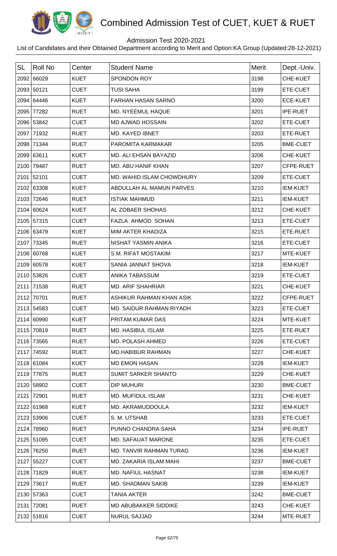

## Admission Test 2020-2021

| <b>SL</b> | <b>Roll No</b> | Center      | <b>Student Name</b>        | Merit | Dept.-Univ.     |
|-----------|----------------|-------------|----------------------------|-------|-----------------|
|           | 2092 66029     | <b>KUET</b> | <b>SPONDON ROY</b>         | 3198  | CHE-KUET        |
|           | 2093 50121     | <b>CUET</b> | <b>TUSI SAHA</b>           | 3199  | ETE-CUET        |
| 2094      | 64446          | <b>KUET</b> | <b>FARHAN HASAN SARNO</b>  | 3200  | <b>ECE-KUET</b> |
|           | 2095 77282     | <b>RUET</b> | MD. NYEEMUL HAQUE          | 3201  | <b>IPE-RUET</b> |
|           | 2096 53842     | <b>CUET</b> | <b>MD AJWAD HOSSAIN</b>    | 3202  | ETE-CUET        |
|           | 2097 71932     | <b>RUET</b> | MD. KAYED IBNET            | 3203  | ETE-RUET        |
| 2098      | 71344          | <b>RUET</b> | PAROMITA KARMAKAR          | 3205  | <b>BME-CUET</b> |
|           | 2099 63611     | <b>KUET</b> | MD. ALI EHSAN BAYAZID      | 3206  | CHE-KUET        |
| 2100      | 79487          | <b>RUET</b> | MD. ABU HANIF KHAN         | 3207  | CFPE-RUET       |
|           | 2101 52101     | <b>CUET</b> | MD. WAHID ISLAM CHOWDHURY  | 3209  | ETE-CUET        |
|           | 2102 63308     | <b>KUET</b> | ABDULLAH AL MAMUN PARVES   | 3210  | <b>IEM-KUET</b> |
|           | 2103 72646     | <b>RUET</b> | <b>ISTIAK MAHMUD</b>       | 3211  | <b>IEM-KUET</b> |
|           | 2104 60624     | <b>KUET</b> | AL ZOBAER SHOHAS           | 3212  | CHE-KUET        |
|           | 2105 57315     | <b>CUET</b> | FAZLA AHMOD SOHAN          | 3213  | ETE-CUET        |
|           | 2106 63479     | <b>KUET</b> | MIM AKTER KHADIZA          | 3215  | ETE-RUET        |
|           | 2107 73345     | <b>RUET</b> | NISHAT YASMIN ANIKA        | 3216  | ETE-CUET        |
|           | 2108 60768     | <b>KUET</b> | S.M. RIFAT MOSTAKIM        | 3217  | MTE-KUET        |
|           | 2109 60578     | <b>KUET</b> | SANIA JANNAT SHOVA         | 3218  | <b>IEM-KUET</b> |
|           | 2110 53826     | <b>CUET</b> | ANIKA TABASSUM             | 3219  | ETE-CUET        |
|           | 2111 71538     | <b>RUET</b> | <b>MD. ARIF SHAHRIAR</b>   | 3221  | CHE-KUET        |
| 2112      | 70701          | <b>RUET</b> | ASHIKUR RAHMAN KHAN ASIK   | 3222  | CFPE-RUET       |
|           | 2113 54583     | <b>CUET</b> | MD. SAIDUR RAHMAN RIYADH   | 3223  | ETE-CUET        |
|           | 2114 60990     | <b>KUET</b> | PRITAM KUMAR DAS           | 3224  | MTE-KUET        |
|           | 2115 70819     | <b>RUET</b> | MD. HASIBUL ISLAM          | 3225  | ETE-RUET        |
|           | 2116 73565     | <b>RUET</b> | <b>MD. POLASH AHMED</b>    | 3226  | ETE-CUET        |
|           | 2117 74592     | <b>RUET</b> | <b>MD.HABIBUR RAHMAN</b>   | 3227  | <b>CHE-KUET</b> |
|           | 2118 61084     | <b>KUET</b> | <b>MD EMON HASAN</b>       | 3228  | <b>IEM-KUET</b> |
|           | 2119 77875     | <b>RUET</b> | <b>SUMIT SARKER SHANTO</b> | 3229  | CHE-KUET        |
|           | 2120 58902     | <b>CUET</b> | DIP MUHURI                 | 3230  | <b>BME-CUET</b> |
| 2121      | 72901          | <b>RUET</b> | <b>MD. MUFIDUL ISLAM</b>   | 3231  | <b>CHE-KUET</b> |
|           | 2122 61968     | <b>KUET</b> | MD. AKRAMUDDOULA           | 3232  | <b>IEM-KUET</b> |
|           | 2123 53906     | <b>CUET</b> | S. M. UTSHAB               | 3233  | ETE-CUET        |
|           | 2124 78960     | <b>RUET</b> | PUNNO CHANDRA SAHA         | 3234  | <b>IPE-RUET</b> |
|           | 2125 51095     | <b>CUET</b> | <b>MD. SAFAUAT MARONE</b>  | 3235  | ETE-CUET        |
|           | 2126 76250     | <b>RUET</b> | MD. TANVIR RAHMAN TURAG    | 3236  | <b>IEM-KUET</b> |
|           | 2127 55227     | <b>CUET</b> | MD. ZAKARIA ISLAM MAHI     | 3237  | <b>BME-CUET</b> |
|           | 2128 71829     | <b>RUET</b> | <b>MD. NAFIUL HASNAT</b>   | 3238  | <b>IEM-KUET</b> |
|           | 2129 73617     | <b>RUET</b> | <b>MD. SHADMAN SAKIB</b>   | 3239  | <b>IEM-KUET</b> |
|           | 2130 57363     | <b>CUET</b> | <b>TANIA AKTER</b>         | 3242  | <b>BME-CUET</b> |
|           | 2131 72081     | <b>RUET</b> | MD ABUBAKKER SIDDIKE       | 3243  | CHE-KUET        |
|           | 2132 51816     | <b>CUET</b> | <b>NURUL SAJJAD</b>        | 3244  | MTE-RUET        |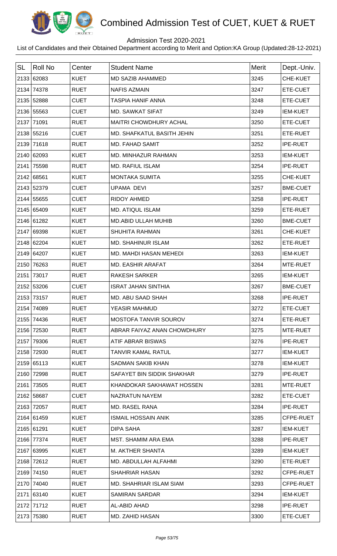

## Admission Test 2020-2021

| <b>SL</b> | Roll No    | Center      | <b>Student Name</b>           | <b>Merit</b> | Dept.-Univ.     |
|-----------|------------|-------------|-------------------------------|--------------|-----------------|
|           | 2133 62083 | <b>KUET</b> | <b>MD SAZIB AHAMMED</b>       | 3245         | CHE-KUET        |
|           | 2134 74378 | <b>RUET</b> | <b>NAFIS AZMAIN</b>           | 3247         | ETE-CUET        |
|           | 2135 52888 | <b>CUET</b> | <b>TASPIA HANIF ANNA</b>      | 3248         | ETE-CUET        |
|           | 2136 55563 | <b>CUET</b> | <b>MD. SAWKAT SIFAT</b>       | 3249         | <b>IEM-KUET</b> |
|           | 2137 71091 | <b>RUET</b> | <b>MAITRI CHOWDHURY ACHAL</b> | 3250         | ETE-CUET        |
|           | 2138 55216 | <b>CUET</b> | MD. SHAFKATUL BASITH JEHIN    | 3251         | ETE-RUET        |
|           | 2139 71618 | <b>RUET</b> | <b>MD. FAHAD SAMIT</b>        | 3252         | <b>IPE-RUET</b> |
|           | 2140 62093 | <b>KUET</b> | MD. MINHAZUR RAHMAN           | 3253         | <b>IEM-KUET</b> |
|           | 2141 75598 | <b>RUET</b> | <b>MD. RAFIUL ISLAM</b>       | 3254         | <b>IPE-RUET</b> |
|           | 2142 68561 | <b>KUET</b> | <b>MONTAKA SUMITA</b>         | 3255         | CHE-KUET        |
|           | 2143 52379 | <b>CUET</b> | <b>UPAMA DEVI</b>             | 3257         | <b>BME-CUET</b> |
|           | 2144 55655 | <b>CUET</b> | <b>RIDOY AHMED</b>            | 3258         | <b>IPE-RUET</b> |
|           | 2145 65409 | <b>KUET</b> | <b>MD. ATIQUL ISLAM</b>       | 3259         | ETE-RUET        |
|           | 2146 61282 | <b>KUET</b> | MD.ABID ULLAH MUHIB           | 3260         | <b>BME-CUET</b> |
|           | 2147 69398 | <b>KUET</b> | <b>SHUHITA RAHMAN</b>         | 3261         | CHE-KUET        |
|           | 2148 62204 | <b>KUET</b> | <b>MD. SHAHINUR ISLAM</b>     | 3262         | ETE-RUET        |
|           | 2149 64207 | <b>KUET</b> | MD. MAHDI HASAN MEHEDI        | 3263         | <b>IEM-KUET</b> |
|           | 2150 76263 | <b>RUET</b> | <b>MD. EASHIR ARAFAT</b>      | 3264         | MTE-RUET        |
|           | 2151 73017 | <b>RUET</b> | <b>RAKESH SARKER</b>          | 3265         | <b>IEM-KUET</b> |
|           | 2152 53206 | <b>CUET</b> | <b>ISRAT JAHAN SINTHIA</b>    | 3267         | <b>BME-CUET</b> |
|           | 2153 73157 | <b>RUET</b> | MD. ABU SAAD SHAH             | 3268         | <b>IPE-RUET</b> |
|           | 2154 74089 | <b>RUET</b> | YEASIR MAHMUD                 | 3272         | <b>ETE-CUET</b> |
|           | 2155 74436 | <b>RUET</b> | <b>MOSTOFA TANVIR SOUROV</b>  | 3274         | ETE-RUET        |
|           | 2156 72530 | <b>RUET</b> | ABRAR FAIYAZ ANAN CHOWDHURY   | 3275         | MTE-RUET        |
|           | 2157 79306 | <b>RUET</b> | ATIF ABRAR BISWAS             | 3276         | <b>IPE-RUET</b> |
|           | 2158 72930 | <b>RUET</b> | TANVIR KAMAL RATUL            | 3277         | <b>IEM-KUET</b> |
|           | 2159 65113 | <b>KUET</b> | <b>SADMAN SAKIB KHAN</b>      | 3278         | <b>IEM-KUET</b> |
|           | 2160 72998 | <b>RUET</b> | SAFAYET BIN SIDDIK SHAKHAR    | 3279         | <b>IPE-RUET</b> |
|           | 2161 73505 | <b>RUET</b> | KHANDOKAR SAKHAWAT HOSSEN     | 3281         | MTE-RUET        |
|           | 2162 58687 | <b>CUET</b> | NAZRATUN NAYEM                | 3282         | ETE-CUET        |
|           | 2163 72057 | <b>RUET</b> | <b>MD. RASEL RANA</b>         | 3284         | <b>IPE-RUET</b> |
|           | 2164 61459 | <b>KUET</b> | <b>ISMAIL HOSSAIN ANIK</b>    | 3285         | CFPE-RUET       |
|           | 2165 61291 | <b>KUET</b> | <b>DIPA SAHA</b>              | 3287         | <b>IEM-KUET</b> |
|           | 2166 77374 | <b>RUET</b> | <b>MST. SHAMIM ARA EMA</b>    | 3288         | <b>IPE-RUET</b> |
|           | 2167 63995 | <b>KUET</b> | M. AKTHER SHANTA              | 3289         | <b>IEM-KUET</b> |
|           | 2168 72612 | <b>RUET</b> | MD. ABDULLAH ALFAHMI          | 3290         | ETE-RUET        |
|           | 2169 74150 | <b>RUET</b> | <b>SHAHRIAR HASAN</b>         | 3292         | CFPE-RUET       |
|           | 2170 74040 | <b>RUET</b> | MD. SHAHRIAR ISLAM SIAM       | 3293         | CFPE-RUET       |
|           | 2171 63140 | <b>KUET</b> | <b>SAMIRAN SARDAR</b>         | 3294         | <b>IEM-KUET</b> |
|           | 2172 71712 | <b>RUET</b> | AL-ABID AHAD                  | 3298         | <b>IPE-RUET</b> |
|           | 2173 75380 | <b>RUET</b> | MD. ZAHID HASAN               | 3300         | ETE-CUET        |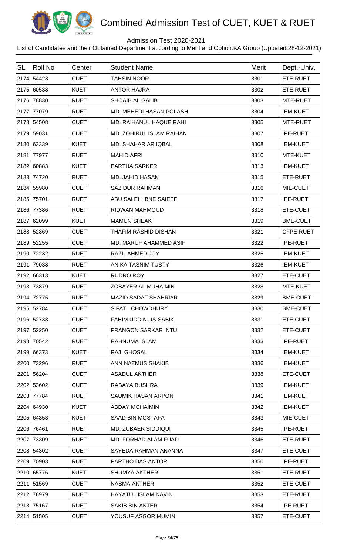

## Admission Test 2020-2021

| <b>SL</b> | <b>Roll No</b> | Center      | <b>Student Name</b>         | Merit | Dept.-Univ.     |
|-----------|----------------|-------------|-----------------------------|-------|-----------------|
|           | 2174 54423     | <b>CUET</b> | <b>TAHSIN NOOR</b>          | 3301  | ETE-RUET        |
|           | 2175 60538     | <b>KUET</b> | <b>ANTOR HAJRA</b>          | 3302  | ETE-RUET        |
|           | 2176 78830     | <b>RUET</b> | <b>SHOAIB AL GALIB</b>      | 3303  | MTE-RUET        |
|           | 2177 77079     | <b>RUET</b> | MD. MEHEDI HASAN POLASH     | 3304  | <b>IEM-KUET</b> |
|           | 2178 54508     | <b>CUET</b> | MD. RAIHANUL HAQUE RAHI     | 3305  | MTE-RUET        |
|           | 2179 59031     | <b>CUET</b> | MD. ZOHIRUL ISLAM RAIHAN    | 3307  | <b>IPE-RUET</b> |
|           | 2180 63339     | <b>KUET</b> | MD. SHAHARIAR IQBAL         | 3308  | <b>IEM-KUET</b> |
|           | 2181 77977     | <b>RUET</b> | <b>MAHID AFRI</b>           | 3310  | MTE-KUET        |
|           | 2182 60883     | <b>KUET</b> | PARTHA SARKER               | 3313  | <b>IEM-KUET</b> |
|           | 2183 74720     | <b>RUET</b> | MD. JAHID HASAN             | 3315  | ETE-RUET        |
|           | 2184 55980     | <b>CUET</b> | <b>SAZIDUR RAHMAN</b>       | 3316  | MIE-CUET        |
|           | 2185 75701     | <b>RUET</b> | ABU SALEH IBNE SAIEEF       | 3317  | <b>IPE-RUET</b> |
|           | 2186 77386     | <b>RUET</b> | RIDWAN MAHMOUD              | 3318  | ETE-CUET        |
|           | 2187 62099     | <b>KUET</b> | <b>MAMUN SHEAK</b>          | 3319  | <b>BME-CUET</b> |
|           | 2188 52869     | <b>CUET</b> | THAFIM RASHID DISHAN        | 3321  | CFPE-RUET       |
|           | 2189 52255     | <b>CUET</b> | MD. MARUF AHAMMED ASIF      | 3322  | <b>IPE-RUET</b> |
|           | 2190 72232     | <b>RUET</b> | RAZU AHMED JOY              | 3325  | <b>IEM-KUET</b> |
|           | 2191 79038     | <b>RUET</b> | ANIKA TASNIM TUSTY          | 3326  | <b>IEM-KUET</b> |
|           | 2192 66313     | <b>KUET</b> | <b>RUDRO ROY</b>            | 3327  | ETE-CUET        |
|           | 2193 73879     | <b>RUET</b> | ZOBAYER AL MUHAIMIN         | 3328  | MTE-KUET        |
|           | 2194 72775     | <b>RUET</b> | <b>MAZID SADAT SHAHRIAR</b> | 3329  | <b>BME-CUET</b> |
|           | 2195 52784     | <b>CUET</b> | SIFAT CHOWDHURY             | 3330  | <b>BME-CUET</b> |
|           | 2196 52733     | <b>CUET</b> | <b>FAHIM UDDIN US-SABIK</b> | 3331  | ETE-CUET        |
|           | 2197 52250     | <b>CUET</b> | PRANGON SARKAR INTU         | 3332  | ETE-CUET        |
|           | 2198 70542     | <b>RUET</b> | RAHNUMA ISLAM               | 3333  | <b>IPE-RUET</b> |
|           | 2199 66373     | <b>KUET</b> | RAJ GHOSAL                  | 3334  | <b>IEM-KUET</b> |
|           | 2200 73296     | <b>RUET</b> | ANN NAZMUS SHAKIB           | 3336  | <b>IEM-KUET</b> |
|           | 2201 56204     | <b>CUET</b> | <b>ASADUL AKTHER</b>        | 3338  | ETE-CUET        |
|           | 2202 53602     | <b>CUET</b> | RABAYA BUSHRA               | 3339  | <b>IEM-KUET</b> |
|           | 2203 77784     | <b>RUET</b> | SAUMIK HASAN ARPON          | 3341  | <b>IEM-KUET</b> |
|           | 2204 64930     | <b>KUET</b> | <b>ABDAY MOHAIMIN</b>       | 3342  | <b>IEM-KUET</b> |
|           | 2205 64858     | <b>KUET</b> | SAAD BIN MOSTAFA            | 3343  | MIE-CUET        |
|           | 2206 76461     | <b>RUET</b> | <b>MD. ZUBAER SIDDIQUI</b>  | 3345  | <b>IPE-RUET</b> |
|           | 2207 73309     | <b>RUET</b> | MD. FORHAD ALAM FUAD        | 3346  | ETE-RUET        |
|           | 2208 54302     | <b>CUET</b> | SAYEDA RAHMAN ANANNA        | 3347  | ETE-CUET        |
|           | 2209 70903     | <b>RUET</b> | PARTHO DAS ANTOR            | 3350  | <b>IPE-RUET</b> |
|           | 2210 65776     | <b>KUET</b> | <b>SHUMYA AKTHER</b>        | 3351  | ETE-RUET        |
|           | 2211 51569     | <b>CUET</b> | NASMA AKTHER                | 3352  | ETE-CUET        |
|           | 2212 76979     | <b>RUET</b> | <b>HAYATUL ISLAM NAVIN</b>  | 3353  | ETE-RUET        |
|           | 2213 75167     | <b>RUET</b> | <b>SAKIB BIN AKTER</b>      | 3354  | <b>IPE-RUET</b> |
|           | 2214 51505     | <b>CUET</b> | YOUSUF ASGOR MUMIN          | 3357  | ETE-CUET        |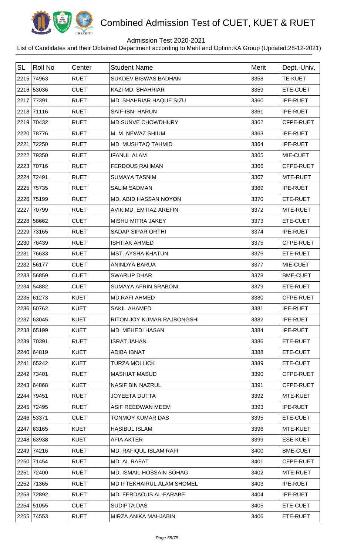

## Admission Test 2020-2021

| <b>SL</b> | Roll No    | Center      | <b>Student Name</b>             | Merit | Dept.-Univ.     |
|-----------|------------|-------------|---------------------------------|-------|-----------------|
|           | 2215 74963 | <b>RUET</b> | <b>SUKDEV BISWAS BADHAN</b>     | 3358  | <b>TE-KUET</b>  |
|           | 2216 53036 | <b>CUET</b> | <b>KAZI MD. SHAHRIAR</b>        | 3359  | ETE-CUET        |
|           | 2217 77391 | <b>RUET</b> | MD. SHAHRIAR HAQUE SIZU         | 3360  | <b>IPE-RUET</b> |
|           | 2218 71116 | <b>RUET</b> | <b>SAIF-IBN- HARUN</b>          | 3361  | <b>IPE-RUET</b> |
|           | 2219 70432 | <b>RUET</b> | MD.SUNVE CHOWDHURY              | 3362  | CFPE-RUET       |
|           | 2220 78776 | <b>RUET</b> | M. M. NEWAZ SHIUM               | 3363  | <b>IPE-RUET</b> |
|           | 2221 72250 | <b>RUET</b> | MD. MUSHTAQ TAHMID              | 3364  | <b>IPE-RUET</b> |
|           | 2222 79350 | <b>RUET</b> | <b>IFANUL ALAM</b>              | 3365  | MIE-CUET        |
|           | 2223 70716 | <b>RUET</b> | <b>FERDOUS RAHMAN</b>           | 3366  | CFPE-RUET       |
|           | 2224 72491 | <b>RUET</b> | <b>SUMAYA TASNIM</b>            | 3367  | MTE-RUET        |
|           | 2225 75735 | <b>RUET</b> | <b>SALIM SADMAN</b>             | 3369  | <b>IPE-RUET</b> |
|           | 2226 75199 | <b>RUET</b> | MD. ABID HASSAN NOYON           | 3370  | ETE-RUET        |
|           | 2227 70799 | <b>RUET</b> | AVIK MD. EMTIAZ AREFIN          | 3372  | MTE-RUET        |
|           | 2228 58662 | <b>CUET</b> | MISHU MITRA JAKEY               | 3373  | ETE-CUET        |
|           | 2229 73165 | <b>RUET</b> | <b>SADAP SIPAR ORTHI</b>        | 3374  | IPE-RUET        |
|           | 2230 76439 | <b>RUET</b> | <b>ISHTIAK AHMED</b>            | 3375  | CFPE-RUET       |
|           | 2231 76633 | <b>RUET</b> | <b>MST. AYSHA KHATUN</b>        | 3376  | ETE-RUET        |
|           | 2232 56177 | <b>CUET</b> | ANINDYA BARUA                   | 3377  | MIE-CUET        |
|           | 2233 56859 | <b>CUET</b> | <b>SWARUP DHAR</b>              | 3378  | <b>BME-CUET</b> |
|           | 2234 54882 | <b>CUET</b> | <b>SUMAYA AFRIN SRABONI</b>     | 3379  | ETE-RUET        |
|           | 2235 61273 | <b>KUET</b> | MD.RAFI AHMED                   | 3380  | CFPE-RUET       |
|           | 2236 60762 | <b>KUET</b> | <b>SAKIL AHAMED</b>             | 3381  | <b>IPE-RUET</b> |
|           | 2237 63045 | <b>KUET</b> | RITON JOY KUMAR RAJBONGSHI      | 3382  | <b>IPE-RUET</b> |
|           | 2238 65199 | <b>KUET</b> | <b>MD. MEHEDI HASAN</b>         | 3384  | <b>IPE-RUET</b> |
|           | 2239 70391 | <b>RUET</b> | <b>ISRAT JAHAN</b>              | 3386  | ETE-RUET        |
|           | 2240 64819 | <b>KUET</b> | <b>ADIBA IBNAT</b>              | 3388  | ETE-CUET        |
|           | 2241 65242 | <b>KUET</b> | <b>TURZA MOLLICK</b>            | 3389  | ETE-CUET        |
|           | 2242 73401 | <b>RUET</b> | <b>MASHIAT MASUD</b>            | 3390  | CFPE-RUET       |
|           | 2243 64868 | <b>KUET</b> | <b>NASIF BIN NAZRUL</b>         | 3391  | CFPE-RUET       |
|           | 2244 79451 | <b>RUET</b> | <b>JOYEETA DUTTA</b>            | 3392  | MTE-KUET        |
|           | 2245 72495 | <b>RUET</b> | ASIF REEDWAN MEEM               | 3393  | <b>IPE-RUET</b> |
|           | 2246 53371 | <b>CUET</b> | <b>TONMOY KUMAR DAS</b>         | 3395  | ETE-CUET        |
|           | 2247 63165 | <b>KUET</b> | <b>HASIBUL ISLAM</b>            | 3396  | MTE-KUET        |
|           | 2248 63938 | <b>KUET</b> | <b>AFIA AKTER</b>               | 3399  | <b>ESE-KUET</b> |
|           | 2249 74216 | <b>RUET</b> | MD. RAFIQUL ISLAM RAFI          | 3400  | <b>BME-CUET</b> |
|           | 2250 71454 | <b>RUET</b> | MD. AL RAFAT                    | 3401  | CFPE-RUET       |
|           | 2251 72400 | <b>RUET</b> | <b>MD. ISMAIL HOSSAIN SOHAG</b> | 3402  | MTE-RUET        |
|           | 2252 71365 | <b>RUET</b> | MD IFTEKHAIRUL ALAM SHOMEL      | 3403  | <b>IPE-RUET</b> |
|           | 2253 72892 | <b>RUET</b> | MD. FERDAOUS AL-FARABE          | 3404  | <b>IPE-RUET</b> |
|           | 2254 51055 | <b>CUET</b> | SUDIPTA DAS                     | 3405  | ETE-CUET        |
|           | 2255 74553 | <b>RUET</b> | MIRZA ANIKA MAHJABIN            | 3406  | ETE-RUET        |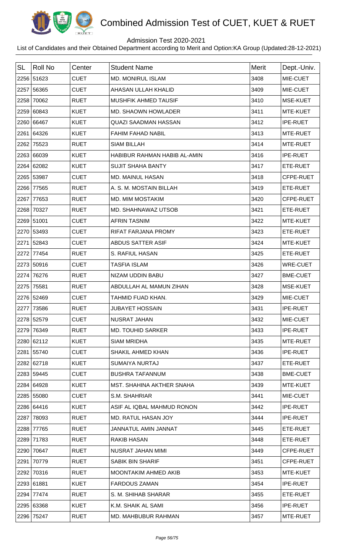

## Admission Test 2020-2021

| <b>SL</b> | Roll No    | Center      | <b>Student Name</b>          | <b>Merit</b> | Dept.-Univ.     |
|-----------|------------|-------------|------------------------------|--------------|-----------------|
|           | 2256 51623 | <b>CUET</b> | <b>MD. MONIRUL ISLAM</b>     | 3408         | MIE-CUET        |
|           | 2257 56365 | <b>CUET</b> | AHASAN ULLAH KHALID          | 3409         | MIE-CUET        |
|           | 2258 70062 | <b>RUET</b> | <b>MUSHFIK AHMED TAUSIF</b>  | 3410         | MSE-KUET        |
|           | 2259 60843 | <b>KUET</b> | MD. SHAOWN HOWLADER          | 3411         | MTE-KUET        |
|           | 2260 66467 | <b>KUET</b> | <b>QUAZI SAADMAN HASSAN</b>  | 3412         | <b>IPE-RUET</b> |
|           | 2261 64326 | <b>KUET</b> | <b>FAHIM FAHAD NABIL</b>     | 3413         | MTE-RUET        |
|           | 2262 75523 | <b>RUET</b> | <b>SIAM BILLAH</b>           | 3414         | MTE-RUET        |
|           | 2263 66039 | <b>KUET</b> | HABIBUR RAHMAN HABIB AL-AMIN | 3416         | <b>IPE-RUET</b> |
|           | 2264 62082 | <b>KUET</b> | <b>SUJIT SHAHA BANTY</b>     | 3417         | ETE-RUET        |
|           | 2265 53987 | <b>CUET</b> | MD. MAINUL HASAN             | 3418         | CFPE-RUET       |
|           | 2266 77565 | <b>RUET</b> | A. S. M. MOSTAIN BILLAH      | 3419         | ETE-RUET        |
|           | 2267 77653 | <b>RUET</b> | <b>MD. MIM MOSTAKIM</b>      | 3420         | CFPE-RUET       |
|           | 2268 70327 | <b>RUET</b> | MD. SHAHNAWAZ UTSOB          | 3421         | ETE-RUET        |
|           | 2269 51001 | <b>CUET</b> | <b>AFRIN TASNIM</b>          | 3422         | MTE-KUET        |
|           | 2270 53493 | <b>CUET</b> | RIFAT FARJANA PROMY          | 3423         | ETE-RUET        |
|           | 2271 52843 | <b>CUET</b> | ABDUS SATTER ASIF            | 3424         | MTE-KUET        |
|           | 2272 77454 | <b>RUET</b> | S. RAFIUL HASAN              | 3425         | ETE-RUET        |
|           | 2273 50916 | <b>CUET</b> | <b>TASFIA ISLAM</b>          | 3426         | <b>WRE-CUET</b> |
|           | 2274 76276 | <b>RUET</b> | NIZAM UDDIN BABU             | 3427         | <b>BME-CUET</b> |
|           | 2275 75581 | <b>RUET</b> | ABDULLAH AL MAMUN ZIHAN      | 3428         | MSE-KUET        |
|           | 2276 52469 | <b>CUET</b> | TAHMID FUAD KHAN.            | 3429         | MIE-CUET        |
|           | 2277 73586 | <b>RUET</b> | <b>JUBAYET HOSSAIN</b>       | 3431         | <b>IPE-RUET</b> |
|           | 2278 52579 | <b>CUET</b> | <b>NUSRAT JAHAN</b>          | 3432         | MIE-CUET        |
|           | 2279 76349 | <b>RUET</b> | <b>MD. TOUHID SARKER</b>     | 3433         | <b>IPE-RUET</b> |
|           | 2280 62112 | <b>KUET</b> | <b>SIAM MRIDHA</b>           | 3435         | MTE-RUET        |
|           | 2281 55740 | <b>CUET</b> | SHAKIL AHMED KHAN            | 3436         | <b>IPE-RUET</b> |
|           | 2282 62718 | <b>KUET</b> | <b>SUMAIYA NURTAJ</b>        | 3437         | ETE-RUET        |
|           | 2283 59445 | <b>CUET</b> | <b>BUSHRA TAFANNUM</b>       | 3438         | <b>BME-CUET</b> |
|           | 2284 64928 | <b>KUET</b> | MST. SHAHINA AKTHER SNAHA    | 3439         | MTE-KUET        |
|           | 2285 55080 | <b>CUET</b> | S.M. SHAHRIAR                | 3441         | MIE-CUET        |
|           | 2286 64416 | <b>KUET</b> | ASIF AL IQBAL MAHMUD RONON   | 3442         | <b>IPE-RUET</b> |
|           | 2287 78093 | <b>RUET</b> | MD. RATUL HASAN JOY          | 3444         | <b>IPE-RUET</b> |
|           | 2288 77765 | <b>RUET</b> | <b>JANNATUL AMIN JANNAT</b>  | 3445         | ETE-RUET        |
|           | 2289 71783 | <b>RUET</b> | <b>RAKIB HASAN</b>           | 3448         | ETE-RUET        |
|           | 2290 70647 | <b>RUET</b> | NUSRAT JAHAN MIMI            | 3449         | CFPE-RUET       |
|           | 2291 70779 | <b>RUET</b> | <b>SABIK BIN SHARIF</b>      | 3451         | CFPE-RUET       |
|           | 2292 70316 | <b>RUET</b> | MOONTAKIM AHMED AKIB         | 3453         | MTE-KUET        |
|           | 2293 61881 | <b>KUET</b> | <b>FARDOUS ZAMAN</b>         | 3454         | <b>IPE-RUET</b> |
|           | 2294 77474 | <b>RUET</b> | S. M. SHIHAB SHARAR          | 3455         | ETE-RUET        |
|           | 2295 63368 | <b>KUET</b> | K.M. SHAIK AL SAMI           | 3456         | <b>IPE-RUET</b> |
|           | 2296 75247 | <b>RUET</b> | MD. MAHBUBUR RAHMAN          | 3457         | MTE-RUET        |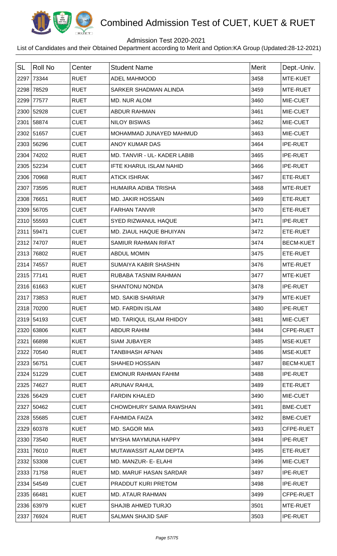

## Admission Test 2020-2021

| <b>SL</b> | <b>Roll No</b> | Center      | <b>Student Name</b>            | <b>Merit</b> | Dept.-Univ.      |
|-----------|----------------|-------------|--------------------------------|--------------|------------------|
| 2297      | 73344          | <b>RUET</b> | <b>ADEL MAHMOOD</b>            | 3458         | MTE-KUET         |
| 2298      | 78529          | <b>RUET</b> | SARKER SHADMAN ALINDA          | 3459         | MTE-RUET         |
| 2299      | 77577          | <b>RUET</b> | <b>MD. NUR ALOM</b>            | 3460         | MIE-CUET         |
|           | 2300 52928     | <b>CUET</b> | <b>ABDUR RAHMAN</b>            | 3461         | MIE-CUET         |
|           | 2301 58874     | <b>CUET</b> | <b>NILOY BISWAS</b>            | 3462         | MIE-CUET         |
|           | 2302 51657     | <b>CUET</b> | MOHAMMAD JUNAYED MAHMUD        | 3463         | MIE-CUET         |
|           | 2303 56296     | <b>CUET</b> | ANOY KUMAR DAS                 | 3464         | <b>IPE-RUET</b>  |
| 2304      | 74202          | <b>RUET</b> | MD. TANVIR - UL- KADER LABIB   | 3465         | <b>IPE-RUET</b>  |
|           | 2305 52234     | <b>CUET</b> | <b>IFTE KHARUL ISLAM NAHID</b> | 3466         | <b>IPE-RUET</b>  |
| 2306      | 70968          | <b>RUET</b> | <b>ATICK ISHRAK</b>            | 3467         | ETE-RUET         |
| 2307      | 73595          | <b>RUET</b> | HUMAIRA ADIBA TRISHA           | 3468         | MTE-RUET         |
| 2308      | 76651          | <b>RUET</b> | <b>MD. JAKIR HOSSAIN</b>       | 3469         | ETE-RUET         |
| 2309      | 56705          | <b>CUET</b> | <b>FARHAN TANVIR</b>           | 3470         | ETE-RUET         |
|           | 2310 55593     | <b>CUET</b> | SYED RIZWANUL HAQUE            | 3471         | <b>IPE-RUET</b>  |
| 2311      | 59471          | <b>CUET</b> | MD. ZIAUL HAQUE BHUIYAN        | 3472         | ETE-RUET         |
| 2312      | 74707          | <b>RUET</b> | SAMIUR RAHMAN RIFAT            | 3474         | <b>BECM-KUET</b> |
| 2313      | 76802          | <b>RUET</b> | <b>ABDUL MOMIN</b>             | 3475         | ETE-RUET         |
| 2314      | 74557          | <b>RUET</b> | SUMAIYA KABIR SHASHIN          | 3476         | MTE-RUET         |
|           | 2315 77141     | <b>RUET</b> | RUBABA TASNIM RAHMAN           | 3477         | MTE-KUET         |
|           | 2316 61663     | <b>KUET</b> | <b>SHANTONU NONDA</b>          | 3478         | <b>IPE-RUET</b>  |
| 2317      | 73853          | <b>RUET</b> | <b>MD. SAKIB SHARIAR</b>       | 3479         | MTE-KUET         |
|           | 2318 70200     | <b>RUET</b> | <b>MD. FARDIN ISLAM</b>        | 3480         | <b>IPE-RUET</b>  |
|           | 2319 54193     | <b>CUET</b> | MD. TARIQUL ISLAM RHIDOY       | 3481         | MIE-CUET         |
|           | 2320 63806     | <b>KUET</b> | <b>ABDUR RAHIM</b>             | 3484         | CFPE-RUET        |
| 2321      | 66898          | <b>KUET</b> | <b>SIAM JUBAYER</b>            | 3485         | MSE-KUET         |
| 2322      | 70540          | <b>RUET</b> | <b>TANBIHASH AFNAN</b>         | 3486         | MSE-KUET         |
|           | 2323 56751     | <b>CUET</b> | <b>SHAHED HOSSAIN</b>          | 3487         | <b>BECM-KUET</b> |
|           | 2324 51229     | <b>CUET</b> | <b>EMONUR RAHMAN FAHIM</b>     | 3488         | <b>IPE-RUET</b>  |
| 2325      | 74627          | <b>RUET</b> | <b>ARUNAV RAHUL</b>            | 3489         | ETE-RUET         |
|           | 2326 56429     | <b>CUET</b> | <b>FARDIN KHALED</b>           | 3490         | MIE-CUET         |
|           | 2327 50462     | <b>CUET</b> | CHOWDHURY SAIMA RAWSHAN        | 3491         | <b>BME-CUET</b>  |
|           | 2328 55685     | <b>CUET</b> | FAHMIDA FAIZA                  | 3492         | <b>BME-CUET</b>  |
|           | 2329 60378     | <b>KUET</b> | MD. SAGOR MIA                  | 3493         | CFPE-RUET        |
|           | 2330 73540     | <b>RUET</b> | MYSHA MAYMUNA HAPPY            | 3494         | <b>IPE-RUET</b>  |
| 2331      | 76010          | <b>RUET</b> | MUTAWASSIT ALAM DEPTA          | 3495         | ETE-RUET         |
|           | 2332 53308     | <b>CUET</b> | MD. MANZUR- E- ELAHI           | 3496         | MIE-CUET         |
|           | 2333 71758     | <b>RUET</b> | MD. MARUF HASAN SARDAR         | 3497         | <b>IPE-RUET</b>  |
|           | 2334 54549     | <b>CUET</b> | PRADDUT KURI PRETOM            | 3498         | <b>IPE-RUET</b>  |
|           | 2335 66481     | <b>KUET</b> | <b>MD. ATAUR RAHMAN</b>        | 3499         | CFPE-RUET        |
|           | 2336 63979     | <b>KUET</b> | <b>SHAJIB AHMED TURJO</b>      | 3501         | MTE-RUET         |
|           | 2337 76924     | <b>RUET</b> | <b>SALMAN SHAJID SAIF</b>      | 3503         | IPE-RUET         |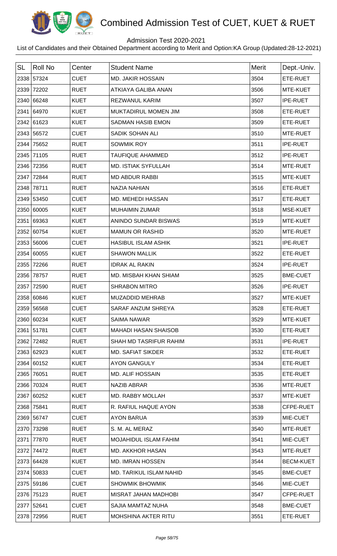

## Admission Test 2020-2021

| <b>SL</b> | <b>Roll No</b> | Center      | <b>Student Name</b>          | <b>Merit</b> | Dept.-Univ.      |
|-----------|----------------|-------------|------------------------------|--------------|------------------|
|           | 2338 57324     | <b>CUET</b> | <b>MD. JAKIR HOSSAIN</b>     | 3504         | ETE-RUET         |
|           | 2339 72202     | <b>RUET</b> | <b>ATKIAYA GALIBA ANAN</b>   | 3506         | MTE-KUET         |
|           | 2340 66248     | <b>KUET</b> | <b>REZWANUL KARIM</b>        | 3507         | <b>IPE-RUET</b>  |
|           | 2341 64970     | <b>KUET</b> | MUKTADIRUL MOMEN JIM         | 3508         | ETE-RUET         |
|           | 2342 61623     | <b>KUET</b> | <b>SADMAN HASIB EMON</b>     | 3509         | ETE-RUET         |
|           | 2343 56572     | <b>CUET</b> | SADIK SOHAN ALI              | 3510         | MTE-RUET         |
|           | 2344 75652     | <b>RUET</b> | <b>SOWMIK ROY</b>            | 3511         | <b>IPE-RUET</b>  |
|           | 2345 71105     | <b>RUET</b> | <b>TAUFIQUE AHAMMED</b>      | 3512         | <b>IPE-RUET</b>  |
|           | 2346 72356     | <b>RUET</b> | <b>MD. ISTIAK SYFULLAH</b>   | 3514         | MTE-RUET         |
|           | 2347 72844     | <b>RUET</b> | <b>MD ABDUR RABBI</b>        | 3515         | MTE-KUET         |
|           | 2348 78711     | <b>RUET</b> | <b>NAZIA NAHIAN</b>          | 3516         | ETE-RUET         |
|           | 2349 53450     | <b>CUET</b> | MD. MEHEDI HASSAN            | 3517         | ETE-RUET         |
|           | 2350 60005     | <b>KUET</b> | <b>MUHAIMIN ZUMAR</b>        | 3518         | MSE-KUET         |
|           | 2351 69363     | <b>KUET</b> | ANINDO SUNDAR BISWAS         | 3519         | MTE-KUET         |
|           | 2352 60754     | <b>KUET</b> | <b>MAMUN OR RASHID</b>       | 3520         | MTE-RUET         |
|           | 2353 56006     | <b>CUET</b> | <b>HASIBUL ISLAM ASHIK</b>   | 3521         | <b>IPE-RUET</b>  |
|           | 2354 60055     | <b>KUET</b> | <b>SHAWON MALLIK</b>         | 3522         | ETE-RUET         |
|           | 2355 72266     | <b>RUET</b> | <b>IDRAK AL RAKIN</b>        | 3524         | <b>IPE-RUET</b>  |
|           | 2356 78757     | <b>RUET</b> | <b>MD. MISBAH KHAN SHIAM</b> | 3525         | <b>BME-CUET</b>  |
|           | 2357 72590     | <b>RUET</b> | <b>SHRABON MITRO</b>         | 3526         | <b>IPE-RUET</b>  |
|           | 2358 60846     | <b>KUET</b> | <b>MUZADDID MEHRAB</b>       | 3527         | MTE-KUET         |
|           | 2359 56568     | <b>CUET</b> | <b>SARAF ANZUM SHREYA</b>    | 3528         | ETE-RUET         |
|           | 2360 60234     | <b>KUET</b> | <b>SAIMA NAWAR</b>           | 3529         | MTE-KUET         |
|           | 2361 51781     | <b>CUET</b> | <b>MAHADI HASAN SHAISOB</b>  | 3530         | ETE-RUET         |
|           | 2362 72482     | <b>RUET</b> | SHAH MD TASRIFUR RAHIM       | 3531         | <b>IPE-RUET</b>  |
|           | 2363 62923     | <b>KUET</b> | <b>MD. SAFIAT SIKDER</b>     | 3532         | ETE-RUET         |
|           | 2364 60152     | <b>KUET</b> | <b>AYON GANGULY</b>          | 3534         | ETE-RUET         |
|           | 2365 76051     | <b>RUET</b> | <b>MD. ALIF HOSSAIN</b>      | 3535         | ETE-RUET         |
|           | 2366 70324     | <b>RUET</b> | <b>NAZIB ABRAR</b>           | 3536         | MTE-RUET         |
|           | 2367 60252     | <b>KUET</b> | <b>MD. RABBY MOLLAH</b>      | 3537         | MTE-KUET         |
|           | 2368 75841     | <b>RUET</b> | R. RAFIUL HAQUE AYON         | 3538         | CFPE-RUET        |
|           | 2369 56747     | <b>CUET</b> | <b>AYON BARUA</b>            | 3539         | MIE-CUET         |
|           | 2370 73298     | <b>RUET</b> | S. M. AL MERAZ               | 3540         | MTE-RUET         |
|           | 2371 77870     | <b>RUET</b> | <b>MOJAHIDUL ISLAM FAHIM</b> | 3541         | MIE-CUET         |
|           | 2372 74472     | <b>RUET</b> | <b>MD. AKKHOR HASAN</b>      | 3543         | MTE-RUET         |
|           | 2373 64428     | <b>KUET</b> | <b>MD. IMRAN HOSSEN</b>      | 3544         | <b>BECM-KUET</b> |
|           | 2374 50833     | <b>CUET</b> | MD. TARIKUL ISLAM NAHID      | 3545         | <b>BME-CUET</b>  |
|           | 2375 59186     | <b>CUET</b> | <b>SHOWMIK BHOWMIK</b>       | 3546         | MIE-CUET         |
|           | 2376 75123     | <b>RUET</b> | <b>MISRAT JAHAN MADHOBI</b>  | 3547         | CFPE-RUET        |
|           | 2377 52641     | <b>CUET</b> | SAJIA MAMTAZ NUHA            | 3548         | <b>BME-CUET</b>  |
|           | 2378 72956     | <b>RUET</b> | MOHSHINA AKTER RITU          | 3551         | ETE-RUET         |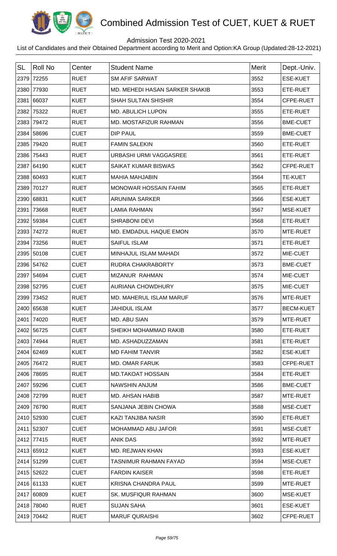

## Admission Test 2020-2021

| <b>SL</b> | <b>Roll No</b> | Center      | <b>Student Name</b>            | <b>Merit</b> | Dept.-Univ.      |
|-----------|----------------|-------------|--------------------------------|--------------|------------------|
|           | 2379 72255     | <b>RUET</b> | <b>SM AFIF SARWAT</b>          | 3552         | <b>ESE-KUET</b>  |
|           | 2380 77930     | <b>RUET</b> | MD. MEHEDI HASAN SARKER SHAKIB | 3553         | ETE-RUET         |
|           | 2381 66037     | <b>KUET</b> | <b>SHAH SULTAN SHISHIR</b>     | 3554         | CFPE-RUET        |
|           | 2382 75322     | <b>RUET</b> | MD. ABULICH LUPON              | 3555         | ETE-RUET         |
|           | 2383 79472     | <b>RUET</b> | MD. MOSTAFIZUR RAHMAN          | 3556         | <b>BME-CUET</b>  |
|           | 2384 58696     | <b>CUET</b> | DIP PAUL                       | 3559         | <b>BME-CUET</b>  |
|           | 2385 79420     | <b>RUET</b> | <b>FAMIN SALEKIN</b>           | 3560         | ETE-RUET         |
|           | 2386 75443     | <b>RUET</b> | URBASHI URMI VAGGASREE         | 3561         | ETE-RUET         |
|           | 2387 64190     | <b>KUET</b> | SAIKAT KUMAR BISWAS            | 3562         | CFPE-RUET        |
|           | 2388 60493     | <b>KUET</b> | <b>MAHIA MAHJABIN</b>          | 3564         | <b>TE-KUET</b>   |
|           | 2389 70127     | <b>RUET</b> | MONOWAR HOSSAIN FAHIM          | 3565         | ETE-RUET         |
|           | 2390 68831     | <b>KUET</b> | <b>ARUNIMA SARKER</b>          | 3566         | <b>ESE-KUET</b>  |
|           | 2391 73668     | <b>RUET</b> | <b>LAMIA RAHMAN</b>            | 3567         | MSE-KUET         |
|           | 2392 59384     | <b>CUET</b> | <b>SHRABONI DEVI</b>           | 3568         | ETE-RUET         |
|           | 2393 74272     | <b>RUET</b> | MD. EMDADUL HAQUE EMON         | 3570         | MTE-RUET         |
|           | 2394 73256     | <b>RUET</b> | <b>SAIFUL ISLAM</b>            | 3571         | ETE-RUET         |
|           | 2395 50108     | <b>CUET</b> | MINHAJUL ISLAM MAHADI          | 3572         | MIE-CUET         |
|           | 2396 54762     | <b>CUET</b> | RUDRA CHAKRABORTY              | 3573         | <b>BME-CUET</b>  |
|           | 2397 54694     | <b>CUET</b> | MIZANUR RAHMAN                 | 3574         | MIE-CUET         |
|           | 2398 52795     | <b>CUET</b> | <b>AURIANA CHOWDHURY</b>       | 3575         | MIE-CUET         |
|           | 2399 73452     | <b>RUET</b> | MD. MAHERUL ISLAM MARUF        | 3576         | MTE-RUET         |
|           | 2400 65638     | <b>KUET</b> | <b>JAHIDUL ISLAM</b>           | 3577         | <b>BECM-KUET</b> |
|           | 2401 74020     | <b>RUET</b> | MD. ABU SIAN                   | 3579         | MTE-RUET         |
|           | 2402 56725     | <b>CUET</b> | SHEIKH MOHAMMAD RAKIB          | 3580         | ETE-RUET         |
|           | 2403 74944     | <b>RUET</b> | MD. ASHADUZZAMAN               | 3581         | ETE-RUET         |
|           | 2404 62469     | <b>KUET</b> | <b>MD FAHIM TANVIR</b>         | 3582         | <b>ESE-KUET</b>  |
|           | 2405 76472     | <b>RUET</b> | <b>MD. OMAR FARUK</b>          | 3583         | CFPE-RUET        |
|           | 2406 78695     | <b>RUET</b> | <b>MD.TAKOAT HOSSAIN</b>       | 3584         | ETE-RUET         |
|           | 2407 59296     | <b>CUET</b> | NAWSHIN ANJUM                  | 3586         | <b>BME-CUET</b>  |
|           | 2408 72799     | <b>RUET</b> | <b>MD. AHSAN HABIB</b>         | 3587         | MTE-RUET         |
|           | 2409 76790     | <b>RUET</b> | SANJANA JEBIN CHOWA            | 3588         | MSE-CUET         |
|           | 2410 52930     | <b>CUET</b> | KAZI TANJIBA NASIR             | 3590         | ETE-RUET         |
|           | 2411 52307     | <b>CUET</b> | MOHAMMAD ABU JAFOR             | 3591         | MSE-CUET         |
|           | 2412 77415     | <b>RUET</b> | <b>ANIK DAS</b>                | 3592         | MTE-RUET         |
|           | 2413 65912     | <b>KUET</b> | MD. REJWAN KHAN                | 3593         | <b>ESE-KUET</b>  |
|           | 2414 51299     | <b>CUET</b> | TASNIMUR RAHMAN FAYAD          | 3594         | MSE-CUET         |
|           | 2415 52622     | <b>CUET</b> | <b>FARDIN KAISER</b>           | 3598         | ETE-RUET         |
|           | 2416 61133     | <b>KUET</b> | <b>KRISNA CHANDRA PAUL</b>     | 3599         | MTE-RUET         |
|           | 2417 60809     | <b>KUET</b> | <b>SK. MUSFIQUR RAHMAN</b>     | 3600         | MSE-KUET         |
|           | 2418 78040     | <b>RUET</b> | <b>SUJAN SAHA</b>              | 3601         | <b>ESE-KUET</b>  |
|           | 2419 70442     | <b>RUET</b> | <b>MARUF QURAISHI</b>          | 3602         | CFPE-RUET        |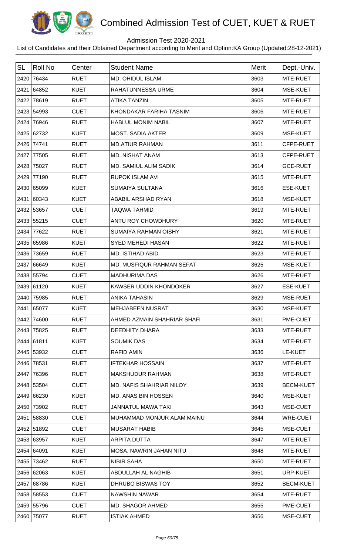

## Admission Test 2020-2021

| <b>SL</b> | <b>Roll No</b> | Center      | <b>Student Name</b>             | <b>Merit</b> | Dept.-Univ.      |
|-----------|----------------|-------------|---------------------------------|--------------|------------------|
|           | 2420 76434     | <b>RUET</b> | MD. OHIDUL ISLAM                | 3603         | MTE-RUET         |
|           | 2421 64852     | <b>KUET</b> | RAHATUNNESSA URME               | 3604         | MSE-KUET         |
| 2422      | 78619          | <b>RUET</b> | <b>ATIKA TANZIN</b>             | 3605         | MTE-RUET         |
|           | 2423 54993     | <b>CUET</b> | KHONDAKAR FARIHA TASNIM         | 3606         | MTE-RUET         |
|           | 2424 76946     | <b>RUET</b> | <b>HABLUL MONIM NABIL</b>       | 3607         | MTE-RUET         |
|           | 2425 62732     | <b>KUET</b> | <b>MOST. SADIA AKTER</b>        | 3609         | MSE-KUET         |
|           | 2426 74741     | <b>RUET</b> | <b>MD.ATIUR RAHMAN</b>          | 3611         | CFPE-RUET        |
|           | 2427 77505     | <b>RUET</b> | MD. NISHAT ANAM                 | 3613         | CFPE-RUET        |
|           | 2428 75027     | <b>RUET</b> | <b>MD. SAMIUL ALIM SADIK</b>    | 3614         | <b>GCE-RUET</b>  |
|           | 2429 77190     | <b>RUET</b> | <b>RUPOK ISLAM AVI</b>          | 3615         | MTE-RUET         |
|           | 2430 65099     | <b>KUET</b> | <b>SUMAIYA SULTANA</b>          | 3616         | <b>ESE-KUET</b>  |
|           | 2431 60343     | <b>KUET</b> | ABABIL ARSHAD RYAN              | 3618         | MSE-KUET         |
|           | 2432 53657     | <b>CUET</b> | <b>TAQWA TAHMID</b>             | 3619         | MTE-RUET         |
|           | 2433 55215     | <b>CUET</b> | ANTU ROY CHOWDHURY              | 3620         | MTE-RUET         |
|           | 2434 77622     | <b>RUET</b> | <b>SUMAIYA RAHMAN OISHY</b>     | 3621         | MTE-RUET         |
|           | 2435 65986     | <b>KUET</b> | <b>SYED MEHEDI HASAN</b>        | 3622         | MTE-RUET         |
|           | 2436 73659     | <b>RUET</b> | <b>MD. ISTIHAD ABID</b>         | 3623         | MTE-RUET         |
|           | 2437 66649     | <b>KUET</b> | MD. MUSFIQUR RAHMAN SEFAT       | 3625         | MSE-KUET         |
|           | 2438 55794     | <b>CUET</b> | <b>MADHURIMA DAS</b>            | 3626         | MTE-RUET         |
|           | 2439 61120     | <b>KUET</b> | KAWSER UDDIN KHONDOKER          | 3627         | ESE-KUET         |
|           | 2440 75985     | <b>RUET</b> | <b>ANIKA TAHASIN</b>            | 3629         | MSE-RUET         |
|           | 2441 65077     | <b>KUET</b> | <b>MEHJABEEN NUSRAT</b>         | 3630         | MSE-KUET         |
|           | 2442 74600     | <b>RUET</b> | AHMED AZMAIN SHAHRIAR SHAFI     | 3631         | PME-CUET         |
|           | 2443 75825     | <b>RUET</b> | DEEDHITY DHARA                  | 3633         | MTE-RUET         |
|           | 2444 61811     | <b>KUET</b> | <b>SOUMIK DAS</b>               | 3634         | MTE-RUET         |
|           | 2445 53932     | <b>CUET</b> | <b>RAFID AMIN</b>               | 3636         | LE-KUET          |
|           | 2446 78531     | <b>RUET</b> | <b>IFTEKHAR HOSSAIN</b>         | 3637         | MTE-RUET         |
|           | 2447 76396     | <b>RUET</b> | <b>MAKSHUDUR RAHMAN</b>         | 3638         | MTE-RUET         |
|           | 2448 53504     | <b>CUET</b> | <b>MD. NAFIS SHAHRIAR NILOY</b> | 3639         | <b>BECM-KUET</b> |
|           | 2449 66230     | <b>KUET</b> | MD. ANAS BIN HOSSEN             | 3640         | MSE-KUET         |
|           | 2450 73902     | <b>RUET</b> | <b>JANNATUL MAWA TAKI</b>       | 3643         | MSE-CUET         |
|           | 2451 58830     | <b>CUET</b> | MUHAMMAD MONJUR ALAM MAINU      | 3644         | <b>WRE-CUET</b>  |
|           | 2452 51892     | <b>CUET</b> | <b>MUSARAT HABIB</b>            | 3645         | MSE-CUET         |
|           | 2453 63957     | <b>KUET</b> | ARPITA DUTTA                    | 3647         | MTE-RUET         |
|           | 2454 64091     | <b>KUET</b> | MOSA. NAWRIN JAHAN NITU         | 3648         | MTE-RUET         |
|           | 2455 73462     | <b>RUET</b> | <b>NIBIR SAHA</b>               | 3650         | MTE-RUET         |
|           | 2456 62063     | <b>KUET</b> | ABDULLAH AL NAGHIB              | 3651         | URP-KUET         |
|           | 2457 68786     | <b>KUET</b> | DHRUBO BISWAS TOY               | 3652         | <b>BECM-KUET</b> |
|           | 2458 58553     | <b>CUET</b> | <b>NAWSHIN NAWAR</b>            | 3654         | MTE-RUET         |
|           | 2459 55796     | <b>CUET</b> | MD. SHAGOR AHMED                | 3655         | PME-CUET         |
|           | 2460 75077     | <b>RUET</b> | <b>ISTIAK AHMED</b>             | 3656         | MSE-CUET         |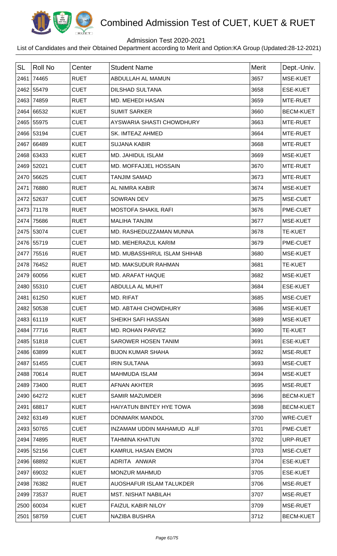

## Admission Test 2020-2021

| <b>SL</b> | <b>Roll No</b> | Center      | <b>Student Name</b>             | <b>Merit</b> | Dept.-Univ.      |
|-----------|----------------|-------------|---------------------------------|--------------|------------------|
|           | 2461 74465     | <b>RUET</b> | ABDULLAH AL MAMUN               | 3657         | MSE-KUET         |
|           | 2462 55479     | <b>CUET</b> | <b>DILSHAD SULTANA</b>          | 3658         | <b>ESE-KUET</b>  |
|           | 2463 74859     | <b>RUET</b> | MD. MEHEDI HASAN                | 3659         | MTE-RUET         |
|           | 2464 66532     | <b>KUET</b> | <b>SUMIT SARKER</b>             | 3660         | <b>BECM-KUET</b> |
|           | 2465 55975     | <b>CUET</b> | AYSWARIA SHASTI CHOWDHURY       | 3663         | MTE-RUET         |
|           | 2466 53194     | <b>CUET</b> | <b>SK. IMTEAZ AHMED</b>         | 3664         | MTE-RUET         |
|           | 2467 66489     | <b>KUET</b> | <b>SUJANA KABIR</b>             | 3668         | MTE-RUET         |
|           | 2468 63433     | <b>KUET</b> | MD. JAHIDUL ISLAM               | 3669         | MSE-KUET         |
|           | 2469 52021     | <b>CUET</b> | MD. MOFFAJJEL HOSSAIN           | 3670         | MTE-RUET         |
|           | 2470 56625     | <b>CUET</b> | <b>TANJIM SAMAD</b>             | 3673         | MTE-RUET         |
|           | 2471 76880     | <b>RUET</b> | AL NIMRA KABIR                  | 3674         | MSE-KUET         |
|           | 2472 52637     | <b>CUET</b> | <b>SOWRAN DEV</b>               | 3675         | MSE-CUET         |
|           | 2473 71178     | <b>RUET</b> | <b>MOSTOFA SHAKIL RAFI</b>      | 3676         | PME-CUET         |
|           | 2474 75686     | <b>RUET</b> | <b>MALIHA TANJIM</b>            | 3677         | MSE-KUET         |
|           | 2475 53074     | <b>CUET</b> | MD. RASHEDUZZAMAN MUNNA         | 3678         | <b>TE-KUET</b>   |
|           | 2476 55719     | <b>CUET</b> | MD. MEHERAZUL KARIM             | 3679         | PME-CUET         |
|           | 2477 75516     | <b>RUET</b> | MD. MUBASSHIRUL ISLAM SHIHAB    | 3680         | MSE-KUET         |
|           | 2478 76452     | <b>RUET</b> | <b>MD. MAKSUDUR RAHMAN</b>      | 3681         | <b>TE-KUET</b>   |
|           | 2479 60056     | <b>KUET</b> | MD. ARAFAT HAQUE                | 3682         | MSE-KUET         |
|           | 2480 55310     | <b>CUET</b> | ABDULLA AL MUHIT                | 3684         | <b>ESE-KUET</b>  |
|           | 2481 61250     | <b>KUET</b> | MD. RIFAT                       | 3685         | MSE-CUET         |
|           | 2482 50538     | <b>CUET</b> | <b>MD. ABTAHI CHOWDHURY</b>     | 3686         | <b>MSE-KUET</b>  |
|           | 2483 61119     | <b>KUET</b> | <b>SHEIKH SAFI HASSAN</b>       | 3689         | MSE-KUET         |
|           | 2484 77716     | <b>RUET</b> | <b>MD. ROHAN PARVEZ</b>         | 3690         | <b>TE-KUET</b>   |
|           | 2485 51818     | <b>CUET</b> | <b>SAROWER HOSEN TANIM</b>      | 3691         | <b>ESE-KUET</b>  |
|           | 2486 63899     | <b>KUET</b> | <b>BIJON KUMAR SHAHA</b>        | 3692         | MSE-RUET         |
|           | 2487 51455     | <b>CUET</b> | <b>IRIN SULTANA</b>             | 3693         | MSE-CUET         |
|           | 2488 70614     | <b>RUET</b> | <b>MAHMUDA ISLAM</b>            | 3694         | MSE-KUET         |
|           | 2489 73400     | <b>RUET</b> | <b>AFNAN AKHTER</b>             | 3695         | MSE-RUET         |
|           | 2490 64272     | <b>KUET</b> | <b>SAMIR MAZUMDER</b>           | 3696         | <b>BECM-KUET</b> |
|           | 2491 68817     | <b>KUET</b> | <b>HAIYATUN BINTEY HYE TOWA</b> | 3698         | <b>BECM-KUET</b> |
|           | 2492 63149     | <b>KUET</b> | DONMARK MANDOL                  | 3700         | WRE-CUET         |
|           | 2493 50765     | <b>CUET</b> | INZAMAM UDDIN MAHAMUD ALIF      | 3701         | PME-CUET         |
|           | 2494 74895     | <b>RUET</b> | <b>TAHMINA KHATUN</b>           | 3702         | URP-RUET         |
|           | 2495 52156     | <b>CUET</b> | <b>KAMRUL HASAN EMON</b>        | 3703         | MSE-CUET         |
|           | 2496 68892     | <b>KUET</b> | ADRITA ANWAR                    | 3704         | <b>ESE-KUET</b>  |
|           | 2497 69032     | <b>KUET</b> | <b>MONZUR MAHMUD</b>            | 3705         | <b>ESE-KUET</b>  |
|           | 2498 76382     | <b>RUET</b> | AUOSHAFUR ISLAM TALUKDER        | 3706         | MSE-RUET         |
|           | 2499 73537     | <b>RUET</b> | <b>MST. NISHAT NABILAH</b>      | 3707         | MSE-RUET         |
|           | 2500 60034     | <b>KUET</b> | <b>FAIZUL KABIR NILOY</b>       | 3709         | MSE-RUET         |
|           | 2501 58759     | <b>CUET</b> | NAZIBA BUSHRA                   | 3712         | <b>BECM-KUET</b> |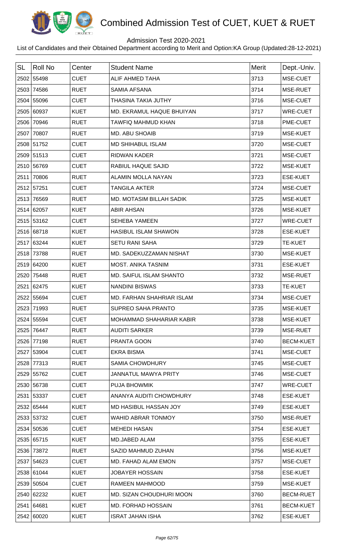

## Admission Test 2020-2021

| <b>SL</b> | Roll No    | Center      | <b>Student Name</b>              | <b>Merit</b> | Dept.-Univ.      |
|-----------|------------|-------------|----------------------------------|--------------|------------------|
|           | 2502 55498 | <b>CUET</b> | ALIF AHMED TAHA                  | 3713         | MSE-CUET         |
|           | 2503 74586 | <b>RUET</b> | <b>SAMIA AFSANA</b>              | 3714         | MSE-RUET         |
|           | 2504 55096 | <b>CUET</b> | <b>THASINA TAKIA JUTHY</b>       | 3716         | MSE-CUET         |
|           | 2505 60937 | <b>KUET</b> | MD. EKRAMUL HAQUE BHUIYAN        | 3717         | <b>WRE-CUET</b>  |
|           | 2506 70946 | <b>RUET</b> | <b>TAWFIQ MAHMUD KHAN</b>        | 3718         | PME-CUET         |
|           | 2507 70807 | <b>RUET</b> | <b>MD. ABU SHOAIB</b>            | 3719         | MSE-KUET         |
|           | 2508 51752 | <b>CUET</b> | <b>MD SHIHABUL ISLAM</b>         | 3720         | MSE-CUET         |
|           | 2509 51513 | <b>CUET</b> | <b>RIDWAN KADER</b>              | 3721         | MSE-CUET         |
|           | 2510 56769 | <b>CUET</b> | <b>RABIUL HAQUE SAJID</b>        | 3722         | MSE-KUET         |
|           | 2511 70806 | <b>RUET</b> | <b>ALAMIN MOLLA NAYAN</b>        | 3723         | <b>ESE-KUET</b>  |
|           | 2512 57251 | <b>CUET</b> | <b>TANGILA AKTER</b>             | 3724         | MSE-CUET         |
|           | 2513 76569 | <b>RUET</b> | <b>MD. MOTASIM BILLAH SADIK</b>  | 3725         | MSE-KUET         |
|           | 2514 62057 | <b>KUET</b> | <b>ABIR AHSAN</b>                | 3726         | MSE-KUET         |
|           | 2515 53162 | <b>CUET</b> | <b>SEHEBA YAMEEN</b>             | 3727         | <b>WRE-CUET</b>  |
|           | 2516 68718 | <b>KUET</b> | <b>HASIBUL ISLAM SHAWON</b>      | 3728         | <b>ESE-KUET</b>  |
|           | 2517 63244 | <b>KUET</b> | <b>SETU RANI SAHA</b>            | 3729         | <b>TE-KUET</b>   |
|           | 2518 73788 | <b>RUET</b> | MD. SADEKUZZAMAN NISHAT          | 3730         | MSE-KUET         |
|           | 2519 64200 | <b>KUET</b> | <b>MOST. ANIKA TASNIM</b>        | 3731         | <b>ESE-KUET</b>  |
|           | 2520 75448 | <b>RUET</b> | MD. SAIFUL ISLAM SHANTO          | 3732         | MSE-RUET         |
|           | 2521 62475 | <b>KUET</b> | <b>NANDINI BISWAS</b>            | 3733         | <b>TE-KUET</b>   |
|           | 2522 55694 | <b>CUET</b> | <b>MD. FARHAN SHAHRIAR ISLAM</b> | 3734         | MSE-CUET         |
|           | 2523 71993 | <b>RUET</b> | <b>SUPREO SAHA PRANTO</b>        | 3735         | <b>MSE-KUET</b>  |
|           | 2524 55594 | <b>CUET</b> | MOHAMMAD SHAHARIAR KABIR         | 3738         | MSE-KUET         |
|           | 2525 76447 | <b>RUET</b> | <b>AUDITI SARKER</b>             | 3739         | MSE-RUET         |
|           | 2526 77198 | <b>RUET</b> | PRANTA GOON                      | 3740         | <b>BECM-KUET</b> |
|           | 2527 53904 | <b>CUET</b> | <b>EKRA BISMA</b>                | 3741         | MSE-CUET         |
|           | 2528 77313 | <b>RUET</b> | SAMIA CHOWDHURY                  | 3745         | MSE-CUET         |
|           | 2529 55762 | <b>CUET</b> | <b>JANNATUL MAWYA PRITY</b>      | 3746         | MSE-CUET         |
|           | 2530 56738 | <b>CUET</b> | <b>PUJA BHOWMIK</b>              | 3747         | <b>WRE-CUET</b>  |
|           | 2531 53337 | <b>CUET</b> | ANANYA AUDITI CHOWDHURY          | 3748         | <b>ESE-KUET</b>  |
|           | 2532 65444 | <b>KUET</b> | MD HASIBUL HASSAN JOY            | 3749         | <b>ESE-KUET</b>  |
|           | 2533 53732 | <b>CUET</b> | <b>WAHID ABRAR TONMOY</b>        | 3750         | MSE-RUET         |
|           | 2534 50536 | <b>CUET</b> | <b>MEHEDI HASAN</b>              | 3754         | <b>ESE-KUET</b>  |
|           | 2535 65715 | <b>KUET</b> | MD.JABED ALAM                    | 3755         | <b>ESE-KUET</b>  |
|           | 2536 73872 | <b>RUET</b> | SAZID MAHMUD ZUHAN               | 3756         | MSE-KUET         |
|           | 2537 54623 | <b>CUET</b> | MD. FAHAD ALAM EMON              | 3757         | MSE-CUET         |
|           | 2538 61044 | <b>KUET</b> | <b>JOBAYER HOSSAIN</b>           | 3758         | <b>ESE-KUET</b>  |
|           | 2539 50504 | <b>CUET</b> | RAMEEN MAHMOOD                   | 3759         | MSE-KUET         |
|           | 2540 62232 | <b>KUET</b> | MD. SIZAN CHOUDHURI MOON         | 3760         | <b>BECM-RUET</b> |
|           | 2541 64681 | <b>KUET</b> | MD. FORHAD HOSSAIN               | 3761         | <b>BECM-KUET</b> |
|           | 2542 60020 | <b>KUET</b> | <b>ISRAT JAHAN ISHA</b>          | 3762         | <b>ESE-KUET</b>  |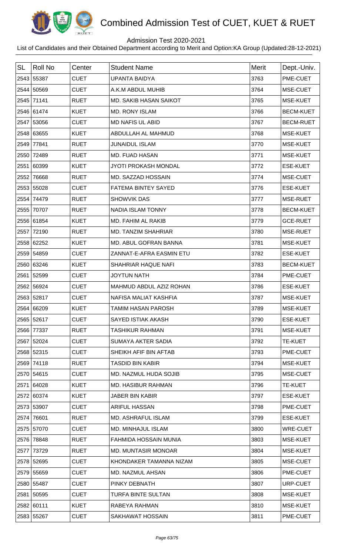

## Admission Test 2020-2021

| <b>SL</b> | Roll No    | Center      | <b>Student Name</b>           | <b>Merit</b> | Dept.-Univ.      |
|-----------|------------|-------------|-------------------------------|--------------|------------------|
|           | 2543 55387 | <b>CUET</b> | <b>UPANTA BAIDYA</b>          | 3763         | PME-CUET         |
|           | 2544 50569 | <b>CUET</b> | A.K.M ABDUL MUHIB             | 3764         | MSE-CUET         |
|           | 2545 71141 | <b>RUET</b> | <b>MD. SAKIB HASAN SAIKOT</b> | 3765         | MSE-KUET         |
|           | 2546 61474 | <b>KUET</b> | <b>MD. RONY ISLAM</b>         | 3766         | <b>BECM-KUET</b> |
|           | 2547 53056 | <b>CUET</b> | <b>MD NAFIS UL ABID</b>       | 3767         | <b>BECM-RUET</b> |
|           | 2548 63655 | <b>KUET</b> | ABDULLAH AL MAHMUD            | 3768         | MSE-KUET         |
|           | 2549 77841 | <b>RUET</b> | <b>JUNAIDUL ISLAM</b>         | 3770         | MSE-KUET         |
|           | 2550 72489 | <b>RUET</b> | <b>MD. FUAD HASAN</b>         | 3771         | MSE-KUET         |
|           | 2551 60399 | <b>KUET</b> | <b>JYOTI PROKASH MONDAL</b>   | 3772         | <b>ESE-KUET</b>  |
| 2552      | 76668      | <b>RUET</b> | MD. SAZZAD HOSSAIN            | 3774         | MSE-CUET         |
|           | 2553 55028 | <b>CUET</b> | <b>FATEMA BINTEY SAYED</b>    | 3776         | <b>ESE-KUET</b>  |
|           | 2554 74479 | <b>RUET</b> | SHOWVIK DAS                   | 3777         | MSE-RUET         |
|           | 2555 70707 | <b>RUET</b> | NADIA ISLAM TONNY             | 3778         | <b>BECM-KUET</b> |
|           | 2556 61854 | <b>KUET</b> | MD. FAHIM AL RAKIB            | 3779         | <b>GCE-RUET</b>  |
|           | 2557 72190 | <b>RUET</b> | <b>MD. TANZIM SHAHRIAR</b>    | 3780         | MSE-RUET         |
|           | 2558 62252 | <b>KUET</b> | MD. ABUL GOFRAN BANNA         | 3781         | MSE-KUET         |
|           | 2559 54859 | <b>CUET</b> | ZANNAT-E-AFRA EASMIN ETU      | 3782         | <b>ESE-KUET</b>  |
|           | 2560 63246 | <b>KUET</b> | SHAHRIAR HAQUE NAFI           | 3783         | <b>BECM-KUET</b> |
|           | 2561 52599 | <b>CUET</b> | <b>JOYTUN NATH</b>            | 3784         | PME-CUET         |
|           | 2562 56924 | <b>CUET</b> | MAHMUD ABDUL AZIZ ROHAN       | 3786         | <b>ESE-KUET</b>  |
|           | 2563 52817 | <b>CUET</b> | NAFISA MALIAT KASHFIA         | 3787         | <b>MSE-KUET</b>  |
|           | 2564 66209 | <b>KUET</b> | TAMIM HASAN PAROSH            | 3789         | <b>MSE-KUET</b>  |
|           | 2565 52617 | <b>CUET</b> | <b>SAYED ISTIAK AKASH</b>     | 3790         | <b>ESE-KUET</b>  |
|           | 2566 77337 | <b>RUET</b> | <b>TASHIKUR RAHMAN</b>        | 3791         | MSE-KUET         |
|           | 2567 52024 | <b>CUET</b> | SUMAYA AKTER SADIA            | 3792         | <b>TE-KUET</b>   |
|           | 2568 52315 | <b>CUET</b> | SHEIKH AFIF BIN AFTAB         | 3793         | PME-CUET         |
|           | 2569 74118 | <b>RUET</b> | <b>TASDID BIN KABIR</b>       | 3794         | MSE-KUET         |
|           | 2570 54615 | <b>CUET</b> | MD. NAZMUL HUDA SOJIB         | 3795         | MSE-CUET         |
|           | 2571 64028 | <b>KUET</b> | <b>MD. HASIBUR RAHMAN</b>     | 3796         | <b>TE-KUET</b>   |
|           | 2572 60374 | <b>KUET</b> | <b>JABER BIN KABIR</b>        | 3797         | <b>ESE-KUET</b>  |
|           | 2573 53907 | <b>CUET</b> | ARIFUL HASSAN                 | 3798         | PME-CUET         |
|           | 2574 76601 | <b>RUET</b> | MD. ASHRAFUL ISLAM            | 3799         | <b>ESE-KUET</b>  |
|           | 2575 57070 | <b>CUET</b> | MD. MINHAJUL ISLAM            | 3800         | <b>WRE-CUET</b>  |
|           | 2576 78848 | <b>RUET</b> | FAHMIDA HOSSAIN MUNIA         | 3803         | MSE-KUET         |
|           | 2577 73729 | <b>RUET</b> | <b>MD. MUNTASIR MONOAR</b>    | 3804         | MSE-KUET         |
|           | 2578 52695 | <b>CUET</b> | KHONDAKER TAMANNA NIZAM       | 3805         | MSE-CUET         |
|           | 2579 55659 | <b>CUET</b> | <b>MD. NAZMUL AHSAN</b>       | 3806         | PME-CUET         |
|           | 2580 55487 | <b>CUET</b> | PINKY DEBNATH                 | 3807         | URP-CUET         |
|           | 2581 50595 | <b>CUET</b> | TURFA BINTE SULTAN            | 3808         | MSE-KUET         |
|           | 2582 60111 | <b>KUET</b> | RABEYA RAHMAN                 | 3810         | MSE-KUET         |
|           | 2583 55267 | <b>CUET</b> | SAKHAWAT HOSSAIN              | 3811         | PME-CUET         |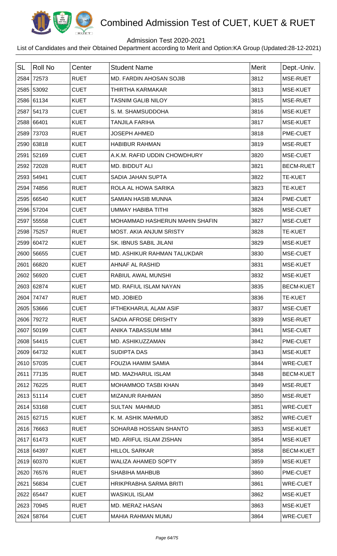

## Admission Test 2020-2021

| <b>SL</b> | <b>Roll No</b> | Center      | <b>Student Name</b>            | <b>Merit</b> | Dept.-Univ.      |
|-----------|----------------|-------------|--------------------------------|--------------|------------------|
| 2584      | 72573          | <b>RUET</b> | <b>MD. FARDIN AHOSAN SOJIB</b> | 3812         | MSE-RUET         |
|           | 2585 53092     | <b>CUET</b> | THIRTHA KARMAKAR               | 3813         | MSE-KUET         |
|           | 2586 61134     | <b>KUET</b> | <b>TASNIM GALIB NILOY</b>      | 3815         | MSE-RUET         |
|           | 2587 54173     | <b>CUET</b> | S. M. SHAMSUDDOHA              | 3816         | MSE-KUET         |
|           | 2588 66401     | <b>KUET</b> | <b>TANJILA FARIHA</b>          | 3817         | MSE-KUET         |
| 2589      | 73703          | <b>RUET</b> | <b>JOSEPH AHMED</b>            | 3818         | PME-CUET         |
|           | 2590 63818     | <b>KUET</b> | <b>HABIBUR RAHMAN</b>          | 3819         | MSE-RUET         |
|           | 2591 52169     | <b>CUET</b> | A.K.M. RAFID UDDIN CHOWDHURY   | 3820         | MSE-CUET         |
| 2592      | 72028          | <b>RUET</b> | MD. BIDDUT ALI                 | 3821         | <b>BECM-RUET</b> |
|           | 2593 54941     | <b>CUET</b> | SADIA JAHAN SUPTA              | 3822         | <b>TE-KUET</b>   |
| 2594      | 74856          | <b>RUET</b> | ROLA AL HOWA SARIKA            | 3823         | <b>TE-KUET</b>   |
|           | 2595 66540     | <b>KUET</b> | <b>SAMIAN HASIB MUNNA</b>      | 3824         | PME-CUET         |
|           | 2596 57204     | <b>CUET</b> | <b>UMMAY HABIBA TITHI</b>      | 3826         | MSE-CUET         |
|           | 2597 55558     | <b>CUET</b> | MOHAMMAD HASHERUN MAHIN SHAFIN | 3827         | MSE-CUET         |
|           | 2598 75257     | <b>RUET</b> | <b>MOST. AKIA ANJUM SRISTY</b> | 3828         | <b>TE-KUET</b>   |
|           | 2599 60472     | <b>KUET</b> | SK. IBNUS SABIL JILANI         | 3829         | MSE-KUET         |
|           | 2600 56655     | <b>CUET</b> | MD. ASHIKUR RAHMAN TALUKDAR    | 3830         | MSE-CUET         |
|           | 2601 66820     | <b>KUET</b> | AHNAF AL RASHID                | 3831         | MSE-KUET         |
|           | 2602 56920     | <b>CUET</b> | RABIUL AWAL MUNSHI             | 3832         | MSE-KUET         |
|           | 2603 62874     | <b>KUET</b> | MD. RAFIUL ISLAM NAYAN         | 3835         | <b>BECM-KUET</b> |
|           | 2604 74747     | <b>RUET</b> | MD. JOBIED                     | 3836         | <b>TE-KUET</b>   |
|           | 2605 53666     | <b>CUET</b> | <b>IFTHEKHARUL ALAM ASIF</b>   | 3837         | MSE-CUET         |
|           | 2606 79272     | <b>RUET</b> | SADIA AFROSE DRISHTY           | 3839         | MSE-RUET         |
|           | 2607 50199     | <b>CUET</b> | ANIKA TABASSUM MIM             | 3841         | MSE-CUET         |
|           | 2608 54415     | <b>CUET</b> | MD. ASHIKUZZAMAN               | 3842         | PME-CUET         |
|           | 2609 64732     | <b>KUET</b> | SUDIPTA DAS                    | 3843         | MSE-KUET         |
|           | 2610 57035     | <b>CUET</b> | <b>FOUZIA HAMIM SAMIA</b>      | 3844         | <b>WRE-CUET</b>  |
|           | 2611 77135     | <b>RUET</b> | MD. MAZHARUL ISLAM             | 3848         | <b>BECM-KUET</b> |
|           | 2612 76225     | <b>RUET</b> | MOHAMMOD TASBI KHAN            | 3849         | MSE-RUET         |
|           | 2613 51114     | <b>CUET</b> | <b>MIZANUR RAHMAN</b>          | 3850         | MSE-RUET         |
|           | 2614 53168     | <b>CUET</b> | <b>SULTAN MAHMUD</b>           | 3851         | <b>WRE-CUET</b>  |
|           | 2615 62715     | <b>KUET</b> | K. M. ASHIK MAHMUD             | 3852         | <b>WRE-CUET</b>  |
|           | 2616 76663     | <b>RUET</b> | SOHARAB HOSSAIN SHANTO         | 3853         | MSE-KUET         |
|           | 2617 61473     | <b>KUET</b> | MD. ARIFUL ISLAM ZISHAN        | 3854         | MSE-KUET         |
|           | 2618 64397     | <b>KUET</b> | <b>HILLOL SARKAR</b>           | 3858         | <b>BECM-KUET</b> |
|           | 2619 60370     | <b>KUET</b> | <b>WALIZA AHAMED SOPTY</b>     | 3859         | MSE-KUET         |
|           | 2620 76576     | <b>RUET</b> | <b>SHABIHA MAHBUB</b>          | 3860         | PME-CUET         |
|           | 2621 56834     | <b>CUET</b> | HRIKPRABHA SARMA BRITI         | 3861         | <b>WRE-CUET</b>  |
|           | 2622 65447     | <b>KUET</b> | <b>WASIKUL ISLAM</b>           | 3862         | MSE-KUET         |
|           | 2623 70945     | <b>RUET</b> | MD. MERAZ HASAN                | 3863         | MSE-KUET         |
|           | 2624 58764     | <b>CUET</b> | MAHIA RAHMAN MUMU              | 3864         | WRE-CUET         |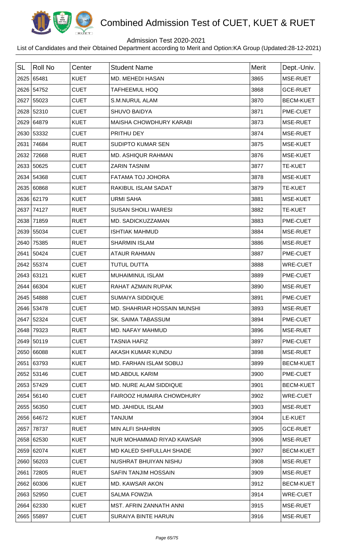

## Admission Test 2020-2021

| <b>SL</b> | Roll No    | Center      | <b>Student Name</b>                | Merit | Dept.-Univ.      |
|-----------|------------|-------------|------------------------------------|-------|------------------|
|           | 2625 65481 | <b>KUET</b> | MD. MEHEDI HASAN                   | 3865  | MSE-RUET         |
|           | 2626 54752 | <b>CUET</b> | <b>TAFHEEMUL HOQ</b>               | 3868  | <b>GCE-RUET</b>  |
|           | 2627 55023 | <b>CUET</b> | <b>S.M.NURUL ALAM</b>              | 3870  | <b>BECM-KUET</b> |
|           | 2628 52310 | <b>CUET</b> | <b>SHUVO BAIDYA</b>                | 3871  | PME-CUET         |
|           | 2629 64879 | <b>KUET</b> | MAISHA CHOWDHURY KARABI            | 3873  | MSE-RUET         |
|           | 2630 53332 | <b>CUET</b> | PRITHU DEY                         | 3874  | MSE-RUET         |
|           | 2631 74684 | <b>RUET</b> | <b>SUDIPTO KUMAR SEN</b>           | 3875  | MSE-KUET         |
|           | 2632 72668 | <b>RUET</b> | MD. ASHIQUR RAHMAN                 | 3876  | MSE-KUET         |
|           | 2633 50625 | <b>CUET</b> | <b>ZARIN TASNIM</b>                | 3877  | <b>TE-KUET</b>   |
|           | 2634 54368 | <b>CUET</b> | FATAMA TOJ JOHORA                  | 3878  | MSE-KUET         |
|           | 2635 60868 | <b>KUET</b> | <b>RAKIBUL ISLAM SADAT</b>         | 3879  | <b>TE-KUET</b>   |
|           | 2636 62179 | <b>KUET</b> | <b>URMI SAHA</b>                   | 3881  | MSE-KUET         |
|           | 2637 74127 | <b>RUET</b> | <b>SUSAN SHOILI WARESI</b>         | 3882  | TE-KUET          |
|           | 2638 71859 | <b>RUET</b> | MD. SADICKUZZAMAN                  | 3883  | PME-CUET         |
|           | 2639 55034 | <b>CUET</b> | <b>ISHTIAK MAHMUD</b>              | 3884  | MSE-RUET         |
|           | 2640 75385 | <b>RUET</b> | <b>SHARMIN ISLAM</b>               | 3886  | MSE-RUET         |
|           | 2641 50424 | <b>CUET</b> | <b>ATAUR RAHMAN</b>                | 3887  | PME-CUET         |
|           | 2642 55374 | <b>CUET</b> | <b>TUTUL DUTTA</b>                 | 3888  | <b>WRE-CUET</b>  |
|           | 2643 63121 | <b>KUET</b> | MUHAIMINUL ISLAM                   | 3889  | PME-CUET         |
|           | 2644 66304 | <b>KUET</b> | <b>RAHAT AZMAIN RUPAK</b>          | 3890  | MSE-RUET         |
|           | 2645 54888 | <b>CUET</b> | <b>SUMAIYA SIDDIQUE</b>            | 3891  | PME-CUET         |
|           | 2646 53478 | <b>CUET</b> | <b>MD. SHAHRIAR HOSSAIN MUNSHI</b> | 3893  | MSE-RUET         |
|           | 2647 52324 | <b>CUET</b> | <b>SK. SAIMA TABASSUM</b>          | 3894  | PME-CUET         |
|           | 2648 79323 | <b>RUET</b> | MD. NAFAY MAHMUD                   | 3896  | MSE-RUET         |
|           | 2649 50119 | <b>CUET</b> | <b>TASNIA HAFIZ</b>                | 3897  | PME-CUET         |
|           | 2650 66088 | <b>KUET</b> | AKASH KUMAR KUNDU                  | 3898  | MSE-RUET         |
|           | 2651 63793 | <b>KUET</b> | <b>MD. FARHAN ISLAM SOBUJ</b>      | 3899  | <b>BECM-KUET</b> |
|           | 2652 53146 | <b>CUET</b> | <b>MD.ABDUL KARIM</b>              | 3900  | PME-CUET         |
|           | 2653 57429 | <b>CUET</b> | MD. NURE ALAM SIDDIQUE             | 3901  | <b>BECM-KUET</b> |
|           | 2654 56140 | <b>CUET</b> | FAIROOZ HUMAIRA CHOWDHURY          | 3902  | WRE-CUET         |
|           | 2655 56350 | <b>CUET</b> | <b>MD. JAHIDUL ISLAM</b>           | 3903  | MSE-RUET         |
|           | 2656 64672 | <b>KUET</b> | <b>TANJUM</b>                      | 3904  | LE-KUET          |
|           | 2657 78737 | <b>RUET</b> | MIN ALFI SHAHRIN                   | 3905  | <b>GCE-RUET</b>  |
|           | 2658 62530 | <b>KUET</b> | NUR MOHAMMAD RIYAD KAWSAR          | 3906  | MSE-RUET         |
|           | 2659 62074 | <b>KUET</b> | MD KALED SHIFULLAH SHADE           | 3907  | <b>BECM-KUET</b> |
|           | 2660 56203 | <b>CUET</b> | NUSHRAT BHUIYAN NISHU              | 3908  | MSE-RUET         |
|           | 2661 72805 | <b>RUET</b> | <b>SAFIN TANJIM HOSSAIN</b>        | 3909  | MSE-RUET         |
|           | 2662 60306 | <b>KUET</b> | <b>MD. KAWSAR AKON</b>             | 3912  | <b>BECM-KUET</b> |
|           | 2663 52950 | <b>CUET</b> | <b>SALMA FOWZIA</b>                | 3914  | <b>WRE-CUET</b>  |
|           | 2664 62330 | <b>KUET</b> | <b>MST. AFRIN ZANNATH ANNI</b>     | 3915  | MSE-RUET         |
|           | 2665 55897 | <b>CUET</b> | <b>SURAIYA BINTE HARUN</b>         | 3916  | MSE-RUET         |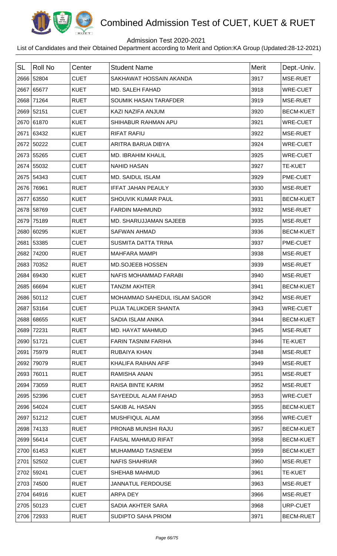

## Admission Test 2020-2021

| <b>SL</b> | <b>Roll No</b> | Center      | <b>Student Name</b>           | Merit | Dept.-Univ.      |
|-----------|----------------|-------------|-------------------------------|-------|------------------|
|           | 2666 52804     | <b>CUET</b> | SAKHAWAT HOSSAIN AKANDA       | 3917  | MSE-RUET         |
|           | 2667 65677     | <b>KUET</b> | MD. SALEH FAHAD               | 3918  | <b>WRE-CUET</b>  |
| 2668      | 71264          | <b>RUET</b> | SOUMIK HASAN TARAFDER         | 3919  | MSE-RUET         |
|           | 2669 52151     | <b>CUET</b> | KAZI NAZIFA ANJUM             | 3920  | <b>BECM-KUET</b> |
|           | 2670 61870     | <b>KUET</b> | SHIHABUR RAHMAN APU           | 3921  | <b>WRE-CUET</b>  |
| 2671      | 63432          | <b>KUET</b> | <b>RIFAT RAFIU</b>            | 3922  | MSE-RUET         |
|           | 2672 50222     | <b>CUET</b> | ARITRA BARUA DIBYA            | 3924  | <b>WRE-CUET</b>  |
|           | 2673 55265     | <b>CUET</b> | <b>MD. IBRAHIM KHALIL</b>     | 3925  | <b>WRE-CUET</b>  |
|           | 2674 55032     | <b>CUET</b> | <b>NAHID HASAN</b>            | 3927  | <b>TE-KUET</b>   |
|           | 2675 54343     | <b>CUET</b> | <b>MD. SAIDUL ISLAM</b>       | 3929  | PME-CUET         |
|           | 2676 76961     | <b>RUET</b> | <b>IFFAT JAHAN PEAULY</b>     | 3930  | MSE-RUET         |
| 2677      | 63550          | <b>KUET</b> | SHOUVIK KUMAR PAUL            | 3931  | <b>BECM-KUET</b> |
|           | 2678 58769     | <b>CUET</b> | <b>FARDIN MAHMUND</b>         | 3932  | MSE-RUET         |
| 2679      | 75189          | <b>RUET</b> | <b>MD. SHARUJJAMAN SAJEEB</b> | 3935  | MSE-RUET         |
| 2680      | 60295          | <b>KUET</b> | <b>SAFWAN AHMAD</b>           | 3936  | <b>BECM-KUET</b> |
|           | 2681 53385     | <b>CUET</b> | <b>SUSMITA DATTA TRINA</b>    | 3937  | PME-CUET         |
| 2682      | 74200          | <b>RUET</b> | <b>MAHFARA MAMPI</b>          | 3938  | MSE-RUET         |
| 2683      | 70352          | <b>RUET</b> | <b>MD.SOJEEB HOSSEN</b>       | 3939  | MSE-RUET         |
|           | 2684 69430     | <b>KUET</b> | NAFIS MOHAMMAD FARABI         | 3940  | MSE-RUET         |
|           | 2685 66694     | <b>KUET</b> | <b>TANZIM AKHTER</b>          | 3941  | <b>BECM-KUET</b> |
|           | 2686 50112     | <b>CUET</b> | MOHAMMAD SAHEDUL ISLAM SAGOR  | 3942  | MSE-RUET         |
|           | 2687 53164     | <b>CUET</b> | PUJA TALUKDER SHANTA          | 3943  | <b>WRE-CUET</b>  |
|           | 2688 68655     | <b>KUET</b> | SADIA ISLAM ANIKA             | 3944  | <b>BECM-KUET</b> |
|           | 2689 72231     | <b>RUET</b> | MD. HAYAT MAHMUD              | 3945  | MSE-RUET         |
|           | 2690 51721     | <b>CUET</b> | <b>FARIN TASNIM FARIHA</b>    | 3946  | <b>TE-KUET</b>   |
| 2691      | 75979          | <b>RUET</b> | RUBAIYA KHAN                  | 3948  | MSE-RUET         |
|           | 2692 79079     | <b>RUET</b> | KHALIFA RAIHAN AFIF           | 3949  | MSE-RUET         |
|           | 2693 76011     | <b>RUET</b> | RAMISHA ANAN                  | 3951  | MSE-RUET         |
| 2694      | 73059          | <b>RUET</b> | RAISA BINTE KARIM             | 3952  | MSE-RUET         |
|           | 2695 52396     | <b>CUET</b> | SAYEEDUL ALAM FAHAD           | 3953  | <b>WRE-CUET</b>  |
|           | 2696 54024     | <b>CUET</b> | SAKIB AL HASAN                | 3955  | <b>BECM-KUET</b> |
|           | 2697 51212     | <b>CUET</b> | <b>MUSHFIQUL ALAM</b>         | 3956  | <b>WRE-CUET</b>  |
|           | 2698 74133     | <b>RUET</b> | PRONAB MUNSHI RAJU            | 3957  | <b>BECM-KUET</b> |
|           | 2699 56414     | <b>CUET</b> | <b>FAISAL MAHMUD RIFAT</b>    | 3958  | <b>BECM-KUET</b> |
|           | 2700 61453     | <b>KUET</b> | MUHAMMAD TASNEEM              | 3959  | <b>BECM-KUET</b> |
|           | 2701 52502     | <b>CUET</b> | <b>NAFIS SHAHRIAR</b>         | 3960  | MSE-RUET         |
|           | 2702 59241     | <b>CUET</b> | <b>SHEHAB MAHMUD</b>          | 3961  | <b>TE-KUET</b>   |
|           | 2703 74500     | <b>RUET</b> | <b>JANNATUL FERDOUSE</b>      | 3963  | MSE-RUET         |
|           | 2704 64916     | <b>KUET</b> | <b>ARPA DEY</b>               | 3966  | MSE-RUET         |
|           | 2705 50123     | <b>CUET</b> | SADIA AKHTER SARA             | 3968  | URP-CUET         |
|           | 2706 72933     | <b>RUET</b> | SUDIPTO SAHA PRIOM            | 3971  | <b>BECM-RUET</b> |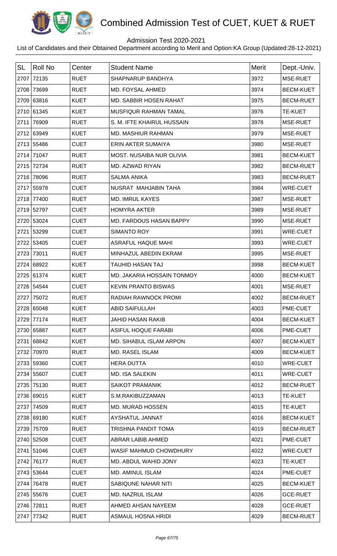

## Admission Test 2020-2021

| <b>SL</b> | <b>Roll No</b> | Center      | <b>Student Name</b>             | Merit | Dept.-Univ.      |
|-----------|----------------|-------------|---------------------------------|-------|------------------|
|           | 2707 72135     | <b>RUET</b> | SHAPNARUP BANDHYA               | 3972  | MSE-RUET         |
|           | 2708 73699     | <b>RUET</b> | MD. FOYSAL AHMED                | 3974  | <b>BECM-KUET</b> |
|           | 2709 63816     | <b>KUET</b> | <b>MD. SABBIR HOSEN RAHAT</b>   | 3975  | <b>BECM-RUET</b> |
|           | 2710 61345     | <b>KUET</b> | MUSFIQUR RAHMAN TAMAL           | 3976  | <b>TE-KUET</b>   |
|           | 2711 76909     | <b>RUET</b> | S. M. IFTE KHAIRUL HUSSAIN      | 3978  | MSE-RUET         |
|           | 2712 63949     | <b>KUET</b> | <b>MD. MASHIUR RAHMAN</b>       | 3979  | MSE-RUET         |
|           | 2713 55486     | <b>CUET</b> | ERIN AKTER SUMAIYA              | 3980  | MSE-RUET         |
|           | 2714 71047     | <b>RUET</b> | <b>MOST. NUSAIBA NUR OLIVIA</b> | 3981  | <b>BECM-KUET</b> |
| 2715      | 72734          | <b>RUET</b> | MD. AZWAD RIYAN                 | 3982  | <b>BECM-RUET</b> |
|           | 2716 78096     | <b>RUET</b> | <b>SALMA ANIKA</b>              | 3983  | <b>BECM-RUET</b> |
|           | 2717 55978     | <b>CUET</b> | NUSRAT MAHJABIN TAHA            | 3984  | WRE-CUET         |
|           | 2718 77400     | <b>RUET</b> | <b>MD. IMRUL KAYES</b>          | 3987  | MSE-RUET         |
|           | 2719 52797     | <b>CUET</b> | <b>HOMYRA AKTER</b>             | 3989  | MSE-RUET         |
|           | 2720 53024     | <b>CUET</b> | MD. FARDOUS HASAN BAPPY         | 3990  | MSE-RUET         |
| 2721      | 53299          | <b>CUET</b> | <b>SIMANTO ROY</b>              | 3991  | <b>WRE-CUET</b>  |
|           | 2722 53405     | <b>CUET</b> | <b>ASRAFUL HAQUE MAHI</b>       | 3993  | <b>WRE-CUET</b>  |
| 2723      | 73011          | <b>RUET</b> | MINHAZUL ABEDIN EKRAM           | 3995  | MSE-RUET         |
| 2724      | 68922          | <b>KUET</b> | <b>TAUHID HASAN TAJ</b>         | 3998  | <b>BECM-KUET</b> |
|           | 2725 61374     | <b>KUET</b> | MD. JAKARIA HOSSAIN TONMOY      | 4000  | <b>BECM-KUET</b> |
|           | 2726 54544     | <b>CUET</b> | <b>KEVIN PRANTO BISWAS</b>      | 4001  | MSE-RUET         |
| 2727      | 75072          | <b>RUET</b> | RADIAH RAWNOCK PROMI            | 4002  | <b>BECM-RUET</b> |
|           | 2728 65048     | <b>KUET</b> | <b>ABID SAIFULLAH</b>           | 4003  | PME-CUET         |
|           | 2729 77174     | <b>RUET</b> | <b>JAHID HASAN RAKIB</b>        | 4004  | <b>BECM-KUET</b> |
|           | 2730 65887     | <b>KUET</b> | <b>ASIFUL HOQUE FARABI</b>      | 4006  | PME-CUET         |
| 2731      | 68842          | <b>KUET</b> | MD. SIHABUL ISLAM ARPON         | 4007  | <b>BECM-KUET</b> |
| 2732      | 70970          | <b>RUET</b> | <b>MD. RASEL ISLAM</b>          | 4009  | <b>BECM-KUET</b> |
|           | 2733 59360     | <b>CUET</b> | <b>HERA DUTTA</b>               | 4010  | <b>WRE-CUET</b>  |
|           | 2734 55607     | <b>CUET</b> | <b>MD. ISA SALEKIN</b>          | 4011  | <b>WRE-CUET</b>  |
|           | 2735 75130     | <b>RUET</b> | <b>SAIKOT PRAMANIK</b>          | 4012  | <b>BECM-RUET</b> |
|           | 2736 69015     | <b>KUET</b> | S.M.RAKIBUZZAMAN                | 4013  | <b>TE-KUET</b>   |
| 2737      | 74509          | <b>RUET</b> | <b>MD. MURAD HOSSEN</b>         | 4015  | <b>TE-KUET</b>   |
|           | 2738 69180     | <b>KUET</b> | AYSHATUL JANNAT                 | 4016  | <b>BECM-KUET</b> |
| 2739      | 75709          | <b>RUET</b> | TRISHNA PANDIT TOMA             | 4019  | <b>BECM-RUET</b> |
|           | 2740 52508     | <b>CUET</b> | ABRAR LABIB AHMED               | 4021  | PME-CUET         |
|           | 2741 51046     | <b>CUET</b> | WASIF MAHMUD CHOWDHURY          | 4022  | WRE-CUET         |
|           | 2742 76177     | <b>RUET</b> | MD. ABDUL WAHID JONY            | 4023  | <b>TE-KUET</b>   |
|           | 2743 53644     | <b>CUET</b> | <b>MD. AMINUL ISLAM</b>         | 4024  | PME-CUET         |
|           | 2744 76478     | <b>RUET</b> | SABIQUNE NAHAR NITI             | 4025  | <b>BECM-KUET</b> |
|           | 2745 55676     | <b>CUET</b> | MD. NAZRUL ISLAM                | 4026  | <b>GCE-RUET</b>  |
|           | 2746 72811     | <b>RUET</b> | AHMED AHSAN NAYEEM              | 4028  | <b>GCE-RUET</b>  |
|           | 2747 77342     | <b>RUET</b> | ASMAUL HOSNA HRIDI              | 4029  | <b>BECM-RUET</b> |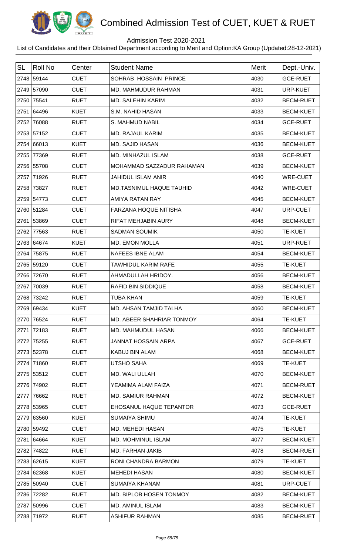

## Admission Test 2020-2021

| <b>SL</b> | Roll No    | Center      | <b>Student Name</b>        | <b>Merit</b> | Dept.-Univ.      |
|-----------|------------|-------------|----------------------------|--------------|------------------|
|           | 2748 59144 | <b>CUET</b> | SOHRAB HOSSAIN PRINCE      | 4030         | <b>GCE-RUET</b>  |
|           | 2749 57090 | <b>CUET</b> | <b>MD. MAHMUDUR RAHMAN</b> | 4031         | URP-KUET         |
|           | 2750 75541 | <b>RUET</b> | <b>MD. SALEHIN KARIM</b>   | 4032         | <b>BECM-RUET</b> |
|           | 2751 64496 | <b>KUET</b> | S.M. NAHID HASAN           | 4033         | <b>BECM-KUET</b> |
|           | 2752 76088 | <b>RUET</b> | S. MAHMUD NABIL            | 4034         | <b>GCE-RUET</b>  |
|           | 2753 57152 | <b>CUET</b> | <b>MD. RAJAUL KARIM</b>    | 4035         | <b>BECM-KUET</b> |
|           | 2754 66013 | <b>KUET</b> | <b>MD. SAJID HASAN</b>     | 4036         | <b>BECM-KUET</b> |
|           | 2755 77369 | <b>RUET</b> | MD. MINHAZUL ISLAM         | 4038         | <b>GCE-RUET</b>  |
|           | 2756 55708 | <b>CUET</b> | MOHAMMAD SAZZADUR RAHAMAN  | 4039         | <b>BECM-KUET</b> |
|           | 2757 71926 | <b>RUET</b> | <b>JAHIDUL ISLAM ANIR</b>  | 4040         | WRE-CUET         |
|           | 2758 73827 | <b>RUET</b> | MD.TASNIMUL HAQUE TAUHID   | 4042         | WRE-CUET         |
|           | 2759 54773 | <b>CUET</b> | AMIYA RATAN RAY            | 4045         | <b>BECM-KUET</b> |
|           | 2760 51284 | <b>CUET</b> | FARZANA HOQUE NITISHA      | 4047         | URP-CUET         |
|           | 2761 53869 | <b>CUET</b> | RIFAT MEHJABIN AURY        | 4048         | <b>BECM-KUET</b> |
|           | 2762 77563 | <b>RUET</b> | <b>SADMAN SOUMIK</b>       | 4050         | <b>TE-KUET</b>   |
|           | 2763 64674 | <b>KUET</b> | <b>MD. EMON MOLLA</b>      | 4051         | URP-RUET         |
|           | 2764 75875 | <b>RUET</b> | NAFEES IBNE ALAM           | 4054         | <b>BECM-KUET</b> |
|           | 2765 59120 | <b>CUET</b> | <b>TAWHIDUL KARIM RAFE</b> | 4055         | <b>TE-KUET</b>   |
|           | 2766 72670 | <b>RUET</b> | AHMADULLAH HRIDOY.         | 4056         | <b>BECM-KUET</b> |
|           | 2767 70039 | <b>RUET</b> | RAFID BIN SIDDIQUE         | 4058         | <b>BECM-KUET</b> |
|           | 2768 73242 | <b>RUET</b> | <b>TUBA KHAN</b>           | 4059         | TE-KUET          |
|           | 2769 69434 | <b>KUET</b> | MD. AHSAN TAMJID TALHA     | 4060         | <b>BECM-KUET</b> |
|           | 2770 76524 | <b>RUET</b> | MD. ABEER SHAHRIAR TONMOY  | 4064         | <b>TE-KUET</b>   |
|           | 2771 72183 | <b>RUET</b> | MD. MAHMUDUL HASAN         | 4066         | <b>BECM-KUET</b> |
|           | 2772 75255 | <b>RUET</b> | JANNAT HOSSAIN ARPA        | 4067         | <b>GCE-RUET</b>  |
|           | 2773 52378 | <b>CUET</b> | KABUJ BIN ALAM             | 4068         | <b>BECM-KUET</b> |
|           | 2774 71860 | <b>RUET</b> | <b>UTSHO SAHA</b>          | 4069         | <b>TE-KUET</b>   |
|           | 2775 53512 | <b>CUET</b> | MD. WALI ULLAH             | 4070         | <b>BECM-KUET</b> |
|           | 2776 74902 | <b>RUET</b> | YEAMIMA ALAM FAIZA         | 4071         | <b>BECM-RUET</b> |
|           | 2777 76662 | <b>RUET</b> | <b>MD. SAMIUR RAHMAN</b>   | 4072         | <b>BECM-KUET</b> |
|           | 2778 53965 | <b>CUET</b> | EHOSANUL HAQUE TEPANTOR    | 4073         | <b>GCE-RUET</b>  |
|           | 2779 63560 | <b>KUET</b> | SUMAIYA SHIMU              | 4074         | <b>TE-KUET</b>   |
|           | 2780 59492 | <b>CUET</b> | MD. MEHEDI HASAN           | 4075         | <b>TE-KUET</b>   |
|           | 2781 64664 | <b>KUET</b> | <b>MD. MOHMINUL ISLAM</b>  | 4077         | <b>BECM-KUET</b> |
|           | 2782 74822 | <b>RUET</b> | MD. FARHAN JAKIB           | 4078         | <b>BECM-RUET</b> |
|           | 2783 62615 | <b>KUET</b> | RONI CHANDRA BARMON        | 4079         | <b>TE-KUET</b>   |
|           | 2784 62368 | <b>KUET</b> | <b>MEHEDI HASAN</b>        | 4080         | <b>BECM-KUET</b> |
|           | 2785 50940 | <b>CUET</b> | SUMAIYA KHANAM             | 4081         | URP-CUET         |
|           | 2786 72282 | <b>RUET</b> | MD. BIPLOB HOSEN TONMOY    | 4082         | <b>BECM-KUET</b> |
|           | 2787 50996 | <b>CUET</b> | MD. AMINUL ISLAM           | 4083         | <b>BECM-KUET</b> |
|           | 2788 71972 | <b>RUET</b> | <b>ASHIFUR RAHMAN</b>      | 4085         | <b>BECM-RUET</b> |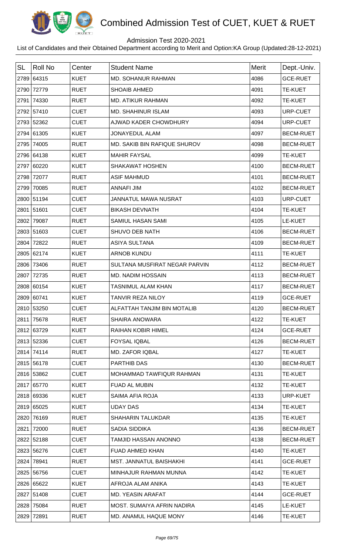

## Admission Test 2020-2021

| <b>SL</b> | <b>Roll No</b> | Center      | <b>Student Name</b>             | Merit | Dept.-Univ.      |
|-----------|----------------|-------------|---------------------------------|-------|------------------|
|           | 2789 64315     | <b>KUET</b> | MD. SOHANUR RAHMAN              | 4086  | <b>GCE-RUET</b>  |
| 2790      | 72779          | <b>RUET</b> | <b>SHOAIB AHMED</b>             | 4091  | <b>TE-KUET</b>   |
| 2791      | 74330          | <b>RUET</b> | <b>MD. ATIKUR RAHMAN</b>        | 4092  | <b>TE-KUET</b>   |
|           | 2792 57410     | <b>CUET</b> | <b>MD. SHAHINUR ISLAM</b>       | 4093  | URP-CUET         |
|           | 2793 52362     | <b>CUET</b> | AJWAD KADER CHOWDHURY           | 4094  | URP-CUET         |
|           | 2794 61305     | <b>KUET</b> | <b>JONAYEDUL ALAM</b>           | 4097  | <b>BECM-RUET</b> |
| 2795      | 74005          | <b>RUET</b> | MD. SAKIB BIN RAFIQUE SHUROV    | 4098  | <b>BECM-RUET</b> |
|           | 2796 64138     | <b>KUET</b> | <b>MAHIR FAYSAL</b>             | 4099  | <b>TE-KUET</b>   |
| 2797      | 60220          | <b>KUET</b> | <b>SHAKAWAT HOSHEN</b>          | 4100  | <b>BECM-RUET</b> |
| 2798      | 72077          | <b>RUET</b> | <b>ASIF MAHMUD</b>              | 4101  | <b>BECM-RUET</b> |
| 2799      | 70085          | <b>RUET</b> | <b>ANNAFI JIM</b>               | 4102  | <b>BECM-RUET</b> |
|           | 2800 51194     | <b>CUET</b> | <b>JANNATUL MAWA NUSRAT</b>     | 4103  | URP-CUET         |
|           | 2801 51601     | <b>CUET</b> | <b>BIKASH DEVNATH</b>           | 4104  | <b>TE-KUET</b>   |
|           | 2802 79087     | <b>RUET</b> | SAMIUL HASAN SAMI               | 4105  | LE-KUET          |
|           | 2803 51603     | <b>CUET</b> | SHUVO DEB NATH                  | 4106  | <b>BECM-RUET</b> |
| 2804      | 72822          | <b>RUET</b> | <b>ASIYA SULTANA</b>            | 4109  | <b>BECM-RUET</b> |
|           | 2805 62174     | <b>KUET</b> | <b>ARNOB KUNDU</b>              | 4111  | <b>TE-KUET</b>   |
| 2806      | 73406          | <b>RUET</b> | SULTANA MUSFIRAT NEGAR PARVIN   | 4112  | <b>BECM-RUET</b> |
| 2807      | 72735          | <b>RUET</b> | MD. NADIM HOSSAIN               | 4113  | <b>BECM-RUET</b> |
|           | 2808 60154     | <b>KUET</b> | <b>TASNIMUL ALAM KHAN</b>       | 4117  | <b>BECM-RUET</b> |
|           | 2809 60741     | <b>KUET</b> | <b>TANVIR REZA NILOY</b>        | 4119  | <b>GCE-RUET</b>  |
|           | 2810 53250     | <b>CUET</b> | ALFATTAH TANJIM BIN MOTALIB     | 4120  | <b>BECM-RUET</b> |
|           | 2811 75678     | <b>RUET</b> | <b>SHAIRA ANOWARA</b>           | 4122  | <b>TE-KUET</b>   |
|           | 2812 63729     | <b>KUET</b> | RAIHAN KOBIR HIMEL              | 4124  | <b>GCE-RUET</b>  |
|           | 2813 52336     | <b>CUET</b> | <b>FOYSAL IQBAL</b>             | 4126  | <b>BECM-RUET</b> |
|           | 2814 74114     | <b>RUET</b> | <b>MD. ZAFOR IQBAL</b>          | 4127  | <b>TE-KUET</b>   |
|           | 2815 56178     | <b>CUET</b> | PARTHIB DAS                     | 4130  | <b>BECM-RUET</b> |
|           | 2816 53862     | <b>CUET</b> | <b>MOHAMMAD TAWFIQUR RAHMAN</b> | 4131  | <b>TE-KUET</b>   |
|           | 2817 65770     | <b>KUET</b> | FUAD AL MUBIN                   | 4132  | <b>TE-KUET</b>   |
|           | 2818 69336     | <b>KUET</b> | SAIMA AFIA ROJA                 | 4133  | <b>URP-KUET</b>  |
|           | 2819 65025     | <b>KUET</b> | <b>UDAY DAS</b>                 | 4134  | <b>TE-KUET</b>   |
|           | 2820 76169     | <b>RUET</b> | <b>SHAHARIN TALUKDAR</b>        | 4135  | <b>TE-KUET</b>   |
| 2821      | 72000          | <b>RUET</b> | SADIA SIDDIKA                   | 4136  | <b>BECM-RUET</b> |
|           | 2822 52188     | <b>CUET</b> | TAMJID HASSAN ANONNO            | 4138  | <b>BECM-RUET</b> |
|           | 2823 56276     | <b>CUET</b> | <b>FUAD AHMED KHAN</b>          | 4140  | <b>TE-KUET</b>   |
|           | 2824 78941     | <b>RUET</b> | MST. JANNATUL BAISHAKHI         | 4141  | <b>GCE-RUET</b>  |
|           | 2825 56756     | <b>CUET</b> | MINHAJUR RAHMAN MUNNA           | 4142  | <b>TE-KUET</b>   |
|           | 2826 65622     | <b>KUET</b> | AFROJA ALAM ANIKA               | 4143  | <b>TE-KUET</b>   |
|           | 2827 51408     | <b>CUET</b> | <b>MD. YEASIN ARAFAT</b>        | 4144  | <b>GCE-RUET</b>  |
|           | 2828 75084     | <b>RUET</b> | MOST. SUMAIYA AFRIN NADIRA      | 4145  | LE-KUET          |
|           | 2829 72891     | <b>RUET</b> | MD. ANAMUL HAQUE MONY           | 4146  | <b>TE-KUET</b>   |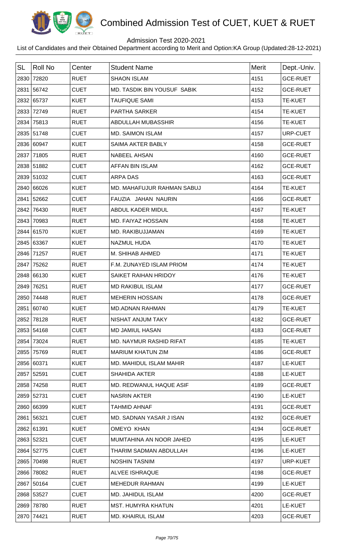

## Admission Test 2020-2021

| <b>SL</b> | <b>Roll No</b> | Center      | <b>Student Name</b>                | <b>Merit</b> | Dept.-Univ.     |
|-----------|----------------|-------------|------------------------------------|--------------|-----------------|
|           | 2830 72820     | <b>RUET</b> | <b>SHAON ISLAM</b>                 | 4151         | <b>GCE-RUET</b> |
|           | 2831 56742     | <b>CUET</b> | <b>MD. TASDIK BIN YOUSUF SABIK</b> | 4152         | <b>GCE-RUET</b> |
|           | 2832 65737     | <b>KUET</b> | <b>TAUFIQUE SAMI</b>               | 4153         | <b>TE-KUET</b>  |
| 2833      | 72749          | <b>RUET</b> | <b>PARTHA SARKER</b>               | 4154         | TE-KUET         |
|           | 2834 75813     | <b>RUET</b> | ABDULLAH MUBASSHIR                 | 4156         | <b>TE-KUET</b>  |
|           | 2835 51748     | <b>CUET</b> | <b>MD. SAIMON ISLAM</b>            | 4157         | URP-CUET        |
|           | 2836 60947     | <b>KUET</b> | <b>SAIMA AKTER BABLY</b>           | 4158         | <b>GCE-RUET</b> |
|           | 2837 71805     | <b>RUET</b> | <b>NABEEL AHSAN</b>                | 4160         | <b>GCE-RUET</b> |
|           | 2838 51882     | <b>CUET</b> | <b>AFFAN BIN ISLAM</b>             | 4162         | <b>GCE-RUET</b> |
|           | 2839 51032     | <b>CUET</b> | <b>ARPA DAS</b>                    | 4163         | <b>GCE-RUET</b> |
|           | 2840 66026     | <b>KUET</b> | MD. MAHAFUJUR RAHMAN SABUJ         | 4164         | <b>TE-KUET</b>  |
|           | 2841 52662     | <b>CUET</b> | FAUZIA JAHAN NAURIN                | 4166         | <b>GCE-RUET</b> |
| 2842      | 76430          | <b>RUET</b> | ABDUL KADER MIDUL                  | 4167         | <b>TE-KUET</b>  |
|           | 2843 70983     | <b>RUET</b> | MD. FAIYAZ HOSSAIN                 | 4168         | <b>TE-KUET</b>  |
|           | 2844 61570     | <b>KUET</b> | MD. RAKIBUJJAMAN                   | 4169         | <b>TE-KUET</b>  |
|           | 2845 63367     | <b>KUET</b> | <b>NAZMUL HUDA</b>                 | 4170         | <b>TE-KUET</b>  |
|           | 2846 71257     | <b>RUET</b> | M. SHIHAB AHMED                    | 4171         | <b>TE-KUET</b>  |
| 2847      | 75262          | <b>RUET</b> | F.M. ZUNAYED ISLAM PRIOM           | 4174         | <b>TE-KUET</b>  |
|           | 2848 66130     | <b>KUET</b> | SAIKET RAIHAN HRIDOY               | 4176         | TE-KUET         |
|           | 2849 76251     | <b>RUET</b> | <b>MD RAKIBUL ISLAM</b>            | 4177         | <b>GCE-RUET</b> |
|           | 2850 74448     | <b>RUET</b> | <b>MEHERIN HOSSAIN</b>             | 4178         | <b>GCE-RUET</b> |
|           | 2851 60740     | <b>KUET</b> | <b>MD.ADNAN RAHMAN</b>             | 4179         | <b>TE-KUET</b>  |
|           | 2852 78128     | <b>RUET</b> | NISHAT ANJUM TAKY                  | 4182         | <b>GCE-RUET</b> |
|           | 2853 54168     | <b>CUET</b> | MD JAMIUL HASAN                    | 4183         | <b>GCE-RUET</b> |
| 2854      | 73024          | <b>RUET</b> | MD. NAYMUR RASHID RIFAT            | 4185         | <b>TE-KUET</b>  |
| 2855      | 75769          | <b>RUET</b> | <b>MARIUM KHATUN ZIM</b>           | 4186         | <b>GCE-RUET</b> |
|           | 2856 60371     | <b>KUET</b> | MD. MAHIDUL ISLAM MAHIR            | 4187         | LE-KUET         |
|           | 2857 52591     | <b>CUET</b> | <b>SHAHIDA AKTER</b>               | 4188         | LE-KUET         |
|           | 2858 74258     | <b>RUET</b> | MD. REDWANUL HAQUE ASIF            | 4189         | <b>GCE-RUET</b> |
|           | 2859 52731     | <b>CUET</b> | <b>NASRIN AKTER</b>                | 4190         | LE-KUET         |
|           | 2860 66399     | <b>KUET</b> | TAHMID AHNAF                       | 4191         | <b>GCE-RUET</b> |
|           | 2861 56321     | <b>CUET</b> | MD. SADNAN YASAR J ISAN            | 4192         | <b>GCE-RUET</b> |
|           | 2862 61391     | <b>KUET</b> | <b>OMEYO KHAN</b>                  | 4194         | <b>GCE-RUET</b> |
|           | 2863 52321     | <b>CUET</b> | MUMTAHINA AN NOOR JAHED            | 4195         | LE-KUET         |
|           | 2864 52775     | <b>CUET</b> | THARIM SADMAN ABDULLAH             | 4196         | LE-KUET         |
|           | 2865 70498     | <b>RUET</b> | <b>NOSHIN TASNIM</b>               | 4197         | URP-KUET        |
|           | 2866 78082     | <b>RUET</b> | ALVEE ISHRAQUE                     | 4198         | <b>GCE-RUET</b> |
|           | 2867 50164     | <b>CUET</b> | <b>MEHEDUR RAHMAN</b>              | 4199         | LE-KUET         |
|           | 2868 53527     | <b>CUET</b> | MD. JAHIDUL ISLAM                  | 4200         | <b>GCE-RUET</b> |
|           | 2869 78780     | <b>RUET</b> | <b>MST. HUMYRA KHATUN</b>          | 4201         | LE-KUET         |
|           | 2870 74421     | <b>RUET</b> | <b>MD. KHAIRUL ISLAM</b>           | 4203         | <b>GCE-RUET</b> |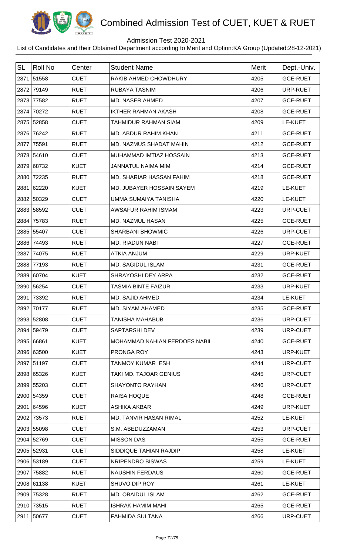

## Admission Test 2020-2021

| <b>SL</b> | <b>Roll No</b> | Center      | <b>Student Name</b>           | Merit | Dept.-Univ.     |
|-----------|----------------|-------------|-------------------------------|-------|-----------------|
|           | 2871 51558     | <b>CUET</b> | RAKIB AHMED CHOWDHURY         | 4205  | <b>GCE-RUET</b> |
|           | 2872 79149     | <b>RUET</b> | RUBAYA TASNIM                 | 4206  | URP-RUET        |
| 2873      | 77582          | <b>RUET</b> | MD. NASER AHMED               | 4207  | <b>GCE-RUET</b> |
|           | 2874 70272     | <b>RUET</b> | <b>IKTHER RAHMAN AKASH</b>    | 4208  | <b>GCE-RUET</b> |
|           | 2875 52858     | <b>CUET</b> | <b>TAHMIDUR RAHMAN SIAM</b>   | 4209  | LE-KUET         |
|           | 2876 76242     | <b>RUET</b> | MD. ABDUR RAHIM KHAN          | 4211  | <b>GCE-RUET</b> |
|           | 2877 75591     | <b>RUET</b> | MD. NAZMUS SHADAT MAHIN       | 4212  | <b>GCE-RUET</b> |
|           | 2878 54610     | <b>CUET</b> | MUHAMMAD IMTIAZ HOSSAIN       | 4213  | <b>GCE-RUET</b> |
|           | 2879 68732     | <b>KUET</b> | <b>JANNATUL NAIMA MIM</b>     | 4214  | <b>GCE-RUET</b> |
|           | 2880 72235     | <b>RUET</b> | MD. SHARIAR HASSAN FAHIM      | 4218  | <b>GCE-RUET</b> |
|           | 2881 62220     | <b>KUET</b> | MD. JUBAYER HOSSAIN SAYEM     | 4219  | LE-KUET         |
|           | 2882 50329     | <b>CUET</b> | <b>UMMA SUMAIYA TANISHA</b>   | 4220  | LE-KUET         |
|           | 2883 58592     | <b>CUET</b> | AWSAFUR RAHIM ISMAM           | 4223  | URP-CUET        |
|           | 2884 75783     | <b>RUET</b> | MD. NAZMUL HASAN              | 4225  | <b>GCE-RUET</b> |
|           | 2885 55407     | <b>CUET</b> | <b>SHARBANI BHOWMIC</b>       | 4226  | URP-CUET        |
|           | 2886 74493     | <b>RUET</b> | MD. RIADUN NABI               | 4227  | <b>GCE-RUET</b> |
|           | 2887 74075     | <b>RUET</b> | <b>ATKIA ANJUM</b>            | 4229  | <b>URP-KUET</b> |
| 2888      | 77193          | <b>RUET</b> | <b>MD. SAGIDUL ISLAM</b>      | 4231  | <b>GCE-RUET</b> |
|           | 2889 60704     | <b>KUET</b> | SHRAYOSHI DEY ARPA            | 4232  | <b>GCE-RUET</b> |
|           | 2890 56254     | <b>CUET</b> | <b>TASMIA BINTE FAIZUR</b>    | 4233  | <b>URP-KUET</b> |
|           | 2891 73392     | <b>RUET</b> | <b>MD. SAJID AHMED</b>        | 4234  | LE-KUET         |
|           | 2892 70177     | <b>RUET</b> | MD. SIYAM AHAMED              | 4235  | <b>GCE-RUET</b> |
|           | 2893 52808     | <b>CUET</b> | <b>TANISHA MAHABUB</b>        | 4236  | URP-CUET        |
|           | 2894 59479     | <b>CUET</b> | <b>SAPTARSHI DEV</b>          | 4239  | URP-CUET        |
|           | 2895 66861     | <b>KUET</b> | MOHAMMAD NAHIAN FERDOES NABIL | 4240  | <b>GCE-RUET</b> |
|           | 2896 63500     | <b>KUET</b> | PRONGA ROY                    | 4243  | <b>URP-KUET</b> |
|           | 2897 51197     | <b>CUET</b> | <b>TANMOY KUMAR ESH</b>       | 4244  | URP-CUET        |
|           | 2898 65326     | <b>KUET</b> | TAKI MD. TAJOAR GENIUS        | 4245  | URP-CUET        |
|           | 2899 55203     | <b>CUET</b> | <b>SHAYONTO RAYHAN</b>        | 4246  | URP-CUET        |
|           | 2900 54359     | <b>CUET</b> | <b>RAISA HOQUE</b>            | 4248  | <b>GCE-RUET</b> |
|           | 2901 64596     | <b>KUET</b> | ASHIKA AKBAR                  | 4249  | URP-KUET        |
|           | 2902 73573     | <b>RUET</b> | <b>MD. TANVIR HASAN RIMAL</b> | 4252  | LE-KUET         |
|           | 2903 55098     | <b>CUET</b> | S.M. ABEDUZZAMAN              | 4253  | URP-CUET        |
|           | 2904 52769     | <b>CUET</b> | <b>MISSON DAS</b>             | 4255  | <b>GCE-RUET</b> |
|           | 2905 52931     | <b>CUET</b> | SIDDIQUE TAHIAN RAJDIP        | 4258  | LE-KUET         |
|           | 2906 53189     | <b>CUET</b> | NRIPENDRO BISWAS              | 4259  | LE-KUET         |
|           | 2907 75882     | <b>RUET</b> | <b>NAUSHIN FERDAUS</b>        | 4260  | <b>GCE-RUET</b> |
|           | 2908 61138     | <b>KUET</b> | SHUVO DIP ROY                 | 4261  | LE-KUET         |
|           | 2909 75328     | <b>RUET</b> | MD. OBAIDUL ISLAM             | 4262  | <b>GCE-RUET</b> |
|           | 2910 73515     | <b>RUET</b> | ISHRAK HAMIM MAHI             | 4265  | <b>GCE-RUET</b> |
|           | 2911 50677     | <b>CUET</b> | <b>FAHMIDA SULTANA</b>        | 4266  | URP-CUET        |
|           |                |             |                               |       |                 |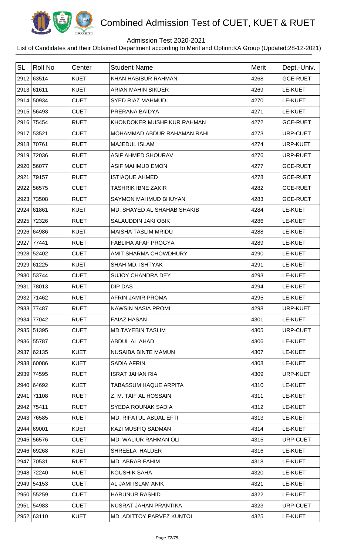

## Admission Test 2020-2021

| <b>SL</b> | Roll No    | Center      | <b>Student Name</b>         | Merit | Dept.-Univ.     |
|-----------|------------|-------------|-----------------------------|-------|-----------------|
|           | 2912 63514 | <b>KUET</b> | KHAN HABIBUR RAHMAN         | 4268  | <b>GCE-RUET</b> |
|           | 2913 61611 | <b>KUET</b> | <b>ARIAN MAHIN SIKDER</b>   | 4269  | LE-KUET         |
|           | 2914 50934 | <b>CUET</b> | SYED RIAZ MAHMUD.           | 4270  | LE-KUET         |
|           | 2915 56493 | <b>CUET</b> | PRERANA BAIDYA              | 4271  | LE-KUET         |
|           | 2916 75454 | <b>RUET</b> | KHONDOKER MUSHFIKUR RAHMAN  | 4272  | <b>GCE-RUET</b> |
|           | 2917 53521 | <b>CUET</b> | MOHAMMAD ABDUR RAHAMAN RAHI | 4273  | URP-CUET        |
| 2918      | 70761      | <b>RUET</b> | <b>MAJEDUL ISLAM</b>        | 4274  | <b>URP-KUET</b> |
| 2919      | 72036      | <b>RUET</b> | <b>ASIF AHMED SHOURAV</b>   | 4276  | URP-RUET        |
|           | 2920 56077 | <b>CUET</b> | <b>ASIF MAHMUD EMON</b>     | 4277  | <b>GCE-RUET</b> |
| 2921      | 79157      | <b>RUET</b> | <b>ISTIAQUE AHMED</b>       | 4278  | <b>GCE-RUET</b> |
|           | 2922 56575 | <b>CUET</b> | <b>TASHRIK IBNE ZAKIR</b>   | 4282  | <b>GCE-RUET</b> |
| 2923      | 73508      | <b>RUET</b> | SAYMON MAHMUD BHUYAN        | 4283  | <b>GCE-RUET</b> |
|           | 2924 61861 | <b>KUET</b> | MD. SHAYED AL SHAHAB SHAKIB | 4284  | LE-KUET         |
| 2925      | 72326      | <b>RUET</b> | SALAUDDIN JAKI OBIK         | 4286  | LE-KUET         |
|           | 2926 64986 | <b>KUET</b> | <b>MAISHA TASLIM MRIDU</b>  | 4288  | LE-KUET         |
| 2927      | 77441      | <b>RUET</b> | FABLIHA AFAF PROGYA         | 4289  | LE-KUET         |
|           | 2928 52402 | <b>CUET</b> | AMIT SHARMA CHOWDHURY       | 4290  | LE-KUET         |
| 2929      | 61225      | <b>KUET</b> | SHAH MD. ISHTYAK            | 4291  | LE-KUET         |
|           | 2930 53744 | <b>CUET</b> | <b>SUJOY CHANDRA DEY</b>    | 4293  | LE-KUET         |
| 2931      | 78013      | <b>RUET</b> | <b>DIP DAS</b>              | 4294  | LE-KUET         |
| 2932      | 71462      | <b>RUET</b> | AFRIN JAMIR PROMA           | 4295  | LE-KUET         |
|           | 2933 77487 | <b>RUET</b> | <b>NAWSIN NASIA PROMI</b>   | 4298  | <b>URP-KUET</b> |
|           | 2934 77042 | <b>RUET</b> | <b>FAIAZ HASAN</b>          | 4301  | LE-KUET         |
|           | 2935 51395 | <b>CUET</b> | <b>MD.TAYEBIN TASLIM</b>    | 4305  | URP-CUET        |
|           | 2936 55787 | <b>CUET</b> | ABDUL AL AHAD               | 4306  | LE-KUET         |
|           | 2937 62135 | <b>KUET</b> | NUSAIBA BINTE MAMUN         | 4307  | LE-KUET         |
|           | 2938 60086 | <b>KUET</b> | <b>SADIA AFRIN</b>          | 4308  | LE-KUET         |
|           | 2939 74595 | <b>RUET</b> | <b>ISRAT JAHAN RIA</b>      | 4309  | URP-KUET        |
|           | 2940 64692 | <b>KUET</b> | TABASSUM HAQUE ARPITA       | 4310  | LE-KUET         |
|           | 2941 71108 | <b>RUET</b> | Z. M. TAIF AL HOSSAIN       | 4311  | LE-KUET         |
|           | 2942 75411 | <b>RUET</b> | SYEDA ROUNAK SADIA          | 4312  | LE-KUET         |
|           | 2943 76585 | <b>RUET</b> | MD. RIFATUL ABDAL EFTI      | 4313  | LE-KUET         |
|           | 2944 69001 | <b>KUET</b> | KAZI MUSFIQ SADMAN          | 4314  | LE-KUET         |
|           | 2945 56576 | <b>CUET</b> | MD. WALIUR RAHMAN OLI       | 4315  | URP-CUET        |
|           | 2946 69268 | <b>KUET</b> | SHREELA HALDER              | 4316  | LE-KUET         |
|           | 2947 70531 | <b>RUET</b> | MD. ABRAR FAHIM             | 4318  | <b>LE-KUET</b>  |
|           | 2948 72240 | <b>RUET</b> | KOUSHIK SAHA                | 4320  | LE-KUET         |
|           | 2949 54153 | <b>CUET</b> | AL JAMI ISLAM ANIK          | 4321  | LE-KUET         |
|           | 2950 55259 | <b>CUET</b> | <b>HARUNUR RASHID</b>       | 4322  | LE-KUET         |
|           | 2951 54983 | <b>CUET</b> | NUSRAT JAHAN PRANTIKA       | 4323  | URP-CUET        |
|           | 2952 63110 | <b>KUET</b> | MD. ADITTOY PARVEZ KUNTOL   | 4325  | LE-KUET         |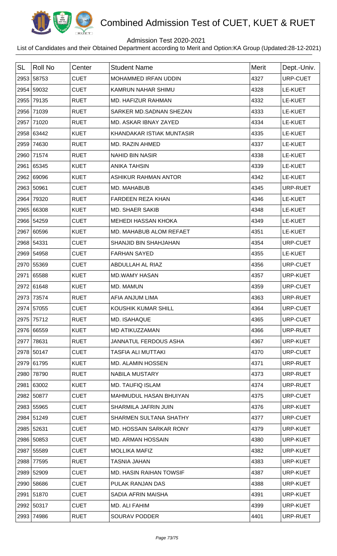

# Combined Admission Test of CUET, KUET & RUET

## Admission Test 2020-2021

List of Candidates and their Obtained Department according to Merit and Option:KA Group (Updated:28-12-2021)

| <b>SL</b> | <b>Roll No</b> | Center      | <b>Student Name</b>            | <b>Merit</b> | Dept.-Univ.     |
|-----------|----------------|-------------|--------------------------------|--------------|-----------------|
|           | 2953 58753     | <b>CUET</b> | MOHAMMED IRFAN UDDIN           | 4327         | URP-CUET        |
|           | 2954 59032     | <b>CUET</b> | KAMRUN NAHAR SHIMU             | 4328         | LE-KUET         |
|           | 2955 79135     | <b>RUET</b> | MD. HAFIZUR RAHMAN             | 4332         | LE-KUET         |
|           | 2956 71039     | <b>RUET</b> | SARKER MD.SADNAN SHEZAN        | 4333         | LE-KUET         |
|           | 2957 71020     | <b>RUET</b> | MD. ASKAR IBNAY ZAYED          | 4334         | LE-KUET         |
|           | 2958 63442     | <b>KUET</b> | KHANDAKAR ISTIAK MUNTASIR      | 4335         | LE-KUET         |
|           | 2959 74630     | <b>RUET</b> | MD. RAZIN AHMED                | 4337         | LE-KUET         |
|           | 2960 71574     | <b>RUET</b> | <b>NAHID BIN NASIR</b>         | 4338         | LE-KUET         |
|           | 2961 65345     | <b>KUET</b> | <b>ANIKA TAHSIN</b>            | 4339         | LE-KUET         |
|           | 2962 69096     | <b>KUET</b> | <b>ASHIKUR RAHMAN ANTOR</b>    | 4342         | LE-KUET         |
|           | 2963 50961     | <b>CUET</b> | MD. MAHABUB                    | 4345         | URP-RUET        |
| 2964      | 79320          | <b>RUET</b> | <b>FARDEEN REZA KHAN</b>       | 4346         | LE-KUET         |
|           | 2965 66308     | <b>KUET</b> | <b>MD. SHAER SAKIB</b>         | 4348         | LE-KUET         |
|           | 2966 54259     | <b>CUET</b> | <b>MEHEDI HASSAN KHOKA</b>     | 4349         | LE-KUET         |
|           | 2967 60596     | <b>KUET</b> | MD. MAHABUB ALOM REFAET        | 4351         | LE-KUET         |
|           | 2968 54331     | <b>CUET</b> | SHANJID BIN SHAHJAHAN          | 4354         | URP-CUET        |
|           | 2969 54958     | <b>CUET</b> | <b>FARHAN SAYED</b>            | 4355         | LE-KUET         |
|           | 2970 55369     | <b>CUET</b> | ABDULLAH AL RIAZ               | 4356         | URP-CUET        |
| 2971      | 65588          | <b>KUET</b> | <b>MD.WAMY HASAN</b>           | 4357         | URP-KUET        |
|           | 2972 61648     | <b>KUET</b> | MD. MAMUN                      | 4359         | URP-CUET        |
|           | 2973 73574     | <b>RUET</b> | AFIA ANJUM LIMA                | 4363         | URP-RUET        |
|           | 2974 57055     | <b>CUET</b> | KOUSHIK KUMAR SHILL            | 4364         | URP-CUET        |
|           | 2975 75712     | <b>RUET</b> | MD. ISAHAQUE                   | 4365         | URP-CUET        |
|           | 2976 66559     | <b>KUET</b> | MD ATIKUZZAMAN                 | 4366         | URP-RUET        |
|           | 2977 78631     | <b>RUET</b> | <b>JANNATUL FERDOUS ASHA</b>   | 4367         | URP-KUET        |
|           | 2978 50147     | <b>CUET</b> | TASFIA ALI MUTTAKI             | 4370         | URP-CUET        |
|           | 2979 61795     | <b>KUET</b> | MD. ALAMIN HOSSEN              | 4371         | URP-RUET        |
|           | 2980 78790     | <b>RUET</b> | <b>NABILA MUSTARY</b>          | 4373         | URP-RUET        |
|           | 2981 63002     | <b>KUET</b> | <b>MD. TAUFIQ ISLAM</b>        | 4374         | URP-RUET        |
|           | 2982 50877     | <b>CUET</b> | MAHMUDUL HASAN BHUIYAN         | 4375         | URP-CUET        |
|           | 2983 55965     | <b>CUET</b> | SHARMILA JAFRIN JUIN           | 4376         | URP-KUET        |
|           | 2984 51249     | <b>CUET</b> | SHARMEN SULTANA SHATHY         | 4377         | URP-CUET        |
|           | 2985 52631     | <b>CUET</b> | MD. HOSSAIN SARKAR RONY        | 4379         | <b>URP-KUET</b> |
|           | 2986 50853     | <b>CUET</b> | <b>MD. ARMAN HOSSAIN</b>       | 4380         | URP-KUET        |
|           | 2987 55589     | <b>CUET</b> | <b>MOLLIKA MAFIZ</b>           | 4382         | URP-KUET        |
|           | 2988 77595     | <b>RUET</b> | <b>TASNIA JAHAN</b>            | 4383         | URP-KUET        |
|           | 2989 52909     | <b>CUET</b> | <b>MD. HASIN RAIHAN TOWSIF</b> | 4387         | URP-KUET        |
|           | 2990 58686     | <b>CUET</b> | PULAK RANJAN DAS               | 4388         | <b>URP-KUET</b> |
|           | 2991 51870     | <b>CUET</b> | SADIA AFRIN MAISHA             | 4391         | URP-KUET        |
|           | 2992 50317     | <b>CUET</b> | MD. ALI FAHIM                  | 4399         | URP-KUET        |
|           | 2993 74986     | <b>RUET</b> | <b>SOURAV PODDER</b>           | 4401         | URP-RUET        |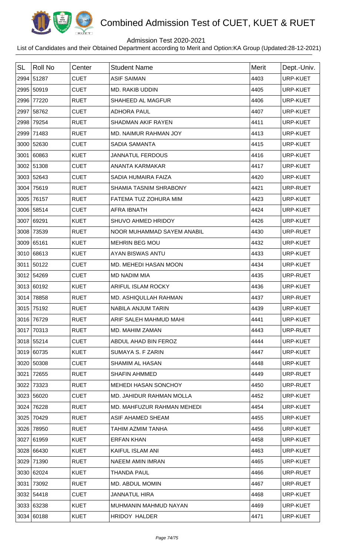

# Combined Admission Test of CUET, KUET & RUET

## Admission Test 2020-2021

List of Candidates and their Obtained Department according to Merit and Option:KA Group (Updated:28-12-2021)

| <b>SL</b> | <b>Roll No</b> | Center      | <b>Student Name</b>           | <b>Merit</b> | Dept.-Univ.     |
|-----------|----------------|-------------|-------------------------------|--------------|-----------------|
|           | 2994 51287     | <b>CUET</b> | <b>ASIF SAIMAN</b>            | 4403         | <b>URP-KUET</b> |
|           | 2995 50919     | <b>CUET</b> | MD. RAKIB UDDIN               | 4405         | <b>URP-KUET</b> |
|           | 2996 77220     | <b>RUET</b> | SHAHEED AL MAGFUR             | 4406         | URP-KUET        |
|           | 2997 58762     | <b>CUET</b> | <b>ADHORA PAUL</b>            | 4407         | URP-KUET        |
|           | 2998 79254     | <b>RUET</b> | <b>SHADMAN AKIF RAYEN</b>     | 4411         | <b>URP-KUET</b> |
| 2999      | 71483          | <b>RUET</b> | MD. NAIMUR RAHMAN JOY         | 4413         | URP-KUET        |
|           | 3000 52630     | <b>CUET</b> | SADIA SAMANTA                 | 4415         | <b>URP-KUET</b> |
|           | 3001 60863     | <b>KUET</b> | <b>JANNATUL FERDOUS</b>       | 4416         | <b>URP-KUET</b> |
|           | 3002 51308     | <b>CUET</b> | ANANTA KARMAKAR               | 4417         | URP-KUET        |
|           | 3003 52643     | <b>CUET</b> | SADIA HUMAIRA FAIZA           | 4420         | <b>URP-KUET</b> |
|           | 3004 75619     | <b>RUET</b> | <b>SHAMIA TASNIM SHRABONY</b> | 4421         | URP-RUET        |
|           | 3005 76157     | <b>RUET</b> | FATEMA TUZ ZOHURA MIM         | 4423         | URP-KUET        |
|           | 3006 58514     | <b>CUET</b> | <b>AFRA IBNATH</b>            | 4424         | <b>URP-KUET</b> |
|           | 3007 69291     | <b>KUET</b> | SHUVO AHMED HRIDOY            | 4426         | URP-KUET        |
|           | 3008 73539     | <b>RUET</b> | NOOR MUHAMMAD SAYEM ANABIL    | 4430         | URP-RUET        |
|           | 3009 65161     | <b>KUET</b> | <b>MEHRIN BEG MOU</b>         | 4432         | URP-KUET        |
|           | 3010 68613     | <b>KUET</b> | AYAN BISWAS ANTU              | 4433         | URP-KUET        |
|           | 3011 50122     | <b>CUET</b> | MD. MEHEDI HASAN MOON         | 4434         | URP-KUET        |
|           | 3012 54269     | <b>CUET</b> | <b>MD NADIM MIA</b>           | 4435         | URP-RUET        |
|           | 3013 60192     | <b>KUET</b> | ARIFUL ISLAM ROCKY            | 4436         | URP-KUET        |
|           | 3014 78858     | <b>RUET</b> | MD. ASHIQULLAH RAHMAN         | 4437         | URP-RUET        |
|           | 3015 75192     | <b>RUET</b> | NABILA ANJUM TARIN            | 4439         | URP-KUET        |
|           | 3016 76729     | <b>RUET</b> | ARIF SALEH MAHMUD MAHI        | 4441         | <b>URP-KUET</b> |
|           | 3017 70313     | <b>RUET</b> | MD. MAHIM ZAMAN               | 4443         | URP-RUET        |
|           | 3018 55214     | <b>CUET</b> | ABDUL AHAD BIN FEROZ          | 4444         | URP-KUET        |
|           | 3019 60735     | <b>KUET</b> | SUMAYA S. F ZARIN             | 4447         | URP-KUET        |
|           | 3020 50308     | <b>CUET</b> | <b>SHAMIM AL HASAN</b>        | 4448         | URP-KUET        |
| 3021      | 72655          | <b>RUET</b> | <b>SHAFIN AHMMED</b>          | 4449         | URP-RUET        |
|           | 3022 73323     | <b>RUET</b> | MEHEDI HASAN SONCHOY          | 4450         | URP-RUET        |
|           | 3023 56020     | <b>CUET</b> | MD. JAHIDUR RAHMAN MOLLA      | 4452         | URP-KUET        |
|           | 3024 76228     | <b>RUET</b> | MD. MAHFUZUR RAHMAN MEHEDI    | 4454         | URP-KUET        |
|           | 3025 70429     | <b>RUET</b> | ASIF AHAMED SHEAM             | 4455         | URP-KUET        |
|           | 3026 78950     | <b>RUET</b> | TAHIM AZMIM TANHA             | 4456         | URP-KUET        |
|           | 3027 61959     | <b>KUET</b> | <b>ERFAN KHAN</b>             | 4458         | URP-KUET        |
|           | 3028 66430     | <b>KUET</b> | KAIFUL ISLAM ANI              | 4463         | URP-KUET        |
|           | 3029 71390     | <b>RUET</b> | <b>NAEEM AMIN IMRAN</b>       | 4465         | URP-KUET        |
|           | 3030 62024     | <b>KUET</b> | <b>THANDA PAUL</b>            | 4466         | URP-RUET        |
|           | 3031 73092     | <b>RUET</b> | MD. ABDUL MOMIN               | 4467         | URP-RUET        |
|           | 3032 54418     | <b>CUET</b> | <b>JANNATUL HIRA</b>          | 4468         | URP-KUET        |
|           | 3033 63238     | <b>KUET</b> | MUHMANIN MAHMUD NAYAN         | 4469         | URP-KUET        |
|           | 3034 60188     | <b>KUET</b> | HRIDOY HALDER                 | 4471         | URP-KUET        |